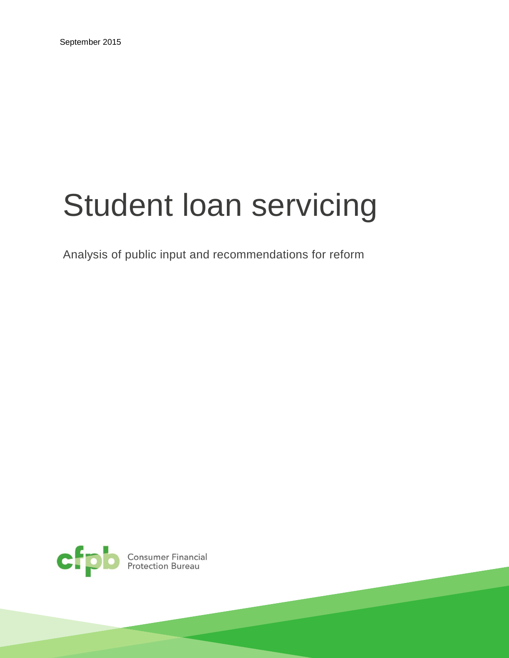# Student loan servicing

Analysis of public input and recommendations for reform

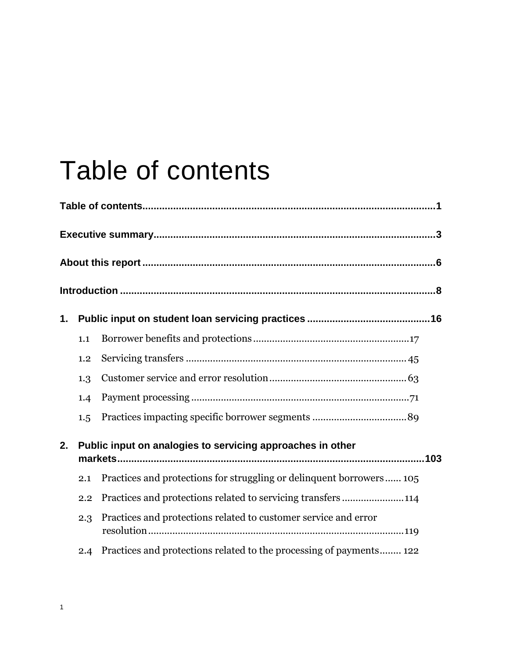## Table of contents

| 1. |     |                                                                         |
|----|-----|-------------------------------------------------------------------------|
|    | 1.1 |                                                                         |
|    | 1.2 |                                                                         |
|    | 1.3 |                                                                         |
|    | 1.4 |                                                                         |
|    | 1.5 |                                                                         |
| 2. |     | Public input on analogies to servicing approaches in other              |
|    | 2.1 | Practices and protections for struggling or delinquent borrowers 105    |
|    | 2.2 | Practices and protections related to servicing transfers114             |
|    | 2.3 | Practices and protections related to customer service and error         |
|    |     | 2.4 Practices and protections related to the processing of payments 122 |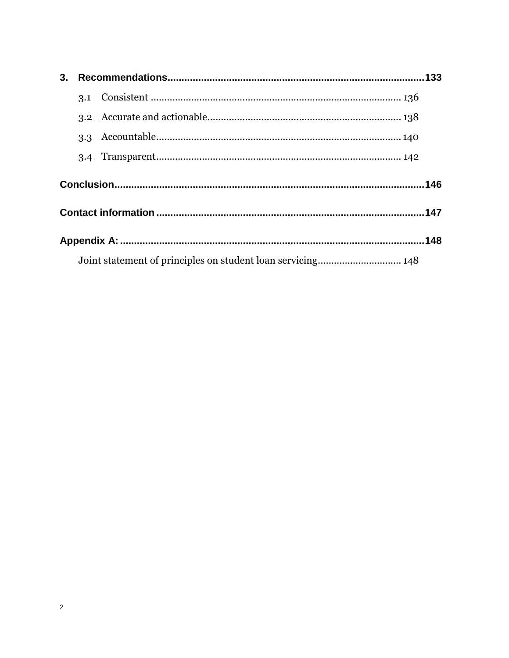| 3. |     |                                                             |  |  |  |
|----|-----|-------------------------------------------------------------|--|--|--|
|    |     |                                                             |  |  |  |
|    |     |                                                             |  |  |  |
|    |     |                                                             |  |  |  |
|    | 3.4 |                                                             |  |  |  |
|    |     |                                                             |  |  |  |
|    |     |                                                             |  |  |  |
|    |     |                                                             |  |  |  |
|    |     | Joint statement of principles on student loan servicing 148 |  |  |  |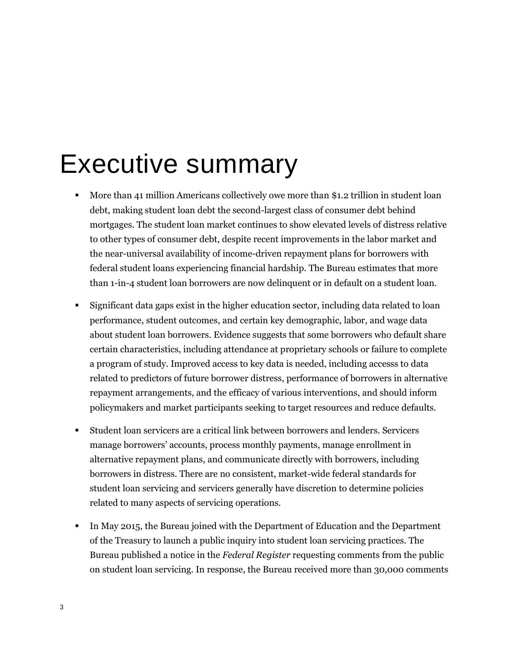### Executive summary

- More than 41 million Americans collectively owe more than \$1.2 trillion in student loan debt, making student loan debt the second-largest class of consumer debt behind mortgages. The student loan market continues to show elevated levels of distress relative to other types of consumer debt, despite recent improvements in the labor market and the near-universal availability of income-driven repayment plans for borrowers with federal student loans experiencing financial hardship. The Bureau estimates that more than 1-in-4 student loan borrowers are now delinquent or in default on a student loan.
- Significant data gaps exist in the higher education sector, including data related to loan performance, student outcomes, and certain key demographic, labor, and wage data about student loan borrowers. Evidence suggests that some borrowers who default share certain characteristics, including attendance at proprietary schools or failure to complete a program of study. Improved access to key data is needed, including accesss to data related to predictors of future borrower distress, performance of borrowers in alternative repayment arrangements, and the efficacy of various interventions, and should inform policymakers and market participants seeking to target resources and reduce defaults.
- Student loan servicers are a critical link between borrowers and lenders. Servicers manage borrowers' accounts, process monthly payments, manage enrollment in alternative repayment plans, and communicate directly with borrowers, including borrowers in distress. There are no consistent, market-wide federal standards for student loan servicing and servicers generally have discretion to determine policies related to many aspects of servicing operations.
- In May 2015, the Bureau joined with the Department of Education and the Department of the Treasury to launch a public inquiry into student loan servicing practices. The Bureau published a notice in the *Federal Register* requesting comments from the public on student loan servicing. In response, the Bureau received more than 30,000 comments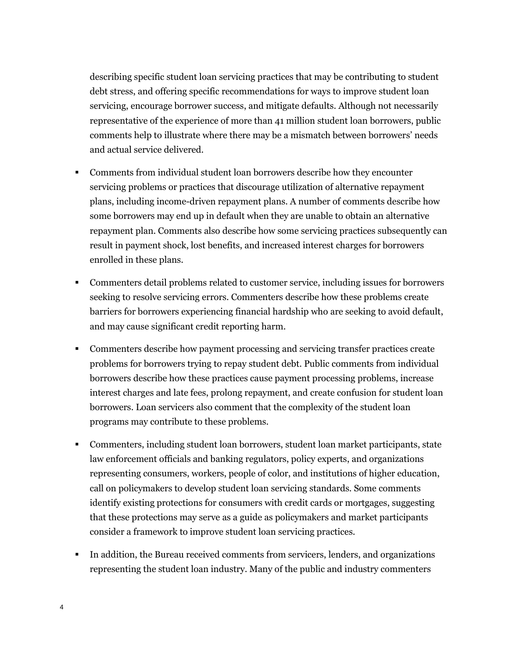describing specific student loan servicing practices that may be contributing to student debt stress, and offering specific recommendations for ways to improve student loan servicing, encourage borrower success, and mitigate defaults. Although not necessarily representative of the experience of more than 41 million student loan borrowers, public comments help to illustrate where there may be a mismatch between borrowers' needs and actual service delivered.

- Comments from individual student loan borrowers describe how they encounter servicing problems or practices that discourage utilization of alternative repayment plans, including income-driven repayment plans. A number of comments describe how some borrowers may end up in default when they are unable to obtain an alternative repayment plan. Comments also describe how some servicing practices subsequently can result in payment shock, lost benefits, and increased interest charges for borrowers enrolled in these plans.
- Commenters detail problems related to customer service, including issues for borrowers seeking to resolve servicing errors. Commenters describe how these problems create barriers for borrowers experiencing financial hardship who are seeking to avoid default, and may cause significant credit reporting harm.
- **Commenters describe how payment processing and servicing transfer practices create** problems for borrowers trying to repay student debt. Public comments from individual borrowers describe how these practices cause payment processing problems, increase interest charges and late fees, prolong repayment, and create confusion for student loan borrowers. Loan servicers also comment that the complexity of the student loan programs may contribute to these problems.
- Commenters, including student loan borrowers, student loan market participants, state law enforcement officials and banking regulators, policy experts, and organizations representing consumers, workers, people of color, and institutions of higher education, call on policymakers to develop student loan servicing standards. Some comments identify existing protections for consumers with credit cards or mortgages, suggesting that these protections may serve as a guide as policymakers and market participants consider a framework to improve student loan servicing practices.
- In addition, the Bureau received comments from servicers, lenders, and organizations representing the student loan industry. Many of the public and industry commenters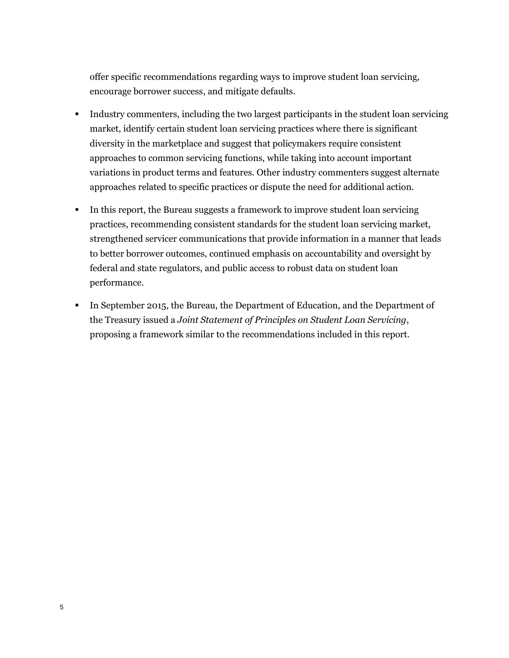offer specific recommendations regarding ways to improve student loan servicing, encourage borrower success, and mitigate defaults.

- Industry commenters, including the two largest participants in the student loan servicing market, identify certain student loan servicing practices where there is significant diversity in the marketplace and suggest that policymakers require consistent approaches to common servicing functions, while taking into account important variations in product terms and features. Other industry commenters suggest alternate approaches related to specific practices or dispute the need for additional action.
- In this report, the Bureau suggests a framework to improve student loan servicing practices, recommending consistent standards for the student loan servicing market, strengthened servicer communications that provide information in a manner that leads to better borrower outcomes, continued emphasis on accountability and oversight by federal and state regulators, and public access to robust data on student loan performance.
- In September 2015, the Bureau, the Department of Education, and the Department of the Treasury issued a *Joint Statement of Principles on Student Loan Servicing*, proposing a framework similar to the recommendations included in this report.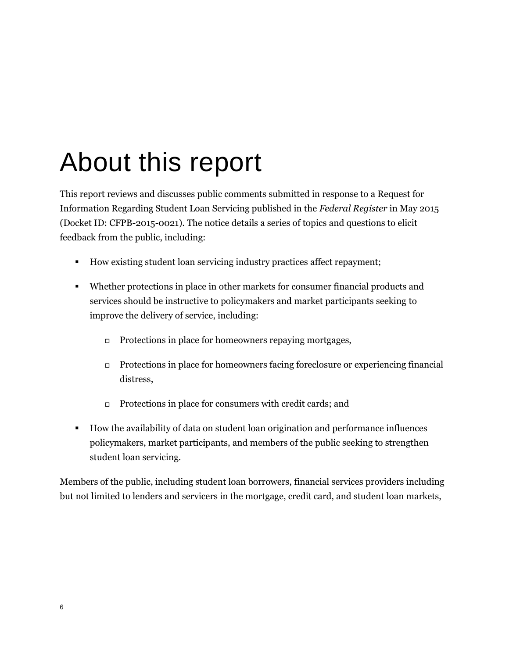## About this report

This report reviews and discusses public comments submitted in response to a Request for Information Regarding Student Loan Servicing published in the *Federal Register* in May 2015 (Docket ID: CFPB-2015-0021). The notice details a series of topics and questions to elicit feedback from the public, including:

- How existing student loan servicing industry practices affect repayment;
- Whether protections in place in other markets for consumer financial products and services should be instructive to policymakers and market participants seeking to improve the delivery of service, including:
	- $\Box$  Protections in place for homeowners repaying mortgages,
	- Protections in place for homeowners facing foreclosure or experiencing financial distress,
	- $\Box$  Protections in place for consumers with credit cards; and
- How the availability of data on student loan origination and performance influences policymakers, market participants, and members of the public seeking to strengthen student loan servicing.

Members of the public, including student loan borrowers, financial services providers including but not limited to lenders and servicers in the mortgage, credit card, and student loan markets,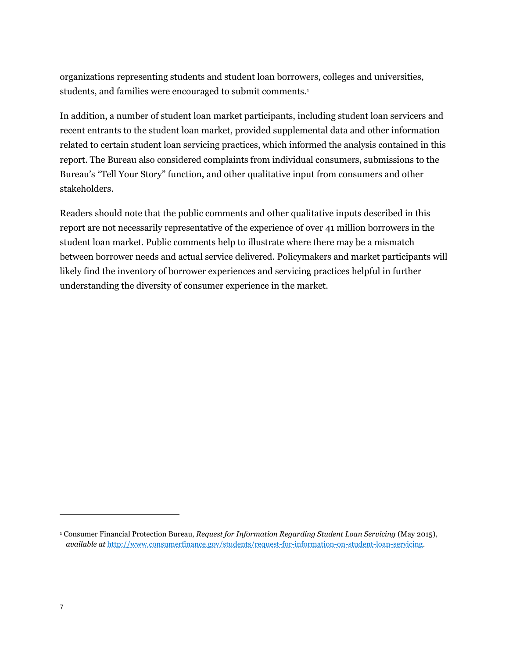organizations representing students and student loan borrowers, colleges and universities, students, and families were encouraged to submit comments.<sup>1</sup>

In addition, a number of student loan market participants, including student loan servicers and recent entrants to the student loan market, provided supplemental data and other information related to certain student loan servicing practices, which informed the analysis contained in this report. The Bureau also considered complaints from individual consumers, submissions to the Bureau's "Tell Your Story" function, and other qualitative input from consumers and other stakeholders.

Readers should note that the public comments and other qualitative inputs described in this report are not necessarily representative of the experience of over 41 million borrowers in the student loan market. Public comments help to illustrate where there may be a mismatch between borrower needs and actual service delivered. Policymakers and market participants will likely find the inventory of borrower experiences and servicing practices helpful in further understanding the diversity of consumer experience in the market.

<sup>&</sup>lt;sup>1</sup> Consumer Financial Protection Bureau, *Request for Information Regarding Student Loan Servicing* (May 2015), *available at* [http://www.consumerfinance.gov/students/request-for-information-on-student-loan-servicing.](http://www.consumerfinance.gov/students/request-for-information-on-student-loan-servicing)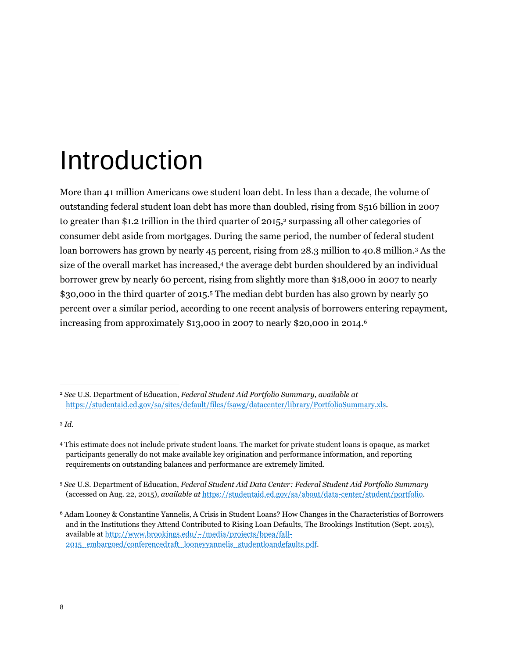## Introduction

More than 41 million Americans owe student loan debt. In less than a decade, the volume of outstanding federal student loan debt has more than doubled, rising from \$516 billion in 2007 to greater than \$1.2 trillion in the third quarter of 2015,<sup>2</sup> surpassing all other categories of consumer debt aside from mortgages. During the same period, the number of federal student loan borrowers has grown by nearly 45 percent, rising from 28.3 million to 40.8 million.<sup>3</sup> As the size of the overall market has increased,<sup>4</sup> the average debt burden shouldered by an individual borrower grew by nearly 60 percent, rising from slightly more than \$18,000 in 2007 to nearly \$30,000 in the third quarter of 2015.<sup>5</sup> The median debt burden has also grown by nearly 50 percent over a similar period, according to one recent analysis of borrowers entering repayment, increasing from approximately \$13,000 in 2007 to nearly \$20,000 in 2014.<sup>6</sup>

<sup>2</sup> *See* U.S. Department of Education, *Federal Student Aid Portfolio Summary*, *available at* [https://studentaid.ed.gov/sa/sites/default/files/fsawg/datacenter/library/PortfolioSummary.xls.](https://studentaid.ed.gov/sa/sites/default/files/fsawg/datacenter/library/PortfolioSummary.xls)

<sup>3</sup> *Id*.

<sup>4</sup> This estimate does not include private student loans. The market for private student loans is opaque, as market participants generally do not make available key origination and performance information, and reporting requirements on outstanding balances and performance are extremely limited.

<sup>5</sup> *See* U.S. Department of Education, *Federal Student Aid Data Center: Federal Student Aid Portfolio Summary* (accessed on Aug. 22, 2015), *available at* [https://studentaid.ed.gov/sa/about/data-center/student/portfolio.](https://studentaid.ed.gov/sa/about/data-center/student/portfolio)

<sup>6</sup> Adam Looney & Constantine Yannelis, A Crisis in Student Loans? How Changes in the Characteristics of Borrowers and in the Institutions they Attend Contributed to Rising Loan Defaults, The Brookings Institution (Sept. 2015), available a[t http://www.brookings.edu/~/media/projects/bpea/fall-](http://www.brookings.edu/~/media/projects/bpea/fall-2015_embargoed/conferencedraft_looneyyannelis_studentloandefaults.pdf)[2015\\_embargoed/conferencedraft\\_looneyyannelis\\_studentloandefaults.pdf.](http://www.brookings.edu/~/media/projects/bpea/fall-2015_embargoed/conferencedraft_looneyyannelis_studentloandefaults.pdf)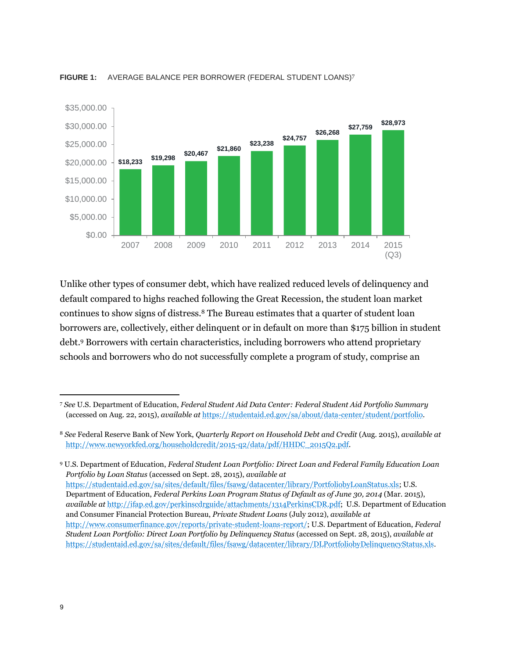

#### **FIGURE 1:** AVERAGE BALANCE PER BORROWER (FEDERAL STUDENT LOANS)<sup>7</sup>

Unlike other types of consumer debt, which have realized reduced levels of delinquency and default compared to highs reached following the Great Recession, the student loan market continues to show signs of distress.<sup>8</sup> The Bureau estimates that a quarter of student loan borrowers are, collectively, either delinquent or in default on more than \$175 billion in student debt.<sup>9</sup> Borrowers with certain characteristics, including borrowers who attend proprietary schools and borrowers who do not successfully complete a program of study, comprise an

<sup>9</sup> U.S. Department of Education, *Federal Student Loan Portfolio: Direct Loan and Federal Family Education Loan Portfolio by Loan Status* (accessed on Sept. 28, 2015), *available at* [https://studentaid.ed.gov/sa/sites/default/files/fsawg/datacenter/library/PortfoliobyLoanStatus.xls;](https://studentaid.ed.gov/sa/sites/default/files/fsawg/datacenter/library/PortfoliobyLoanStatus.xls) U.S. Department of Education, *Federal Perkins Loan Program Status of Default as of June 30, 2014* (Mar. 2015), *available at* [http://ifap.ed.gov/perkinscdrguide/attachments/1314PerkinsCDR.pdf;](http://ifap.ed.gov/perkinscdrguide/attachments/1314PerkinsCDR.pdf) U.S. Department of Education and Consumer Financial Protection Bureau, *Private Student Loans* (July 2012), *available at* [http://www.consumerfinance.gov/reports/private-student-loans-report/;](http://www.consumerfinance.gov/reports/private-student-loans-report/) U.S. Department of Education, *Federal Student Loan Portfolio: Direct Loan Portfolio by Delinquency Status* (accessed on Sept. 28, 2015), *available at* [https://studentaid.ed.gov/sa/sites/default/files/fsawg/datacenter/library/DLPortfoliobyDelinquencyStatus.xls.](https://studentaid.ed.gov/sa/sites/default/files/fsawg/datacenter/library/DLPortfoliobyDelinquencyStatus.xls) 

<sup>7</sup> *See* U.S. Department of Education, *Federal Student Aid Data Center: Federal Student Aid Portfolio Summary*  (accessed on Aug. 22, 2015), *available at* [https://studentaid.ed.gov/sa/about/data-center/student/portfolio.](https://studentaid.ed.gov/sa/about/data-center/student/portfolio)

<sup>8</sup> *See* Federal Reserve Bank of New York, *Quarterly Report on Household Debt and Credit* (Aug. 2015), *available at* [http://www.newyorkfed.org/householdcredit/2015-q2/data/pdf/HHDC\\_2015Q2.pdf.](http://www.newyorkfed.org/householdcredit/2015-q2/data/pdf/HHDC_2015Q2.pdf)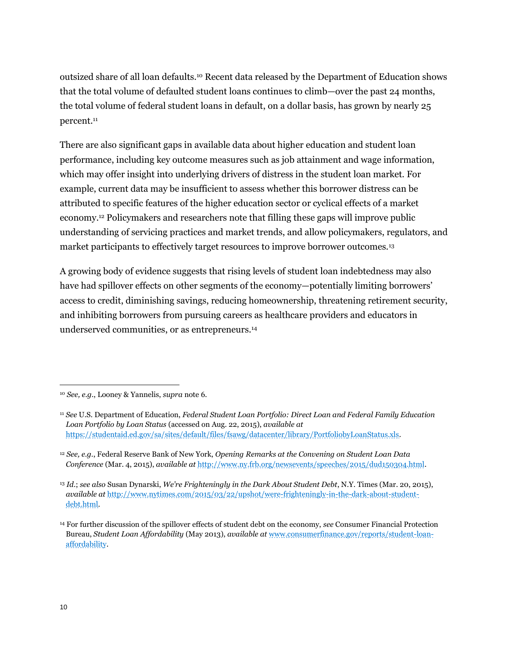outsized share of all loan defaults.<sup>10</sup> Recent data released by the Department of Education shows that the total volume of defaulted student loans continues to climb—over the past 24 months, the total volume of federal student loans in default, on a dollar basis, has grown by nearly 25 percent.<sup>11</sup>

There are also significant gaps in available data about higher education and student loan performance, including key outcome measures such as job attainment and wage information, which may offer insight into underlying drivers of distress in the student loan market. For example, current data may be insufficient to assess whether this borrower distress can be attributed to specific features of the higher education sector or cyclical effects of a market economy.<sup>12</sup> Policymakers and researchers note that filling these gaps will improve public understanding of servicing practices and market trends, and allow policymakers, regulators, and market participants to effectively target resources to improve borrower outcomes.<sup>13</sup>

A growing body of evidence suggests that rising levels of student loan indebtedness may also have had spillover effects on other segments of the economy—potentially limiting borrowers' access to credit, diminishing savings, reducing homeownership, threatening retirement security, and inhibiting borrowers from pursuing careers as healthcare providers and educators in underserved communities, or as entrepreneurs.<sup>14</sup>

<sup>13</sup> *Id.*; *see also* Susan Dynarski, *We're Frighteningly in the Dark About Student Debt*, N.Y. Times (Mar. 20, 2015), *available at* [http://www.nytimes.com/2015/03/22/upshot/were-frighteningly-in-the-dark-about-student](http://www.nytimes.com/2015/03/22/upshot/were-frighteningly-in-the-dark-about-student-debt.html)[debt.html.](http://www.nytimes.com/2015/03/22/upshot/were-frighteningly-in-the-dark-about-student-debt.html)

<sup>10</sup> *See, e.g.*, Looney & Yannelis, *supra* note 6*.*

<sup>11</sup> *See* U.S. Department of Education, *Federal Student Loan Portfolio: Direct Loan and Federal Family Education Loan Portfolio by Loan Status* (accessed on Aug. 22, 2015), *available at* [https://studentaid.ed.gov/sa/sites/default/files/fsawg/datacenter/library/PortfoliobyLoanStatus.xls.](https://studentaid.ed.gov/sa/about/data-center/student/portfolio)

<sup>12</sup> *See, e.g.*, Federal Reserve Bank of New York, *Opening Remarks at the Convening on Student Loan Data Conference* (Mar. 4, 2015), *available at* [http://www.ny.frb.org/newsevents/speeches/2015/dud150304.html.](http://www.ny.frb.org/newsevents/speeches/2015/dud150304.html)

<sup>14</sup> For further discussion of the spillover effects of student debt on the economy, *see* Consumer Financial Protection Bureau, *Student Loan Affordability* (May 2013), *available at* [www.consumerfinance.gov/reports/student-loan](http://www.consumerfinance.gov/reports/student-loan-affordability)[affordability.](http://www.consumerfinance.gov/reports/student-loan-affordability)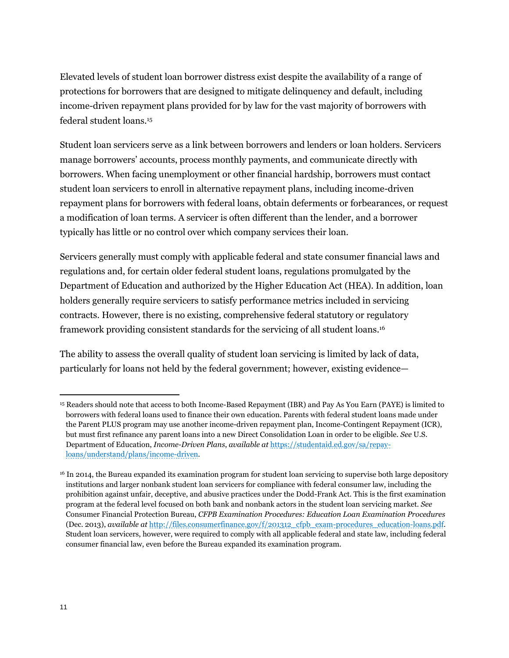Elevated levels of student loan borrower distress exist despite the availability of a range of protections for borrowers that are designed to mitigate delinquency and default, including income-driven repayment plans provided for by law for the vast majority of borrowers with federal student loans.<sup>15</sup>

Student loan servicers serve as a link between borrowers and lenders or loan holders. Servicers manage borrowers' accounts, process monthly payments, and communicate directly with borrowers. When facing unemployment or other financial hardship, borrowers must contact student loan servicers to enroll in alternative repayment plans, including income-driven repayment plans for borrowers with federal loans, obtain deferments or forbearances, or request a modification of loan terms. A servicer is often different than the lender, and a borrower typically has little or no control over which company services their loan.

Servicers generally must comply with applicable federal and state consumer financial laws and regulations and, for certain older federal student loans, regulations promulgated by the Department of Education and authorized by the Higher Education Act (HEA). In addition, loan holders generally require servicers to satisfy performance metrics included in servicing contracts. However, there is no existing, comprehensive federal statutory or regulatory framework providing consistent standards for the servicing of all student loans.<sup>16</sup>

The ability to assess the overall quality of student loan servicing is limited by lack of data, particularly for loans not held by the federal government; however, existing evidence—

<sup>15</sup> Readers should note that access to both Income-Based Repayment (IBR) and Pay As You Earn (PAYE) is limited to borrowers with federal loans used to finance their own education. Parents with federal student loans made under the Parent PLUS program may use another income-driven repayment plan, Income-Contingent Repayment (ICR), but must first refinance any parent loans into a new Direct Consolidation Loan in order to be eligible. *See* U.S. Department of Education, *Income-Driven Plans*, *available at* [https://studentaid.ed.gov/sa/repay](https://studentaid.ed.gov/sa/repay-loans/understand/plans/income-driven)[loans/understand/plans/income-driven.](https://studentaid.ed.gov/sa/repay-loans/understand/plans/income-driven) 

<sup>16</sup> In 2014, the Bureau expanded its examination program for student loan servicing to supervise both large depository institutions and larger nonbank student loan servicers for compliance with federal consumer law, including the prohibition against unfair, deceptive, and abusive practices under the Dodd-Frank Act. This is the first examination program at the federal level focused on both bank and nonbank actors in the student loan servicing market. *See* Consumer Financial Protection Bureau, *CFPB Examination Procedures: Education Loan Examination Procedures* (Dec. 2013), *available at* [http://files.consumerfinance.gov/f/201312\\_cfpb\\_exam-procedures\\_education-loans.pdf.](http://files.consumerfinance.gov/f/201312_cfpb_exam-procedures_education-loans.pdf) Student loan servicers, however, were required to comply with all applicable federal and state law, including federal consumer financial law, even before the Bureau expanded its examination program.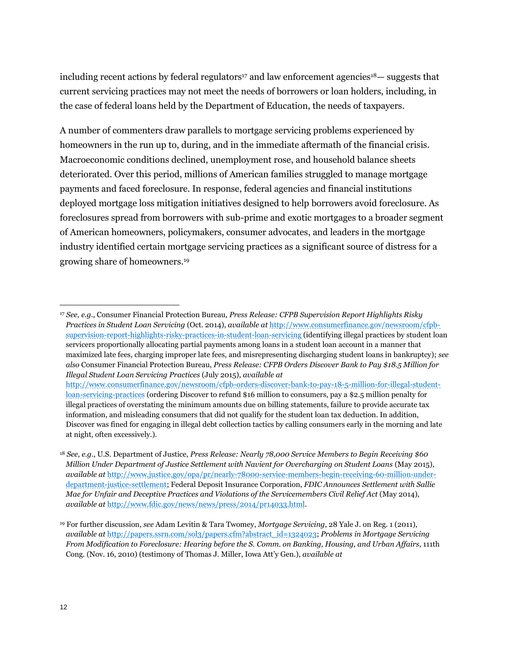including recent actions by federal regulators<sup>17</sup> and law enforcement agencies<sup>18</sup>— suggests that current servicing practices may not meet the needs of borrowers or loan holders, including, in the case of federal loans held by the Department of Education, the needs of taxpayers.

A number of commenters draw parallels to mortgage servicing problems experienced by homeowners in the run up to, during, and in the immediate aftermath of the financial crisis. Macroeconomic conditions declined, unemployment rose, and household balance sheets deteriorated. Over this period, millions of American families struggled to manage mortgage payments and faced foreclosure. In response, federal agencies and financial institutions deployed mortgage loss mitigation initiatives designed to help borrowers avoid foreclosure. As foreclosures spread from borrowers with sub-prime and exotic mortgages to a broader segment of American homeowners, policymakers, consumer advocates, and leaders in the mortgage industry identified certain mortgage servicing practices as a significant source of distress for a growing share of homeowners.<sup>19</sup>

<sup>17</sup> *See, e.g.*, Consumer Financial Protection Bureau, *Press Release: CFPB Supervision Report Highlights Risky Practices in Student Loan Servicing* (Oct. 2014), *available at* [http://www.consumerfinance.gov/newsroom/cfpb](http://www.consumerfinance.gov/newsroom/cfpb-supervision-report-highlights-risky-practices-in-student-loan-servicing)[supervision-report-highlights-risky-practices-in-student-loan-servicing](http://www.consumerfinance.gov/newsroom/cfpb-supervision-report-highlights-risky-practices-in-student-loan-servicing) (identifying illegal practices by student loan servicers proportionally allocating partial payments among loans in a student loan account in a manner that maximized late fees, charging improper late fees, and misrepresenting discharging student loans in bankruptcy); *see also* Consumer Financial Protection Bureau, *Press Release: CFPB Orders Discover Bank to Pay \$18.5 Million for Illegal Student Loan Servicing Practices* (July 2015), *available at*  [http://www.consumerfinance.gov/newsroom/cfpb-orders-discover-bank-to-pay-18-5-million-for-illegal-student](http://www.consumerfinance.gov/newsroom/cfpb-orders-discover-bank-to-pay-18-5-million-for-illegal-student-loan-servicing-practices)[loan-servicing-practices](http://www.consumerfinance.gov/newsroom/cfpb-orders-discover-bank-to-pay-18-5-million-for-illegal-student-loan-servicing-practices) (ordering Discover to refund \$16 million to consumers, pay a \$2.5 million penalty for

illegal practices of overstating the minimum amounts due on billing statements, failure to provide accurate tax information, and misleading consumers that did not qualify for the student loan tax deduction. In addition, Discover was fined for engaging in illegal debt collection tactics by calling consumers early in the morning and late at night, often excessively.).

<sup>18</sup> *See, e.g.*, U.S. Department of Justice, *Press Release: Nearly 78,000 Service Members to Begin Receiving \$60 Million Under Department of Justice Settlement with Navient for Overcharging on Student Loans* (May 2015), *available at* [http://www.justice.gov/opa/pr/nearly-78000-service-members-begin-receiving-60-million-under](http://www.justice.gov/opa/pr/nearly-78000-service-members-begin-receiving-60-million-under-department-justice-settlement)[department-justice-settlement;](http://www.justice.gov/opa/pr/nearly-78000-service-members-begin-receiving-60-million-under-department-justice-settlement) Federal Deposit Insurance Corporation, *FDIC Announces Settlement with Sallie Mae for Unfair and Deceptive Practices and Violations of the Servicemembers Civil Relief Act* (May 2014), *available at* [http://www.fdic.gov/news/news/press/2014/pr14033.html.](http://www.fdic.gov/news/news/press/2014/pr14033.html)

<sup>19</sup> For further discussion, *see* Adam Levitin & Tara Twomey, *Mortgage Servicing*, 28 Yale J. on Reg. 1 (2011), *available at* [http://papers.ssrn.com/sol3/papers.cfm?abstract\\_id=1324023;](http://papers.ssrn.com/sol3/papers.cfm?abstract_id=1324023) *Problems in Mortgage Servicing From Modification to Foreclosure: Hearing before the S. Comm. on Banking, Housing, and Urban Affairs*, 111th Cong. (Nov. 16, 2010) (testimony of Thomas J. Miller, Iowa Att'y Gen.), *available at*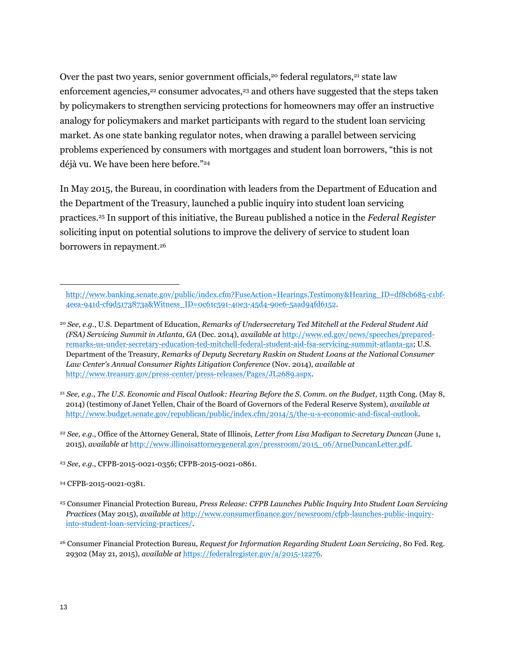Over the past two years, senior government officials,<sup>20</sup> federal regulators,<sup>21</sup> state law enforcement agencies,<sup>22</sup> consumer advocates,<sup>23</sup> and others have suggested that the steps taken by policymakers to strengthen servicing protections for homeowners may offer an instructive analogy for policymakers and market participants with regard to the student loan servicing market. As one state banking regulator notes, when drawing a parallel between servicing problems experienced by consumers with mortgages and student loan borrowers, "this is not déjà vu. We have been here before."<sup>24</sup>

In May 2015, the Bureau, in coordination with leaders from the Department of Education and the Department of the Treasury, launched a public inquiry into student loan servicing practices.<sup>25</sup> In support of this initiative, the Bureau published a notice in the *Federal Register* soliciting input on potential solutions to improve the delivery of service to student loan borrowers in repayment.<sup>26</sup>

<sup>22</sup> *See, e.g.*, Office of the Attorney General, State of Illinois, *Letter from Lisa Madigan to Secretary Duncan* (June 1, 2015), *available at* [http://www.illinoisattorneygeneral.gov/pressroom/2015\\_06/ArneDuncanLetter.pdf.](http://www.illinoisattorneygeneral.gov/pressroom/2015_06/ArneDuncanLetter.pdf)

<sup>23</sup> *See, e.g.*, CFPB-2015-0021-0356; CFPB-2015-0021-0861.

<sup>24</sup> CFPB-2015-0021-0381.

[http://www.banking.senate.gov/public/index.cfm?FuseAction=Hearings.Testimony&Hearing\\_ID=df8cb685-c1bf-](http://www.banking.senate.gov/public/index.cfm?FuseAction=Hearings.Testimony&Hearing_ID=df8cb685-c1bf-4eea-941d-cf9d5173873a&Witness_ID=0c61c591-40e3-45d4-90e6-5aad94fd6152)[4eea-941d-cf9d5173873a&Witness\\_ID=0c61c591-40e3-45d4-90e6-5aad94fd6152.](http://www.banking.senate.gov/public/index.cfm?FuseAction=Hearings.Testimony&Hearing_ID=df8cb685-c1bf-4eea-941d-cf9d5173873a&Witness_ID=0c61c591-40e3-45d4-90e6-5aad94fd6152) 

<sup>20</sup> *See, e.g.*, U.S. Department of Education, *Remarks of Undersecretary Ted Mitchell at the Federal Student Aid (FSA) Servicing Summit in Atlanta, GA* (Dec. 2014), *available at* [http://www.ed.gov/news/speeches/prepared](http://www.ed.gov/news/speeches/prepared-remarks-us-under-secretary-education-ted-mitchell-federal-student-aid-fsa-servicing-summit-atlanta-ga)[remarks-us-under-secretary-education-ted-mitchell-federal-student-aid-fsa-servicing-summit-atlanta-ga;](http://www.ed.gov/news/speeches/prepared-remarks-us-under-secretary-education-ted-mitchell-federal-student-aid-fsa-servicing-summit-atlanta-ga) U.S. Department of the Treasury, *Remarks of Deputy Secretary Raskin on Student Loans at the National Consumer Law Center's Annual Consumer Rights Litigation Conference* (Nov. 2014), *available at* [http://www.treasury.gov/press-center/press-releases/Pages/JL2689.aspx.](http://www.treasury.gov/press-center/press-releases/Pages/JL2689.aspx)

<sup>21</sup> *See, e.g.*, *The U.S. Economic and Fiscal Outlook: Hearing Before the S. Comm. on the Budget*, 113th Cong. (May 8, 2014) (testimony of Janet Yellen, Chair of the Board of Governors of the Federal Reserve System), *available at*  [http://www.budget.senate.gov/republican/public/index.cfm/2014/5/the-u-s-economic-and-fiscal-outlook.](http://www.budget.senate.gov/republican/public/index.cfm/2014/5/the-u-s-economic-and-fiscal-outlook)

<sup>25</sup> Consumer Financial Protection Bureau, *Press Release: CFPB Launches Public Inquiry Into Student Loan Servicing Practices* (May 2015), *available at* [http://www.consumerfinance.gov/newsroom/cfpb-launches-public-inquiry](http://www.consumerfinance.gov/newsroom/cfpb-launches-public-inquiry-into-student-loan-servicing-practices/)[into-student-loan-servicing-practices/.](http://www.consumerfinance.gov/newsroom/cfpb-launches-public-inquiry-into-student-loan-servicing-practices/) 

<sup>26</sup> Consumer Financial Protection Bureau, *Request for Information Regarding Student Loan Servicing*, 80 Fed. Reg. 29302 (May 21, 2015), *available at* [https://federalregister.gov/a/2015-12276.](https://federalregister.gov/a/2015-12276)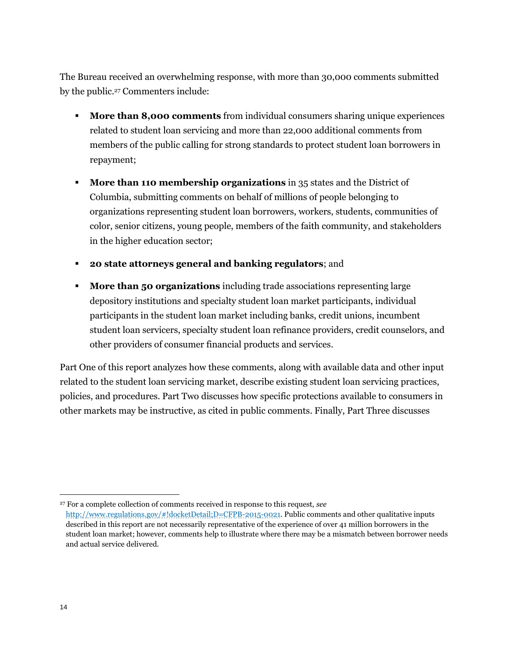The Bureau received an overwhelming response, with more than 30,000 comments submitted by the public.<sup>27</sup> Commenters include:

- **More than 8,000 comments** from individual consumers sharing unique experiences related to student loan servicing and more than 22,000 additional comments from members of the public calling for strong standards to protect student loan borrowers in repayment;
- **More than 110 membership organizations** in 35 states and the District of Columbia, submitting comments on behalf of millions of people belonging to organizations representing student loan borrowers, workers, students, communities of color, senior citizens, young people, members of the faith community, and stakeholders in the higher education sector;
- **20 state attorneys general and banking regulators**; and
- **More than 50 organizations** including trade associations representing large depository institutions and specialty student loan market participants, individual participants in the student loan market including banks, credit unions, incumbent student loan servicers, specialty student loan refinance providers, credit counselors, and other providers of consumer financial products and services.

Part One of this report analyzes how these comments, along with available data and other input related to the student loan servicing market, describe existing student loan servicing practices, policies, and procedures. Part Two discusses how specific protections available to consumers in other markets may be instructive, as cited in public comments. Finally, Part Three discusses

<sup>27</sup> For a complete collection of comments received in response to this request, *see* [http://www.regulations.gov/#!docketDetail;D=CFPB-2015-0021.](http://www.regulations.gov/%23!docketDetail;D=CFPB-2015-0021) Public comments and other qualitative inputs described in this report are not necessarily representative of the experience of over 41 million borrowers in the student loan market; however, comments help to illustrate where there may be a mismatch between borrower needs and actual service delivered.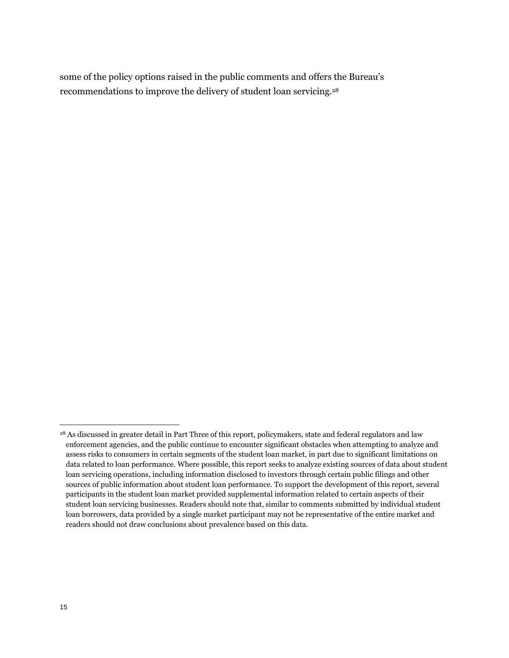some of the policy options raised in the public comments and offers the Bureau's recommendations to improve the delivery of student loan servicing.<sup>28</sup>

<sup>&</sup>lt;sup>28</sup> As discussed in greater detail in Part Three of this report, policymakers, state and federal regulators and law enforcement agencies, and the public continue to encounter significant obstacles when attempting to analyze and assess risks to consumers in certain segments of the student loan market, in part due to significant limitations on data related to loan performance. Where possible, this report seeks to analyze existing sources of data about student loan servicing operations, including information disclosed to investors through certain public filings and other sources of public information about student loan performance. To support the development of this report, several participants in the student loan market provided supplemental information related to certain aspects of their student loan servicing businesses. Readers should note that, similar to comments submitted by individual student loan borrowers, data provided by a single market participant may not be representative of the entire market and readers should not draw conclusions about prevalence based on this data.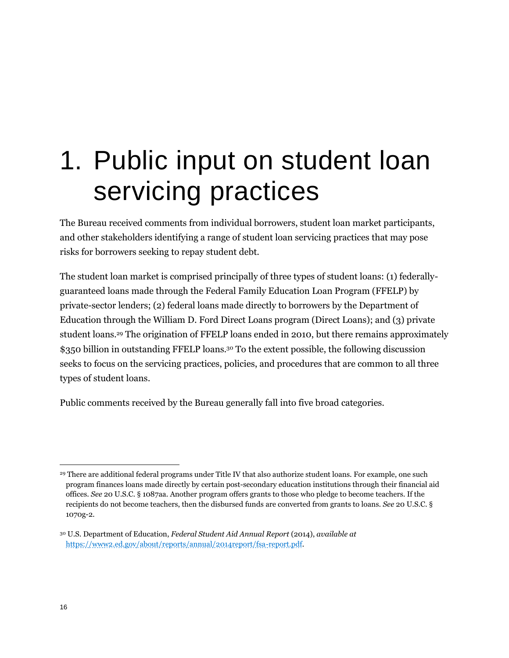## 1. Public input on student loan servicing practices

The Bureau received comments from individual borrowers, student loan market participants, and other stakeholders identifying a range of student loan servicing practices that may pose risks for borrowers seeking to repay student debt.

The student loan market is comprised principally of three types of student loans: (1) federallyguaranteed loans made through the Federal Family Education Loan Program (FFELP) by private-sector lenders; (2) federal loans made directly to borrowers by the Department of Education through the William D. Ford Direct Loans program (Direct Loans); and (3) private student loans.<sup>29</sup> The origination of FFELP loans ended in 2010, but there remains approximately \$350 billion in outstanding FFELP loans.<sup>30</sup> To the extent possible, the following discussion seeks to focus on the servicing practices, policies, and procedures that are common to all three types of student loans.

Public comments received by the Bureau generally fall into five broad categories.

<sup>&</sup>lt;sup>29</sup> There are additional federal programs under Title IV that also authorize student loans. For example, one such program finances loans made directly by certain post-secondary education institutions through their financial aid offices. *See* 20 U.S.C. § 1087aa*.* Another program offers grants to those who pledge to become teachers. If the recipients do not become teachers, then the disbursed funds are converted from grants to loans. *See* 20 U.S.C. § 1070g-2*.*

<sup>30</sup> U.S. Department of Education, *Federal Student Aid Annual Report* (2014), *available at*  <https://www2.ed.gov/about/reports/annual/2014report/fsa-report.pdf>*.*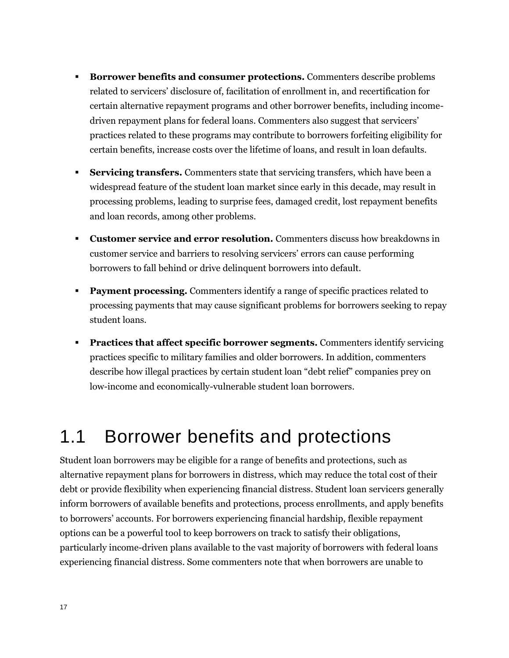- **Borrower benefits and consumer protections.** Commenters describe problems related to servicers' disclosure of, facilitation of enrollment in, and recertification for certain alternative repayment programs and other borrower benefits, including incomedriven repayment plans for federal loans. Commenters also suggest that servicers' practices related to these programs may contribute to borrowers forfeiting eligibility for certain benefits, increase costs over the lifetime of loans, and result in loan defaults.
- **Servicing transfers.** Commenters state that servicing transfers, which have been a widespread feature of the student loan market since early in this decade, may result in processing problems, leading to surprise fees, damaged credit, lost repayment benefits and loan records, among other problems.
- **Customer service and error resolution.** Commenters discuss how breakdowns in customer service and barriers to resolving servicers' errors can cause performing borrowers to fall behind or drive delinquent borrowers into default.
- **Payment processing.** Commenters identify a range of specific practices related to processing payments that may cause significant problems for borrowers seeking to repay student loans.
- **Practices that affect specific borrower segments.** Commenters identify servicing practices specific to military families and older borrowers. In addition, commenters describe how illegal practices by certain student loan "debt relief" companies prey on low-income and economically-vulnerable student loan borrowers.

### 1.1 Borrower benefits and protections

Student loan borrowers may be eligible for a range of benefits and protections, such as alternative repayment plans for borrowers in distress, which may reduce the total cost of their debt or provide flexibility when experiencing financial distress. Student loan servicers generally inform borrowers of available benefits and protections, process enrollments, and apply benefits to borrowers' accounts. For borrowers experiencing financial hardship, flexible repayment options can be a powerful tool to keep borrowers on track to satisfy their obligations, particularly income-driven plans available to the vast majority of borrowers with federal loans experiencing financial distress. Some commenters note that when borrowers are unable to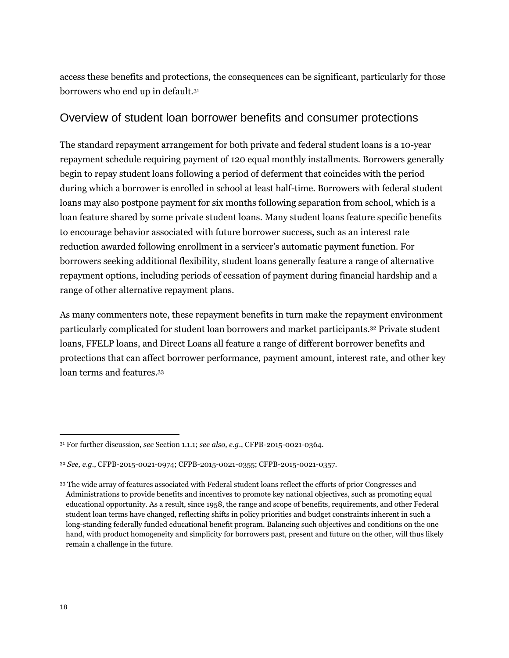access these benefits and protections, the consequences can be significant, particularly for those borrowers who end up in default.<sup>31</sup>

### Overview of student loan borrower benefits and consumer protections

The standard repayment arrangement for both private and federal student loans is a 10-year repayment schedule requiring payment of 120 equal monthly installments. Borrowers generally begin to repay student loans following a period of deferment that coincides with the period during which a borrower is enrolled in school at least half-time. Borrowers with federal student loans may also postpone payment for six months following separation from school, which is a loan feature shared by some private student loans. Many student loans feature specific benefits to encourage behavior associated with future borrower success, such as an interest rate reduction awarded following enrollment in a servicer's automatic payment function. For borrowers seeking additional flexibility, student loans generally feature a range of alternative repayment options, including periods of cessation of payment during financial hardship and a range of other alternative repayment plans.

As many commenters note, these repayment benefits in turn make the repayment environment particularly complicated for student loan borrowers and market participants.<sup>32</sup> Private student loans, FFELP loans, and Direct Loans all feature a range of different borrower benefits and protections that can affect borrower performance, payment amount, interest rate, and other key loan terms and features.<sup>33</sup>

<sup>31</sup> For further discussion, *see* Section 1.1.1; *see also, e.g.*, CFPB-2015-0021-0364.

<sup>32</sup> *See, e.g.*, CFPB-2015-0021-0974; CFPB-2015-0021-0355; CFPB-2015-0021-0357.

<sup>33</sup> The wide array of features associated with Federal student loans reflect the efforts of prior Congresses and Administrations to provide benefits and incentives to promote key national objectives, such as promoting equal educational opportunity. As a result, since 1958, the range and scope of benefits, requirements, and other Federal student loan terms have changed, reflecting shifts in policy priorities and budget constraints inherent in such a long-standing federally funded educational benefit program. Balancing such objectives and conditions on the one hand, with product homogeneity and simplicity for borrowers past, present and future on the other, will thus likely remain a challenge in the future.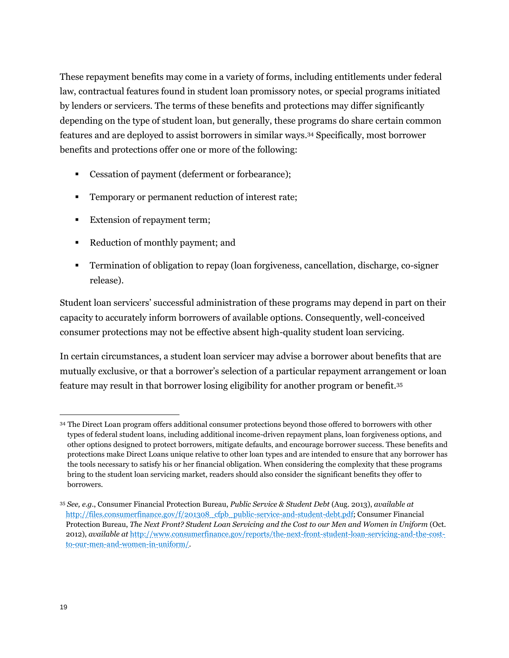These repayment benefits may come in a variety of forms, including entitlements under federal law, contractual features found in student loan promissory notes, or special programs initiated by lenders or servicers. The terms of these benefits and protections may differ significantly depending on the type of student loan, but generally, these programs do share certain common features and are deployed to assist borrowers in similar ways.<sup>34</sup> Specifically, most borrower benefits and protections offer one or more of the following:

- Cessation of payment (deferment or forbearance);
- **Temporary or permanent reduction of interest rate;**
- Extension of repayment term;
- Reduction of monthly payment; and
- Termination of obligation to repay (loan forgiveness, cancellation, discharge, co-signer release).

Student loan servicers' successful administration of these programs may depend in part on their capacity to accurately inform borrowers of available options. Consequently, well-conceived consumer protections may not be effective absent high-quality student loan servicing.

In certain circumstances, a student loan servicer may advise a borrower about benefits that are mutually exclusive, or that a borrower's selection of a particular repayment arrangement or loan feature may result in that borrower losing eligibility for another program or benefit.<sup>35</sup>

<sup>34</sup> The Direct Loan program offers additional consumer protections beyond those offered to borrowers with other types of federal student loans, including additional income-driven repayment plans, loan forgiveness options, and other options designed to protect borrowers, mitigate defaults, and encourage borrower success. These benefits and protections make Direct Loans unique relative to other loan types and are intended to ensure that any borrower has the tools necessary to satisfy his or her financial obligation. When considering the complexity that these programs bring to the student loan servicing market, readers should also consider the significant benefits they offer to borrowers.

<sup>35</sup> *See, e.g.*, Consumer Financial Protection Bureau, *Public Service & Student Debt* (Aug. 2013), *available at*  [http://files.consumerfinance.gov/f/201308\\_cfpb\\_public-service-and-student-debt.pdf;](http://files.consumerfinance.gov/f/201308_cfpb_public-service-and-student-debt.pdf) Consumer Financial Protection Bureau, *The Next Front? Student Loan Servicing and the Cost to our Men and Women in Uniform* (Oct. 2012), *available at* [http://www.consumerfinance.gov/reports/the-next-front-student-loan-servicing-and-the-cost](http://www.consumerfinance.gov/reports/the-next-front-student-loan-servicing-and-the-cost-to-our-men-and-women-in-uniform/)[to-our-men-and-women-in-uniform/.](http://www.consumerfinance.gov/reports/the-next-front-student-loan-servicing-and-the-cost-to-our-men-and-women-in-uniform/)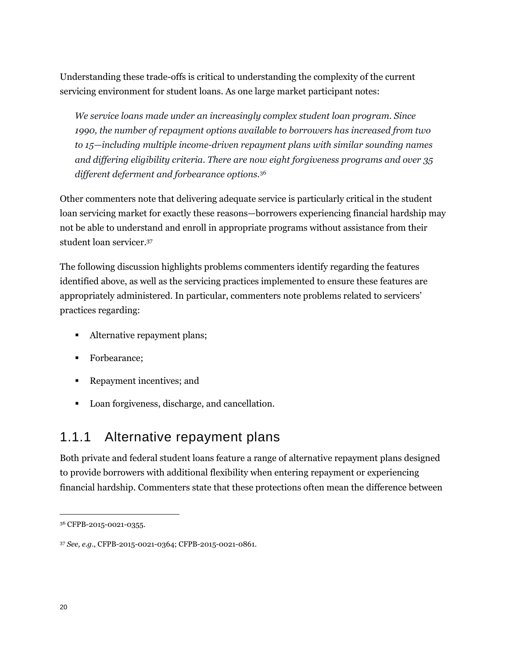Understanding these trade-offs is critical to understanding the complexity of the current servicing environment for student loans. As one large market participant notes:

*We service loans made under an increasingly complex student loan program. Since 1990, the number of repayment options available to borrowers has increased from two to 15—including multiple income-driven repayment plans with similar sounding names and differing eligibility criteria. There are now eight forgiveness programs and over 35 different deferment and forbearance options.*<sup>36</sup>

Other commenters note that delivering adequate service is particularly critical in the student loan servicing market for exactly these reasons—borrowers experiencing financial hardship may not be able to understand and enroll in appropriate programs without assistance from their student loan servicer.<sup>37</sup>

The following discussion highlights problems commenters identify regarding the features identified above, as well as the servicing practices implemented to ensure these features are appropriately administered. In particular, commenters note problems related to servicers' practices regarding:

- Alternative repayment plans;
- Forbearance:
- Repayment incentives; and
- Loan forgiveness, discharge, and cancellation.

### 1.1.1 Alternative repayment plans

Both private and federal student loans feature a range of alternative repayment plans designed to provide borrowers with additional flexibility when entering repayment or experiencing financial hardship. Commenters state that these protections often mean the difference between

<sup>36</sup> CFPB-2015-0021-0355.

<sup>37</sup> *See, e.g*., CFPB-2015-0021-0364; CFPB-2015-0021-0861.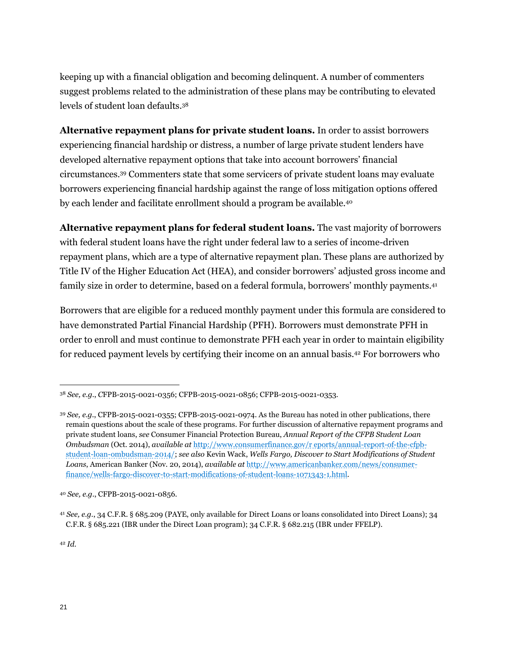keeping up with a financial obligation and becoming delinquent. A number of commenters suggest problems related to the administration of these plans may be contributing to elevated levels of student loan defaults.<sup>38</sup>

**Alternative repayment plans for private student loans.** In order to assist borrowers experiencing financial hardship or distress, a number of large private student lenders have developed alternative repayment options that take into account borrowers' financial circumstances.<sup>39</sup> Commenters state that some servicers of private student loans may evaluate borrowers experiencing financial hardship against the range of loss mitigation options offered by each lender and facilitate enrollment should a program be available.<sup>40</sup>

**Alternative repayment plans for federal student loans.** The vast majority of borrowers with federal student loans have the right under federal law to a series of income-driven repayment plans, which are a type of alternative repayment plan. These plans are authorized by Title IV of the Higher Education Act (HEA), and consider borrowers' adjusted gross income and family size in order to determine, based on a federal formula, borrowers' monthly payments.<sup>41</sup>

Borrowers that are eligible for a reduced monthly payment under this formula are considered to have demonstrated Partial Financial Hardship (PFH). Borrowers must demonstrate PFH in order to enroll and must continue to demonstrate PFH each year in order to maintain eligibility for reduced payment levels by certifying their income on an annual basis.<sup>42</sup> For borrowers who

<sup>42</sup> *Id.*

<sup>38</sup> *See, e.g.*, *C*FPB-2015-0021-0356; CFPB-2015-0021-0856; CFPB-2015-0021-0353.

<sup>39</sup> *See, e.g.*, CFPB-2015-0021-0355; CFPB-2015-0021-0974. As the Bureau has noted in other publications, there remain questions about the scale of these programs. For further discussion of alternative repayment programs and private student loans, *see* Consumer Financial Protection Bureau, *Annual Report of the CFPB Student Loan Ombudsman* (Oct. 2014), *available at* [http://www.consumerfinance.gov/r eports/annual-report-of-the-cfpb](http://www.consumerfinance.gov/r%20eports/annual-report-of-the-cfpb-student-loan-ombudsman-2014/)[student-loan-ombudsman-2014/;](http://www.consumerfinance.gov/r%20eports/annual-report-of-the-cfpb-student-loan-ombudsman-2014/) *see also* Kevin Wack, *Wells Fargo, Discover to Start Modifications of Student Loans*, American Banker (Nov. 20, 2014), *available at* [http://www.americanbanker.com/news/consumer](http://www.americanbanker.com/news/consumer-finance/wells-fargo-discover-to-start-modifications-of-student-loans-1071343-1.html)[finance/wells-fargo-discover-to-start-modifications-of-student-loans-1071343-1.html.](http://www.americanbanker.com/news/consumer-finance/wells-fargo-discover-to-start-modifications-of-student-loans-1071343-1.html)

<sup>40</sup> *See, e.g.*, CFPB-2015-0021-0856.

<sup>41</sup> *See, e.g.*, 34 C.F.R. § 685.209 (PAYE, only available for Direct Loans or loans consolidated into Direct Loans); 34 C.F.R. § 685.221 (IBR under the Direct Loan program); 34 C.F.R. § 682.215 (IBR under FFELP).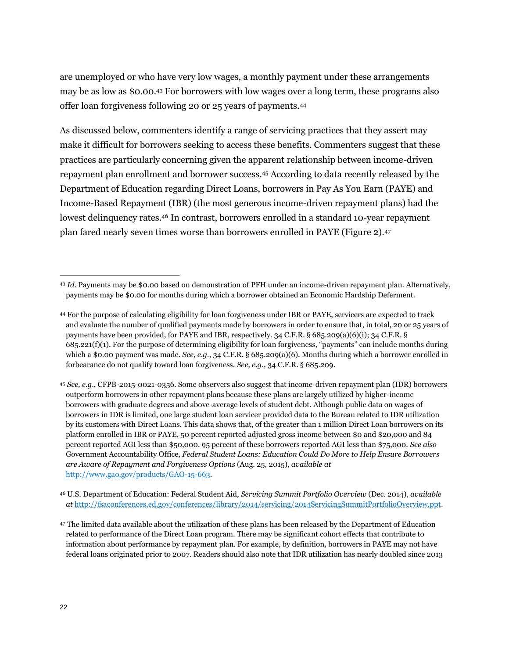are unemployed or who have very low wages, a monthly payment under these arrangements may be as low as \$0.00.<sup>43</sup> For borrowers with low wages over a long term, these programs also offer loan forgiveness following 20 or 25 years of payments.<sup>44</sup>

As discussed below, commenters identify a range of servicing practices that they assert may make it difficult for borrowers seeking to access these benefits. Commenters suggest that these practices are particularly concerning given the apparent relationship between income-driven repayment plan enrollment and borrower success.<sup>45</sup> According to data recently released by the Department of Education regarding Direct Loans, borrowers in Pay As You Earn (PAYE) and Income-Based Repayment (IBR) (the most generous income-driven repayment plans) had the lowest delinquency rates.<sup>46</sup> In contrast, borrowers enrolled in a standard 10-year repayment plan fared nearly seven times worse than borrowers enrolled in PAYE (Figure 2).<sup>47</sup>

<sup>43</sup> *Id*. Payments may be \$0.00 based on demonstration of PFH under an income-driven repayment plan. Alternatively, payments may be \$0.00 for months during which a borrower obtained an Economic Hardship Deferment.

<sup>44</sup> For the purpose of calculating eligibility for loan forgiveness under IBR or PAYE, servicers are expected to track and evaluate the number of qualified payments made by borrowers in order to ensure that, in total, 20 or 25 years of payments have been provided, for PAYE and IBR, respectively. 34 C.F.R. § 685.209(a)(6)(i); 34 C.F.R. § 685.221(f)(1). For the purpose of determining eligibility for loan forgiveness, "payments" can include months during which a \$0.00 payment was made. *See, e.g.*, 34 C.F.R. § 685.209(a)(6). Months during which a borrower enrolled in forbearance do not qualify toward loan forgiveness. *See, e.g.*, 34 C.F.R. § 685.209.

<sup>45</sup> *See, e.g.*, CFPB-2015-0021-0356. Some observers also suggest that income-driven repayment plan (IDR) borrowers outperform borrowers in other repayment plans because these plans are largely utilized by higher-income borrowers with graduate degrees and above-average levels of student debt. Although public data on wages of borrowers in IDR is limited, one large student loan servicer provided data to the Bureau related to IDR utilization by its customers with Direct Loans. This data shows that, of the greater than 1 million Direct Loan borrowers on its platform enrolled in IBR or PAYE, 50 percent reported adjusted gross income between \$0 and \$20,000 and 84 percent reported AGI less than \$50,000. 95 percent of these borrowers reported AGI less than \$75,000. *See also*  Government Accountability Office, *Federal Student Loans: Education Could Do More to Help Ensure Borrowers are Aware of Repayment and Forgiveness Options* (Aug. 25, 2015), *available at* [http://www.gao.gov/products/GAO-15-663.](http://www.gao.gov/products/GAO-15-663)

<sup>46</sup> U.S. Department of Education: Federal Student Aid, *Servicing Summit Portfolio Overview* (Dec. 2014), *available at* [http://fsaconferences.ed.gov/conferences/library/2014/servicing/2014ServicingSummitPortfolioOverview.ppt.](http://fsaconferences.ed.gov/conferences/library/2014/servicing/2014ServicingSummitPortfolioOverview.ppt)

<sup>47</sup> The limited data available about the utilization of these plans has been released by the Department of Education related to performance of the Direct Loan program. There may be significant cohort effects that contribute to information about performance by repayment plan. For example, by definition, borrowers in PAYE may not have federal loans originated prior to 2007. Readers should also note that IDR utilization has nearly doubled since 2013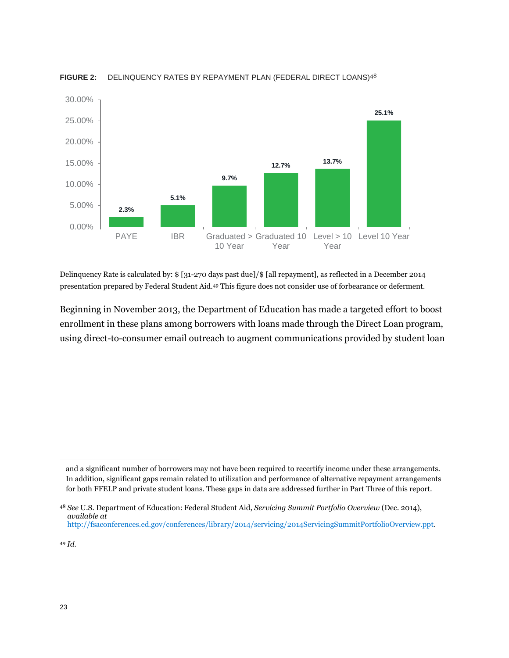

#### **FIGURE 2:** DELINQUENCY RATES BY REPAYMENT PLAN (FEDERAL DIRECT LOANS)<sup>48</sup>

Delinquency Rate is calculated by: \$ [31-270 days past due]/\$ [all repayment], as reflected in a December 2014 presentation prepared by Federal Student Aid.<sup>49</sup> This figure does not consider use of forbearance or deferment.

Beginning in November 2013, the Department of Education has made a targeted effort to boost enrollment in these plans among borrowers with loans made through the Direct Loan program, using direct-to-consumer email outreach to augment communications provided by student loan

and a significant number of borrowers may not have been required to recertify income under these arrangements. In addition, significant gaps remain related to utilization and performance of alternative repayment arrangements for both FFELP and private student loans. These gaps in data are addressed further in Part Three of this report.

<sup>48</sup> *See* U.S. Department of Education: Federal Student Aid, *Servicing Summit Portfolio Overview* (Dec. 2014), *available at* [http://fsaconferences.ed.gov/conferences/library/2014/servicing/2014ServicingSummitPortfolioOverview.ppt.](http://fsaconferences.ed.gov/conferences/library/2014/servicing/2014ServicingSummitPortfolioOverview.ppt)

<sup>49</sup> *Id.*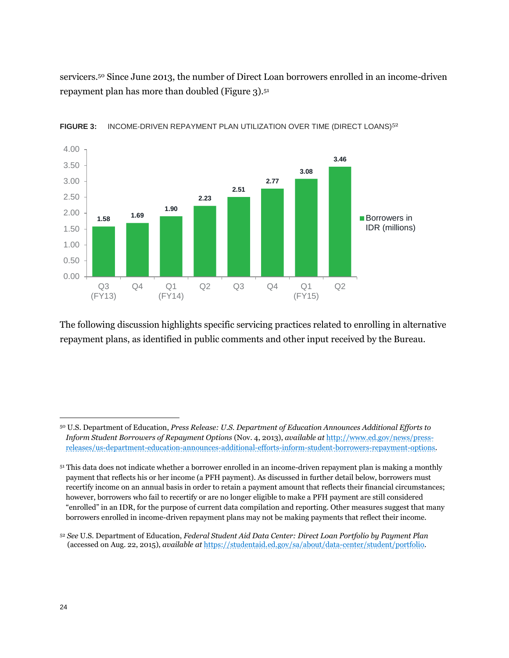servicers.<sup>50</sup> Since June 2013, the number of Direct Loan borrowers enrolled in an income-driven repayment plan has more than doubled (Figure 3).<sup>51</sup>



FIGURE 3: INCOME-DRIVEN REPAYMENT PLAN UTILIZATION OVER TIME (DIRECT LOANS)<sup>52</sup>

The following discussion highlights specific servicing practices related to enrolling in alternative repayment plans, as identified in public comments and other input received by the Bureau.

<sup>50</sup> U.S. Department of Education, *Press Release: U.S. Department of Education Announces Additional Efforts to Inform Student Borrowers of Repayment Options* (Nov. 4, 2013), *available at* [http://www.ed.gov/news/press](http://www.ed.gov/news/press-releases/us-department-education-announces-additional-efforts-inform-student-borrowers-repayment-options)[releases/us-department-education-announces-additional-efforts-inform-student-borrowers-repayment-options.](http://www.ed.gov/news/press-releases/us-department-education-announces-additional-efforts-inform-student-borrowers-repayment-options)

<sup>51</sup> This data does not indicate whether a borrower enrolled in an income-driven repayment plan is making a monthly payment that reflects his or her income (a PFH payment). As discussed in further detail below, borrowers must recertify income on an annual basis in order to retain a payment amount that reflects their financial circumstances; however, borrowers who fail to recertify or are no longer eligible to make a PFH payment are still considered "enrolled" in an IDR, for the purpose of current data compilation and reporting. Other measures suggest that many borrowers enrolled in income-driven repayment plans may not be making payments that reflect their income.

<sup>52</sup> *See* U.S. Department of Education, *Federal Student Aid Data Center: Direct Loan Portfolio by Payment Plan* (accessed on Aug. 22, 2015), *available at* [https://studentaid.ed.gov/sa/about/data-center/student/portfolio.](https://studentaid.ed.gov/sa/about/data-center/student/portfolio)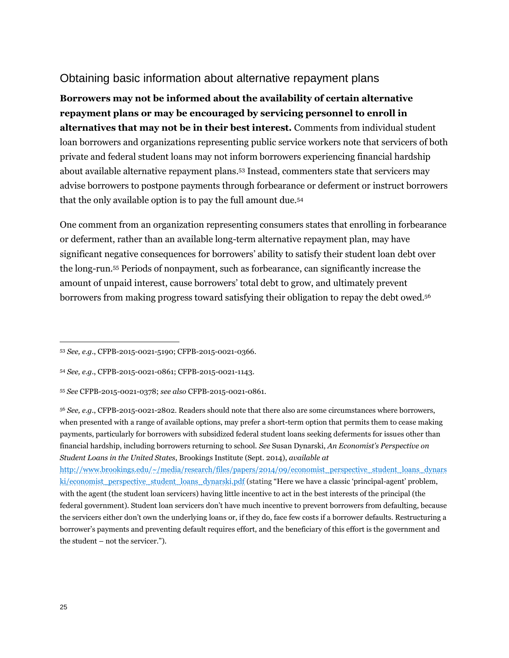#### Obtaining basic information about alternative repayment plans

**Borrowers may not be informed about the availability of certain alternative repayment plans or may be encouraged by servicing personnel to enroll in alternatives that may not be in their best interest.** Comments from individual student loan borrowers and organizations representing public service workers note that servicers of both private and federal student loans may not inform borrowers experiencing financial hardship about available alternative repayment plans.<sup>53</sup> Instead, commenters state that servicers may advise borrowers to postpone payments through forbearance or deferment or instruct borrowers that the only available option is to pay the full amount due.<sup>54</sup>

One comment from an organization representing consumers states that enrolling in forbearance or deferment, rather than an available long-term alternative repayment plan, may have significant negative consequences for borrowers' ability to satisfy their student loan debt over the long-run.<sup>55</sup> Periods of nonpayment, such as forbearance, can significantly increase the amount of unpaid interest, cause borrowers' total debt to grow, and ultimately prevent borrowers from making progress toward satisfying their obligation to repay the debt owed.<sup>56</sup>

[http://www.brookings.edu/~/media/research/files/papers/2014/09/economist\\_perspective\\_student\\_loans\\_dynars](http://www.brookings.edu/~/media/research/files/papers/2014/09/economist_perspective_student_loans_dynarski/economist_perspective_student_loans_dynarski.pdf) [ki/economist\\_perspective\\_student\\_loans\\_dynarski.pdf](http://www.brookings.edu/~/media/research/files/papers/2014/09/economist_perspective_student_loans_dynarski/economist_perspective_student_loans_dynarski.pdf) (stating "Here we have a classic 'principal-agent' problem, with the agent (the student loan servicers) having little incentive to act in the best interests of the principal (the federal government). Student loan servicers don't have much incentive to prevent borrowers from defaulting, because the servicers either don't own the underlying loans or, if they do, face few costs if a borrower defaults. Restructuring a borrower's payments and preventing default requires effort, and the beneficiary of this effort is the government and the student – not the servicer.").

<sup>53</sup> *See, e.g.*, CFPB-2015-0021-5190; CFPB-2015-0021-0366.

<sup>54</sup> *See, e.g.*, CFPB-2015-0021-0861; CFPB-2015-0021-1143.

<sup>55</sup> *See* CFPB-2015-0021-0378; *see also* CFPB-2015-0021-0861.

<sup>56</sup> *See, e.g.*, CFPB-2015-0021-2802. Readers should note that there also are some circumstances where borrowers, when presented with a range of available options, may prefer a short-term option that permits them to cease making payments, particularly for borrowers with subsidized federal student loans seeking deferments for issues other than financial hardship, including borrowers returning to school. *See* Susan Dynarski, *An Economist's Perspective on Student Loans in the United States*, Brookings Institute (Sept. 2014), *available at*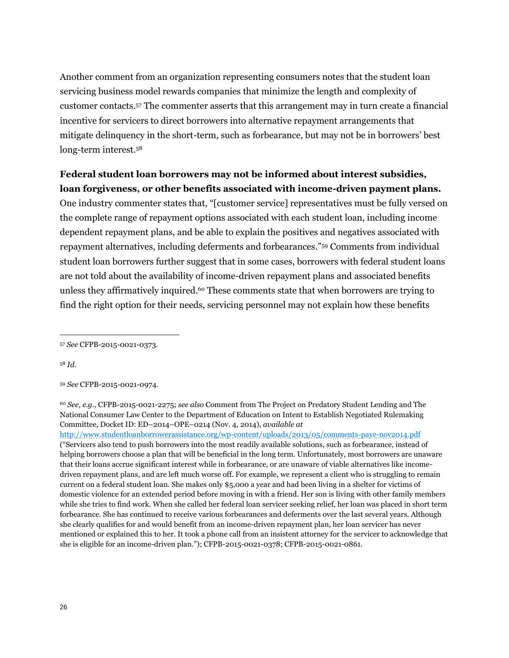Another comment from an organization representing consumers notes that the student loan servicing business model rewards companies that minimize the length and complexity of customer contacts.<sup>57</sup> The commenter asserts that this arrangement may in turn create a financial incentive for servicers to direct borrowers into alternative repayment arrangements that mitigate delinquency in the short-term, such as forbearance, but may not be in borrowers' best long-term interest.<sup>58</sup>

#### **Federal student loan borrowers may not be informed about interest subsidies, loan forgiveness, or other benefits associated with income-driven payment plans.**

One industry commenter states that, "[customer service] representatives must be fully versed on the complete range of repayment options associated with each student loan, including income dependent repayment plans, and be able to explain the positives and negatives associated with repayment alternatives, including deferments and forbearances."<sup>59</sup> Comments from individual student loan borrowers further suggest that in some cases, borrowers with federal student loans are not told about the availability of income-driven repayment plans and associated benefits unless they affirmatively inquired.<sup>60</sup> These comments state that when borrowers are trying to find the right option for their needs, servicing personnel may not explain how these benefits

<sup>58</sup> *Id.*

<sup>57</sup> *See* CFPB-2015-0021-0373.

<sup>59</sup> *See* CFPB-2015-0021-0974.

<sup>60</sup> *See, e.g.,* CFPB-2015-0021-2275; *see also* Comment from The Project on Predatory Student Lending and The National Consumer Law Center to the Department of Education on Intent to Establish Negotiated Rulemaking Committee, Docket ID: ED–2014–OPE–0214 (Nov. 4, 2014), *available at*

<http://www.studentloanborrowerassistance.org/wp-content/uploads/2013/05/comments-paye-nov2014.pdf> ("Servicers also tend to push borrowers into the most readily available solutions, such as forbearance, instead of helping borrowers choose a plan that will be beneficial in the long term. Unfortunately, most borrowers are unaware that their loans accrue significant interest while in forbearance, or are unaware of viable alternatives like incomedriven repayment plans, and are left much worse off. For example, we represent a client who is struggling to remain current on a federal student loan. She makes only \$5,000 a year and had been living in a shelter for victims of domestic violence for an extended period before moving in with a friend. Her son is living with other family members while she tries to find work. When she called her federal loan servicer seeking relief, her loan was placed in short term forbearance. She has continued to receive various forbearances and deferments over the last several years. Although she clearly qualifies for and would benefit from an income-driven repayment plan, her loan servicer has never mentioned or explained this to her. It took a phone call from an insistent attorney for the servicer to acknowledge that she is eligible for an income-driven plan."); CFPB-2015-0021-0378; CFPB-2015-0021-0861.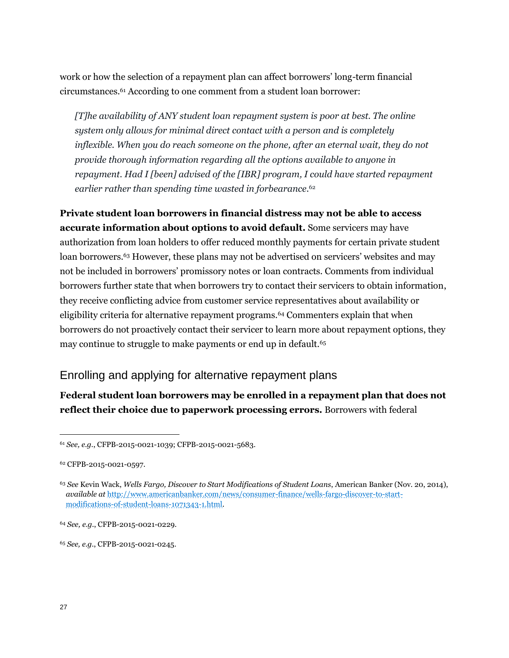work or how the selection of a repayment plan can affect borrowers' long-term financial circumstances.<sup>61</sup> According to one comment from a student loan borrower:

*[T]he availability of ANY student loan repayment system is poor at best. The online system only allows for minimal direct contact with a person and is completely inflexible. When you do reach someone on the phone, after an eternal wait, they do not provide thorough information regarding all the options available to anyone in repayment. Had I [been] advised of the [IBR] program, I could have started repayment earlier rather than spending time wasted in forbearance.*<sup>62</sup>

**Private student loan borrowers in financial distress may not be able to access accurate information about options to avoid default.** Some servicers may have authorization from loan holders to offer reduced monthly payments for certain private student loan borrowers.<sup>63</sup> However, these plans may not be advertised on servicers' websites and may not be included in borrowers' promissory notes or loan contracts. Comments from individual borrowers further state that when borrowers try to contact their servicers to obtain information, they receive conflicting advice from customer service representatives about availability or eligibility criteria for alternative repayment programs.<sup>64</sup> Commenters explain that when borrowers do not proactively contact their servicer to learn more about repayment options, they may continue to struggle to make payments or end up in default.<sup>65</sup>

### Enrolling and applying for alternative repayment plans

**Federal student loan borrowers may be enrolled in a repayment plan that does not reflect their choice due to paperwork processing errors.** Borrowers with federal

<sup>61</sup> *See, e.g.*, CFPB-2015-0021-1039; CFPB-2015-0021-5683.

<sup>62</sup> CFPB-2015-0021-0597.

<sup>63</sup> *See* Kevin Wack, *Wells Fargo, Discover to Start Modifications of Student Loans*, American Banker (Nov. 20, 2014), *available at* [http://www.americanbanker.com/news/consumer-finance/wells-fargo-discover-to-start](http://www.americanbanker.com/news/consumer-finance/wells-fargo-discover-to-start-modifications-of-student-loans-1071343-1.html)[modifications-of-student-loans-1071343-1.html.](http://www.americanbanker.com/news/consumer-finance/wells-fargo-discover-to-start-modifications-of-student-loans-1071343-1.html)

<sup>64</sup> *See, e.g.*, CFPB-2015-0021-0229.

<sup>65</sup> *See, e.g.*, CFPB-2015-0021-0245.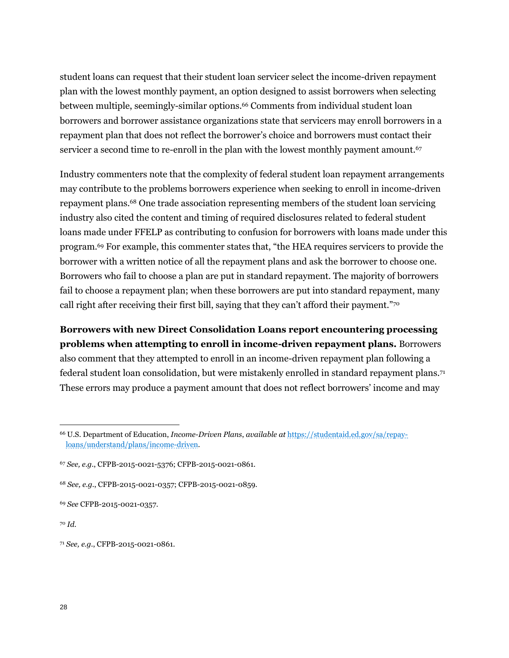student loans can request that their student loan servicer select the income-driven repayment plan with the lowest monthly payment, an option designed to assist borrowers when selecting between multiple, seemingly-similar options.<sup>66</sup> Comments from individual student loan borrowers and borrower assistance organizations state that servicers may enroll borrowers in a repayment plan that does not reflect the borrower's choice and borrowers must contact their servicer a second time to re-enroll in the plan with the lowest monthly payment amount.<sup>67</sup>

Industry commenters note that the complexity of federal student loan repayment arrangements may contribute to the problems borrowers experience when seeking to enroll in income-driven repayment plans.<sup>68</sup> One trade association representing members of the student loan servicing industry also cited the content and timing of required disclosures related to federal student loans made under FFELP as contributing to confusion for borrowers with loans made under this program.<sup>69</sup> For example, this commenter states that, "the HEA requires servicers to provide the borrower with a written notice of all the repayment plans and ask the borrower to choose one. Borrowers who fail to choose a plan are put in standard repayment. The majority of borrowers fail to choose a repayment plan; when these borrowers are put into standard repayment, many call right after receiving their first bill, saying that they can't afford their payment."<sup>70</sup>

**Borrowers with new Direct Consolidation Loans report encountering processing problems when attempting to enroll in income-driven repayment plans.** Borrowers also comment that they attempted to enroll in an income-driven repayment plan following a federal student loan consolidation, but were mistakenly enrolled in standard repayment plans.<sup>71</sup> These errors may produce a payment amount that does not reflect borrowers' income and may

<sup>66</sup> U.S. Department of Education, *Income-Driven Plans*, *available at* [https://studentaid.ed.gov/sa/repay](https://studentaid.ed.gov/sa/repay-loans/understand/plans/income-driven)[loans/understand/plans/income-driven.](https://studentaid.ed.gov/sa/repay-loans/understand/plans/income-driven)

<sup>67</sup> *See, e.g.*, CFPB-2015-0021-5376; CFPB-2015-0021-0861.

<sup>68</sup> *See, e.g.*, CFPB-2015-0021-0357; CFPB-2015-0021-0859.

<sup>69</sup> *See* CFPB-2015-0021-0357.

<sup>70</sup> *Id.*

<sup>71</sup> *See, e.g.*, CFPB-2015-0021-0861.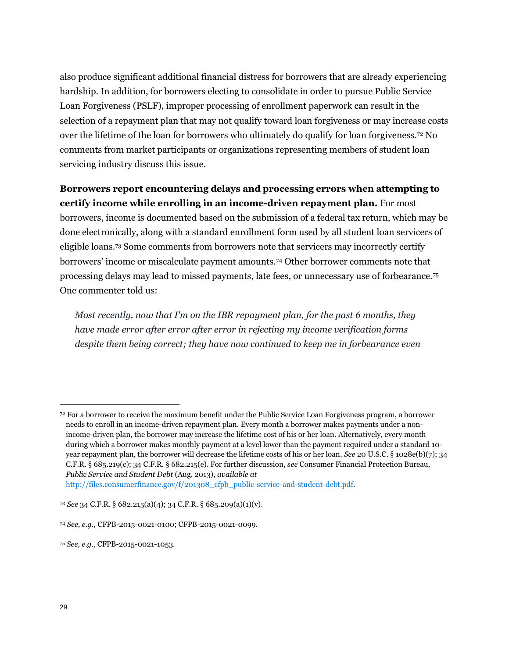also produce significant additional financial distress for borrowers that are already experiencing hardship. In addition, for borrowers electing to consolidate in order to pursue Public Service Loan Forgiveness (PSLF), improper processing of enrollment paperwork can result in the selection of a repayment plan that may not qualify toward loan forgiveness or may increase costs over the lifetime of the loan for borrowers who ultimately do qualify for loan forgiveness.<sup>72</sup> No comments from market participants or organizations representing members of student loan servicing industry discuss this issue.

#### **Borrowers report encountering delays and processing errors when attempting to certify income while enrolling in an income-driven repayment plan.** For most

borrowers, income is documented based on the submission of a federal tax return, which may be done electronically, along with a standard enrollment form used by all student loan servicers of eligible loans.<sup>73</sup> Some comments from borrowers note that servicers may incorrectly certify borrowers' income or miscalculate payment amounts.<sup>74</sup> Other borrower comments note that processing delays may lead to missed payments, late fees, or unnecessary use of forbearance.<sup>75</sup> One commenter told us:

*Most recently, now that I'm on the IBR repayment plan, for the past 6 months, they have made error after error after error in rejecting my income verification forms despite them being correct; they have now continued to keep me in forbearance even* 

<sup>72</sup> For a borrower to receive the maximum benefit under the Public Service Loan Forgiveness program, a borrower needs to enroll in an income-driven repayment plan. Every month a borrower makes payments under a nonincome-driven plan, the borrower may increase the lifetime cost of his or her loan. Alternatively, every month during which a borrower makes monthly payment at a level lower than the payment required under a standard 10 year repayment plan, the borrower will decrease the lifetime costs of his or her loan*. See* 20 U.S.C. § 1028e(b)(7); 34 C.F.R. § 685.219(c); 34 C.F.R. § 682.215(e). For further discussion, s*ee* Consumer Financial Protection Bureau, *Public Service and Student Debt* (Aug. 2013), *available at*

[http://files.consumerfinance.gov/f/201308\\_cfpb\\_public-service-and-student-debt.pdf.](http://files.consumerfinance.gov/f/201308_cfpb_public-service-and-student-debt.pdf)

<sup>73</sup> *See* 34 C.F.R. § 682.215(a)(4); 34 C.F.R. § 685.209(a)(1)(v).

<sup>74</sup> *See, e.g.*, CFPB-2015-0021-0100; CFPB-2015-0021-0099.

<sup>75</sup> *See, e.g*., CFPB-2015-0021-1053*.*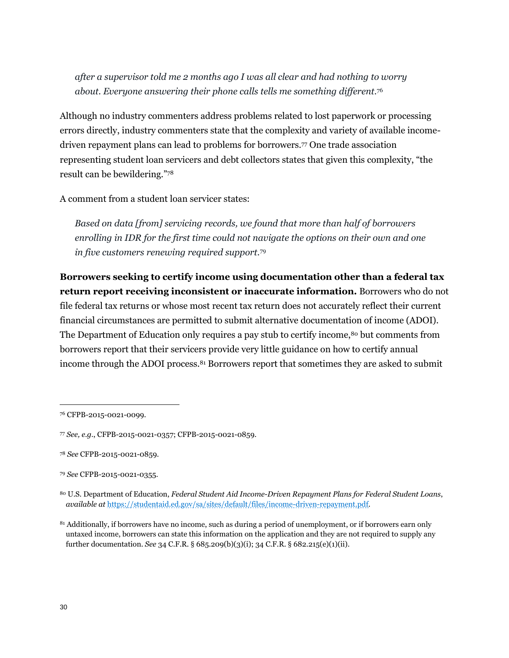*after a supervisor told me 2 months ago I was all clear and had nothing to worry about. Everyone answering their phone calls tells me something different.*<sup>76</sup>

Although no industry commenters address problems related to lost paperwork or processing errors directly, industry commenters state that the complexity and variety of available incomedriven repayment plans can lead to problems for borrowers.<sup>77</sup> One trade association representing student loan servicers and debt collectors states that given this complexity, "the result can be bewildering."<sup>78</sup>

A comment from a student loan servicer states:

*Based on data [from] servicing records, we found that more than half of borrowers enrolling in IDR for the first time could not navigate the options on their own and one in five customers renewing required support.*<sup>79</sup>

**Borrowers seeking to certify income using documentation other than a federal tax return report receiving inconsistent or inaccurate information.** Borrowers who do not file federal tax returns or whose most recent tax return does not accurately reflect their current financial circumstances are permitted to submit alternative documentation of income (ADOI). The Department of Education only requires a pay stub to certify income,<sup>80</sup> but comments from borrowers report that their servicers provide very little guidance on how to certify annual income through the ADOI process.<sup>81</sup> Borrowers report that sometimes they are asked to submit

<sup>76</sup> CFPB-2015-0021-0099.

<sup>77</sup> *See, e.g.*, CFPB-2015-0021-0357; CFPB-2015-0021-0859.

<sup>78</sup> *See* CFPB-2015-0021-0859.

<sup>79</sup> *See* CFPB-2015-0021-0355.

<sup>80</sup> U.S. Department of Education, *Federal Student Aid Income-Driven Repayment Plans for Federal Student Loans*, *available at* [https://studentaid.ed.gov/sa/sites/default/files/income-driven-repayment.pdf.](https://studentaid.ed.gov/sa/sites/default/files/income-driven-repayment.pdf)

<sup>81</sup> Additionally, if borrowers have no income, such as during a period of unemployment, or if borrowers earn only untaxed income, borrowers can state this information on the application and they are not required to supply any further documentation. *See* 34 C.F.R. § 685.209(b)(3)(i); 34 C.F.R. § 682.215(e)(1)(ii).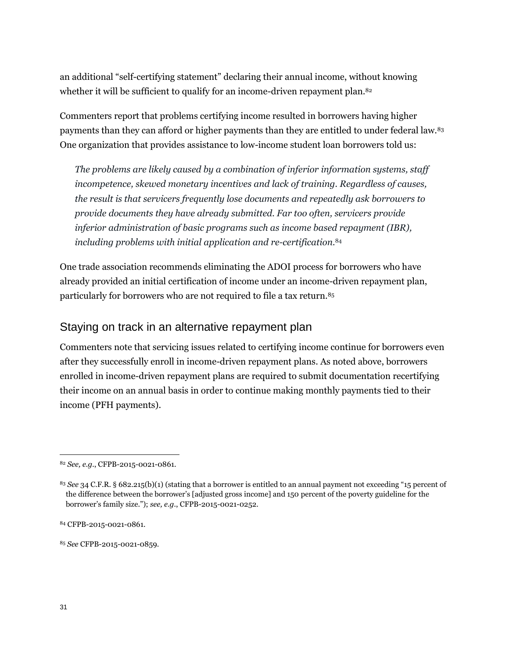an additional "self-certifying statement" declaring their annual income, without knowing whether it will be sufficient to qualify for an income-driven repayment plan.<sup>82</sup>

Commenters report that problems certifying income resulted in borrowers having higher payments than they can afford or higher payments than they are entitled to under federal law.<sup>83</sup> One organization that provides assistance to low-income student loan borrowers told us:

*The problems are likely caused by a combination of inferior information systems, staff incompetence, skewed monetary incentives and lack of training. Regardless of causes, the result is that servicers frequently lose documents and repeatedly ask borrowers to provide documents they have already submitted. Far too often, servicers provide inferior administration of basic programs such as income based repayment (IBR), including problems with initial application and re-certification.*<sup>84</sup>

One trade association recommends eliminating the ADOI process for borrowers who have already provided an initial certification of income under an income-driven repayment plan, particularly for borrowers who are not required to file a tax return.<sup>85</sup>

#### Staying on track in an alternative repayment plan

Commenters note that servicing issues related to certifying income continue for borrowers even after they successfully enroll in income-driven repayment plans. As noted above, borrowers enrolled in income-driven repayment plans are required to submit documentation recertifying their income on an annual basis in order to continue making monthly payments tied to their income (PFH payments).

<sup>85</sup> *See* CFPB-2015-0021-0859.

<sup>82</sup> *See, e.g.*, CFPB-2015-0021-0861.

<sup>83</sup> *See* 34 C.F.R. § 682.215(b)(1) (stating that a borrower is entitled to an annual payment not exceeding "15 percent of the difference between the borrower's [adjusted gross income] and 150 percent of the poverty guideline for the borrower's family size."); *see, e.g.*, CFPB-2015-0021-0252.

<sup>84</sup> CFPB-2015-0021-0861.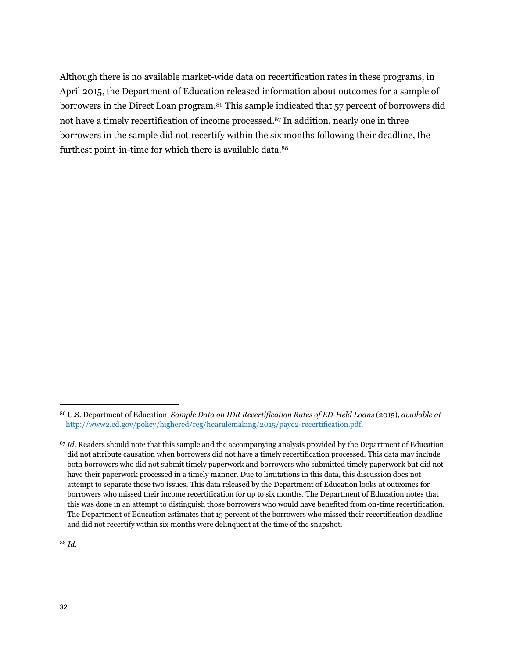Although there is no available market-wide data on recertification rates in these programs, in April 2015, the Department of Education released information about outcomes for a sample of borrowers in the Direct Loan program.<sup>86</sup> This sample indicated that 57 percent of borrowers did not have a timely recertification of income processed.<sup>87</sup> In addition, nearly one in three borrowers in the sample did not recertify within the six months following their deadline, the furthest point-in-time for which there is available data.<sup>88</sup>

<sup>88</sup> *Id*.

<sup>86</sup> U.S. Department of Education, *Sample Data on IDR Recertification Rates of ED-Held Loans* (2015), *available at* [http://www2.ed.gov/policy/highered/reg/hearulemaking/2015/paye2-recertification.pdf.](http://www2.ed.gov/policy/highered/reg/hearulemaking/2015/paye2-recertification.pdf)

<sup>87</sup> *Id*. Readers should note that this sample and the accompanying analysis provided by the Department of Education did not attribute causation when borrowers did not have a timely recertification processed. This data may include both borrowers who did not submit timely paperwork and borrowers who submitted timely paperwork but did not have their paperwork processed in a timely manner. Due to limitations in this data, this discussion does not attempt to separate these two issues. This data released by the Department of Education looks at outcomes for borrowers who missed their income recertification for up to six months. The Department of Education notes that this was done in an attempt to distinguish those borrowers who would have benefited from on-time recertification. The Department of Education estimates that 15 percent of the borrowers who missed their recertification deadline and did not recertify within six months were delinquent at the time of the snapshot.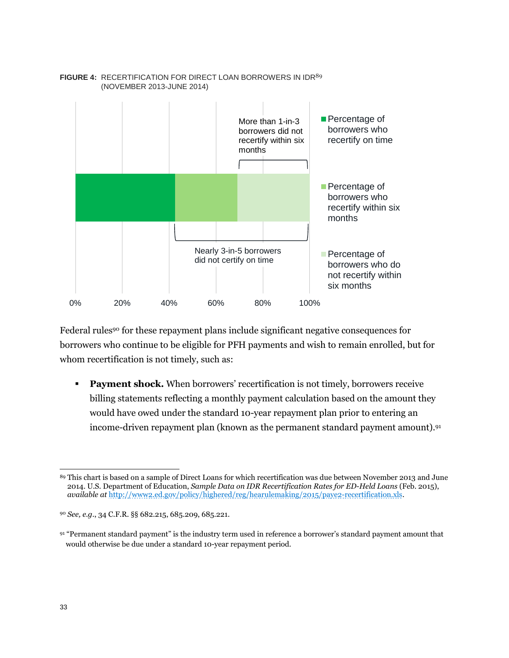

#### FIGURE 4: RECERTIFICATION FOR DIRECT LOAN BORROWERS IN IDR<sup>89</sup> (NOVEMBER 2013-JUNE 2014)

Federal rules<sup>90</sup> for these repayment plans include significant negative consequences for borrowers who continue to be eligible for PFH payments and wish to remain enrolled, but for whom recertification is not timely, such as:

**Payment shock.** When borrowers' recertification is not timely, borrowers receive billing statements reflecting a monthly payment calculation based on the amount they would have owed under the standard 10-year repayment plan prior to entering an income-driven repayment plan (known as the permanent standard payment amount).<sup>91</sup>

 $\overline{a}$ <sup>89</sup> This chart is based on a sample of Direct Loans for which recertification was due between November 2013 and June 2014. U.S. Department of Education, *Sample Data on IDR Recertification Rates for ED-Held Loans* (Feb. 2015), *available at* [http://www2.ed.gov/policy/highered/reg/hearulemaking/2015/paye2-recertification.xls.](http://www2.ed.gov/policy/highered/reg/hearulemaking/2015/paye2-recertification.xls)

<sup>90</sup> *See, e.g.*, 34 C.F.R. §§ 682.215, 685.209, 685.221.

<sup>91</sup> "Permanent standard payment" is the industry term used in reference a borrower's standard payment amount that would otherwise be due under a standard 10-year repayment period.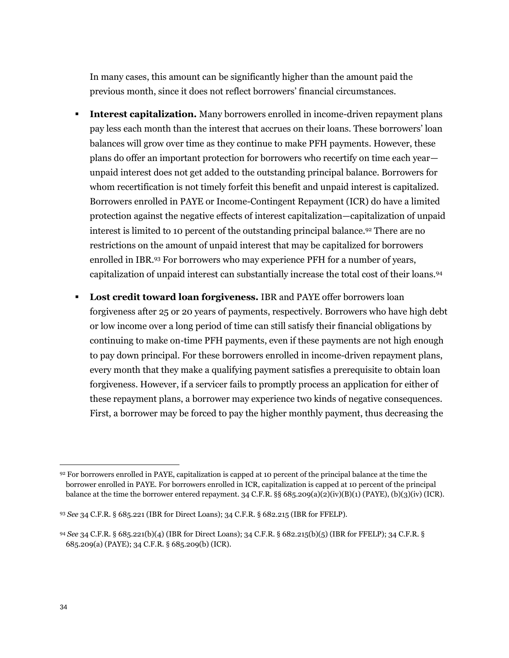In many cases, this amount can be significantly higher than the amount paid the previous month, since it does not reflect borrowers' financial circumstances.

- **Interest capitalization.** Many borrowers enrolled in income-driven repayment plans pay less each month than the interest that accrues on their loans. These borrowers' loan balances will grow over time as they continue to make PFH payments. However, these plans do offer an important protection for borrowers who recertify on time each year unpaid interest does not get added to the outstanding principal balance. Borrowers for whom recertification is not timely forfeit this benefit and unpaid interest is capitalized. Borrowers enrolled in PAYE or Income-Contingent Repayment (ICR) do have a limited protection against the negative effects of interest capitalization—capitalization of unpaid interest is limited to 10 percent of the outstanding principal balance.<sup>92</sup> There are no restrictions on the amount of unpaid interest that may be capitalized for borrowers enrolled in IBR.<sup>93</sup> For borrowers who may experience PFH for a number of years, capitalization of unpaid interest can substantially increase the total cost of their loans.<sup>94</sup>
- **Lost credit toward loan forgiveness.** IBR and PAYE offer borrowers loan forgiveness after 25 or 20 years of payments, respectively. Borrowers who have high debt or low income over a long period of time can still satisfy their financial obligations by continuing to make on-time PFH payments, even if these payments are not high enough to pay down principal. For these borrowers enrolled in income-driven repayment plans, every month that they make a qualifying payment satisfies a prerequisite to obtain loan forgiveness. However, if a servicer fails to promptly process an application for either of these repayment plans, a borrower may experience two kinds of negative consequences. First, a borrower may be forced to pay the higher monthly payment, thus decreasing the

<sup>92</sup> For borrowers enrolled in PAYE, capitalization is capped at 10 percent of the principal balance at the time the borrower enrolled in PAYE. For borrowers enrolled in ICR, capitalization is capped at 10 percent of the principal balance at the time the borrower entered repayment. 34 C.F.R. §§ 685.209(a)(2)(iv)(B)(1) (PAYE), (b)(3)(iv) (ICR).

<sup>93</sup> *See* 34 C.F.R. § 685.221 (IBR for Direct Loans); 34 C.F.R. § 682.215 (IBR for FFELP).

<sup>94</sup> *See* 34 C.F.R. § 685.221(b)(4) (IBR for Direct Loans); 34 C.F.R. § 682.215(b)(5) (IBR for FFELP); 34 C.F.R. § 685.209(a) (PAYE); 34 C.F.R. § 685.209(b) (ICR).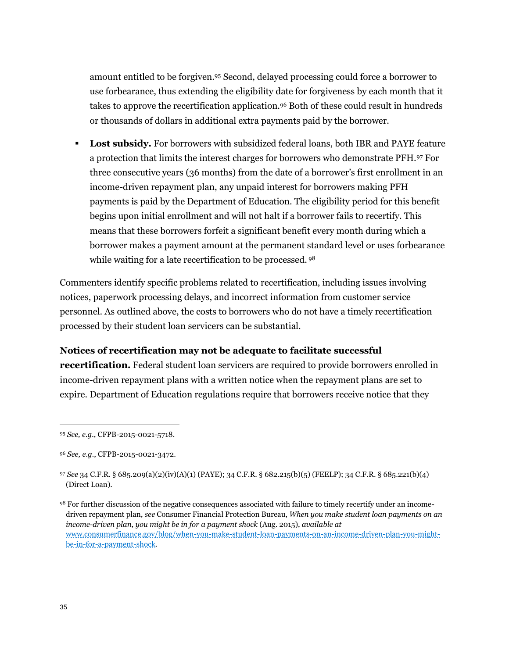amount entitled to be forgiven.<sup>95</sup> Second, delayed processing could force a borrower to use forbearance, thus extending the eligibility date for forgiveness by each month that it takes to approve the recertification application.<sup>96</sup> Both of these could result in hundreds or thousands of dollars in additional extra payments paid by the borrower.

**Lost subsidy.** For borrowers with subsidized federal loans, both IBR and PAYE feature a protection that limits the interest charges for borrowers who demonstrate PFH.<sup>97</sup> For three consecutive years (36 months) from the date of a borrower's first enrollment in an income-driven repayment plan, any unpaid interest for borrowers making PFH payments is paid by the Department of Education. The eligibility period for this benefit begins upon initial enrollment and will not halt if a borrower fails to recertify. This means that these borrowers forfeit a significant benefit every month during which a borrower makes a payment amount at the permanent standard level or uses forbearance while waiting for a late recertification to be processed. <sup>98</sup>

Commenters identify specific problems related to recertification, including issues involving notices, paperwork processing delays, and incorrect information from customer service personnel. As outlined above, the costs to borrowers who do not have a timely recertification processed by their student loan servicers can be substantial.

#### **Notices of recertification may not be adequate to facilitate successful**

**recertification.** Federal student loan servicers are required to provide borrowers enrolled in income-driven repayment plans with a written notice when the repayment plans are set to expire. Department of Education regulations require that borrowers receive notice that they

<sup>95</sup> *See, e.g.*, CFPB-2015-0021-5718.

<sup>96</sup> *See, e.g.*, CFPB-2015-0021-3472.

<sup>97</sup> *See* 34 C.F.R. § 685.209(a)(2)(iv)(A)(1) (PAYE); 34 C.F.R. § 682.215(b)(5) (FEELP); 34 C.F.R. § 685.221(b)(4) (Direct Loan).

<sup>98</sup> For further discussion of the negative consequences associated with failure to timely recertify under an incomedriven repayment plan, *see* Consumer Financial Protection Bureau, *When you make student loan payments on an income-driven plan, you might be in for a payment shock* (Aug. 2015), *available at* [www.consumerfinance.gov/blog/when-you-make-student-loan-payments-on-an-income-driven-plan-you-might](http://www.consumerfinance.gov/blog/when-you-make-student-loan-payments-on-an-income-driven-plan-you-might-be-in-for-a-payment-shock)[be-in-for-a-payment-shock.](http://www.consumerfinance.gov/blog/when-you-make-student-loan-payments-on-an-income-driven-plan-you-might-be-in-for-a-payment-shock)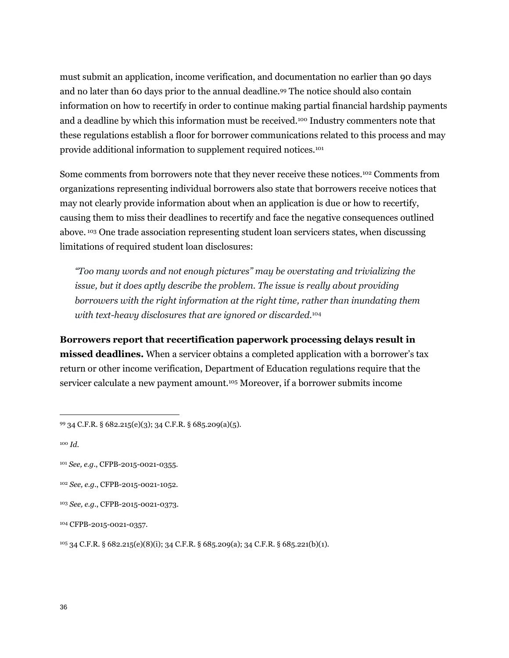must submit an application, income verification, and documentation no earlier than 90 days and no later than 60 days prior to the annual deadline.<sup>99</sup> The notice should also contain information on how to recertify in order to continue making partial financial hardship payments and a deadline by which this information must be received.<sup>100</sup> Industry commenters note that these regulations establish a floor for borrower communications related to this process and may provide additional information to supplement required notices.<sup>101</sup>

Some comments from borrowers note that they never receive these notices.<sup>102</sup> Comments from organizations representing individual borrowers also state that borrowers receive notices that may not clearly provide information about when an application is due or how to recertify, causing them to miss their deadlines to recertify and face the negative consequences outlined above. <sup>103</sup> One trade association representing student loan servicers states, when discussing limitations of required student loan disclosures:

*"Too many words and not enough pictures" may be overstating and trivializing the issue, but it does aptly describe the problem. The issue is really about providing borrowers with the right information at the right time, rather than inundating them with text-heavy disclosures that are ignored or discarded.*<sup>104</sup>

**Borrowers report that recertification paperwork processing delays result in missed deadlines.** When a servicer obtains a completed application with a borrower's tax return or other income verification, Department of Education regulations require that the servicer calculate a new payment amount.<sup>105</sup> Moreover, if a borrower submits income

<sup>100</sup> *Id*.

 $\overline{a}$ 

<sup>102</sup> *See, e.g.*, CFPB-2015-0021-1052.

<sup>104</sup> CFPB-2015-0021-0357.

<sup>105</sup> 34 C.F.R. § 682.215(e)(8)(i); 34 C.F.R. § 685.209(a); 34 C.F.R. § 685.221(b)(1).

<sup>99</sup> 34 C.F.R. § 682.215(e)(3); 34 C.F.R. § 685.209(a)(5).

<sup>101</sup> *See, e.g.*, CFPB-2015-0021-0355.

<sup>103</sup> *See, e.g.*, CFPB-2015-0021-0373.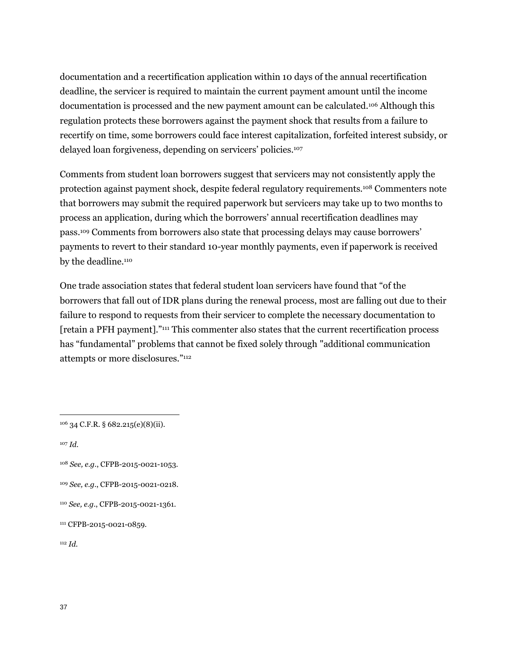documentation and a recertification application within 10 days of the annual recertification deadline, the servicer is required to maintain the current payment amount until the income documentation is processed and the new payment amount can be calculated.<sup>106</sup> Although this regulation protects these borrowers against the payment shock that results from a failure to recertify on time, some borrowers could face interest capitalization, forfeited interest subsidy, or delayed loan forgiveness, depending on servicers' policies.<sup>107</sup>

Comments from student loan borrowers suggest that servicers may not consistently apply the protection against payment shock, despite federal regulatory requirements.<sup>108</sup> Commenters note that borrowers may submit the required paperwork but servicers may take up to two months to process an application, during which the borrowers' annual recertification deadlines may pass.<sup>109</sup> Comments from borrowers also state that processing delays may cause borrowers' payments to revert to their standard 10-year monthly payments, even if paperwork is received by the deadline.<sup>110</sup>

One trade association states that federal student loan servicers have found that "of the borrowers that fall out of IDR plans during the renewal process, most are falling out due to their failure to respond to requests from their servicer to complete the necessary documentation to [retain a PFH payment]."<sup>111</sup> This commenter also states that the current recertification process has "fundamental" problems that cannot be fixed solely through "additional communication attempts or more disclosures."<sup>112</sup>

<sup>107</sup> *Id*.

 $\overline{a}$ 

<sup>109</sup> *See, e.g.*, CFPB-2015-0021-0218.

<sup>112</sup> *Id.*

<sup>106</sup> 34 C.F.R. § 682.215(e)(8)(ii).

<sup>108</sup> *See, e.g.*, CFPB-2015-0021-1053.

<sup>110</sup> *See, e.g.*, CFPB-2015-0021-1361.

<sup>111</sup> CFPB-2015-0021-0859.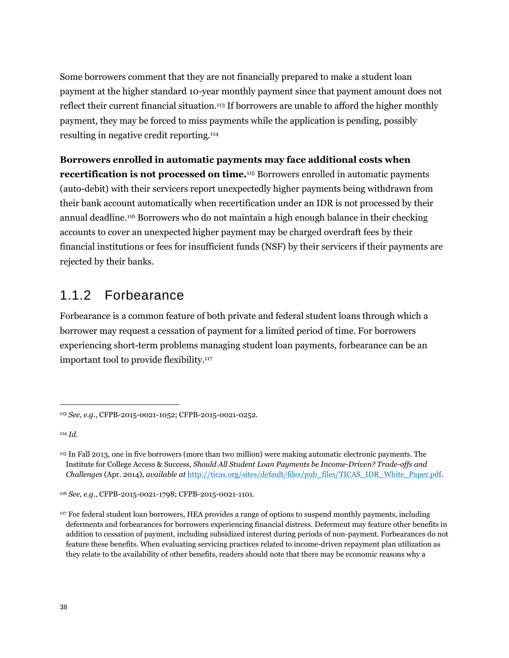Some borrowers comment that they are not financially prepared to make a student loan payment at the higher standard 10-year monthly payment since that payment amount does not reflect their current financial situation.<sup>113</sup> If borrowers are unable to afford the higher monthly payment, they may be forced to miss payments while the application is pending, possibly resulting in negative credit reporting.<sup>114</sup>

### **Borrowers enrolled in automatic payments may face additional costs when recertification is not processed on time.**<sup>115</sup> Borrowers enrolled in automatic payments

(auto-debit) with their servicers report unexpectedly higher payments being withdrawn from their bank account automatically when recertification under an IDR is not processed by their annual deadline.<sup>116</sup> Borrowers who do not maintain a high enough balance in their checking accounts to cover an unexpected higher payment may be charged overdraft fees by their financial institutions or fees for insufficient funds (NSF) by their servicers if their payments are rejected by their banks.

## 1.1.2 Forbearance

Forbearance is a common feature of both private and federal student loans through which a borrower may request a cessation of payment for a limited period of time. For borrowers experiencing short-term problems managing student loan payments, forbearance can be an important tool to provide flexibility.<sup>117</sup>

<sup>114</sup> *Id*.

<sup>113</sup> *See, e.g.*, CFPB-2015-0021-1052; CFPB-2015-0021-0252.

<sup>115</sup> In Fall 2013, one in five borrowers (more than two million) were making automatic electronic payments. The Institute for College Access & Success, *Should All Student Loan Payments be Income-Driven? Trade-offs and Challenges* (Apr. 2014), *available at* [http://ticas.org/sites/default/files/pub\\_files/TICAS\\_IDR\\_White\\_Paper.pdf.](http://ticas.org/sites/default/files/pub_files/TICAS_IDR_White_Paper.pdf)

<sup>116</sup> *See, e.g.*, CFPB-2015-0021-1798; CFPB-2015-0021-1101.

<sup>117</sup> For federal student loan borrowers, HEA provides a range of options to suspend monthly payments, including deferments and forbearances for borrowers experiencing financial distress. Deferment may feature other benefits in addition to cessation of payment, including subsidized interest during periods of non-payment. Forbearances do not feature these benefits. When evaluating servicing practices related to income-driven repayment plan utilization as they relate to the availability of other benefits, readers should note that there may be economic reasons why a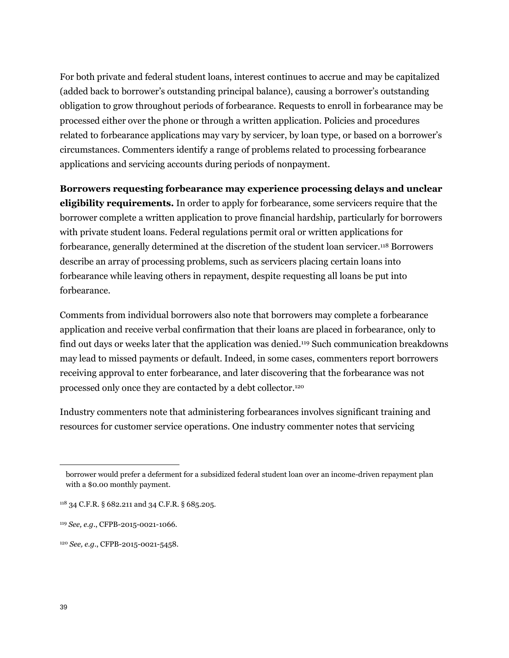For both private and federal student loans, interest continues to accrue and may be capitalized (added back to borrower's outstanding principal balance), causing a borrower's outstanding obligation to grow throughout periods of forbearance. Requests to enroll in forbearance may be processed either over the phone or through a written application. Policies and procedures related to forbearance applications may vary by servicer, by loan type, or based on a borrower's circumstances. Commenters identify a range of problems related to processing forbearance applications and servicing accounts during periods of nonpayment.

**Borrowers requesting forbearance may experience processing delays and unclear** 

**eligibility requirements.** In order to apply for forbearance, some servicers require that the borrower complete a written application to prove financial hardship, particularly for borrowers with private student loans. Federal regulations permit oral or written applications for forbearance, generally determined at the discretion of the student loan servicer.<sup>118</sup> Borrowers describe an array of processing problems, such as servicers placing certain loans into forbearance while leaving others in repayment, despite requesting all loans be put into forbearance.

Comments from individual borrowers also note that borrowers may complete a forbearance application and receive verbal confirmation that their loans are placed in forbearance, only to find out days or weeks later that the application was denied.<sup>119</sup> Such communication breakdowns may lead to missed payments or default. Indeed, in some cases, commenters report borrowers receiving approval to enter forbearance, and later discovering that the forbearance was not processed only once they are contacted by a debt collector.<sup>120</sup>

Industry commenters note that administering forbearances involves significant training and resources for customer service operations. One industry commenter notes that servicing

borrower would prefer a deferment for a subsidized federal student loan over an income-driven repayment plan with a \$0.00 monthly payment.

<sup>118</sup> 34 C.F.R. § 682.211 and 34 C.F.R. § 685.205.

<sup>119</sup> *See, e.g.*, CFPB-2015-0021-1066.

<sup>120</sup> *See, e.g.*, CFPB-2015-0021-5458.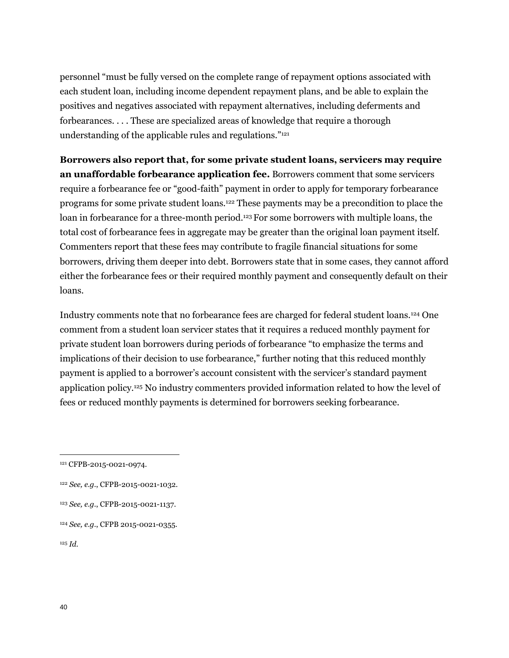personnel "must be fully versed on the complete range of repayment options associated with each student loan, including income dependent repayment plans, and be able to explain the positives and negatives associated with repayment alternatives, including deferments and forbearances. . . . These are specialized areas of knowledge that require a thorough understanding of the applicable rules and regulations."<sup>121</sup>

**Borrowers also report that, for some private student loans, servicers may require an unaffordable forbearance application fee.** Borrowers comment that some servicers require a forbearance fee or "good-faith" payment in order to apply for temporary forbearance programs for some private student loans.<sup>122</sup> These payments may be a precondition to place the loan in forbearance for a three-month period.<sup>123</sup> For some borrowers with multiple loans, the total cost of forbearance fees in aggregate may be greater than the original loan payment itself. Commenters report that these fees may contribute to fragile financial situations for some borrowers, driving them deeper into debt. Borrowers state that in some cases, they cannot afford either the forbearance fees or their required monthly payment and consequently default on their loans.

Industry comments note that no forbearance fees are charged for federal student loans.<sup>124</sup> One comment from a student loan servicer states that it requires a reduced monthly payment for private student loan borrowers during periods of forbearance "to emphasize the terms and implications of their decision to use forbearance," further noting that this reduced monthly payment is applied to a borrower's account consistent with the servicer's standard payment application policy.<sup>125</sup> No industry commenters provided information related to how the level of fees or reduced monthly payments is determined for borrowers seeking forbearance.

- <sup>122</sup> *See, e.g.*, CFPB-2015-0021-1032.
- <sup>123</sup> *See, e.g.*, CFPB-2015-0021-1137.
- <sup>124</sup> *See, e.g.*, CFPB 2015-0021-0355.

<sup>121</sup> CFPB-2015-0021-0974.

<sup>125</sup> *Id.*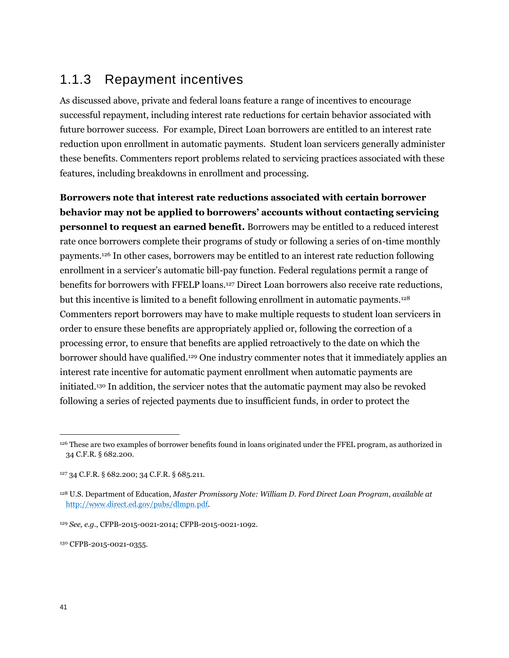# 1.1.3 Repayment incentives

As discussed above, private and federal loans feature a range of incentives to encourage successful repayment, including interest rate reductions for certain behavior associated with future borrower success. For example, Direct Loan borrowers are entitled to an interest rate reduction upon enrollment in automatic payments. Student loan servicers generally administer these benefits. Commenters report problems related to servicing practices associated with these features, including breakdowns in enrollment and processing.

**Borrowers note that interest rate reductions associated with certain borrower behavior may not be applied to borrowers' accounts without contacting servicing personnel to request an earned benefit.** Borrowers may be entitled to a reduced interest rate once borrowers complete their programs of study or following a series of on-time monthly payments.<sup>126</sup> In other cases, borrowers may be entitled to an interest rate reduction following enrollment in a servicer's automatic bill-pay function. Federal regulations permit a range of benefits for borrowers with FFELP loans.<sup>127</sup> Direct Loan borrowers also receive rate reductions, but this incentive is limited to a benefit following enrollment in automatic payments.<sup>128</sup> Commenters report borrowers may have to make multiple requests to student loan servicers in order to ensure these benefits are appropriately applied or, following the correction of a processing error, to ensure that benefits are applied retroactively to the date on which the borrower should have qualified.<sup>129</sup> One industry commenter notes that it immediately applies an interest rate incentive for automatic payment enrollment when automatic payments are initiated.<sup>130</sup> In addition, the servicer notes that the automatic payment may also be revoked following a series of rejected payments due to insufficient funds, in order to protect the

130 CFPB-2015-0021-0355.

<sup>126</sup> These are two examples of borrower benefits found in loans originated under the FFEL program, as authorized in 34 C.F.R. § 682.200.

<sup>127</sup> 34 C.F.R. § 682.200; 34 C.F.R. § 685.211.

<sup>128</sup> U.S. Department of Education, *Master Promissory Note: William D. Ford Direct Loan Program*, *available at* [http://www.direct.ed.gov/pubs/dlmpn.pdf.](http://www.direct.ed.gov/pubs/dlmpn.pdf)

<sup>129</sup> *See, e.g.*, CFPB-2015-0021-2014; CFPB-2015-0021-1092.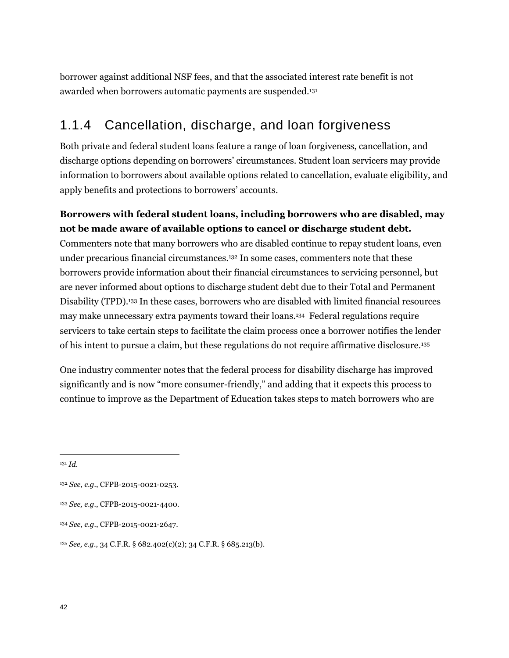borrower against additional NSF fees, and that the associated interest rate benefit is not awarded when borrowers automatic payments are suspended.<sup>131</sup>

## 1.1.4 Cancellation, discharge, and loan forgiveness

Both private and federal student loans feature a range of loan forgiveness, cancellation, and discharge options depending on borrowers' circumstances. Student loan servicers may provide information to borrowers about available options related to cancellation, evaluate eligibility, and apply benefits and protections to borrowers' accounts.

### **Borrowers with federal student loans, including borrowers who are disabled, may not be made aware of available options to cancel or discharge student debt.**

Commenters note that many borrowers who are disabled continue to repay student loans, even under precarious financial circumstances.<sup>132</sup> In some cases, commenters note that these borrowers provide information about their financial circumstances to servicing personnel, but are never informed about options to discharge student debt due to their Total and Permanent Disability (TPD).<sup>133</sup> In these cases, borrowers who are disabled with limited financial resources may make unnecessary extra payments toward their loans.<sup>134</sup> Federal regulations require servicers to take certain steps to facilitate the claim process once a borrower notifies the lender of his intent to pursue a claim, but these regulations do not require affirmative disclosure.<sup>135</sup>

One industry commenter notes that the federal process for disability discharge has improved significantly and is now "more consumer-friendly," and adding that it expects this process to continue to improve as the Department of Education takes steps to match borrowers who are

<sup>131</sup> *Id.*

<sup>132</sup> *See, e.g.*, CFPB-2015-0021-0253.

<sup>133</sup> *See, e.g.*, CFPB-2015-0021-4400.

<sup>134</sup> *See, e.g.*, CFPB-2015-0021-2647.

<sup>135</sup> *See, e.g.*, 34 C.F.R. § 682.402(c)(2); 34 C.F.R. § 685.213(b).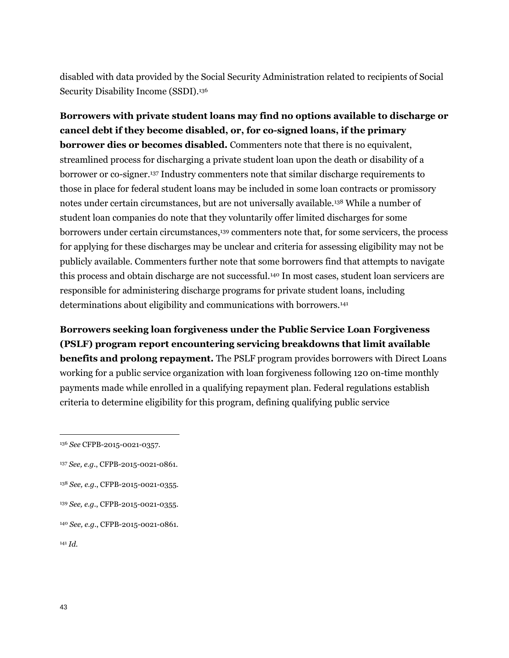disabled with data provided by the Social Security Administration related to recipients of Social Security Disability Income (SSDI).<sup>136</sup>

**Borrowers with private student loans may find no options available to discharge or cancel debt if they become disabled, or, for co-signed loans, if the primary borrower dies or becomes disabled.** Commenters note that there is no equivalent, streamlined process for discharging a private student loan upon the death or disability of a borrower or co-signer.<sup>137</sup> Industry commenters note that similar discharge requirements to those in place for federal student loans may be included in some loan contracts or promissory notes under certain circumstances, but are not universally available.<sup>138</sup> While a number of student loan companies do note that they voluntarily offer limited discharges for some borrowers under certain circumstances,<sup>139</sup> commenters note that, for some servicers, the process for applying for these discharges may be unclear and criteria for assessing eligibility may not be publicly available. Commenters further note that some borrowers find that attempts to navigate this process and obtain discharge are not successful.<sup>140</sup> In most cases, student loan servicers are responsible for administering discharge programs for private student loans, including determinations about eligibility and communications with borrowers.<sup>141</sup>

**Borrowers seeking loan forgiveness under the Public Service Loan Forgiveness (PSLF) program report encountering servicing breakdowns that limit available benefits and prolong repayment.** The PSLF program provides borrowers with Direct Loans working for a public service organization with loan forgiveness following 120 on-time monthly payments made while enrolled in a qualifying repayment plan. Federal regulations establish criteria to determine eligibility for this program, defining qualifying public service

- <sup>138</sup> *See, e.g.*, CFPB-2015-0021-0355.
- <sup>139</sup> *See, e.g.*, CFPB-2015-0021-0355.
- <sup>140</sup> *See, e.g.*, CFPB-2015-0021-0861.
- <sup>141</sup> *Id.*

<sup>136</sup> *See* CFPB-2015-0021-0357.

<sup>137</sup> *See, e.g.*, CFPB-2015-0021-0861.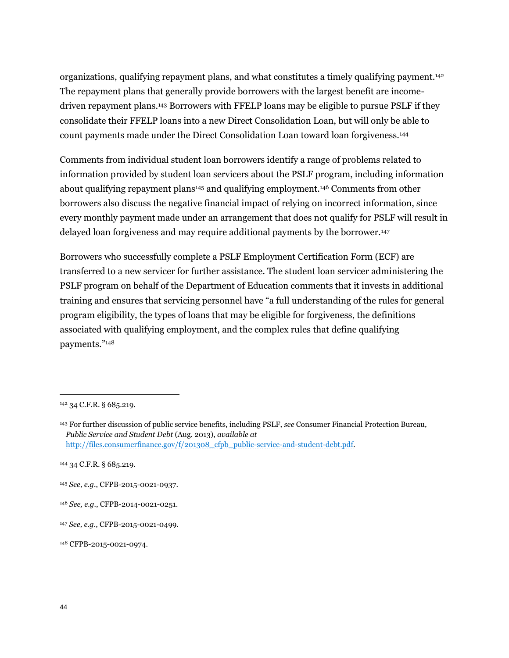organizations, qualifying repayment plans, and what constitutes a timely qualifying payment.<sup>142</sup> The repayment plans that generally provide borrowers with the largest benefit are incomedriven repayment plans.<sup>143</sup> Borrowers with FFELP loans may be eligible to pursue PSLF if they consolidate their FFELP loans into a new Direct Consolidation Loan, but will only be able to count payments made under the Direct Consolidation Loan toward loan forgiveness.<sup>144</sup>

Comments from individual student loan borrowers identify a range of problems related to information provided by student loan servicers about the PSLF program, including information about qualifying repayment plans<sup>145</sup> and qualifying employment.<sup>146</sup> Comments from other borrowers also discuss the negative financial impact of relying on incorrect information, since every monthly payment made under an arrangement that does not qualify for PSLF will result in delayed loan forgiveness and may require additional payments by the borrower.<sup>147</sup>

Borrowers who successfully complete a PSLF Employment Certification Form (ECF) are transferred to a new servicer for further assistance. The student loan servicer administering the PSLF program on behalf of the Department of Education comments that it invests in additional training and ensures that servicing personnel have "a full understanding of the rules for general program eligibility, the types of loans that may be eligible for forgiveness, the definitions associated with qualifying employment, and the complex rules that define qualifying payments."<sup>148</sup>

<sup>142</sup> 34 C.F.R. § 685.219.

<sup>143</sup> For further discussion of public service benefits, including PSLF, *see* Consumer Financial Protection Bureau, *Public Service and Student Debt* (Aug. 2013), *available at* [http://files.consumerfinance.gov/f/201308\\_cfpb\\_public-service-and-student-debt.pdf.](http://files.consumerfinance.gov/f/201308_cfpb_public-service-and-student-debt.pdf)

<sup>144</sup> 34 C.F.R. § 685.219.

<sup>145</sup> *See, e.g.*, CFPB-2015-0021-0937.

<sup>146</sup> *See, e.g.*, CFPB-2014-0021-0251.

<sup>147</sup> *See, e.g.*, CFPB-2015-0021-0499.

<sup>148</sup> CFPB-2015-0021-0974.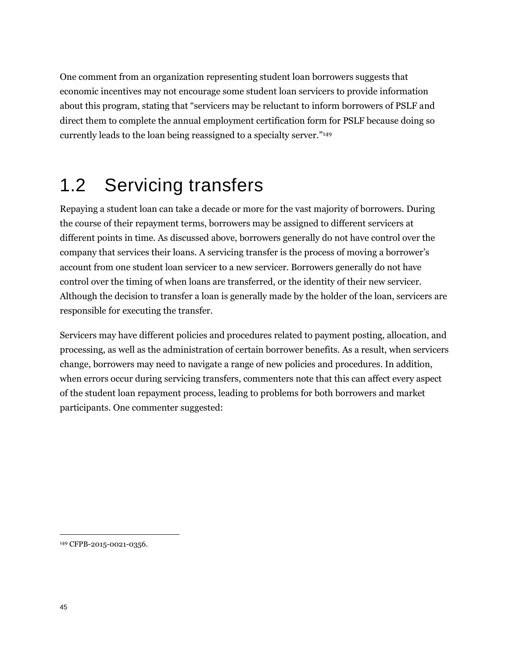One comment from an organization representing student loan borrowers suggests that economic incentives may not encourage some student loan servicers to provide information about this program, stating that "servicers may be reluctant to inform borrowers of PSLF and direct them to complete the annual employment certification form for PSLF because doing so currently leads to the loan being reassigned to a specialty server."<sup>149</sup>

# 1.2 Servicing transfers

Repaying a student loan can take a decade or more for the vast majority of borrowers. During the course of their repayment terms, borrowers may be assigned to different servicers at different points in time. As discussed above, borrowers generally do not have control over the company that services their loans. A servicing transfer is the process of moving a borrower's account from one student loan servicer to a new servicer. Borrowers generally do not have control over the timing of when loans are transferred, or the identity of their new servicer. Although the decision to transfer a loan is generally made by the holder of the loan, servicers are responsible for executing the transfer.

Servicers may have different policies and procedures related to payment posting, allocation, and processing, as well as the administration of certain borrower benefits. As a result, when servicers change, borrowers may need to navigate a range of new policies and procedures. In addition, when errors occur during servicing transfers, commenters note that this can affect every aspect of the student loan repayment process, leading to problems for both borrowers and market participants. One commenter suggested:

<sup>149</sup> CFPB-2015-0021-0356.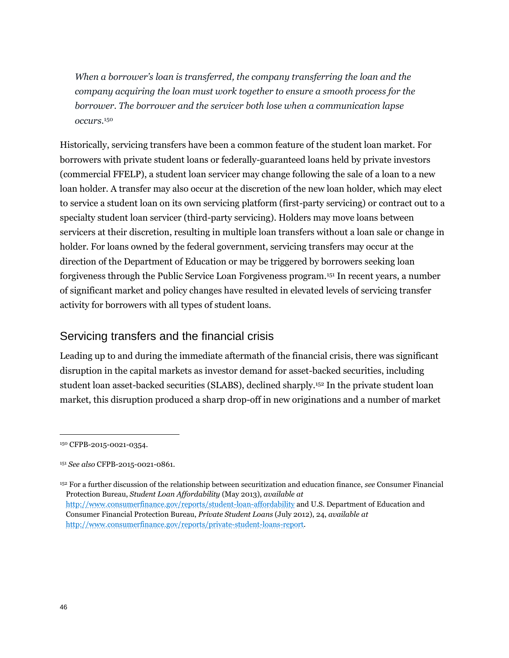*When a borrower's loan is transferred, the company transferring the loan and the company acquiring the loan must work together to ensure a smooth process for the borrower. The borrower and the servicer both lose when a communication lapse occurs.*<sup>150</sup>

Historically, servicing transfers have been a common feature of the student loan market. For borrowers with private student loans or federally-guaranteed loans held by private investors (commercial FFELP), a student loan servicer may change following the sale of a loan to a new loan holder. A transfer may also occur at the discretion of the new loan holder, which may elect to service a student loan on its own servicing platform (first-party servicing) or contract out to a specialty student loan servicer (third-party servicing). Holders may move loans between servicers at their discretion, resulting in multiple loan transfers without a loan sale or change in holder. For loans owned by the federal government, servicing transfers may occur at the direction of the Department of Education or may be triggered by borrowers seeking loan forgiveness through the Public Service Loan Forgiveness program.<sup>151</sup> In recent years, a number of significant market and policy changes have resulted in elevated levels of servicing transfer activity for borrowers with all types of student loans.

## Servicing transfers and the financial crisis

Leading up to and during the immediate aftermath of the financial crisis, there was significant disruption in the capital markets as investor demand for asset-backed securities, including student loan asset-backed securities (SLABS), declined sharply.<sup>152</sup> In the private student loan market, this disruption produced a sharp drop-off in new originations and a number of market

<sup>150</sup> CFPB-2015-0021-0354.

<sup>151</sup> *See also* CFPB-2015-0021-0861.

<sup>152</sup> For a further discussion of the relationship between securitization and education finance, *see* Consumer Financial Protection Bureau, *Student Loan Affordability* (May 2013), *available at* <http://www.consumerfinance.gov/reports/student-loan-affordability> and U.S. Department of Education and Consumer Financial Protection Bureau, *Private Student Loans* (July 2012), 24, *available at* [http://www.consumerfinance.gov/reports/private-student-loans-report.](http://www.consumerfinance.gov/reports/private-student-loans-report)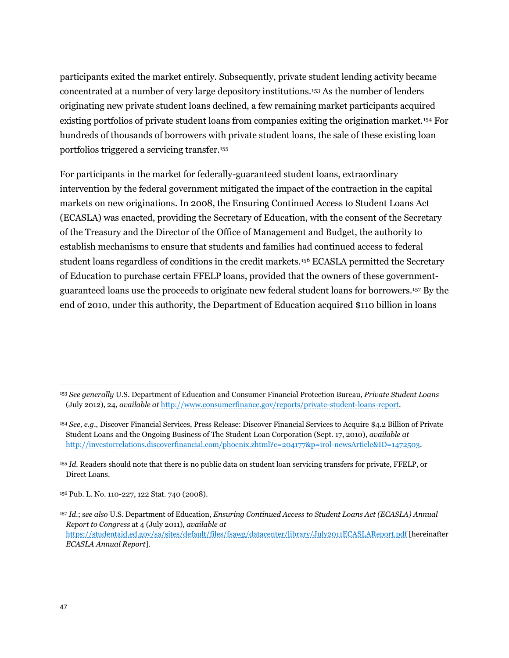participants exited the market entirely. Subsequently, private student lending activity became concentrated at a number of very large depository institutions.<sup>153</sup> As the number of lenders originating new private student loans declined, a few remaining market participants acquired existing portfolios of private student loans from companies exiting the origination market.<sup>154</sup> For hundreds of thousands of borrowers with private student loans, the sale of these existing loan portfolios triggered a servicing transfer.<sup>155</sup>

For participants in the market for federally-guaranteed student loans, extraordinary intervention by the federal government mitigated the impact of the contraction in the capital markets on new originations. In 2008, the Ensuring Continued Access to Student Loans Act (ECASLA) was enacted, providing the Secretary of Education, with the consent of the Secretary of the Treasury and the Director of the Office of Management and Budget, the authority to establish mechanisms to ensure that students and families had continued access to federal student loans regardless of conditions in the credit markets.<sup>156</sup> ECASLA permitted the Secretary of Education to purchase certain FFELP loans, provided that the owners of these governmentguaranteed loans use the proceeds to originate new federal student loans for borrowers.<sup>157</sup> By the end of 2010, under this authority, the Department of Education acquired \$110 billion in loans

<sup>153</sup> *See generally* U.S. Department of Education and Consumer Financial Protection Bureau, *Private Student Loans* (July 2012), 24, *available at* [http://www.consumerfinance.gov/reports/private-student-loans-report.](http://www.consumerfinance.gov/reports/private-student-loans-report)

<sup>154</sup> *See, e.g*., Discover Financial Services, Press Release: Discover Financial Services to Acquire \$4.2 Billion of Private Student Loans and the Ongoing Business of The Student Loan Corporation (Sept. 17, 2010), *available at* [http://investorrelations.discoverfinancial.com/phoenix.zhtml?c=204177&p=irol-newsArticle&ID=1472503.](http://investorrelations.discoverfinancial.com/phoenix.zhtml?c=204177&p=irol-newsArticle&ID=1472503) 

<sup>155</sup> *Id.* Readers should note that there is no public data on student loan servicing transfers for private, FFELP, or Direct Loans.

<sup>156</sup> Pub. L. No. 110-227, 122 Stat. 740 (2008).

<sup>157</sup> *Id*.; s*ee also* U.S. Department of Education, *Ensuring Continued Access to Student Loans Act (ECASLA) Annual Report to Congress* at 4 (July 2011), *available at* <https://studentaid.ed.gov/sa/sites/default/files/fsawg/datacenter/library/July2011ECASLAReport.pdf> [hereinafter *ECASLA Annual Report*].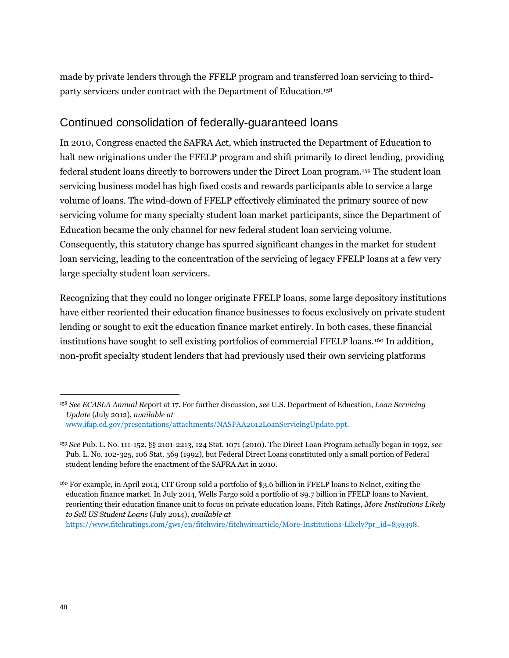made by private lenders through the FFELP program and transferred loan servicing to thirdparty servicers under contract with the Department of Education.<sup>158</sup>

## Continued consolidation of federally-guaranteed loans

In 2010, Congress enacted the SAFRA Act, which instructed the Department of Education to halt new originations under the FFELP program and shift primarily to direct lending, providing federal student loans directly to borrowers under the Direct Loan program.<sup>159</sup> The student loan servicing business model has high fixed costs and rewards participants able to service a large volume of loans. The wind-down of FFELP effectively eliminated the primary source of new servicing volume for many specialty student loan market participants, since the Department of Education became the only channel for new federal student loan servicing volume. Consequently, this statutory change has spurred significant changes in the market for student loan servicing, leading to the concentration of the servicing of legacy FFELP loans at a few very large specialty student loan servicers.

Recognizing that they could no longer originate FFELP loans, some large depository institutions have either reoriented their education finance businesses to focus exclusively on private student lending or sought to exit the education finance market entirely. In both cases, these financial institutions have sought to sell existing portfolios of commercial FFELP loans.<sup>160</sup> In addition, non-profit specialty student lenders that had previously used their own servicing platforms

[https://www.fitchratings.com/gws/en/fitchwire/fitchwirearticle/More-Institutions-Likely?pr\\_id=839398.](https://www.fitchratings.com/gws/en/fitchwire/fitchwirearticle/More-Institutions-Likely?pr_id=839398)

<sup>158</sup> *See ECASLA Annual Re*port at 17. For further discussion, *see* U.S. Department of Education, *Loan Servicing Update* (July 2012), *available at* [www.ifap.ed.gov/presentations/attachments/NASFAA2012LoanServicingUpdate.ppt.](file:///C:/Users/latreilleb/AppData/Local/Microsoft/Windows/Temporary%20Internet%20Files/AppData/Local/Microsoft/Windows/Temporary%20Internet%20Files/Content.Outlook/AppData/Local/Microsoft/Windows/Temporary%20Internet%20Files/AppData/Local/Microsoft/Windows/Temporary%20Internet%20Files/Content.Outlook/DBTWQR87/www.ifap.ed.gov/presentations/attachments/NASFAA2012LoanServicingUpdate.ppt.)

<sup>159</sup> *See* Pub. L. No. 111-152, §§ 2101-2213, 124 Stat. 1071 (2010). The Direct Loan Program actually began in 1992, *see* Pub. L. No. 102-325, 106 Stat. 569 (1992), but Federal Direct Loans constituted only a small portion of Federal student lending before the enactment of the SAFRA Act in 2010.

<sup>160</sup> For example, in April 2014, CIT Group sold a portfolio of \$3.6 billion in FFELP loans to Nelnet, exiting the education finance market. In July 2014, Wells Fargo sold a portfolio of \$9.7 billion in FFELP loans to Navient, reorienting their education finance unit to focus on private education loans. Fitch Ratings, *More Institutions Likely to Sell US Student Loans* (July 2014), *available at*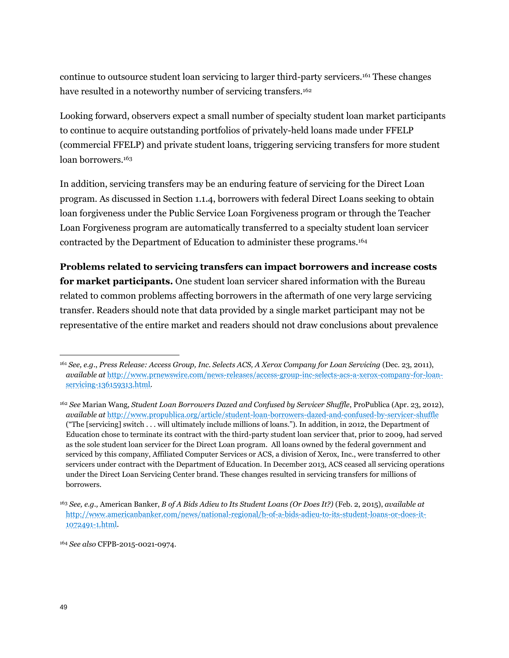continue to outsource student loan servicing to larger third-party servicers.<sup>161</sup> These changes have resulted in a noteworthy number of servicing transfers.<sup>162</sup>

Looking forward, observers expect a small number of specialty student loan market participants to continue to acquire outstanding portfolios of privately-held loans made under FFELP (commercial FFELP) and private student loans, triggering servicing transfers for more student loan borrowers.<sup>163</sup>

In addition, servicing transfers may be an enduring feature of servicing for the Direct Loan program. As discussed in Section 1.1.4, borrowers with federal Direct Loans seeking to obtain loan forgiveness under the Public Service Loan Forgiveness program or through the Teacher Loan Forgiveness program are automatically transferred to a specialty student loan servicer contracted by the Department of Education to administer these programs.<sup>164</sup>

**Problems related to servicing transfers can impact borrowers and increase costs for market participants.** One student loan servicer shared information with the Bureau related to common problems affecting borrowers in the aftermath of one very large servicing transfer. Readers should note that data provided by a single market participant may not be representative of the entire market and readers should not draw conclusions about prevalence

<sup>164</sup> *See also* CFPB-2015-0021-0974.

<sup>161</sup> *See, e.g.*, *Press Release: Access Group, Inc. Selects ACS, A Xerox Company for Loan Servicing* (Dec. 23, 2011), *available at* [http://www.prnewswire.com/news-releases/access-group-inc-selects-acs-a-xerox-company-for-loan](http://www.prnewswire.com/news-releases/access-group-inc-selects-acs-a-xerox-company-for-loan-servicing-136159313.html)[servicing-136159313.html.](http://www.prnewswire.com/news-releases/access-group-inc-selects-acs-a-xerox-company-for-loan-servicing-136159313.html)

<sup>162</sup> *See* Marian Wang, *Student Loan Borrowers Dazed and Confused by Servicer Shuffle*, ProPublica (Apr. 23, 2012), *available at* <http://www.propublica.org/article/student-loan-borrowers-dazed-and-confused-by-servicer-shuffle> ("The [servicing] switch . . . will ultimately include millions of loans."). In addition, in 2012, the Department of Education chose to terminate its contract with the third-party student loan servicer that, prior to 2009, had served as the sole student loan servicer for the Direct Loan program. All loans owned by the federal government and serviced by this company, Affiliated Computer Services or ACS, a division of Xerox, Inc., were transferred to other servicers under contract with the Department of Education. In December 2013, ACS ceased all servicing operations under the Direct Loan Servicing Center brand. These changes resulted in servicing transfers for millions of borrowers.

<sup>163</sup> *See, e.g.,* American Banker, *B of A Bids Adieu to Its Student Loans (Or Does It?)* (Feb. 2, 2015), *available at* [http://www.americanbanker.com/news/national-regional/b-of-a-bids-adieu-to-its-student-loans-or-does-it-](http://www.americanbanker.com/news/national-regional/b-of-a-bids-adieu-to-its-student-loans-or-does-it-1072491-1.html)[1072491-1.html.](http://www.americanbanker.com/news/national-regional/b-of-a-bids-adieu-to-its-student-loans-or-does-it-1072491-1.html)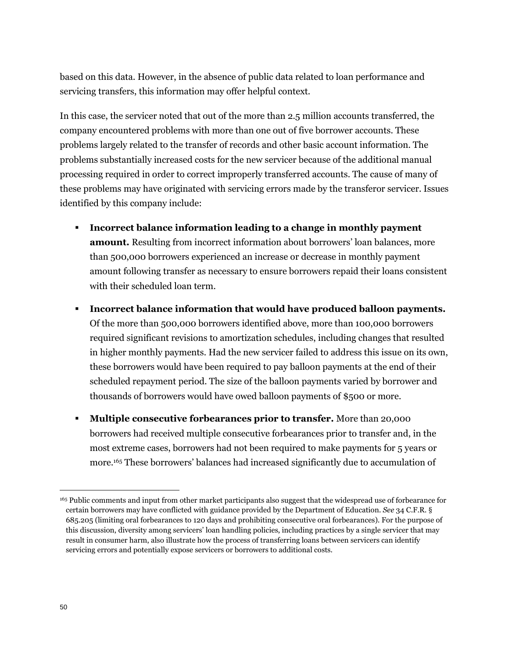based on this data. However, in the absence of public data related to loan performance and servicing transfers, this information may offer helpful context.

In this case, the servicer noted that out of the more than 2.5 million accounts transferred, the company encountered problems with more than one out of five borrower accounts. These problems largely related to the transfer of records and other basic account information. The problems substantially increased costs for the new servicer because of the additional manual processing required in order to correct improperly transferred accounts. The cause of many of these problems may have originated with servicing errors made by the transferor servicer. Issues identified by this company include:

- **Incorrect balance information leading to a change in monthly payment amount.** Resulting from incorrect information about borrowers' loan balances, more than 500,000 borrowers experienced an increase or decrease in monthly payment amount following transfer as necessary to ensure borrowers repaid their loans consistent with their scheduled loan term.
- **Incorrect balance information that would have produced balloon payments.**  Of the more than 500,000 borrowers identified above, more than 100,000 borrowers required significant revisions to amortization schedules, including changes that resulted in higher monthly payments. Had the new servicer failed to address this issue on its own, these borrowers would have been required to pay balloon payments at the end of their scheduled repayment period. The size of the balloon payments varied by borrower and thousands of borrowers would have owed balloon payments of \$500 or more.
- **Multiple consecutive forbearances prior to transfer.** More than 20,000 borrowers had received multiple consecutive forbearances prior to transfer and, in the most extreme cases, borrowers had not been required to make payments for 5 years or more.<sup>165</sup> These borrowers' balances had increased significantly due to accumulation of

<sup>165</sup> Public comments and input from other market participants also suggest that the widespread use of forbearance for certain borrowers may have conflicted with guidance provided by the Department of Education. *See* 34 C.F.R. § 685.205 (limiting oral forbearances to 120 days and prohibiting consecutive oral forbearances). For the purpose of this discussion, diversity among servicers' loan handling policies, including practices by a single servicer that may result in consumer harm, also illustrate how the process of transferring loans between servicers can identify servicing errors and potentially expose servicers or borrowers to additional costs.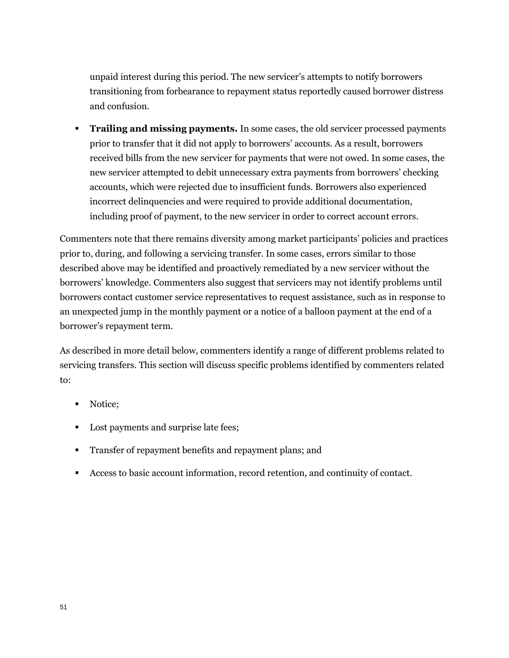unpaid interest during this period. The new servicer's attempts to notify borrowers transitioning from forbearance to repayment status reportedly caused borrower distress and confusion.

**Trailing and missing payments.** In some cases, the old servicer processed payments prior to transfer that it did not apply to borrowers' accounts. As a result, borrowers received bills from the new servicer for payments that were not owed. In some cases, the new servicer attempted to debit unnecessary extra payments from borrowers' checking accounts, which were rejected due to insufficient funds. Borrowers also experienced incorrect delinquencies and were required to provide additional documentation, including proof of payment, to the new servicer in order to correct account errors.

Commenters note that there remains diversity among market participants' policies and practices prior to, during, and following a servicing transfer. In some cases, errors similar to those described above may be identified and proactively remediated by a new servicer without the borrowers' knowledge. Commenters also suggest that servicers may not identify problems until borrowers contact customer service representatives to request assistance, such as in response to an unexpected jump in the monthly payment or a notice of a balloon payment at the end of a borrower's repayment term.

As described in more detail below, commenters identify a range of different problems related to servicing transfers. This section will discuss specific problems identified by commenters related to:

- Notice;
- Lost payments and surprise late fees;
- **Transfer of repayment benefits and repayment plans; and**
- Access to basic account information, record retention, and continuity of contact.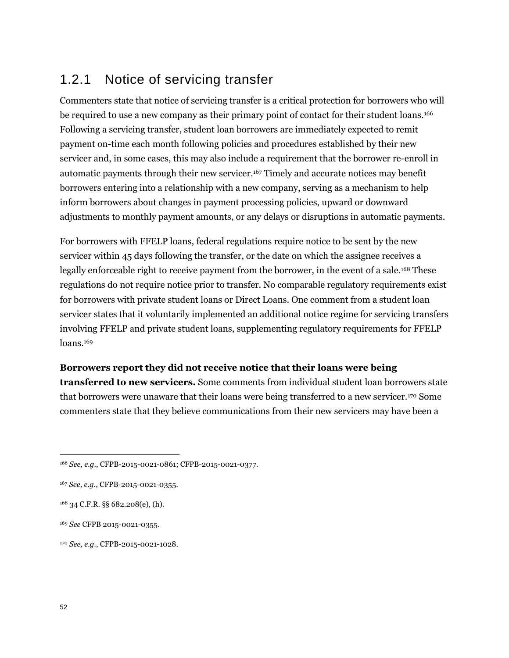# 1.2.1 Notice of servicing transfer

Commenters state that notice of servicing transfer is a critical protection for borrowers who will be required to use a new company as their primary point of contact for their student loans.<sup>166</sup> Following a servicing transfer, student loan borrowers are immediately expected to remit payment on-time each month following policies and procedures established by their new servicer and, in some cases, this may also include a requirement that the borrower re-enroll in automatic payments through their new servicer.<sup>167</sup> Timely and accurate notices may benefit borrowers entering into a relationship with a new company, serving as a mechanism to help inform borrowers about changes in payment processing policies, upward or downward adjustments to monthly payment amounts, or any delays or disruptions in automatic payments.

For borrowers with FFELP loans, federal regulations require notice to be sent by the new servicer within 45 days following the transfer, or the date on which the assignee receives a legally enforceable right to receive payment from the borrower, in the event of a sale.<sup>168</sup> These regulations do not require notice prior to transfer. No comparable regulatory requirements exist for borrowers with private student loans or Direct Loans. One comment from a student loan servicer states that it voluntarily implemented an additional notice regime for servicing transfers involving FFELP and private student loans, supplementing regulatory requirements for FFELP loans.<sup>169</sup>

#### **Borrowers report they did not receive notice that their loans were being**

**transferred to new servicers.** Some comments from individual student loan borrowers state that borrowers were unaware that their loans were being transferred to a new servicer.<sup>170</sup> Some commenters state that they believe communications from their new servicers may have been a

<sup>170</sup> *See, e.g.*, CFPB-2015-0021-1028.

<sup>166</sup> *See, e.g.*, CFPB-2015-0021-0861; CFPB-2015-0021-0377.

<sup>167</sup> *See, e.g.*, CFPB-2015-0021-0355.

<sup>168</sup> 34 C.F.R. §§ 682.208(e), (h).

<sup>169</sup> *See* CFPB 2015-0021-0355.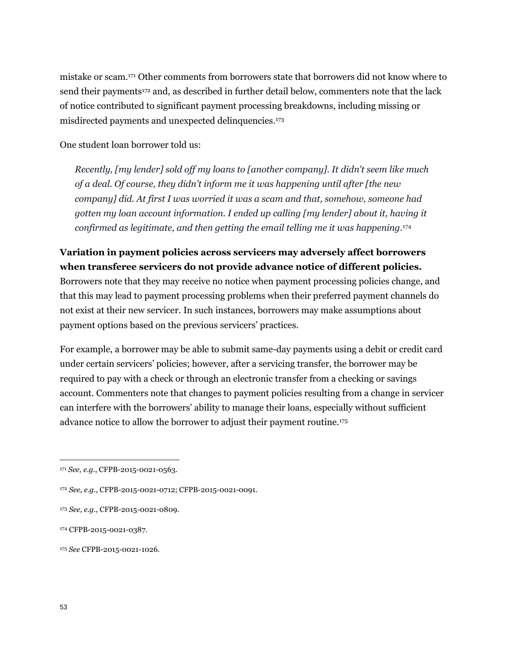mistake or scam.<sup>171</sup> Other comments from borrowers state that borrowers did not know where to send their payments<sup>172</sup> and, as described in further detail below, commenters note that the lack of notice contributed to significant payment processing breakdowns, including missing or misdirected payments and unexpected delinquencies.<sup>173</sup>

One student loan borrower told us:

*Recently, [my lender] sold off my loans to [another company]. It didn't seem like much of a deal. Of course, they didn't inform me it was happening until after [the new company] did. At first I was worried it was a scam and that, somehow, someone had gotten my loan account information. I ended up calling [my lender] about it, having it confirmed as legitimate, and then getting the email telling me it was happening.*<sup>174</sup>

## **Variation in payment policies across servicers may adversely affect borrowers when transferee servicers do not provide advance notice of different policies.**

Borrowers note that they may receive no notice when payment processing policies change, and that this may lead to payment processing problems when their preferred payment channels do not exist at their new servicer. In such instances, borrowers may make assumptions about payment options based on the previous servicers' practices.

For example, a borrower may be able to submit same-day payments using a debit or credit card under certain servicers' policies; however, after a servicing transfer, the borrower may be required to pay with a check or through an electronic transfer from a checking or savings account. Commenters note that changes to payment policies resulting from a change in servicer can interfere with the borrowers' ability to manage their loans, especially without sufficient advance notice to allow the borrower to adjust their payment routine.<sup>175</sup>

<sup>171</sup> *See, e.g.*, CFPB-2015-0021-0563.

<sup>172</sup> *See, e.g.*, CFPB-2015-0021-0712; CFPB-2015-0021-0091.

<sup>173</sup> *See, e.g.*, CFPB-2015-0021-0809.

<sup>174</sup> CFPB-2015-0021-0387.

<sup>175</sup> *See* CFPB-2015-0021-1026.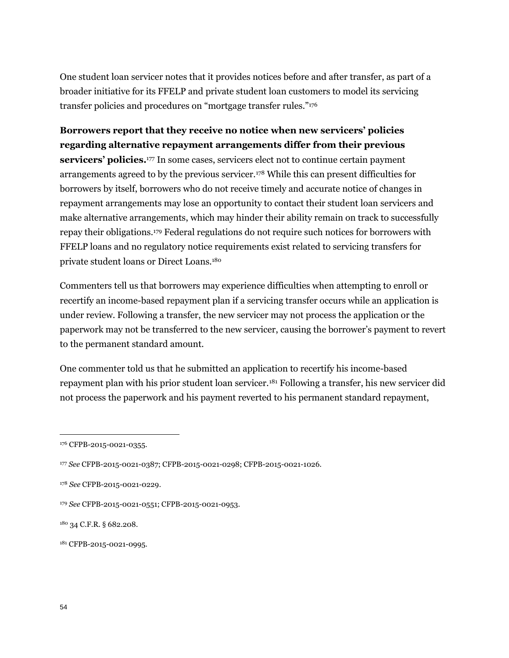One student loan servicer notes that it provides notices before and after transfer, as part of a broader initiative for its FFELP and private student loan customers to model its servicing transfer policies and procedures on "mortgage transfer rules."<sup>176</sup>

**Borrowers report that they receive no notice when new servicers' policies regarding alternative repayment arrangements differ from their previous servicers' policies.**<sup>177</sup> In some cases, servicers elect not to continue certain payment arrangements agreed to by the previous servicer.<sup>178</sup> While this can present difficulties for borrowers by itself, borrowers who do not receive timely and accurate notice of changes in repayment arrangements may lose an opportunity to contact their student loan servicers and make alternative arrangements, which may hinder their ability remain on track to successfully repay their obligations.<sup>179</sup> Federal regulations do not require such notices for borrowers with FFELP loans and no regulatory notice requirements exist related to servicing transfers for private student loans or Direct Loans.<sup>180</sup>

Commenters tell us that borrowers may experience difficulties when attempting to enroll or recertify an income-based repayment plan if a servicing transfer occurs while an application is under review. Following a transfer, the new servicer may not process the application or the paperwork may not be transferred to the new servicer, causing the borrower's payment to revert to the permanent standard amount.

One commenter told us that he submitted an application to recertify his income-based repayment plan with his prior student loan servicer.<sup>181</sup> Following a transfer, his new servicer did not process the paperwork and his payment reverted to his permanent standard repayment,

<sup>176</sup> CFPB-2015-0021-0355.

<sup>177</sup> *See* CFPB-2015-0021-0387; CFPB-2015-0021-0298; CFPB-2015-0021-1026.

<sup>178</sup> *See* CFPB-2015-0021-0229.

<sup>179</sup> *See* CFPB-2015-0021-0551; CFPB-2015-0021-0953.

<sup>180</sup> 34 C.F.R. § 682.208.

<sup>181</sup> CFPB-2015-0021-0995.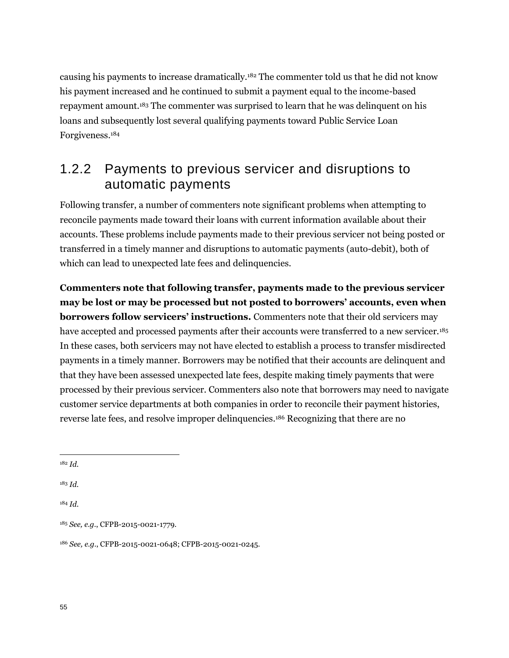causing his payments to increase dramatically.<sup>182</sup> The commenter told us that he did not know his payment increased and he continued to submit a payment equal to the income-based repayment amount.<sup>183</sup> The commenter was surprised to learn that he was delinquent on his loans and subsequently lost several qualifying payments toward Public Service Loan Forgiveness.<sup>184</sup>

# 1.2.2 Payments to previous servicer and disruptions to automatic payments

Following transfer, a number of commenters note significant problems when attempting to reconcile payments made toward their loans with current information available about their accounts. These problems include payments made to their previous servicer not being posted or transferred in a timely manner and disruptions to automatic payments (auto-debit), both of which can lead to unexpected late fees and delinquencies.

**Commenters note that following transfer, payments made to the previous servicer may be lost or may be processed but not posted to borrowers' accounts, even when borrowers follow servicers' instructions.** Commenters note that their old servicers may have accepted and processed payments after their accounts were transferred to a new servicer.<sup>185</sup> In these cases, both servicers may not have elected to establish a process to transfer misdirected payments in a timely manner. Borrowers may be notified that their accounts are delinquent and that they have been assessed unexpected late fees, despite making timely payments that were processed by their previous servicer. Commenters also note that borrowers may need to navigate customer service departments at both companies in order to reconcile their payment histories, reverse late fees, and resolve improper delinquencies.<sup>186</sup> Recognizing that there are no

 $\overline{a}$ 

<sup>183</sup> *Id.*

<sup>184</sup> *Id*.

<sup>182</sup> *Id.*

<sup>185</sup> *See, e.g.*, CFPB-2015-0021-1779.

<sup>186</sup> *See, e.g.*, CFPB-2015-0021-0648; CFPB-2015-0021-0245.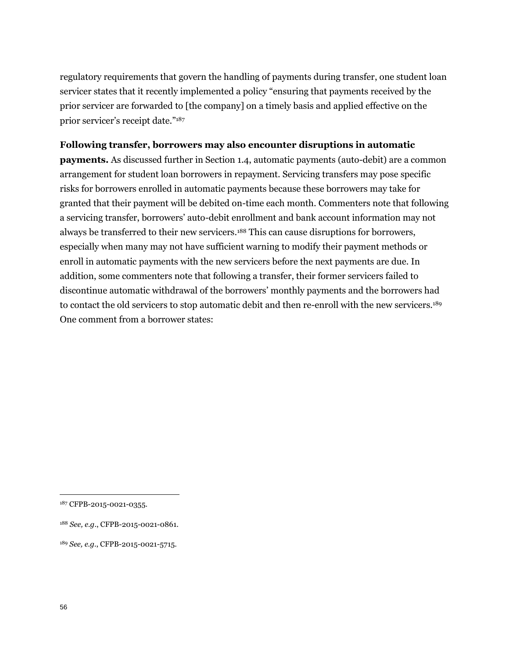regulatory requirements that govern the handling of payments during transfer, one student loan servicer states that it recently implemented a policy "ensuring that payments received by the prior servicer are forwarded to [the company] on a timely basis and applied effective on the prior servicer's receipt date."<sup>187</sup>

#### **Following transfer, borrowers may also encounter disruptions in automatic**

**payments.** As discussed further in Section 1.4, automatic payments (auto-debit) are a common arrangement for student loan borrowers in repayment. Servicing transfers may pose specific risks for borrowers enrolled in automatic payments because these borrowers may take for granted that their payment will be debited on-time each month. Commenters note that following a servicing transfer, borrowers' auto-debit enrollment and bank account information may not always be transferred to their new servicers.<sup>188</sup> This can cause disruptions for borrowers, especially when many may not have sufficient warning to modify their payment methods or enroll in automatic payments with the new servicers before the next payments are due. In addition, some commenters note that following a transfer, their former servicers failed to discontinue automatic withdrawal of the borrowers' monthly payments and the borrowers had to contact the old servicers to stop automatic debit and then re-enroll with the new servicers.<sup>189</sup> One comment from a borrower states:

- <sup>188</sup> *See, e.g.*, CFPB-2015-0021-0861.
- <sup>189</sup> *See, e.g.*, CFPB-2015-0021-5715.

<sup>187</sup> CFPB-2015-0021-0355.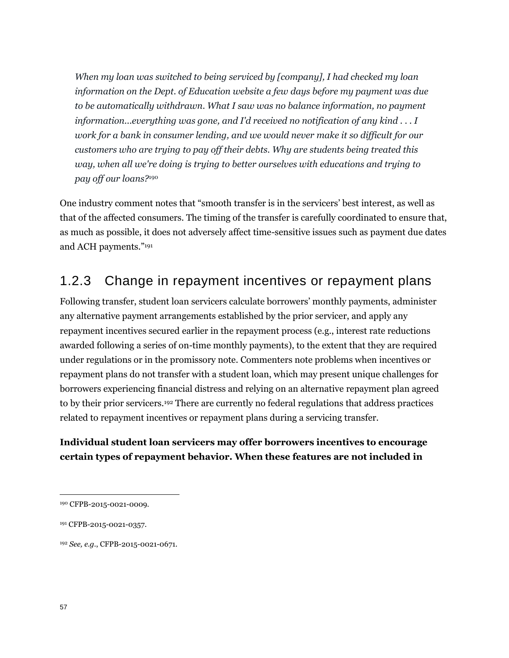*When my loan was switched to being serviced by [company], I had checked my loan information on the Dept. of Education website a few days before my payment was due to be automatically withdrawn. What I saw was no balance information, no payment information...everything was gone, and I'd received no notification of any kind . . . I work for a bank in consumer lending, and we would never make it so difficult for our customers who are trying to pay off their debts. Why are students being treated this way, when all we're doing is trying to better ourselves with educations and trying to pay off our loans?*<sup>190</sup>

One industry comment notes that "smooth transfer is in the servicers' best interest, as well as that of the affected consumers. The timing of the transfer is carefully coordinated to ensure that, as much as possible, it does not adversely affect time-sensitive issues such as payment due dates and ACH payments."<sup>191</sup>

# 1.2.3 Change in repayment incentives or repayment plans

Following transfer, student loan servicers calculate borrowers' monthly payments, administer any alternative payment arrangements established by the prior servicer, and apply any repayment incentives secured earlier in the repayment process (e.g., interest rate reductions awarded following a series of on-time monthly payments), to the extent that they are required under regulations or in the promissory note. Commenters note problems when incentives or repayment plans do not transfer with a student loan, which may present unique challenges for borrowers experiencing financial distress and relying on an alternative repayment plan agreed to by their prior servicers.<sup>192</sup> There are currently no federal regulations that address practices related to repayment incentives or repayment plans during a servicing transfer.

## **Individual student loan servicers may offer borrowers incentives to encourage certain types of repayment behavior. When these features are not included in**

<sup>190</sup> CFPB-2015-0021-0009.

<sup>191</sup> CFPB-2015-0021-0357.

<sup>192</sup> *See, e.g.*, CFPB-2015-0021-0671.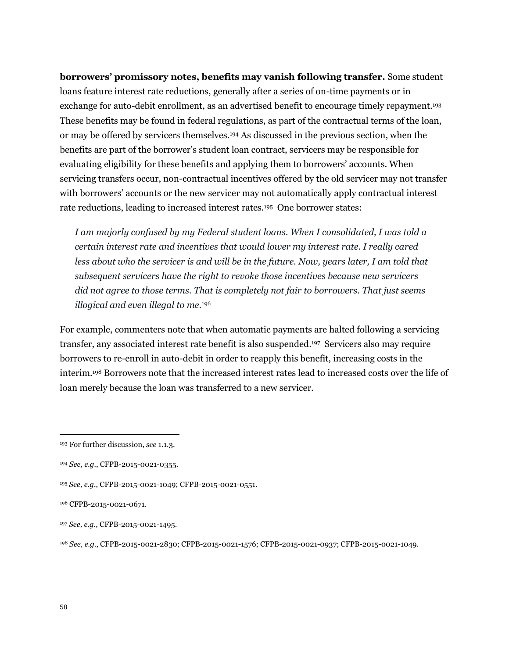**borrowers' promissory notes, benefits may vanish following transfer.** Some student loans feature interest rate reductions, generally after a series of on-time payments or in exchange for auto-debit enrollment, as an advertised benefit to encourage timely repayment.<sup>193</sup> These benefits may be found in federal regulations, as part of the contractual terms of the loan, or may be offered by servicers themselves.<sup>194</sup> As discussed in the previous section, when the benefits are part of the borrower's student loan contract, servicers may be responsible for evaluating eligibility for these benefits and applying them to borrowers' accounts. When servicing transfers occur, non-contractual incentives offered by the old servicer may not transfer with borrowers' accounts or the new servicer may not automatically apply contractual interest rate reductions, leading to increased interest rates.<sup>195</sup> One borrower states:

*I am majorly confused by my Federal student loans. When I consolidated, I was told a certain interest rate and incentives that would lower my interest rate. I really cared*  less about who the servicer is and will be in the future. Now, years later, I am told that *subsequent servicers have the right to revoke those incentives because new servicers did not agree to those terms. That is completely not fair to borrowers. That just seems illogical and even illegal to me.*<sup>196</sup>

For example, commenters note that when automatic payments are halted following a servicing transfer, any associated interest rate benefit is also suspended. <sup>197</sup> Servicers also may require borrowers to re-enroll in auto-debit in order to reapply this benefit, increasing costs in the interim.<sup>198</sup> Borrowers note that the increased interest rates lead to increased costs over the life of loan merely because the loan was transferred to a new servicer.

<sup>193</sup> For further discussion, *see* 1.1.3.

<sup>194</sup> *See, e.g.*, CFPB-2015-0021-0355.

<sup>195</sup> *See, e.g.*, CFPB-2015-0021-1049; CFPB-2015-0021-0551.

<sup>196</sup> CFPB-2015-0021-0671.

<sup>197</sup> *See, e.g.*, CFPB-2015-0021-1495.

<sup>198</sup> *See, e.g.*, CFPB-2015-0021-2830; CFPB-2015-0021-1576; CFPB-2015-0021-0937; CFPB-2015-0021-1049.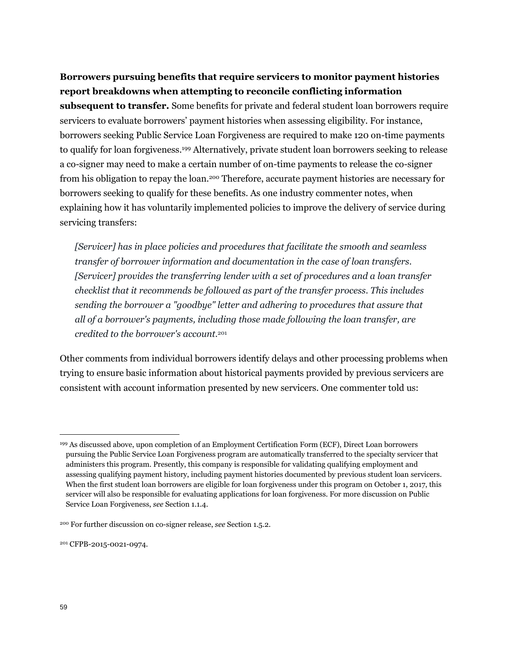### **Borrowers pursuing benefits that require servicers to monitor payment histories report breakdowns when attempting to reconcile conflicting information**

**subsequent to transfer.** Some benefits for private and federal student loan borrowers require servicers to evaluate borrowers' payment histories when assessing eligibility. For instance, borrowers seeking Public Service Loan Forgiveness are required to make 120 on-time payments to qualify for loan forgiveness.<sup>199</sup> Alternatively, private student loan borrowers seeking to release a co-signer may need to make a certain number of on-time payments to release the co-signer from his obligation to repay the loan.<sup>200</sup> Therefore, accurate payment histories are necessary for borrowers seeking to qualify for these benefits. As one industry commenter notes, when explaining how it has voluntarily implemented policies to improve the delivery of service during servicing transfers:

*[Servicer] has in place policies and procedures that facilitate the smooth and seamless transfer of borrower information and documentation in the case of loan transfers. [Servicer] provides the transferring lender with a set of procedures and a loan transfer checklist that it recommends be followed as part of the transfer process. This includes sending the borrower a "goodbye" letter and adhering to procedures that assure that all of a borrower's payments, including those made following the loan transfer, are credited to the borrower's account.*<sup>201</sup>

Other comments from individual borrowers identify delays and other processing problems when trying to ensure basic information about historical payments provided by previous servicers are consistent with account information presented by new servicers. One commenter told us:

<sup>199</sup> As discussed above, upon completion of an Employment Certification Form (ECF), Direct Loan borrowers pursuing the Public Service Loan Forgiveness program are automatically transferred to the specialty servicer that administers this program. Presently, this company is responsible for validating qualifying employment and assessing qualifying payment history, including payment histories documented by previous student loan servicers. When the first student loan borrowers are eligible for loan forgiveness under this program on October 1, 2017, this servicer will also be responsible for evaluating applications for loan forgiveness. For more discussion on Public Service Loan Forgiveness, *see* Section 1.1.4.

<sup>200</sup> For further discussion on co-signer release, *see* Section 1.5.2.

<sup>201</sup> CFPB-2015-0021-0974.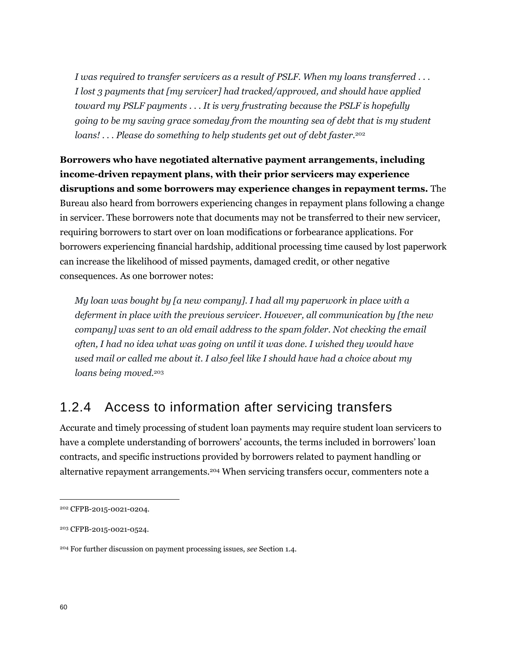*I was required to transfer servicers as a result of PSLF. When my loans transferred . . . I lost 3 payments that [my servicer] had tracked/approved, and should have applied toward my PSLF payments . . . It is very frustrating because the PSLF is hopefully going to be my saving grace someday from the mounting sea of debt that is my student loans! . . . Please do something to help students get out of debt faster.*<sup>202</sup>

**Borrowers who have negotiated alternative payment arrangements, including income-driven repayment plans, with their prior servicers may experience disruptions and some borrowers may experience changes in repayment terms.** The Bureau also heard from borrowers experiencing changes in repayment plans following a change in servicer. These borrowers note that documents may not be transferred to their new servicer, requiring borrowers to start over on loan modifications or forbearance applications. For borrowers experiencing financial hardship, additional processing time caused by lost paperwork can increase the likelihood of missed payments, damaged credit, or other negative consequences. As one borrower notes:

*My loan was bought by [a new company]. I had all my paperwork in place with a deferment in place with the previous servicer. However, all communication by [the new company] was sent to an old email address to the spam folder. Not checking the email often, I had no idea what was going on until it was done. I wished they would have used mail or called me about it. I also feel like I should have had a choice about my loans being moved.*<sup>203</sup>

## 1.2.4 Access to information after servicing transfers

Accurate and timely processing of student loan payments may require student loan servicers to have a complete understanding of borrowers' accounts, the terms included in borrowers' loan contracts, and specific instructions provided by borrowers related to payment handling or alternative repayment arrangements.<sup>204</sup> When servicing transfers occur, commenters note a

<sup>202</sup> CFPB-2015-0021-0204.

<sup>203</sup> CFPB-2015-0021-0524.

<sup>204</sup> For further discussion on payment processing issues, *see* Section 1.4.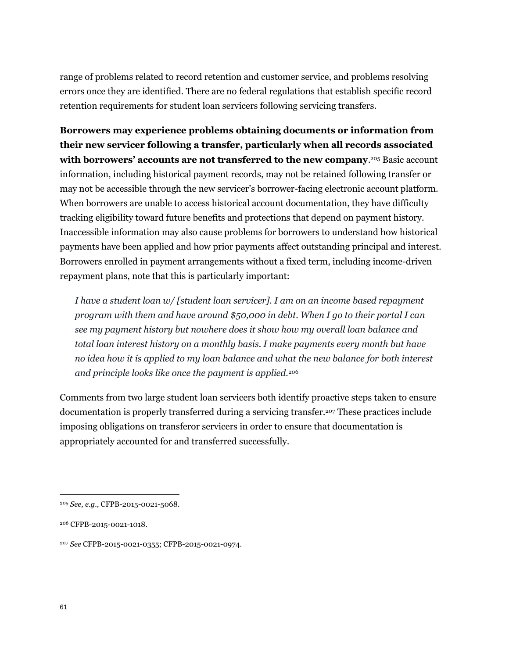range of problems related to record retention and customer service, and problems resolving errors once they are identified. There are no federal regulations that establish specific record retention requirements for student loan servicers following servicing transfers.

**Borrowers may experience problems obtaining documents or information from their new servicer following a transfer, particularly when all records associated**  with borrowers' accounts are not transferred to the new company.<sup>205</sup> Basic account information, including historical payment records, may not be retained following transfer or may not be accessible through the new servicer's borrower-facing electronic account platform. When borrowers are unable to access historical account documentation, they have difficulty tracking eligibility toward future benefits and protections that depend on payment history. Inaccessible information may also cause problems for borrowers to understand how historical payments have been applied and how prior payments affect outstanding principal and interest. Borrowers enrolled in payment arrangements without a fixed term, including income-driven repayment plans, note that this is particularly important:

*I have a student loan w/ [student loan servicer]. I am on an income based repayment program with them and have around \$50,000 in debt. When I go to their portal I can see my payment history but nowhere does it show how my overall loan balance and total loan interest history on a monthly basis. I make payments every month but have no idea how it is applied to my loan balance and what the new balance for both interest and principle looks like once the payment is applied.*<sup>206</sup>

Comments from two large student loan servicers both identify proactive steps taken to ensure documentation is properly transferred during a servicing transfer.<sup>207</sup> These practices include imposing obligations on transferor servicers in order to ensure that documentation is appropriately accounted for and transferred successfully.

<sup>205</sup> *See, e.g.*, CFPB-2015-0021-5068.

<sup>206</sup> CFPB-2015-0021-1018.

<sup>207</sup> *See* CFPB-2015-0021-0355; CFPB-2015-0021-0974.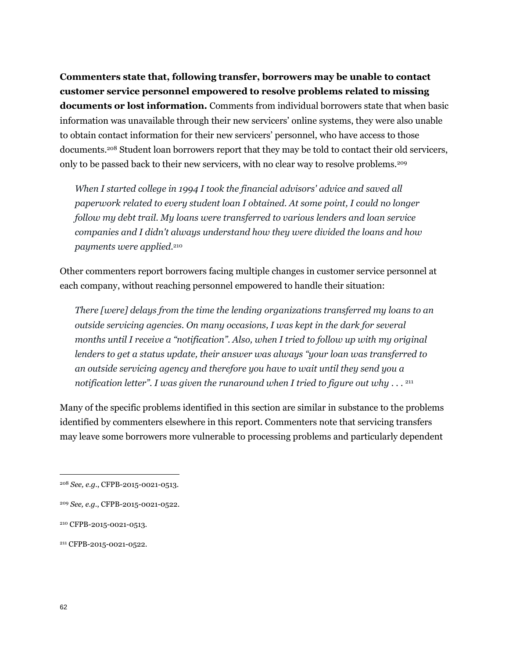**Commenters state that, following transfer, borrowers may be unable to contact customer service personnel empowered to resolve problems related to missing documents or lost information.** Comments from individual borrowers state that when basic information was unavailable through their new servicers' online systems, they were also unable to obtain contact information for their new servicers' personnel, who have access to those documents.<sup>208</sup> Student loan borrowers report that they may be told to contact their old servicers, only to be passed back to their new servicers, with no clear way to resolve problems.<sup>209</sup>

*When I started college in 1994 I took the financial advisors' advice and saved all paperwork related to every student loan I obtained. At some point, I could no longer follow my debt trail. My loans were transferred to various lenders and loan service companies and I didn't always understand how they were divided the loans and how payments were applied.*<sup>210</sup>

Other commenters report borrowers facing multiple changes in customer service personnel at each company, without reaching personnel empowered to handle their situation:

*There [were] delays from the time the lending organizations transferred my loans to an outside servicing agencies. On many occasions, I was kept in the dark for several months until I receive a "notification". Also, when I tried to follow up with my original lenders to get a status update, their answer was always "your loan was transferred to an outside servicing agency and therefore you have to wait until they send you a notification letter". I was given the runaround when I tried to figure out why . . .*  211

Many of the specific problems identified in this section are similar in substance to the problems identified by commenters elsewhere in this report. Commenters note that servicing transfers may leave some borrowers more vulnerable to processing problems and particularly dependent

<sup>208</sup> *See, e.g.*, CFPB-2015-0021-0513.

<sup>209</sup> *See, e.g.*, CFPB-2015-0021-0522.

<sup>210</sup> CFPB-2015-0021-0513.

<sup>211</sup> CFPB-2015-0021-0522.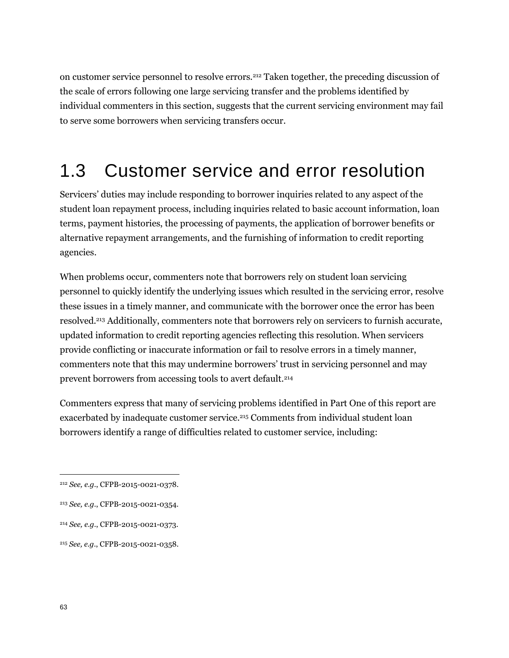on customer service personnel to resolve errors.<sup>212</sup> Taken together, the preceding discussion of the scale of errors following one large servicing transfer and the problems identified by individual commenters in this section, suggests that the current servicing environment may fail to serve some borrowers when servicing transfers occur.

# 1.3 Customer service and error resolution

Servicers' duties may include responding to borrower inquiries related to any aspect of the student loan repayment process, including inquiries related to basic account information, loan terms, payment histories, the processing of payments, the application of borrower benefits or alternative repayment arrangements, and the furnishing of information to credit reporting agencies.

When problems occur, commenters note that borrowers rely on student loan servicing personnel to quickly identify the underlying issues which resulted in the servicing error, resolve these issues in a timely manner, and communicate with the borrower once the error has been resolved.<sup>213</sup> Additionally, commenters note that borrowers rely on servicers to furnish accurate, updated information to credit reporting agencies reflecting this resolution. When servicers provide conflicting or inaccurate information or fail to resolve errors in a timely manner, commenters note that this may undermine borrowers' trust in servicing personnel and may prevent borrowers from accessing tools to avert default.<sup>214</sup>

Commenters express that many of servicing problems identified in Part One of this report are exacerbated by inadequate customer service.<sup>215</sup> Comments from individual student loan borrowers identify a range of difficulties related to customer service, including:

<sup>212</sup> *See, e.g.*, CFPB-2015-0021-0378.

<sup>213</sup> *See, e.g.*, CFPB-2015-0021-0354.

<sup>214</sup> *See, e.g.*, CFPB-2015-0021-0373.

<sup>215</sup> *See, e.g*., CFPB-2015-0021-0358.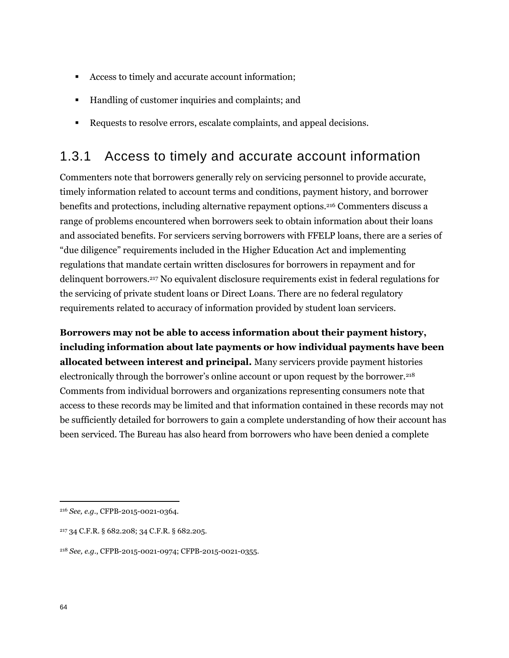- Access to timely and accurate account information;
- Handling of customer inquiries and complaints; and
- Requests to resolve errors, escalate complaints, and appeal decisions.

# 1.3.1 Access to timely and accurate account information

Commenters note that borrowers generally rely on servicing personnel to provide accurate, timely information related to account terms and conditions, payment history, and borrower benefits and protections, including alternative repayment options.<sup>216</sup> Commenters discuss a range of problems encountered when borrowers seek to obtain information about their loans and associated benefits. For servicers serving borrowers with FFELP loans, there are a series of "due diligence" requirements included in the Higher Education Act and implementing regulations that mandate certain written disclosures for borrowers in repayment and for delinquent borrowers.<sup>217</sup> No equivalent disclosure requirements exist in federal regulations for the servicing of private student loans or Direct Loans. There are no federal regulatory requirements related to accuracy of information provided by student loan servicers.

**Borrowers may not be able to access information about their payment history, including information about late payments or how individual payments have been allocated between interest and principal.** Many servicers provide payment histories electronically through the borrower's online account or upon request by the borrower.<sup>218</sup> Comments from individual borrowers and organizations representing consumers note that access to these records may be limited and that information contained in these records may not be sufficiently detailed for borrowers to gain a complete understanding of how their account has been serviced. The Bureau has also heard from borrowers who have been denied a complete

<sup>216</sup> *See, e.g.*, CFPB-2015-0021-0364.

<sup>217</sup> 34 C.F.R. § 682.208; 34 C.F.R. § 682.205.

<sup>218</sup> *See, e.g.*, CFPB-2015-0021-0974; CFPB-2015-0021-0355.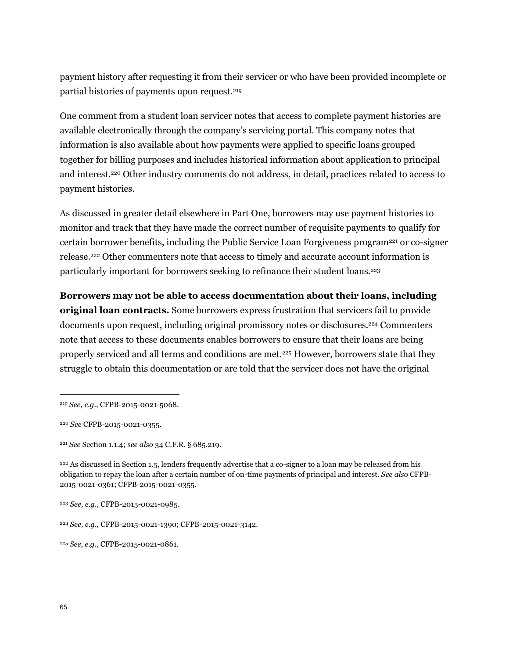payment history after requesting it from their servicer or who have been provided incomplete or partial histories of payments upon request.<sup>219</sup>

One comment from a student loan servicer notes that access to complete payment histories are available electronically through the company's servicing portal. This company notes that information is also available about how payments were applied to specific loans grouped together for billing purposes and includes historical information about application to principal and interest.<sup>220</sup> Other industry comments do not address, in detail, practices related to access to payment histories.

As discussed in greater detail elsewhere in Part One, borrowers may use payment histories to monitor and track that they have made the correct number of requisite payments to qualify for certain borrower benefits, including the Public Service Loan Forgiveness program<sup>221</sup> or co-signer release.<sup>222</sup> Other commenters note that access to timely and accurate account information is particularly important for borrowers seeking to refinance their student loans. 223

**Borrowers may not be able to access documentation about their loans, including original loan contracts.** Some borrowers express frustration that servicers fail to provide documents upon request, including original promissory notes or disclosures.<sup>224</sup> Commenters note that access to these documents enables borrowers to ensure that their loans are being properly serviced and all terms and conditions are met.<sup>225</sup> However, borrowers state that they struggle to obtain this documentation or are told that the servicer does not have the original

<sup>219</sup> *See, e.g.*, CFPB-2015-0021-5068.

<sup>220</sup> *See* CFPB-2015-0021-0355.

<sup>221</sup> *See* Section 1.1.4; s*ee also* 34 C.F.R. § 685.219.

<sup>&</sup>lt;sup>222</sup> As discussed in Section 1.5, lenders frequently advertise that a co-signer to a loan may be released from his obligation to repay the loan after a certain number of on-time payments of principal and interest. *See also* CFPB-2015-0021-0361; CFPB-2015-0021-0355.

<sup>223</sup> *See, e.g.*, CFPB-2015-0021-0985.

<sup>224</sup> *See, e.g.*, CFPB-2015-0021-1390; CFPB-2015-0021-3142.

<sup>225</sup> *See, e.g.*, CFPB-2015-0021-0861.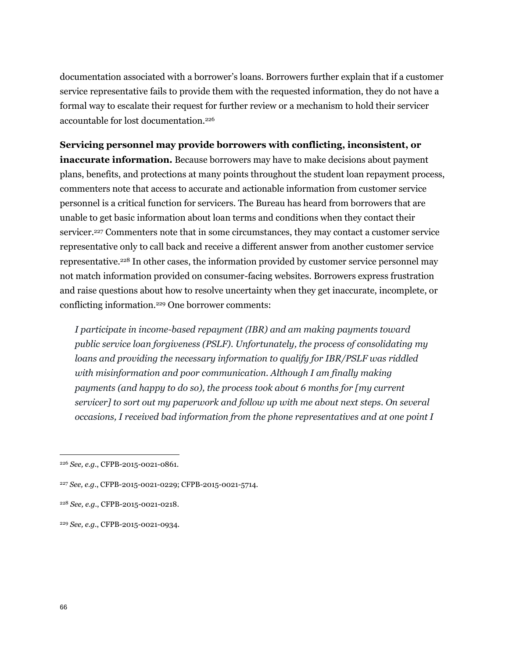documentation associated with a borrower's loans. Borrowers further explain that if a customer service representative fails to provide them with the requested information, they do not have a formal way to escalate their request for further review or a mechanism to hold their servicer accountable for lost documentation.<sup>226</sup>

**Servicing personnel may provide borrowers with conflicting, inconsistent, or inaccurate information.** Because borrowers may have to make decisions about payment plans, benefits, and protections at many points throughout the student loan repayment process, commenters note that access to accurate and actionable information from customer service personnel is a critical function for servicers. The Bureau has heard from borrowers that are unable to get basic information about loan terms and conditions when they contact their servicer.<sup>227</sup> Commenters note that in some circumstances, they may contact a customer service representative only to call back and receive a different answer from another customer service representative.<sup>228</sup> In other cases, the information provided by customer service personnel may not match information provided on consumer-facing websites. Borrowers express frustration and raise questions about how to resolve uncertainty when they get inaccurate, incomplete, or conflicting information.<sup>229</sup> One borrower comments:

*I participate in income-based repayment (IBR) and am making payments toward public service loan forgiveness (PSLF). Unfortunately, the process of consolidating my loans and providing the necessary information to qualify for IBR/PSLF was riddled*  with misinformation and poor communication. Although I am finally making *payments (and happy to do so), the process took about 6 months for [my current servicer] to sort out my paperwork and follow up with me about next steps. On several occasions, I received bad information from the phone representatives and at one point I* 

<sup>226</sup> *See, e.g.*, CFPB-2015-0021-0861.

<sup>227</sup> *See, e.g.*, CFPB-2015-0021-0229; CFPB-2015-0021-5714.

<sup>228</sup> *See, e.g.*, CFPB-2015-0021-0218.

<sup>229</sup> *See, e.g.*, CFPB-2015-0021-0934.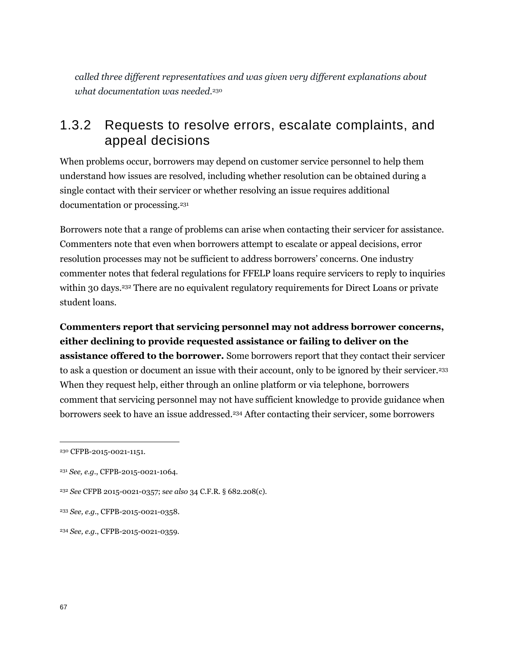*called three different representatives and was given very different explanations about what documentation was needed.*<sup>230</sup>

## 1.3.2 Requests to resolve errors, escalate complaints, and appeal decisions

When problems occur, borrowers may depend on customer service personnel to help them understand how issues are resolved, including whether resolution can be obtained during a single contact with their servicer or whether resolving an issue requires additional documentation or processing.<sup>231</sup>

Borrowers note that a range of problems can arise when contacting their servicer for assistance. Commenters note that even when borrowers attempt to escalate or appeal decisions, error resolution processes may not be sufficient to address borrowers' concerns. One industry commenter notes that federal regulations for FFELP loans require servicers to reply to inquiries within 30 days.<sup>232</sup> There are no equivalent regulatory requirements for Direct Loans or private student loans.

**Commenters report that servicing personnel may not address borrower concerns, either declining to provide requested assistance or failing to deliver on the assistance offered to the borrower.** Some borrowers report that they contact their servicer to ask a question or document an issue with their account, only to be ignored by their servicer.<sup>233</sup> When they request help, either through an online platform or via telephone, borrowers comment that servicing personnel may not have sufficient knowledge to provide guidance when borrowers seek to have an issue addressed.<sup>234</sup> After contacting their servicer, some borrowers

<sup>230</sup> CFPB-2015-0021-1151.

<sup>231</sup> *See, e.g.*, CFPB-2015-0021-1064.

<sup>232</sup> *See* CFPB 2015-0021-0357; s*ee also* 34 C.F.R. § 682.208(c).

<sup>233</sup> *See, e.g.*, CFPB-2015-0021-0358.

<sup>234</sup> *See, e.g.*, CFPB-2015-0021-0359.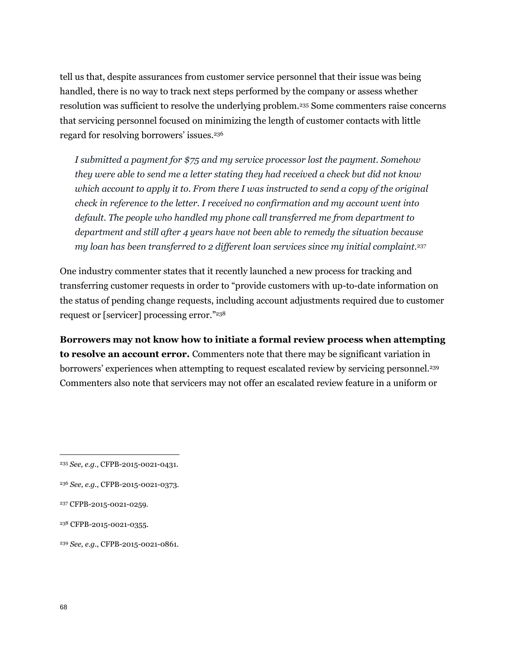tell us that, despite assurances from customer service personnel that their issue was being handled, there is no way to track next steps performed by the company or assess whether resolution was sufficient to resolve the underlying problem.<sup>235</sup> Some commenters raise concerns that servicing personnel focused on minimizing the length of customer contacts with little regard for resolving borrowers' issues.<sup>236</sup>

*I submitted a payment for \$75 and my service processor lost the payment. Somehow they were able to send me a letter stating they had received a check but did not know which account to apply it to. From there I was instructed to send a copy of the original check in reference to the letter. I received no confirmation and my account went into default. The people who handled my phone call transferred me from department to department and still after 4 years have not been able to remedy the situation because my loan has been transferred to 2 different loan services since my initial complaint.*<sup>237</sup>

One industry commenter states that it recently launched a new process for tracking and transferring customer requests in order to "provide customers with up-to-date information on the status of pending change requests, including account adjustments required due to customer request or [servicer] processing error."<sup>238</sup>

**Borrowers may not know how to initiate a formal review process when attempting to resolve an account error.** Commenters note that there may be significant variation in borrowers' experiences when attempting to request escalated review by servicing personnel.<sup>239</sup> Commenters also note that servicers may not offer an escalated review feature in a uniform or

<sup>235</sup> *See, e.g.*, CFPB-2015-0021-0431.

<sup>236</sup> *See, e.g.*, CFPB-2015-0021-0373.

<sup>237</sup> CFPB-2015-0021-0259.

<sup>&</sup>lt;sup>238</sup> CFPB-2015-0021-0355.

<sup>239</sup> *See, e.g.*, CFPB-2015-0021-0861.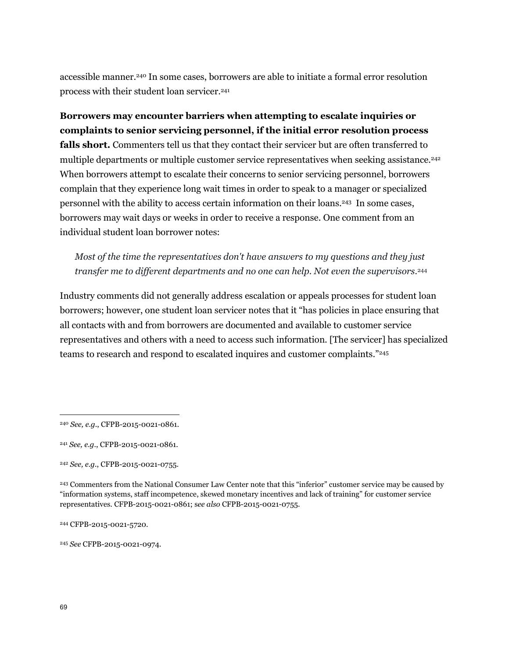accessible manner.<sup>240</sup> In some cases, borrowers are able to initiate a formal error resolution process with their student loan servicer.<sup>241</sup>

**Borrowers may encounter barriers when attempting to escalate inquiries or complaints to senior servicing personnel, if the initial error resolution process falls short.** Commenters tell us that they contact their servicer but are often transferred to multiple departments or multiple customer service representatives when seeking assistance.<sup>242</sup> When borrowers attempt to escalate their concerns to senior servicing personnel, borrowers complain that they experience long wait times in order to speak to a manager or specialized personnel with the ability to access certain information on their loans.<sup>243</sup> In some cases, borrowers may wait days or weeks in order to receive a response. One comment from an individual student loan borrower notes:

*Most of the time the representatives don't have answers to my questions and they just transfer me to different departments and no one can help. Not even the supervisors.*<sup>244</sup>

Industry comments did not generally address escalation or appeals processes for student loan borrowers; however, one student loan servicer notes that it "has policies in place ensuring that all contacts with and from borrowers are documented and available to customer service representatives and others with a need to access such information. [The servicer] has specialized teams to research and respond to escalated inquires and customer complaints."<sup>245</sup>

<sup>245</sup> *See* CFPB-2015-0021-0974.

<sup>240</sup> *See, e.g.*, CFPB-2015-0021-0861.

<sup>241</sup> *See, e.g.*, CFPB-2015-0021-0861.

<sup>242</sup> *See, e.g.*, CFPB-2015-0021-0755.

<sup>243</sup> Commenters from the National Consumer Law Center note that this "inferior" customer service may be caused by "information systems, staff incompetence, skewed monetary incentives and lack of training" for customer service representatives. CFPB-2015-0021-0861; s*ee also* CFPB-2015-0021-0755.

<sup>244</sup> CFPB-2015-0021-5720.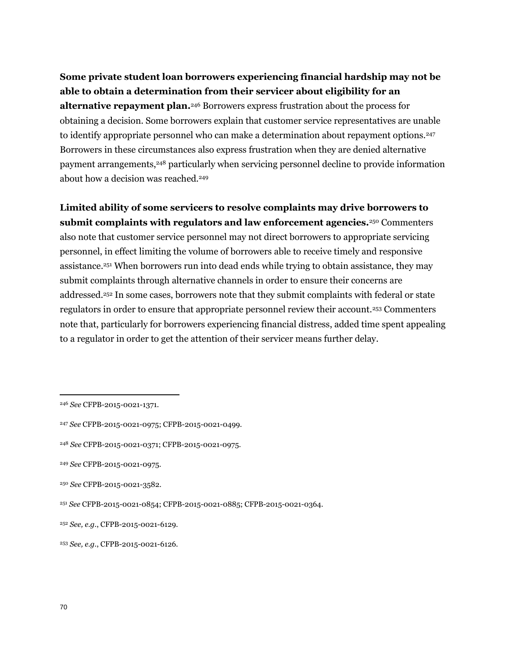**Some private student loan borrowers experiencing financial hardship may not be able to obtain a determination from their servicer about eligibility for an alternative repayment plan.**<sup>246</sup> Borrowers express frustration about the process for obtaining a decision. Some borrowers explain that customer service representatives are unable to identify appropriate personnel who can make a determination about repayment options.<sup>247</sup> Borrowers in these circumstances also express frustration when they are denied alternative payment arrangements,<sup>248</sup> particularly when servicing personnel decline to provide information about how a decision was reached.<sup>249</sup>

**Limited ability of some servicers to resolve complaints may drive borrowers to submit complaints with regulators and law enforcement agencies.**<sup>250</sup> Commenters also note that customer service personnel may not direct borrowers to appropriate servicing personnel, in effect limiting the volume of borrowers able to receive timely and responsive assistance.<sup>251</sup> When borrowers run into dead ends while trying to obtain assistance, they may submit complaints through alternative channels in order to ensure their concerns are addressed.<sup>252</sup> In some cases, borrowers note that they submit complaints with federal or state regulators in order to ensure that appropriate personnel review their account.<sup>253</sup> Commenters note that, particularly for borrowers experiencing financial distress, added time spent appealing to a regulator in order to get the attention of their servicer means further delay.

<sup>246</sup> *See* CFPB-2015-0021-1371.

<sup>247</sup> *See* CFPB-2015-0021-0975; CFPB-2015-0021-0499.

<sup>248</sup> *See* CFPB-2015-0021-0371; CFPB-2015-0021-0975.

<sup>249</sup> *See* CFPB-2015-0021-0975.

<sup>250</sup> *See* CFPB-2015-0021-3582.

<sup>251</sup> *See* CFPB-2015-0021-0854; CFPB-2015-0021-0885; CFPB-2015-0021-0364.

<sup>252</sup> *See, e.g.*, CFPB-2015-0021-6129.

<sup>253</sup> *See, e.g.*, CFPB-2015-0021-6126.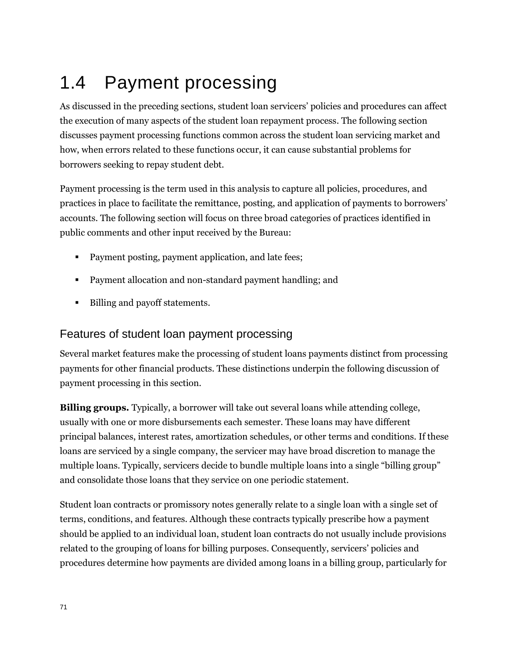# 1.4 Payment processing

As discussed in the preceding sections, student loan servicers' policies and procedures can affect the execution of many aspects of the student loan repayment process. The following section discusses payment processing functions common across the student loan servicing market and how, when errors related to these functions occur, it can cause substantial problems for borrowers seeking to repay student debt.

Payment processing is the term used in this analysis to capture all policies, procedures, and practices in place to facilitate the remittance, posting, and application of payments to borrowers' accounts. The following section will focus on three broad categories of practices identified in public comments and other input received by the Bureau:

- Payment posting, payment application, and late fees;
- **Payment allocation and non-standard payment handling; and**
- Billing and payoff statements.

## Features of student loan payment processing

Several market features make the processing of student loans payments distinct from processing payments for other financial products. These distinctions underpin the following discussion of payment processing in this section.

**Billing groups.** Typically, a borrower will take out several loans while attending college, usually with one or more disbursements each semester. These loans may have different principal balances, interest rates, amortization schedules, or other terms and conditions. If these loans are serviced by a single company, the servicer may have broad discretion to manage the multiple loans. Typically, servicers decide to bundle multiple loans into a single "billing group" and consolidate those loans that they service on one periodic statement.

Student loan contracts or promissory notes generally relate to a single loan with a single set of terms, conditions, and features. Although these contracts typically prescribe how a payment should be applied to an individual loan, student loan contracts do not usually include provisions related to the grouping of loans for billing purposes. Consequently, servicers' policies and procedures determine how payments are divided among loans in a billing group, particularly for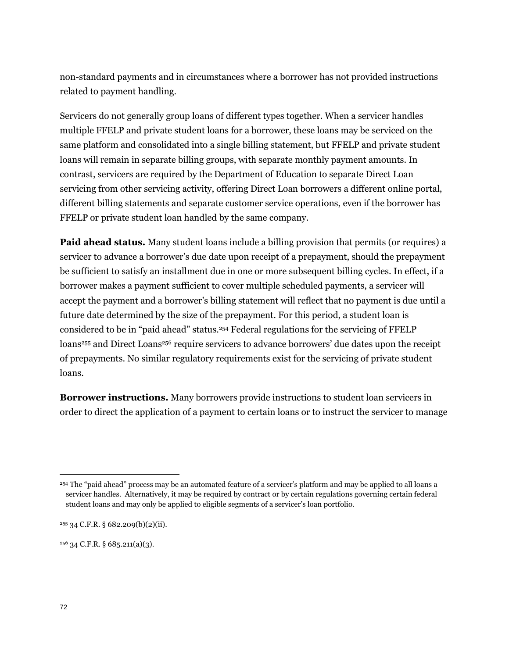non-standard payments and in circumstances where a borrower has not provided instructions related to payment handling.

Servicers do not generally group loans of different types together. When a servicer handles multiple FFELP and private student loans for a borrower, these loans may be serviced on the same platform and consolidated into a single billing statement, but FFELP and private student loans will remain in separate billing groups, with separate monthly payment amounts. In contrast, servicers are required by the Department of Education to separate Direct Loan servicing from other servicing activity, offering Direct Loan borrowers a different online portal, different billing statements and separate customer service operations, even if the borrower has FFELP or private student loan handled by the same company.

**Paid ahead status.** Many student loans include a billing provision that permits (or requires) a servicer to advance a borrower's due date upon receipt of a prepayment, should the prepayment be sufficient to satisfy an installment due in one or more subsequent billing cycles. In effect, if a borrower makes a payment sufficient to cover multiple scheduled payments, a servicer will accept the payment and a borrower's billing statement will reflect that no payment is due until a future date determined by the size of the prepayment. For this period, a student loan is considered to be in "paid ahead" status.<sup>254</sup> Federal regulations for the servicing of FFELP loans<sup>255</sup> and Direct Loans<sup>256</sup> require servicers to advance borrowers' due dates upon the receipt of prepayments. No similar regulatory requirements exist for the servicing of private student loans.

**Borrower instructions.** Many borrowers provide instructions to student loan servicers in order to direct the application of a payment to certain loans or to instruct the servicer to manage

<sup>256</sup> 34 C.F.R. § 685.211(a)(3).

<sup>254</sup> The "paid ahead" process may be an automated feature of a servicer's platform and may be applied to all loans a servicer handles. Alternatively, it may be required by contract or by certain regulations governing certain federal student loans and may only be applied to eligible segments of a servicer's loan portfolio.

 $255$  34 C.F.R. § 682.209(b)(2)(ii).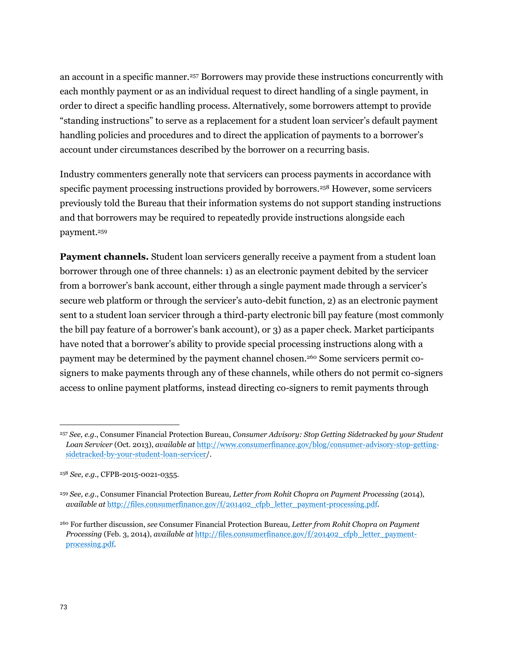an account in a specific manner.<sup>257</sup> Borrowers may provide these instructions concurrently with each monthly payment or as an individual request to direct handling of a single payment, in order to direct a specific handling process. Alternatively, some borrowers attempt to provide "standing instructions" to serve as a replacement for a student loan servicer's default payment handling policies and procedures and to direct the application of payments to a borrower's account under circumstances described by the borrower on a recurring basis.

Industry commenters generally note that servicers can process payments in accordance with specific payment processing instructions provided by borrowers.<sup>258</sup> However, some servicers previously told the Bureau that their information systems do not support standing instructions and that borrowers may be required to repeatedly provide instructions alongside each payment.<sup>259</sup>

**Payment channels.** Student loan servicers generally receive a payment from a student loan borrower through one of three channels: 1) as an electronic payment debited by the servicer from a borrower's bank account, either through a single payment made through a servicer's secure web platform or through the servicer's auto-debit function, 2) as an electronic payment sent to a student loan servicer through a third-party electronic bill pay feature (most commonly the bill pay feature of a borrower's bank account), or 3) as a paper check. Market participants have noted that a borrower's ability to provide special processing instructions along with a payment may be determined by the payment channel chosen.<sup>260</sup> Some servicers permit cosigners to make payments through any of these channels, while others do not permit co-signers access to online payment platforms, instead directing co-signers to remit payments through

<sup>257</sup> *See, e.g.*, Consumer Financial Protection Bureau, *Consumer Advisory: Stop Getting Sidetracked by your Student Loan Servicer* (Oct. 2013), *available at* [http://www.consumerfinance.gov/blog/consumer-advisory-stop-getting](http://www.consumerfinance.gov/blog/consumer-advisory-stop-getting-sidetracked-by-your-student-loan-servicer)[sidetracked-by-your-student-loan-servicer/](http://www.consumerfinance.gov/blog/consumer-advisory-stop-getting-sidetracked-by-your-student-loan-servicer).

<sup>258</sup> *See, e.g.*, CFPB-2015-0021-0355.

<sup>259</sup> *See, e.g*., Consumer Financial Protection Bureau*, Letter from Rohit Chopra on Payment Processing* (2014), *available at* [http://files.consumerfinance.gov/f/201402\\_cfpb\\_letter\\_payment-processing.pdf.](http://files.consumerfinance.gov/f/201402_cfpb_letter_payment-processing.pdf)

<sup>260</sup> For further discussion, *see* Consumer Financial Protection Bureau*, Letter from Rohit Chopra on Payment Processing* (Feb. 3, 2014), *available at* [http://files.consumerfinance.gov/f/201402\\_cfpb\\_letter\\_payment](http://files.consumerfinance.gov/f/201402_cfpb_letter_payment-processing.pdf)[processing.pdf.](http://files.consumerfinance.gov/f/201402_cfpb_letter_payment-processing.pdf)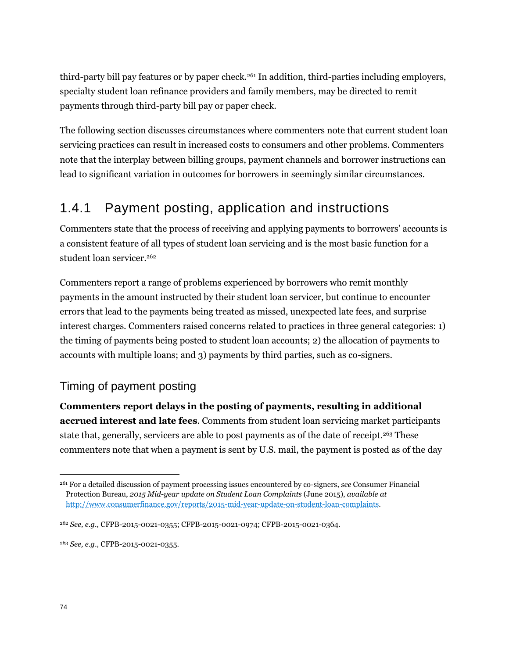third-party bill pay features or by paper check.<sup>261</sup> In addition, third-parties including employers, specialty student loan refinance providers and family members, may be directed to remit payments through third-party bill pay or paper check.

The following section discusses circumstances where commenters note that current student loan servicing practices can result in increased costs to consumers and other problems. Commenters note that the interplay between billing groups, payment channels and borrower instructions can lead to significant variation in outcomes for borrowers in seemingly similar circumstances.

# 1.4.1 Payment posting, application and instructions

Commenters state that the process of receiving and applying payments to borrowers' accounts is a consistent feature of all types of student loan servicing and is the most basic function for a student loan servicer.<sup>262</sup>

Commenters report a range of problems experienced by borrowers who remit monthly payments in the amount instructed by their student loan servicer, but continue to encounter errors that lead to the payments being treated as missed, unexpected late fees, and surprise interest charges. Commenters raised concerns related to practices in three general categories: 1) the timing of payments being posted to student loan accounts; 2) the allocation of payments to accounts with multiple loans; and 3) payments by third parties, such as co-signers.

## Timing of payment posting

**Commenters report delays in the posting of payments, resulting in additional accrued interest and late fees**. Comments from student loan servicing market participants state that, generally, servicers are able to post payments as of the date of receipt.<sup>263</sup> These commenters note that when a payment is sent by U.S. mail, the payment is posted as of the day

<sup>263</sup> *See, e.g*., CFPB-2015-0021-0355.

<sup>261</sup> For a detailed discussion of payment processing issues encountered by co-signers, *see* Consumer Financial Protection Bureau, *2015 Mid-year update on Student Loan Complaints* (June 2015), *available at*  [http://www.consumerfinance.gov/reports/2015-mid-year-update-on-student-loan-complaints.](http://www.consumerfinance.gov/reports/2015-mid-year-update-on-student-loan-complaints/)

<sup>262</sup> *See, e.g.*, CFPB-2015-0021-0355; CFPB-2015-0021-0974; CFPB-2015-0021-0364.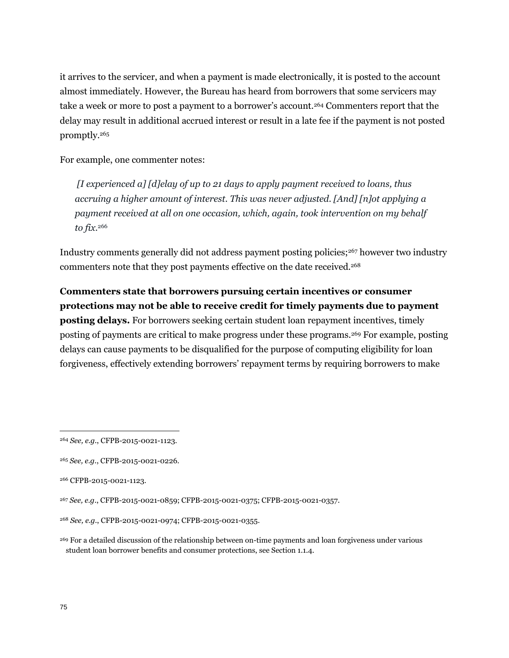it arrives to the servicer, and when a payment is made electronically, it is posted to the account almost immediately. However, the Bureau has heard from borrowers that some servicers may take a week or more to post a payment to a borrower's account.<sup>264</sup> Commenters report that the delay may result in additional accrued interest or result in a late fee if the payment is not posted promptly.<sup>265</sup>

For example, one commenter notes:

*[I experienced a] [d]elay of up to 21 days to apply payment received to loans, thus accruing a higher amount of interest. This was never adjusted. [And] [n]ot applying a payment received at all on one occasion, which, again, took intervention on my behalf to fix.* 266

Industry comments generally did not address payment posting policies;<sup>267</sup> however two industry commenters note that they post payments effective on the date received.<sup>268</sup>

**Commenters state that borrowers pursuing certain incentives or consumer protections may not be able to receive credit for timely payments due to payment posting delays.** For borrowers seeking certain student loan repayment incentives, timely posting of payments are critical to make progress under these programs.<sup>269</sup> For example, posting delays can cause payments to be disqualified for the purpose of computing eligibility for loan forgiveness, effectively extending borrowers' repayment terms by requiring borrowers to make

<sup>264</sup> *See, e.g.*, CFPB-2015-0021-1123.

<sup>265</sup> *See, e.g.*, CFPB-2015-0021-0226.

<sup>266</sup> CFPB-2015-0021-1123.

<sup>267</sup> *See, e.g.*, CFPB-2015-0021-0859; CFPB-2015-0021-0375; CFPB-2015-0021-0357.

<sup>268</sup> *See, e.g.*, CFPB-2015-0021-0974; CFPB-2015-0021-0355.

<sup>&</sup>lt;sup>269</sup> For a detailed discussion of the relationship between on-time payments and loan forgiveness under various student loan borrower benefits and consumer protections, see Section 1.1.4.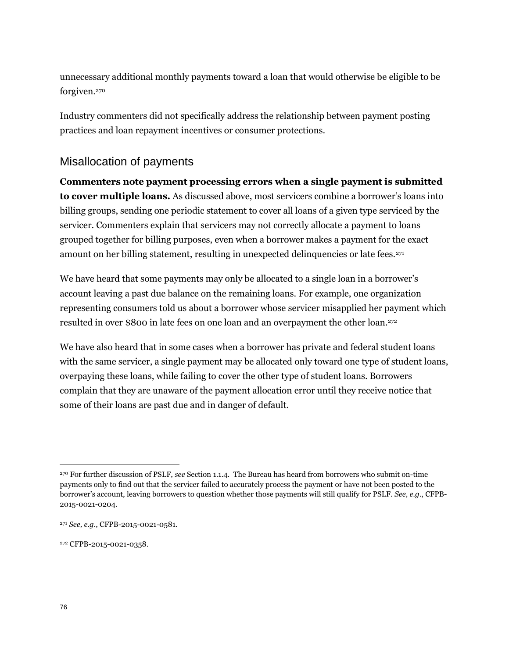unnecessary additional monthly payments toward a loan that would otherwise be eligible to be forgiven.<sup>270</sup>

Industry commenters did not specifically address the relationship between payment posting practices and loan repayment incentives or consumer protections.

#### Misallocation of payments

**Commenters note payment processing errors when a single payment is submitted to cover multiple loans.** As discussed above, most servicers combine a borrower's loans into billing groups, sending one periodic statement to cover all loans of a given type serviced by the servicer. Commenters explain that servicers may not correctly allocate a payment to loans grouped together for billing purposes, even when a borrower makes a payment for the exact amount on her billing statement, resulting in unexpected delinquencies or late fees.<sup>271</sup>

We have heard that some payments may only be allocated to a single loan in a borrower's account leaving a past due balance on the remaining loans. For example, one organization representing consumers told us about a borrower whose servicer misapplied her payment which resulted in over \$800 in late fees on one loan and an overpayment the other loan.<sup>272</sup>

We have also heard that in some cases when a borrower has private and federal student loans with the same servicer, a single payment may be allocated only toward one type of student loans, overpaying these loans, while failing to cover the other type of student loans. Borrowers complain that they are unaware of the payment allocation error until they receive notice that some of their loans are past due and in danger of default.

<sup>270</sup> For further discussion of PSLF, *see* Section 1.1.4. The Bureau has heard from borrowers who submit on-time payments only to find out that the servicer failed to accurately process the payment or have not been posted to the borrower's account, leaving borrowers to question whether those payments will still qualify for PSLF. *See, e.g.*, CFPB-2015-0021-0204.

<sup>271</sup> *See, e.g.*, CFPB-2015-0021-0581.

<sup>&</sup>lt;sup>272</sup> CFPB-2015-0021-0358.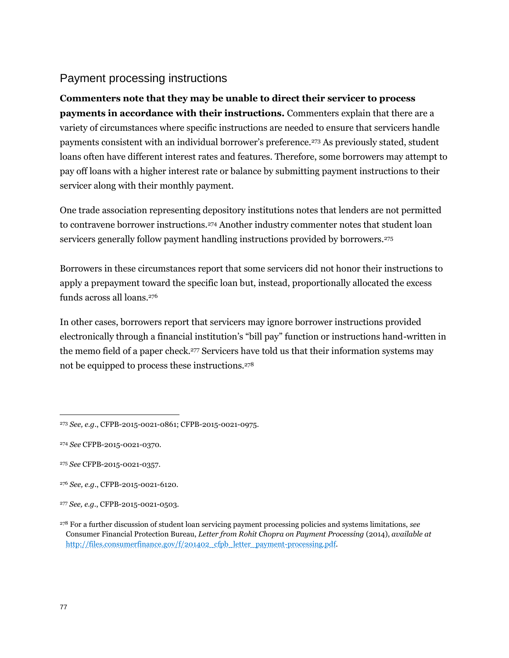#### Payment processing instructions

**Commenters note that they may be unable to direct their servicer to process payments in accordance with their instructions.** Commenters explain that there are a variety of circumstances where specific instructions are needed to ensure that servicers handle payments consistent with an individual borrower's preference.<sup>273</sup> As previously stated, student loans often have different interest rates and features. Therefore, some borrowers may attempt to pay off loans with a higher interest rate or balance by submitting payment instructions to their servicer along with their monthly payment.

One trade association representing depository institutions notes that lenders are not permitted to contravene borrower instructions.<sup>274</sup> Another industry commenter notes that student loan servicers generally follow payment handling instructions provided by borrowers.<sup>275</sup>

Borrowers in these circumstances report that some servicers did not honor their instructions to apply a prepayment toward the specific loan but, instead, proportionally allocated the excess funds across all loans.<sup>276</sup>

In other cases, borrowers report that servicers may ignore borrower instructions provided electronically through a financial institution's "bill pay" function or instructions hand-written in the memo field of a paper check.<sup>277</sup> Servicers have told us that their information systems may not be equipped to process these instructions.<sup>278</sup>

<sup>276</sup> *See, e.g.*, CFPB-2015-0021-6120.

<sup>273</sup> *See, e.g.*, CFPB-2015-0021-0861; CFPB-2015-0021-0975.

<sup>274</sup> *See* CFPB-2015-0021-0370.

<sup>275</sup> *See* CFPB-2015-0021-0357.

<sup>277</sup> *See, e.g.*, CFPB-2015-0021-0503.

<sup>278</sup> For a further discussion of student loan servicing payment processing policies and systems limitations, *see* Consumer Financial Protection Bureau, *Letter from Rohit Chopra on Payment Processing* (2014), *available at* [http://files.consumerfinance.gov/f/201402\\_cfpb\\_letter\\_payment-processing.pdf.](http://files.consumerfinance.gov/f/201402_cfpb_letter_payment-processing.pdf)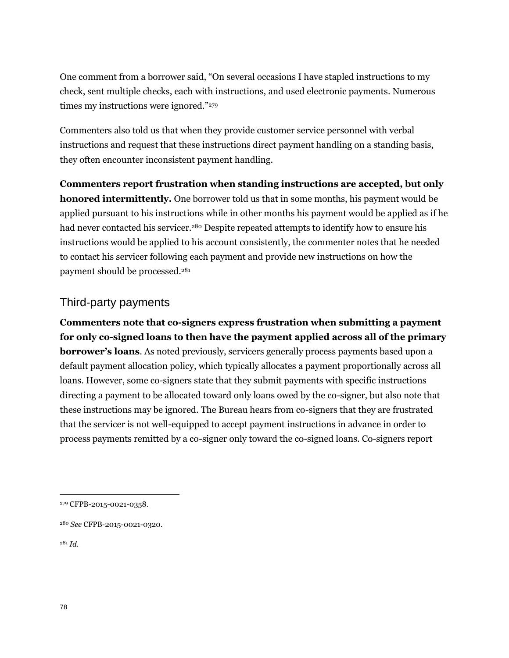One comment from a borrower said, "On several occasions I have stapled instructions to my check, sent multiple checks, each with instructions, and used electronic payments. Numerous times my instructions were ignored."<sup>279</sup>

Commenters also told us that when they provide customer service personnel with verbal instructions and request that these instructions direct payment handling on a standing basis, they often encounter inconsistent payment handling.

**Commenters report frustration when standing instructions are accepted, but only honored intermittently.** One borrower told us that in some months, his payment would be applied pursuant to his instructions while in other months his payment would be applied as if he had never contacted his servicer.<sup>280</sup> Despite repeated attempts to identify how to ensure his instructions would be applied to his account consistently, the commenter notes that he needed to contact his servicer following each payment and provide new instructions on how the payment should be processed.<sup>281</sup>

#### Third-party payments

**Commenters note that co-signers express frustration when submitting a payment for only co-signed loans to then have the payment applied across all of the primary borrower's loans**. As noted previously, servicers generally process payments based upon a default payment allocation policy, which typically allocates a payment proportionally across all loans. However, some co-signers state that they submit payments with specific instructions directing a payment to be allocated toward only loans owed by the co-signer, but also note that these instructions may be ignored. The Bureau hears from co-signers that they are frustrated that the servicer is not well-equipped to accept payment instructions in advance in order to process payments remitted by a co-signer only toward the co-signed loans. Co-signers report

<sup>281</sup> *Id.*

<sup>279</sup> CFPB-2015-0021-0358.

<sup>280</sup> *See* CFPB-2015-0021-0320.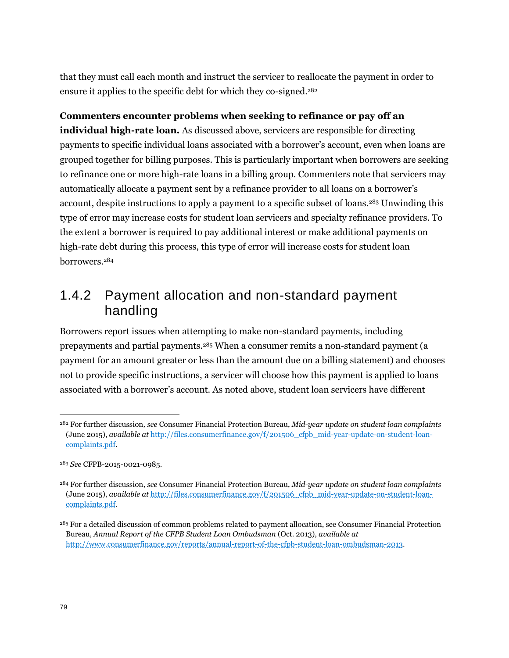that they must call each month and instruct the servicer to reallocate the payment in order to ensure it applies to the specific debt for which they co-signed.<sup>282</sup>

#### **Commenters encounter problems when seeking to refinance or pay off an**

**individual high-rate loan.** As discussed above, servicers are responsible for directing payments to specific individual loans associated with a borrower's account, even when loans are grouped together for billing purposes. This is particularly important when borrowers are seeking to refinance one or more high-rate loans in a billing group. Commenters note that servicers may automatically allocate a payment sent by a refinance provider to all loans on a borrower's account, despite instructions to apply a payment to a specific subset of loans.<sup>283</sup> Unwinding this type of error may increase costs for student loan servicers and specialty refinance providers. To the extent a borrower is required to pay additional interest or make additional payments on high-rate debt during this process, this type of error will increase costs for student loan borrowers.<sup>284</sup>

## 1.4.2 Payment allocation and non-standard payment handling

Borrowers report issues when attempting to make non-standard payments, including prepayments and partial payments.<sup>285</sup> When a consumer remits a non-standard payment (a payment for an amount greater or less than the amount due on a billing statement) and chooses not to provide specific instructions, a servicer will choose how this payment is applied to loans associated with a borrower's account. As noted above, student loan servicers have different

<sup>282</sup> For further discussion*, see* Consumer Financial Protection Bureau, *Mid-year update on student loan complaints* (June 2015), *available at* [http://files.consumerfinance.gov/f/201506\\_cfpb\\_mid-year-update-on-student-loan](http://files.consumerfinance.gov/f/201506_cfpb_mid-year-update-on-student-loan-complaints.pdf)[complaints.pdf.](http://files.consumerfinance.gov/f/201506_cfpb_mid-year-update-on-student-loan-complaints.pdf)

<sup>283</sup> *See* CFPB-2015-0021-0985.

<sup>284</sup> For further discussion, *see* Consumer Financial Protection Bureau, *Mid-year update on student loan complaints* (June 2015), *available at* [http://files.consumerfinance.gov/f/201506\\_cfpb\\_mid-year-update-on-student-loan](http://files.consumerfinance.gov/f/201506_cfpb_mid-year-update-on-student-loan-complaints.pdf)[complaints.pdf.](http://files.consumerfinance.gov/f/201506_cfpb_mid-year-update-on-student-loan-complaints.pdf)

<sup>285</sup> For a detailed discussion of common problems related to payment allocation, see Consumer Financial Protection Bureau, *Annual Report of the CFPB Student Loan Ombudsman* (Oct. 2013), *available at* [http://www.consumerfinance.gov/reports/annual-report-of-the-cfpb-student-loan-ombudsman-2013.](http://www.consumerfinance.gov/reports/annual-report-of-the-cfpb-student-loan-ombudsman-2013)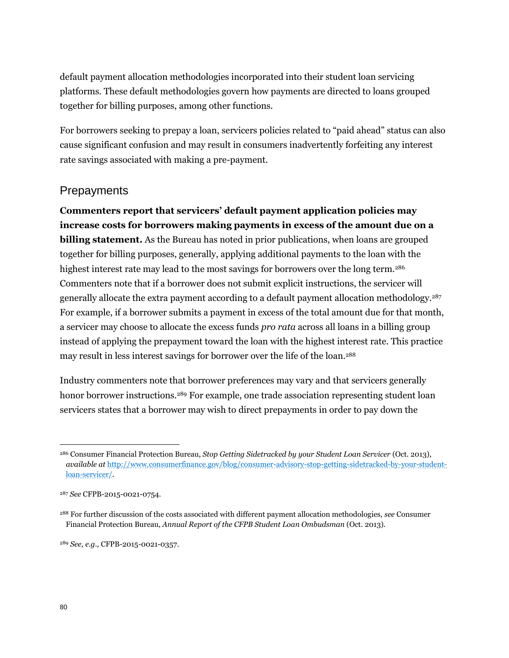default payment allocation methodologies incorporated into their student loan servicing platforms. These default methodologies govern how payments are directed to loans grouped together for billing purposes, among other functions.

For borrowers seeking to prepay a loan, servicers policies related to "paid ahead" status can also cause significant confusion and may result in consumers inadvertently forfeiting any interest rate savings associated with making a pre-payment.

#### **Prepayments**

**Commenters report that servicers' default payment application policies may increase costs for borrowers making payments in excess of the amount due on a billing statement.** As the Bureau has noted in prior publications, when loans are grouped together for billing purposes, generally, applying additional payments to the loan with the highest interest rate may lead to the most savings for borrowers over the long term.<sup>286</sup> Commenters note that if a borrower does not submit explicit instructions, the servicer will generally allocate the extra payment according to a default payment allocation methodology.<sup>287</sup> For example, if a borrower submits a payment in excess of the total amount due for that month, a servicer may choose to allocate the excess funds *pro rata* across all loans in a billing group instead of applying the prepayment toward the loan with the highest interest rate. This practice may result in less interest savings for borrower over the life of the loan.<sup>288</sup>

Industry commenters note that borrower preferences may vary and that servicers generally honor borrower instructions.<sup>289</sup> For example, one trade association representing student loan servicers states that a borrower may wish to direct prepayments in order to pay down the

<sup>289</sup> *See, e.g*., CFPB-2015-0021-0357.

<sup>286</sup> Consumer Financial Protection Bureau, *Stop Getting Sidetracked by your Student Loan Servicer* (Oct. 2013), *available at* [http://www.consumerfinance.gov/blog/consumer-advisory-stop-getting-sidetracked-by-your-student](http://www.consumerfinance.gov/blog/consumer-advisory-stop-getting-sidetracked-by-your-student-loan-servicer/)[loan-servicer/.](http://www.consumerfinance.gov/blog/consumer-advisory-stop-getting-sidetracked-by-your-student-loan-servicer/)

<sup>287</sup> *See* CFPB-2015-0021-0754.

<sup>288</sup> For further discussion of the costs associated with different payment allocation methodologies, *see* Consumer Financial Protection Bureau, *Annual Report of the CFPB Student Loan Ombudsman* (Oct. 2013).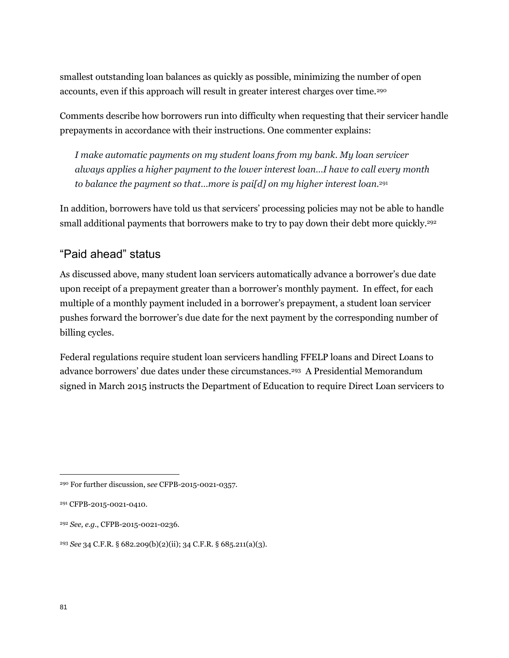smallest outstanding loan balances as quickly as possible, minimizing the number of open accounts, even if this approach will result in greater interest charges over time.<sup>290</sup>

Comments describe how borrowers run into difficulty when requesting that their servicer handle prepayments in accordance with their instructions. One commenter explains:

*I make automatic payments on my student loans from my bank. My loan servicer always applies a higher payment to the lower interest loan…I have to call every month to balance the payment so that…more is pai[d] on my higher interest loan.*<sup>291</sup>

In addition, borrowers have told us that servicers' processing policies may not be able to handle small additional payments that borrowers make to try to pay down their debt more quickly.<sup>292</sup>

#### "Paid ahead" status

As discussed above, many student loan servicers automatically advance a borrower's due date upon receipt of a prepayment greater than a borrower's monthly payment. In effect, for each multiple of a monthly payment included in a borrower's prepayment, a student loan servicer pushes forward the borrower's due date for the next payment by the corresponding number of billing cycles.

Federal regulations require student loan servicers handling FFELP loans and Direct Loans to advance borrowers' due dates under these circumstances.<sup>293</sup> A Presidential Memorandum signed in March 2015 instructs the Department of Education to require Direct Loan servicers to

<sup>290</sup> For further discussion, s*ee* CFPB-2015-0021-0357.

<sup>291</sup> CFPB-2015-0021-0410.

<sup>292</sup> *See, e.g.*, CFPB-2015-0021-0236.

<sup>293</sup> *See* 34 C.F.R. § 682.209(b)(2)(ii); 34 C.F.R. § 685.211(a)(3).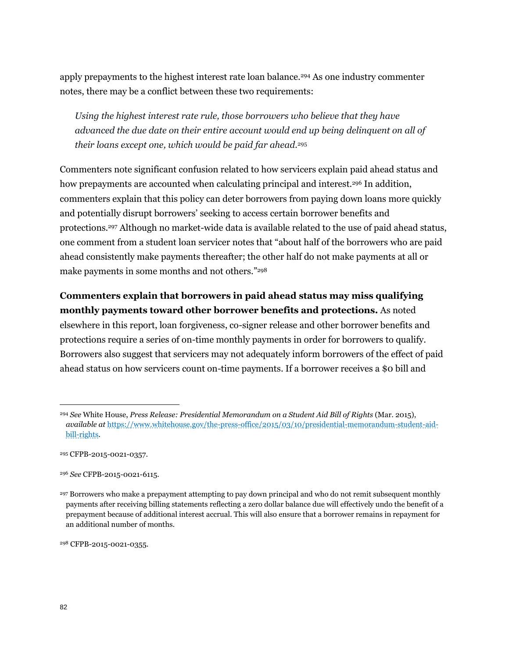apply prepayments to the highest interest rate loan balance.<sup>294</sup> As one industry commenter notes, there may be a conflict between these two requirements:

*Using the highest interest rate rule, those borrowers who believe that they have advanced the due date on their entire account would end up being delinquent on all of their loans except one, which would be paid far ahead.*<sup>295</sup>

Commenters note significant confusion related to how servicers explain paid ahead status and how prepayments are accounted when calculating principal and interest.<sup>296</sup> In addition, commenters explain that this policy can deter borrowers from paying down loans more quickly and potentially disrupt borrowers' seeking to access certain borrower benefits and protections.<sup>297</sup> Although no market-wide data is available related to the use of paid ahead status, one comment from a student loan servicer notes that "about half of the borrowers who are paid ahead consistently make payments thereafter; the other half do not make payments at all or make payments in some months and not others."<sup>298</sup>

#### **Commenters explain that borrowers in paid ahead status may miss qualifying monthly payments toward other borrower benefits and protections.** As noted

elsewhere in this report, loan forgiveness, co-signer release and other borrower benefits and protections require a series of on-time monthly payments in order for borrowers to qualify. Borrowers also suggest that servicers may not adequately inform borrowers of the effect of paid ahead status on how servicers count on-time payments. If a borrower receives a \$0 bill and

<sup>298</sup> CFPB-2015-0021-0355.

<sup>294</sup> *See* White House, *Press Release: Presidential Memorandum on a Student Aid Bill of Rights* (Mar. 2015), *available at* [https://www.whitehouse.gov/the-press-office/2015/03/10/presidential-memorandum-student-aid](https://www.whitehouse.gov/the-press-office/2015/03/10/presidential-memorandum-student-aid-bill-rights)[bill-rights.](https://www.whitehouse.gov/the-press-office/2015/03/10/presidential-memorandum-student-aid-bill-rights)

<sup>295</sup> CFPB-2015-0021-0357.

<sup>296</sup> *See* CFPB-2015-0021-6115.

<sup>297</sup> Borrowers who make a prepayment attempting to pay down principal and who do not remit subsequent monthly payments after receiving billing statements reflecting a zero dollar balance due will effectively undo the benefit of a prepayment because of additional interest accrual. This will also ensure that a borrower remains in repayment for an additional number of months.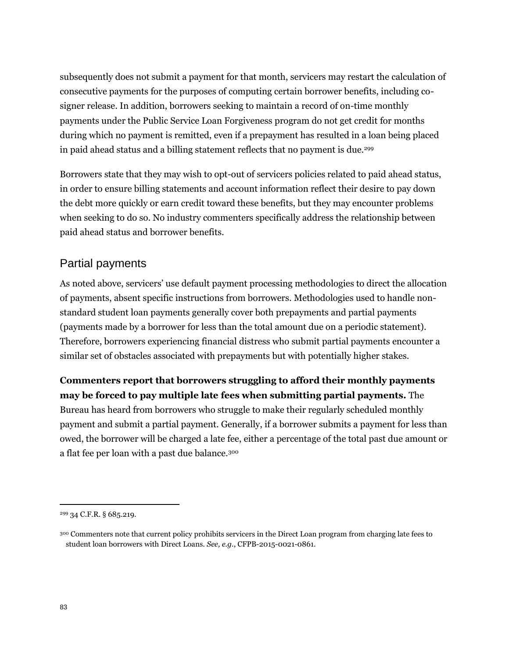subsequently does not submit a payment for that month, servicers may restart the calculation of consecutive payments for the purposes of computing certain borrower benefits, including cosigner release. In addition, borrowers seeking to maintain a record of on-time monthly payments under the Public Service Loan Forgiveness program do not get credit for months during which no payment is remitted, even if a prepayment has resulted in a loan being placed in paid ahead status and a billing statement reflects that no payment is due.<sup>299</sup>

Borrowers state that they may wish to opt-out of servicers policies related to paid ahead status, in order to ensure billing statements and account information reflect their desire to pay down the debt more quickly or earn credit toward these benefits, but they may encounter problems when seeking to do so. No industry commenters specifically address the relationship between paid ahead status and borrower benefits.

#### Partial payments

As noted above, servicers' use default payment processing methodologies to direct the allocation of payments, absent specific instructions from borrowers. Methodologies used to handle nonstandard student loan payments generally cover both prepayments and partial payments (payments made by a borrower for less than the total amount due on a periodic statement). Therefore, borrowers experiencing financial distress who submit partial payments encounter a similar set of obstacles associated with prepayments but with potentially higher stakes.

**Commenters report that borrowers struggling to afford their monthly payments may be forced to pay multiple late fees when submitting partial payments.** The Bureau has heard from borrowers who struggle to make their regularly scheduled monthly payment and submit a partial payment. Generally, if a borrower submits a payment for less than owed, the borrower will be charged a late fee, either a percentage of the total past due amount or a flat fee per loan with a past due balance.<sup>300</sup>

<sup>299</sup> 34 C.F.R. § 685.219.

<sup>300</sup> Commenters note that current policy prohibits servicers in the Direct Loan program from charging late fees to student loan borrowers with Direct Loans. *See, e.g.*, CFPB-2015-0021-0861.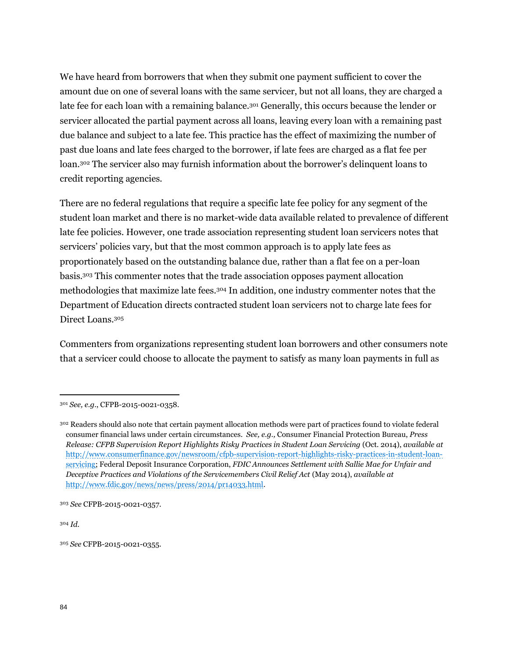We have heard from borrowers that when they submit one payment sufficient to cover the amount due on one of several loans with the same servicer, but not all loans, they are charged a late fee for each loan with a remaining balance.<sup>301</sup> Generally, this occurs because the lender or servicer allocated the partial payment across all loans, leaving every loan with a remaining past due balance and subject to a late fee. This practice has the effect of maximizing the number of past due loans and late fees charged to the borrower, if late fees are charged as a flat fee per loan.<sup>302</sup> The servicer also may furnish information about the borrower's delinquent loans to credit reporting agencies.

There are no federal regulations that require a specific late fee policy for any segment of the student loan market and there is no market-wide data available related to prevalence of different late fee policies. However, one trade association representing student loan servicers notes that servicers' policies vary, but that the most common approach is to apply late fees as proportionately based on the outstanding balance due, rather than a flat fee on a per-loan basis.<sup>303</sup> This commenter notes that the trade association opposes payment allocation methodologies that maximize late fees.<sup>304</sup> In addition, one industry commenter notes that the Department of Education directs contracted student loan servicers not to charge late fees for Direct Loans.<sup>305</sup>

Commenters from organizations representing student loan borrowers and other consumers note that a servicer could choose to allocate the payment to satisfy as many loan payments in full as

<sup>304</sup> *Id.*

<sup>301</sup> *See, e.g.*, CFPB-2015-0021-0358.

<sup>302</sup> Readers should also note that certain payment allocation methods were part of practices found to violate federal consumer financial laws under certain circumstances. *See, e.g.,* Consumer Financial Protection Bureau, *Press Release: CFPB Supervision Report Highlights Risky Practices in Student Loan Servicing* (Oct. 2014), *available at*  [http://www.consumerfinance.gov/newsroom/cfpb-supervision-report-highlights-risky-practices-in-student-loan](http://www.consumerfinance.gov/newsroom/cfpb-supervision-report-highlights-risky-practices-in-student-loan-servicing)[servicing;](http://www.consumerfinance.gov/newsroom/cfpb-supervision-report-highlights-risky-practices-in-student-loan-servicing) Federal Deposit Insurance Corporation, *FDIC Announces Settlement with Sallie Mae for Unfair and Deceptive Practices and Violations of the Servicemembers Civil Relief Act* (May 2014), *available at* [http://www.fdic.gov/news/news/press/2014/pr14033.html.](http://www.fdic.gov/news/news/press/2014/pr14033.html)

<sup>303</sup> *See* CFPB-2015-0021-0357.

<sup>305</sup> *See* CFPB-2015-0021-0355.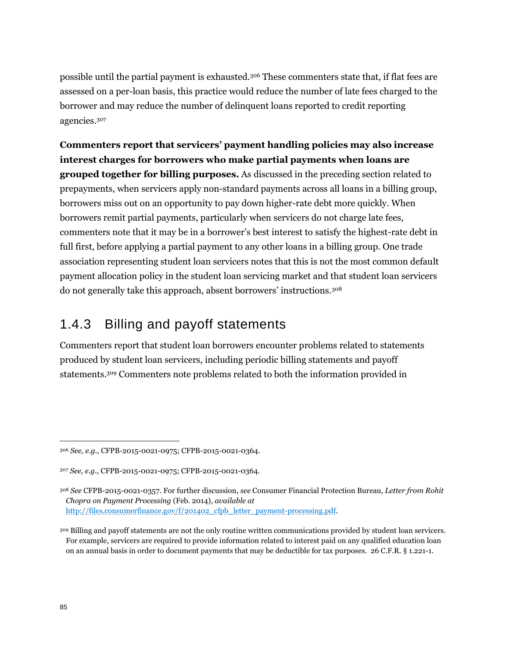possible until the partial payment is exhausted.<sup>306</sup> These commenters state that, if flat fees are assessed on a per-loan basis, this practice would reduce the number of late fees charged to the borrower and may reduce the number of delinquent loans reported to credit reporting agencies.<sup>307</sup>

**Commenters report that servicers' payment handling policies may also increase interest charges for borrowers who make partial payments when loans are grouped together for billing purposes.** As discussed in the preceding section related to prepayments, when servicers apply non-standard payments across all loans in a billing group, borrowers miss out on an opportunity to pay down higher-rate debt more quickly. When borrowers remit partial payments, particularly when servicers do not charge late fees, commenters note that it may be in a borrower's best interest to satisfy the highest-rate debt in full first, before applying a partial payment to any other loans in a billing group. One trade association representing student loan servicers notes that this is not the most common default payment allocation policy in the student loan servicing market and that student loan servicers do not generally take this approach, absent borrowers' instructions.<sup>308</sup>

# 1.4.3 Billing and payoff statements

Commenters report that student loan borrowers encounter problems related to statements produced by student loan servicers, including periodic billing statements and payoff statements.<sup>309</sup> Commenters note problems related to both the information provided in

<sup>306</sup> *See, e.g.*, CFPB-2015-0021-0975; CFPB-2015-0021-0364.

<sup>307</sup> *See, e.g.*, CFPB-2015-0021-0975; CFPB-2015-0021-0364.

<sup>308</sup> *See* CFPB-2015-0021-0357. For further discussion, *see* Consumer Financial Protection Bureau, *Letter from Rohit Chopra on Payment Processing* (Feb. 2014), *available at* [http://files.consumerfinance.gov/f/201402\\_cfpb\\_letter\\_payment-processing.pdf.](http://files.consumerfinance.gov/f/201402_cfpb_letter_payment-processing.pdf)

<sup>&</sup>lt;sup>309</sup> Billing and payoff statements are not the only routine written communications provided by student loan servicers. For example, servicers are required to provide information related to interest paid on any qualified education loan on an annual basis in order to document payments that may be deductible for tax purposes. 26 C.F.R. § 1.221-1.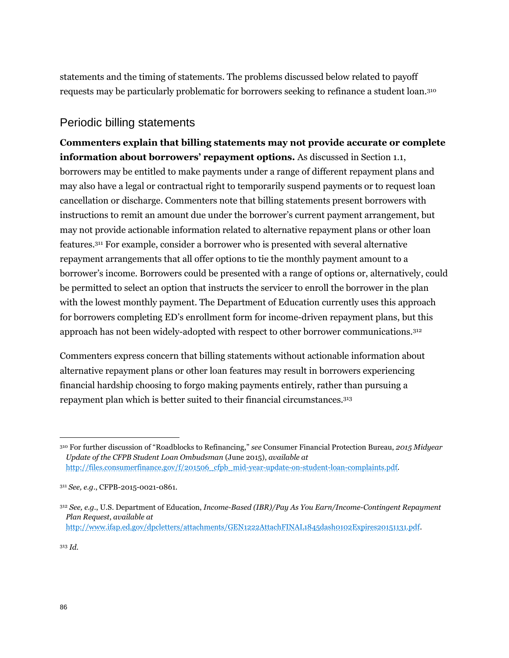statements and the timing of statements. The problems discussed below related to payoff requests may be particularly problematic for borrowers seeking to refinance a student loan.<sup>310</sup>

#### Periodic billing statements

**Commenters explain that billing statements may not provide accurate or complete information about borrowers' repayment options.** As discussed in Section 1.1, borrowers may be entitled to make payments under a range of different repayment plans and may also have a legal or contractual right to temporarily suspend payments or to request loan cancellation or discharge. Commenters note that billing statements present borrowers with instructions to remit an amount due under the borrower's current payment arrangement, but may not provide actionable information related to alternative repayment plans or other loan features.<sup>311</sup> For example, consider a borrower who is presented with several alternative repayment arrangements that all offer options to tie the monthly payment amount to a borrower's income. Borrowers could be presented with a range of options or, alternatively, could be permitted to select an option that instructs the servicer to enroll the borrower in the plan with the lowest monthly payment. The Department of Education currently uses this approach for borrowers completing ED's enrollment form for income-driven repayment plans, but this approach has not been widely-adopted with respect to other borrower communications.<sup>312</sup>

Commenters express concern that billing statements without actionable information about alternative repayment plans or other loan features may result in borrowers experiencing financial hardship choosing to forgo making payments entirely, rather than pursuing a repayment plan which is better suited to their financial circumstances.<sup>313</sup>

<sup>313</sup> *Id.*

<sup>310</sup> For further discussion of "Roadblocks to Refinancing," *see* Consumer Financial Protection Bureau, *2015 Midyear Update of the CFPB Student Loan Ombudsman* (June 2015), *available at*  [http://files.consumerfinance.gov/f/201506\\_cfpb\\_mid-year-update-on-student-loan-complaints.pdf.](http://files.consumerfinance.gov/f/201506_cfpb_mid-year-update-on-student-loan-complaints.pdf) 

<sup>311</sup> *See, e.g.*, CFPB-2015-0021-0861.

<sup>312</sup> *See, e.g.*, U.S. Department of Education, *Income-Based (IBR)/Pay As You Earn/Income-Contingent Repayment Plan Request*, *available at* [http://www.ifap.ed.gov/dpcletters/attachments/GEN1222AttachFINAL1845dash0102Expires20151131.pdf.](http://www.ifap.ed.gov/dpcletters/attachments/GEN1222AttachFINAL1845dash0102Expires20151131.pdf)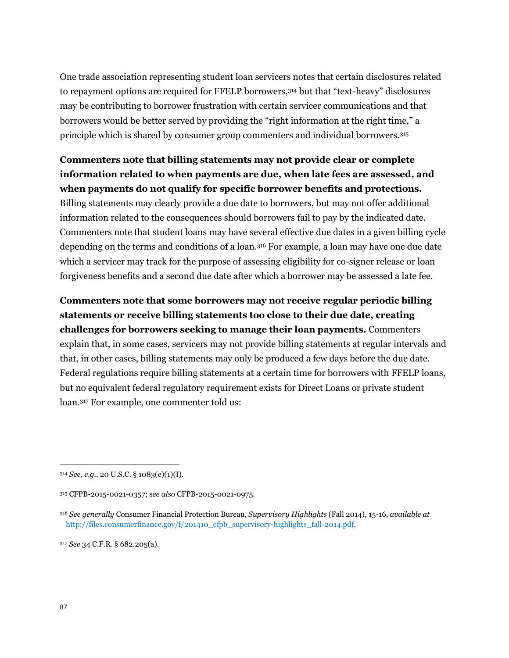One trade association representing student loan servicers notes that certain disclosures related to repayment options are required for FFELP borrowers,<sup>314</sup> but that "text-heavy" disclosures may be contributing to borrower frustration with certain servicer communications and that borrowers would be better served by providing the "right information at the right time," a principle which is shared by consumer group commenters and individual borrowers.<sup>315</sup>

#### **Commenters note that billing statements may not provide clear or complete information related to when payments are due, when late fees are assessed, and when payments do not qualify for specific borrower benefits and protections.**

Billing statements may clearly provide a due date to borrowers, but may not offer additional information related to the consequences should borrowers fail to pay by the indicated date. Commenters note that student loans may have several effective due dates in a given billing cycle depending on the terms and conditions of a loan.<sup>316</sup> For example, a loan may have one due date which a servicer may track for the purpose of assessing eligibility for co-signer release or loan forgiveness benefits and a second due date after which a borrower may be assessed a late fee.

**Commenters note that some borrowers may not receive regular periodic billing statements or receive billing statements too close to their due date, creating challenges for borrowers seeking to manage their loan payments.** Commenters explain that, in some cases, servicers may not provide billing statements at regular intervals and that, in other cases, billing statements may only be produced a few days before the due date. Federal regulations require billing statements at a certain time for borrowers with FFELP loans, but no equivalent federal regulatory requirement exists for Direct Loans or private student loan.<sup>317</sup> For example, one commenter told us:

<sup>317</sup> *See* 34 C.F.R. § 682.205(a).

<sup>314</sup> *See, e.g.*, 20 U.S.C. § 1083(e)(1)(I).

<sup>315</sup> CFPB-2015-0021-0357; s*ee also* CFPB-2015-0021-0975.

<sup>316</sup> *See generally* Consumer Financial Protection Bureau, *Supervisory Highlights* (Fall 2014), 15-16, *available at*  [http://files.consumerfinance.gov/f/201410\\_cfpb\\_supervisory-highlights\\_fall-2014.pdf.](http://files.consumerfinance.gov/f/201410_cfpb_supervisory-highlights_fall-2014.pdf.)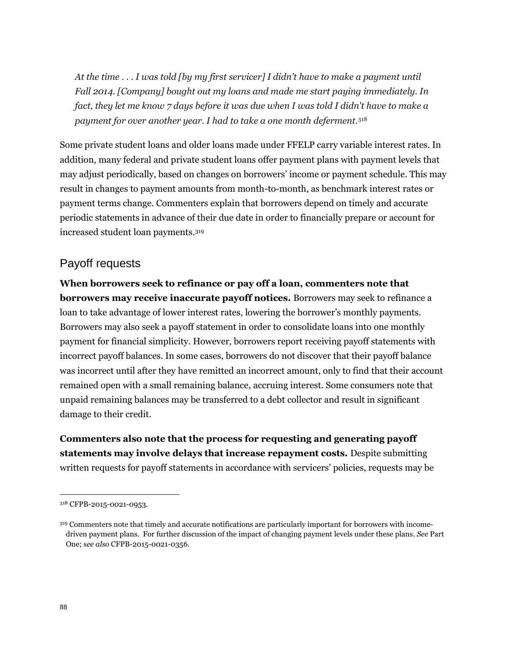*At the time . . . I was told [by my first servicer] I didn't have to make a payment until Fall 2014. [Company] bought out my loans and made me start paying immediately. In fact, they let me know 7 days before it was due when I was told I didn't have to make a payment for over another year. I had to take a one month deferment.*<sup>318</sup>

Some private student loans and older loans made under FFELP carry variable interest rates. In addition, many federal and private student loans offer payment plans with payment levels that may adjust periodically, based on changes on borrowers' income or payment schedule. This may result in changes to payment amounts from month-to-month, as benchmark interest rates or payment terms change. Commenters explain that borrowers depend on timely and accurate periodic statements in advance of their due date in order to financially prepare or account for increased student loan payments.<sup>319</sup>

#### Payoff requests

**When borrowers seek to refinance or pay off a loan, commenters note that borrowers may receive inaccurate payoff notices.** Borrowers may seek to refinance a loan to take advantage of lower interest rates, lowering the borrower's monthly payments. Borrowers may also seek a payoff statement in order to consolidate loans into one monthly payment for financial simplicity. However, borrowers report receiving payoff statements with incorrect payoff balances. In some cases, borrowers do not discover that their payoff balance was incorrect until after they have remitted an incorrect amount, only to find that their account remained open with a small remaining balance, accruing interest. Some consumers note that unpaid remaining balances may be transferred to a debt collector and result in significant damage to their credit.

**Commenters also note that the process for requesting and generating payoff statements may involve delays that increase repayment costs.** Despite submitting written requests for payoff statements in accordance with servicers' policies, requests may be

<sup>318</sup> CFPB-2015-0021-0953.

<sup>319</sup> Commenters note that timely and accurate notifications are particularly important for borrowers with incomedriven payment plans. For further discussion of the impact of changing payment levels under these plans. *See* Part One; s*ee also* CFPB-2015-0021-0356.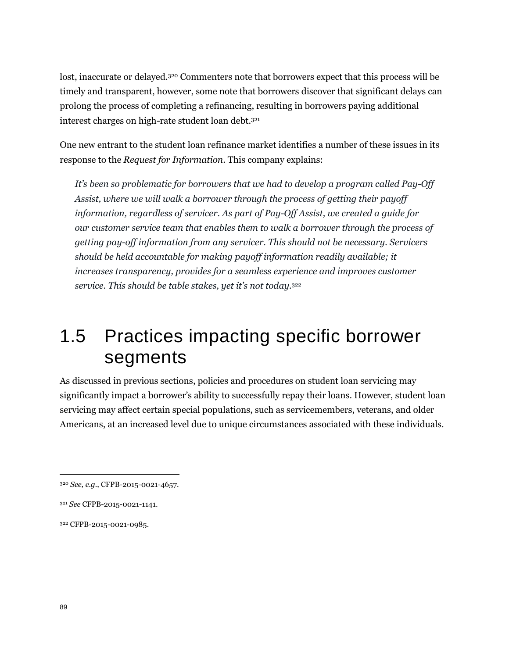lost, inaccurate or delayed.<sup>320</sup> Commenters note that borrowers expect that this process will be timely and transparent, however, some note that borrowers discover that significant delays can prolong the process of completing a refinancing, resulting in borrowers paying additional interest charges on high-rate student loan debt.<sup>321</sup>

One new entrant to the student loan refinance market identifies a number of these issues in its response to the *Request for Information*. This company explains:

*It's been so problematic for borrowers that we had to develop a program called Pay-Off Assist, where we will walk a borrower through the process of getting their payoff information, regardless of servicer. As part of Pay-Off Assist, we created a guide for our customer service team that enables them to walk a borrower through the process of getting pay-off information from any servicer. This should not be necessary. Servicers should be held accountable for making payoff information readily available; it increases transparency, provides for a seamless experience and improves customer service. This should be table stakes, yet it's not today.*<sup>322</sup>

# 1.5 Practices impacting specific borrower segments

As discussed in previous sections, policies and procedures on student loan servicing may significantly impact a borrower's ability to successfully repay their loans. However, student loan servicing may affect certain special populations, such as servicemembers, veterans, and older Americans, at an increased level due to unique circumstances associated with these individuals.

<sup>320</sup> *See, e.g.*, CFPB-2015-0021-4657.

<sup>321</sup> *See* CFPB-2015-0021-1141.

<sup>322</sup> CFPB-2015-0021-0985.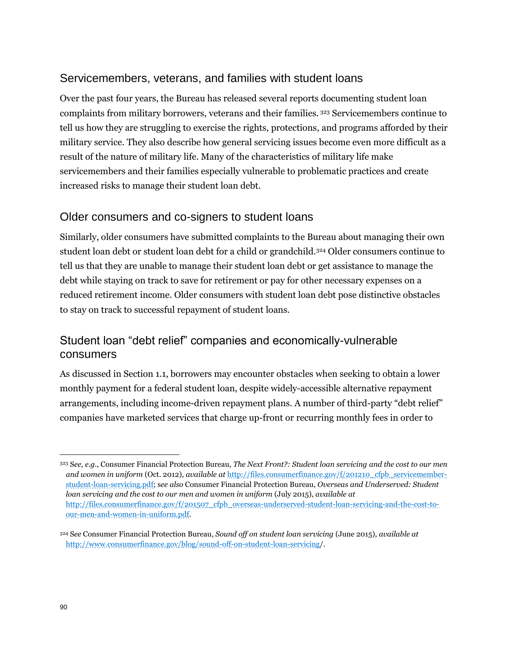#### Servicemembers, veterans, and families with student loans

Over the past four years, the Bureau has released several reports documenting student loan complaints from military borrowers, veterans and their families. <sup>323</sup> Servicemembers continue to tell us how they are struggling to exercise the rights, protections, and programs afforded by their military service. They also describe how general servicing issues become even more difficult as a result of the nature of military life. Many of the characteristics of military life make servicemembers and their families especially vulnerable to problematic practices and create increased risks to manage their student loan debt.

#### Older consumers and co-signers to student loans

Similarly, older consumers have submitted complaints to the Bureau about managing their own student loan debt or student loan debt for a child or grandchild.<sup>324</sup> Older consumers continue to tell us that they are unable to manage their student loan debt or get assistance to manage the debt while staying on track to save for retirement or pay for other necessary expenses on a reduced retirement income. Older consumers with student loan debt pose distinctive obstacles to stay on track to successful repayment of student loans.

#### Student loan "debt relief" companies and economically-vulnerable consumers

As discussed in Section 1.1, borrowers may encounter obstacles when seeking to obtain a lower monthly payment for a federal student loan, despite widely-accessible alternative repayment arrangements, including income-driven repayment plans. A number of third-party "debt relief" companies have marketed services that charge up-front or recurring monthly fees in order to

<sup>323</sup> S*ee, e.g.*, Consumer Financial Protection Bureau, *The Next Front?: Student loan servicing and the cost to our men and women in uniform* (Oct. 2012), *available at* [http://files.consumerfinance.gov/f/201210\\_cfpb\\_servicemember](http://files.consumerfinance.gov/f/201210_cfpb_servicemember-student-loan-servicing.pdf)[student-loan-servicing.pdf;](http://files.consumerfinance.gov/f/201210_cfpb_servicemember-student-loan-servicing.pdf) s*ee also* Consumer Financial Protection Bureau, *Overseas and Underserved: Student loan servicing and the cost to our men and women in uniform* (July 2015), *available at*  [http://files.consumerfinance.gov/f/201507\\_cfpb\\_overseas-underserved-student-loan-servicing-and-the-cost-to](http://files.consumerfinance.gov/f/201507_cfpb_overseas-underserved-student-loan-servicing-and-the-cost-to-our-men-and-women-in-uniform.pdf)[our-men-and-women-in-uniform.pdf.](http://files.consumerfinance.gov/f/201507_cfpb_overseas-underserved-student-loan-servicing-and-the-cost-to-our-men-and-women-in-uniform.pdf) 

<sup>324</sup> S*ee* Consumer Financial Protection Bureau, *Sound off on student loan servicing* (June 2015)*, available at*  <http://www.consumerfinance.gov/blog/sound-off-on-student-loan-servicing/>.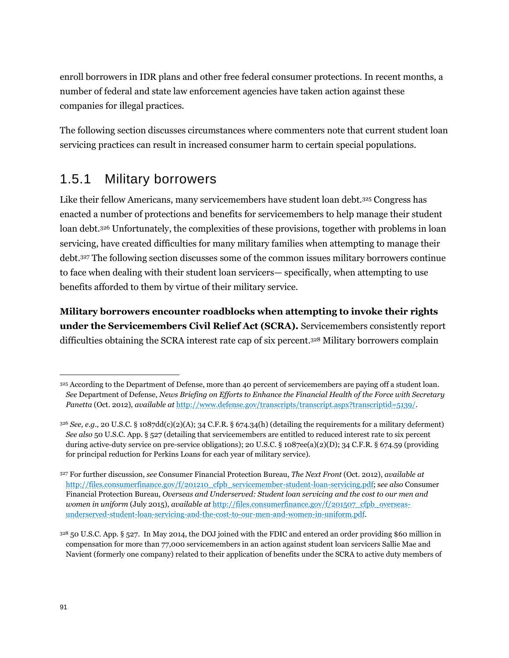enroll borrowers in IDR plans and other free federal consumer protections. In recent months, a number of federal and state law enforcement agencies have taken action against these companies for illegal practices.

The following section discusses circumstances where commenters note that current student loan servicing practices can result in increased consumer harm to certain special populations.

## 1.5.1 Military borrowers

Like their fellow Americans, many servicemembers have student loan debt.<sup>325</sup> Congress has enacted a number of protections and benefits for servicemembers to help manage their student loan debt.<sup>326</sup> Unfortunately, the complexities of these provisions, together with problems in loan servicing, have created difficulties for many military families when attempting to manage their debt.<sup>327</sup> The following section discusses some of the common issues military borrowers continue to face when dealing with their student loan servicers— specifically, when attempting to use benefits afforded to them by virtue of their military service.

**Military borrowers encounter roadblocks when attempting to invoke their rights under the Servicemembers Civil Relief Act (SCRA).** Servicemembers consistently report difficulties obtaining the SCRA interest rate cap of six percent.<sup>328</sup> Military borrowers complain

<sup>325</sup> According to the Department of Defense, more than 40 percent of servicemembers are paying off a student loan. *See* Department of Defense, *News Briefing on Efforts to Enhance the Financial Health of the Force with Secretary Panetta* (Oct. 2012)*, available at* [http://www.defense.gov/transcripts/transcript.aspx?transcriptid=5139/.](http://www.defense.gov/transcripts/transcript.aspx?transcriptid=5139/) 

<sup>326</sup> *See, e.g.*, 20 U.S.C. § 1087dd(c)(2)(A); 34 C.F.R. § 674.34(h) (detailing the requirements for a military deferment) *See also* 50 U.S.C. App. § 527 (detailing that servicemembers are entitled to reduced interest rate to six percent during active-duty service on pre-service obligations); 20 U.S.C. § 1087ee(a)(2)(D); 34 C.F.R. § 674.59 (providing for principal reduction for Perkins Loans for each year of military service).

<sup>327</sup> For further discussion, *see* Consumer Financial Protection Bureau, *The Next Front* (Oct. 2012), *available at*  [http://files.consumerfinance.gov/f/201210\\_cfpb\\_servicemember-student-loan-servicing.pdf;](http://files.consumerfinance.gov/f/201210_cfpb_servicemember-student-loan-servicing.pdf) s*ee also* Consumer Financial Protection Bureau, *Overseas and Underserved: Student loan servicing and the cost to our men and women in uniform* (July 2015), *available at* [http://files.consumerfinance.gov/f/201507\\_cfpb\\_overseas](http://files.consumerfinance.gov/f/201507_cfpb_overseas-underserved-student-loan-servicing-and-the-cost-to-our-men-and-women-in-uniform.pdf)[underserved-student-loan-servicing-and-the-cost-to-our-men-and-women-in-uniform.pdf.](http://files.consumerfinance.gov/f/201507_cfpb_overseas-underserved-student-loan-servicing-and-the-cost-to-our-men-and-women-in-uniform.pdf)

<sup>328</sup> 50 U.S.C. App. § 527. In May 2014, the DOJ joined with the FDIC and entered an order providing \$60 million in compensation for more than 77,000 servicemembers in an action against student loan servicers Sallie Mae and Navient (formerly one company) related to their application of benefits under the SCRA to active duty members of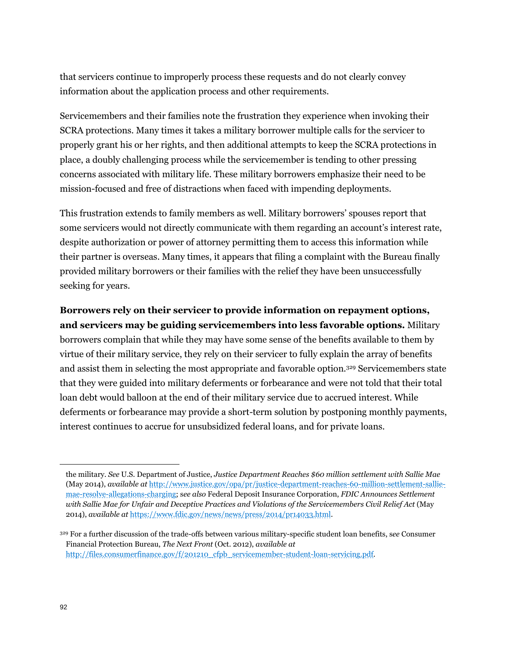that servicers continue to improperly process these requests and do not clearly convey information about the application process and other requirements.

Servicemembers and their families note the frustration they experience when invoking their SCRA protections. Many times it takes a military borrower multiple calls for the servicer to properly grant his or her rights, and then additional attempts to keep the SCRA protections in place, a doubly challenging process while the servicemember is tending to other pressing concerns associated with military life. These military borrowers emphasize their need to be mission-focused and free of distractions when faced with impending deployments.

This frustration extends to family members as well. Military borrowers' spouses report that some servicers would not directly communicate with them regarding an account's interest rate, despite authorization or power of attorney permitting them to access this information while their partner is overseas. Many times, it appears that filing a complaint with the Bureau finally provided military borrowers or their families with the relief they have been unsuccessfully seeking for years.

**Borrowers rely on their servicer to provide information on repayment options, and servicers may be guiding servicemembers into less favorable options.** Military borrowers complain that while they may have some sense of the benefits available to them by virtue of their military service, they rely on their servicer to fully explain the array of benefits and assist them in selecting the most appropriate and favorable option.<sup>329</sup> Servicemembers state that they were guided into military deferments or forbearance and were not told that their total loan debt would balloon at the end of their military service due to accrued interest. While deferments or forbearance may provide a short-term solution by postponing monthly payments, interest continues to accrue for unsubsidized federal loans, and for private loans.

the military. *See* U.S. Department of Justice, *Justice Department Reaches \$60 million settlement with Sallie Mae* (May 2014), *available at* [http://www.justice.gov/opa/pr/justice-department-reaches-60-million-settlement-sallie](http://www.justice.gov/opa/pr/justice-department-reaches-60-million-settlement-sallie-mae-resolve-allegations-charging)[mae-resolve-allegations-charging;](http://www.justice.gov/opa/pr/justice-department-reaches-60-million-settlement-sallie-mae-resolve-allegations-charging) s*ee also* Federal Deposit Insurance Corporation, *FDIC Announces Settlement with Sallie Mae for Unfair and Deceptive Practices and Violations of the Servicemembers Civil Relief Act* (May 2014), *available at* [https://www.fdic.gov/news/news/press/2014/pr14033.html.](https://www.fdic.gov/news/news/press/2014/pr14033.html)

<sup>329</sup> For a further discussion of the trade-offs between various military-specific student loan benefits, s*ee* Consumer Financial Protection Bureau, *The Next Front* (Oct. 2012), *available at* [http://files.consumerfinance.gov/f/201210\\_cfpb\\_servicemember-student-loan-servicing.pdf.](http://files.consumerfinance.gov/f/201210_cfpb_servicemember-student-loan-servicing.pdf)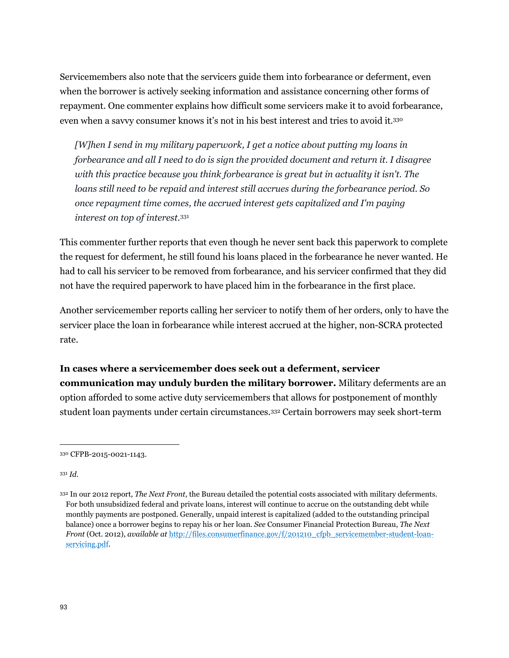Servicemembers also note that the servicers guide them into forbearance or deferment, even when the borrower is actively seeking information and assistance concerning other forms of repayment. One commenter explains how difficult some servicers make it to avoid forbearance, even when a savvy consumer knows it's not in his best interest and tries to avoid it.<sup>330</sup>

*[W]hen I send in my military paperwork, I get a notice about putting my loans in forbearance and all I need to do is sign the provided document and return it. I disagree with this practice because you think forbearance is great but in actuality it isn't. The loans still need to be repaid and interest still accrues during the forbearance period. So once repayment time comes, the accrued interest gets capitalized and I'm paying interest on top of interest.*<sup>331</sup>

This commenter further reports that even though he never sent back this paperwork to complete the request for deferment, he still found his loans placed in the forbearance he never wanted. He had to call his servicer to be removed from forbearance, and his servicer confirmed that they did not have the required paperwork to have placed him in the forbearance in the first place.

Another servicemember reports calling her servicer to notify them of her orders, only to have the servicer place the loan in forbearance while interest accrued at the higher, non-SCRA protected rate.

**In cases where a servicemember does seek out a deferment, servicer communication may unduly burden the military borrower.** Military deferments are an option afforded to some active duty servicemembers that allows for postponement of monthly student loan payments under certain circumstances.<sup>332</sup> Certain borrowers may seek short-term

<sup>331</sup> *Id*.

<sup>330</sup> CFPB-2015-0021-1143.

<sup>332</sup> In our 2012 report, *The Next Front*, the Bureau detailed the potential costs associated with military deferments. For both unsubsidized federal and private loans, interest will continue to accrue on the outstanding debt while monthly payments are postponed. Generally, unpaid interest is capitalized (added to the outstanding principal balance) once a borrower begins to repay his or her loan. *See* Consumer Financial Protection Bureau, *The Next Front* (Oct. 2012), *available at* [http://files.consumerfinance.gov/f/201210\\_cfpb\\_servicemember-student-loan](http://files.consumerfinance.gov/f/201210_cfpb_servicemember-student-loan-servicing.pdf)[servicing.pdf.](http://files.consumerfinance.gov/f/201210_cfpb_servicemember-student-loan-servicing.pdf)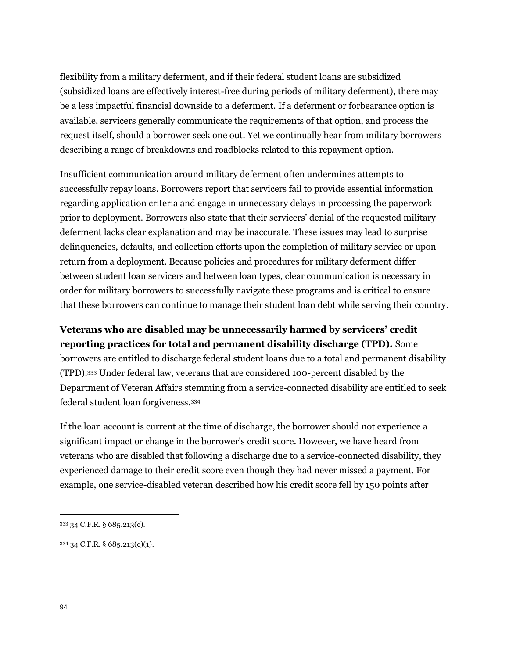flexibility from a military deferment, and if their federal student loans are subsidized (subsidized loans are effectively interest-free during periods of military deferment), there may be a less impactful financial downside to a deferment. If a deferment or forbearance option is available, servicers generally communicate the requirements of that option, and process the request itself, should a borrower seek one out. Yet we continually hear from military borrowers describing a range of breakdowns and roadblocks related to this repayment option.

Insufficient communication around military deferment often undermines attempts to successfully repay loans. Borrowers report that servicers fail to provide essential information regarding application criteria and engage in unnecessary delays in processing the paperwork prior to deployment. Borrowers also state that their servicers' denial of the requested military deferment lacks clear explanation and may be inaccurate. These issues may lead to surprise delinquencies, defaults, and collection efforts upon the completion of military service or upon return from a deployment. Because policies and procedures for military deferment differ between student loan servicers and between loan types, clear communication is necessary in order for military borrowers to successfully navigate these programs and is critical to ensure that these borrowers can continue to manage their student loan debt while serving their country.

**Veterans who are disabled may be unnecessarily harmed by servicers' credit reporting practices for total and permanent disability discharge (TPD).** Some borrowers are entitled to discharge federal student loans due to a total and permanent disability (TPD).<sup>333</sup> Under federal law, veterans that are considered 100-percent disabled by the Department of Veteran Affairs stemming from a service-connected disability are entitled to seek federal student loan forgiveness.<sup>334</sup>

If the loan account is current at the time of discharge, the borrower should not experience a significant impact or change in the borrower's credit score. However, we have heard from veterans who are disabled that following a discharge due to a service-connected disability, they experienced damage to their credit score even though they had never missed a payment. For example, one service-disabled veteran described how his credit score fell by 150 points after

<sup>334</sup> 34 C.F.R. § 685.213(c)(1).

<sup>333</sup> 34 C.F.R. § 685.213(c).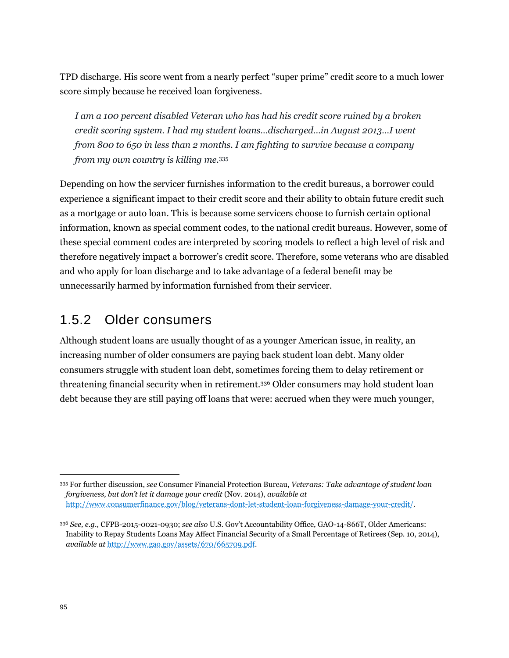TPD discharge. His score went from a nearly perfect "super prime" credit score to a much lower score simply because he received loan forgiveness.

*I am a 100 percent disabled Veteran who has had his credit score ruined by a broken credit scoring system. I had my student loans…discharged…in August 2013…I went from 800 to 650 in less than 2 months. I am fighting to survive because a company from my own country is killing me.*<sup>335</sup>

Depending on how the servicer furnishes information to the credit bureaus, a borrower could experience a significant impact to their credit score and their ability to obtain future credit such as a mortgage or auto loan. This is because some servicers choose to furnish certain optional information, known as special comment codes, to the national credit bureaus. However, some of these special comment codes are interpreted by scoring models to reflect a high level of risk and therefore negatively impact a borrower's credit score. Therefore, some veterans who are disabled and who apply for loan discharge and to take advantage of a federal benefit may be unnecessarily harmed by information furnished from their servicer.

# 1.5.2 Older consumers

Although student loans are usually thought of as a younger American issue, in reality, an increasing number of older consumers are paying back student loan debt. Many older consumers struggle with student loan debt, sometimes forcing them to delay retirement or threatening financial security when in retirement.<sup>336</sup> Older consumers may hold student loan debt because they are still paying off loans that were: accrued when they were much younger,

<sup>335</sup> For further discussion, *see* Consumer Financial Protection Bureau, *Veterans: Take advantage of student loan forgiveness, but don't let it damage your credit* (Nov. 2014), *available at* [http://www.consumerfinance.gov/blog/veterans-dont-let-student-loan-forgiveness-damage-your-credit/.](http://www.consumerfinance.gov/blog/veterans-dont-let-student-loan-forgiveness-damage-your-credit/)

<sup>336</sup> *See, e.g.*, CFPB-2015-0021-0930; *see also* U.S. Gov't Accountability Office, GAO-14-866T, Older Americans: Inability to Repay Students Loans May Affect Financial Security of a Small Percentage of Retirees (Sep. 10, 2014), *available at* <http://www.gao.gov/assets/670/665709.pdf>*.*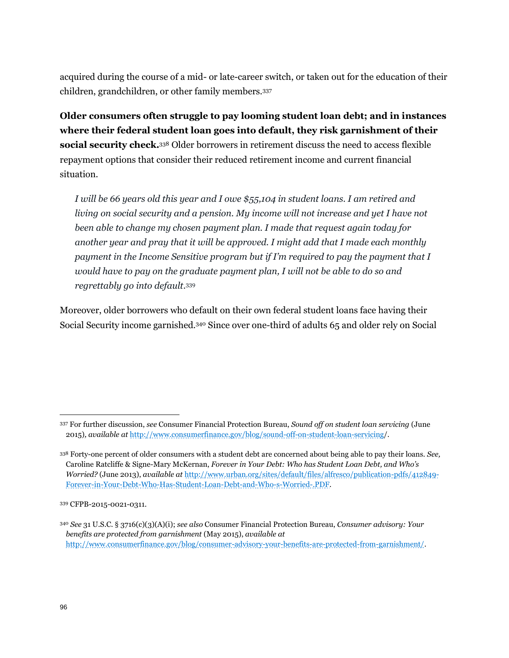acquired during the course of a mid- or late-career switch, or taken out for the education of their children, grandchildren, or other family members.<sup>337</sup>

**Older consumers often struggle to pay looming student loan debt; and in instances where their federal student loan goes into default, they risk garnishment of their social security check.**<sup>338</sup> Older borrowers in retirement discuss the need to access flexible repayment options that consider their reduced retirement income and current financial situation.

*I will be 66 years old this year and I owe \$55,104 in student loans. I am retired and living on social security and a pension. My income will not increase and yet I have not been able to change my chosen payment plan. I made that request again today for another year and pray that it will be approved. I might add that I made each monthly payment in the Income Sensitive program but if I'm required to pay the payment that I would have to pay on the graduate payment plan, I will not be able to do so and regrettably go into default.*<sup>339</sup>

Moreover, older borrowers who default on their own federal student loans face having their Social Security income garnished.<sup>340</sup> Since over one-third of adults 65 and older rely on Social

<sup>337</sup> For further discussion, *see* Consumer Financial Protection Bureau, *Sound off on student loan servicing* (June 2015)*, available at* <http://www.consumerfinance.gov/blog/sound-off-on-student-loan-servicing/>.

<sup>338</sup> Forty-one percent of older consumers with a student debt are concerned about being able to pay their loans. *See,*  Caroline Ratcliffe & Signe-Mary McKernan, *Forever in Your Debt: Who has Student Loan Debt, and Who's Worried?* (June 2013), *available at* [http://www.urban.org/sites/default/files/alfresco/publication-pdfs/412849-](http://www.urban.org/sites/default/files/alfresco/publication-pdfs/412849-Forever-in-Your-Debt-Who-Has-Student-Loan-Debt-and-Who-s-Worried-.PDF) [Forever-in-Your-Debt-Who-Has-Student-Loan-Debt-and-Who-s-Worried-.PDF.](http://www.urban.org/sites/default/files/alfresco/publication-pdfs/412849-Forever-in-Your-Debt-Who-Has-Student-Loan-Debt-and-Who-s-Worried-.PDF)

<sup>339</sup> CFPB-2015-0021-0311.

<sup>340</sup> *See* 31 U.S.C. § 3716(c)(3)(A)(i); *see also* Consumer Financial Protection Bureau, *Consumer advisory: Your benefits are protected from garnishment* (May 2015), *available at* [http://www.consumerfinance.gov/blog/consumer-advisory-your-benefits-are-protected-from-garnishment/.](http://www.consumerfinance.gov/blog/consumer-advisory-your-benefits-are-protected-from-garnishment/)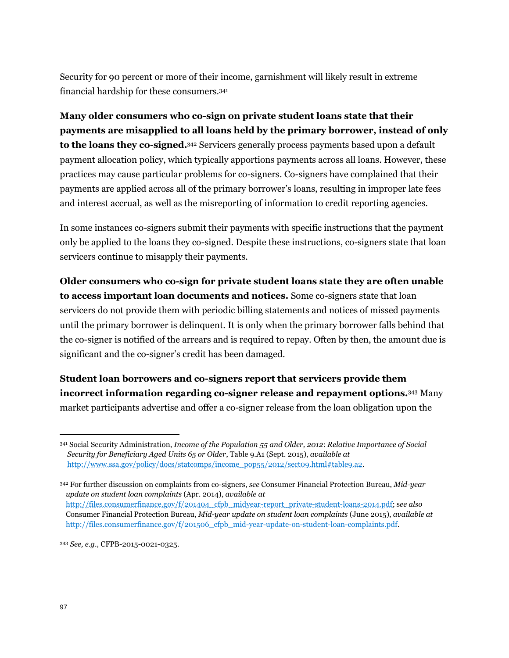Security for 90 percent or more of their income, garnishment will likely result in extreme financial hardship for these consumers.<sup>341</sup>

**Many older consumers who co-sign on private student loans state that their payments are misapplied to all loans held by the primary borrower, instead of only to the loans they co-signed.**<sup>342</sup> Servicers generally process payments based upon a default payment allocation policy, which typically apportions payments across all loans. However, these practices may cause particular problems for co-signers. Co-signers have complained that their payments are applied across all of the primary borrower's loans, resulting in improper late fees and interest accrual, as well as the misreporting of information to credit reporting agencies.

In some instances co-signers submit their payments with specific instructions that the payment only be applied to the loans they co-signed. Despite these instructions, co-signers state that loan servicers continue to misapply their payments.

**Older consumers who co-sign for private student loans state they are often unable to access important loan documents and notices.** Some co-signers state that loan servicers do not provide them with periodic billing statements and notices of missed payments until the primary borrower is delinquent. It is only when the primary borrower falls behind that the co-signer is notified of the arrears and is required to repay. Often by then, the amount due is significant and the co-signer's credit has been damaged.

**Student loan borrowers and co-signers report that servicers provide them incorrect information regarding co-signer release and repayment options.**<sup>343</sup> Many market participants advertise and offer a co-signer release from the loan obligation upon the

<sup>341</sup> Social Security Administration, *Income of the Population 55 and Older, 2012*: *Relative Importance of Social Security for Beneficiary Aged Units 65 or Older*, Table 9.A1 (Sept. 2015), *available at*  [http://www.ssa.gov/policy/docs/statcomps/income\\_pop55/2012/sect09.html#table9.a2.](http://www.ssa.gov/policy/docs/statcomps/income_pop55/2012/sect09.html%23table9.a2)

<sup>342</sup> For further discussion on complaints from co-signers, *see* Consumer Financial Protection Bureau, *Mid-year update on student loan complaints* (Apr. 2014), *available at* [http://files.consumerfinance.gov/f/201404\\_cfpb\\_midyear-report\\_private-student-loans-2014.pdf;](http://files.consumerfinance.gov/f/201404_cfpb_midyear-report_private-student-loans-2014.pdf) s*ee also*  Consumer Financial Protection Bureau, *Mid-year update on student loan complaints* (June 2015), *available at* [http://files.consumerfinance.gov/f/201506\\_cfpb\\_mid-year-update-on-student-loan-complaints.pdf.](http://files.consumerfinance.gov/f/201506_cfpb_mid-year-update-on-student-loan-complaints.pdf) 

<sup>343</sup> *See, e.g.*, CFPB-2015-0021-0325.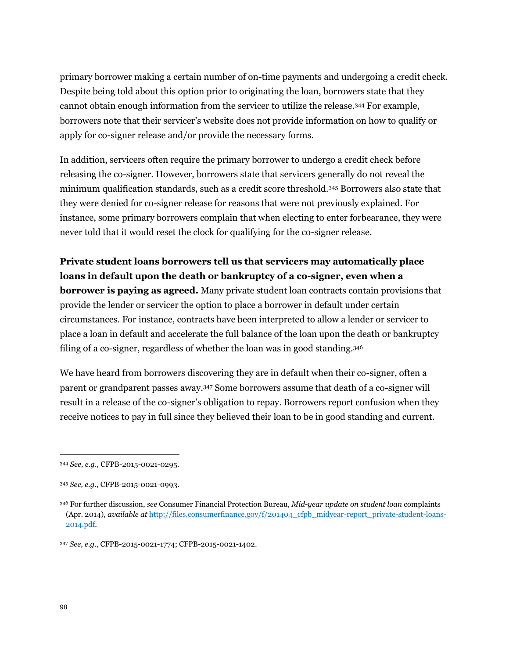primary borrower making a certain number of on-time payments and undergoing a credit check. Despite being told about this option prior to originating the loan, borrowers state that they cannot obtain enough information from the servicer to utilize the release.<sup>344</sup> For example, borrowers note that their servicer's website does not provide information on how to qualify or apply for co-signer release and/or provide the necessary forms.

In addition, servicers often require the primary borrower to undergo a credit check before releasing the co-signer. However, borrowers state that servicers generally do not reveal the minimum qualification standards, such as a credit score threshold.<sup>345</sup> Borrowers also state that they were denied for co-signer release for reasons that were not previously explained. For instance, some primary borrowers complain that when electing to enter forbearance, they were never told that it would reset the clock for qualifying for the co-signer release.

**Private student loans borrowers tell us that servicers may automatically place loans in default upon the death or bankruptcy of a co-signer, even when a borrower is paying as agreed.** Many private student loan contracts contain provisions that provide the lender or servicer the option to place a borrower in default under certain circumstances. For instance, contracts have been interpreted to allow a lender or servicer to place a loan in default and accelerate the full balance of the loan upon the death or bankruptcy filing of a co-signer, regardless of whether the loan was in good standing.<sup>346</sup>

We have heard from borrowers discovering they are in default when their co-signer, often a parent or grandparent passes away.<sup>347</sup> Some borrowers assume that death of a co-signer will result in a release of the co-signer's obligation to repay. Borrowers report confusion when they receive notices to pay in full since they believed their loan to be in good standing and current.

<sup>344</sup> *See, e.g.*, CFPB-2015-0021-0295.

<sup>345</sup> *See, e.g.*, CFPB-2015-0021-0993.

<sup>346</sup> For further discussion, *see* Consumer Financial Protection Bureau, *Mid-year update on student loan* complaints (Apr. 2014), *available at* [http://files.consumerfinance.gov/f/201404\\_cfpb\\_midyear-report\\_private-student-loans-](http://files.consumerfinance.gov/f/201404_cfpb_midyear-report_private-student-loans-2014.pdf)[2014.pdf.](http://files.consumerfinance.gov/f/201404_cfpb_midyear-report_private-student-loans-2014.pdf)

<sup>347</sup> *See, e.g.*, CFPB-2015-0021-1774; CFPB-2015-0021-1402.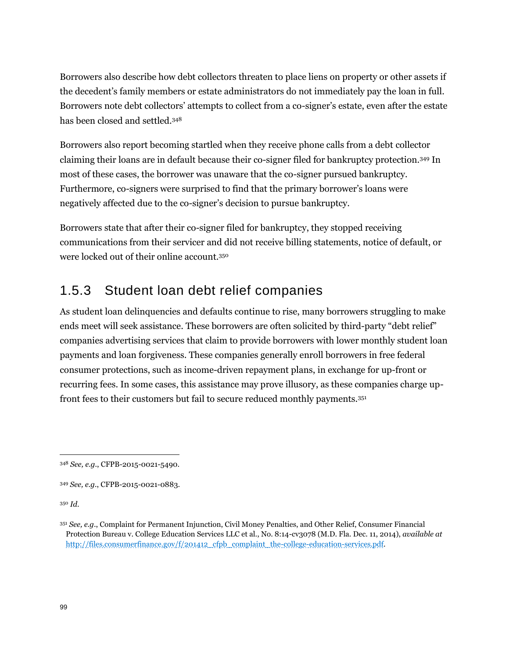Borrowers also describe how debt collectors threaten to place liens on property or other assets if the decedent's family members or estate administrators do not immediately pay the loan in full. Borrowers note debt collectors' attempts to collect from a co-signer's estate, even after the estate has been closed and settled.<sup>348</sup>

Borrowers also report becoming startled when they receive phone calls from a debt collector claiming their loans are in default because their co-signer filed for bankruptcy protection.<sup>349</sup> In most of these cases, the borrower was unaware that the co-signer pursued bankruptcy. Furthermore, co-signers were surprised to find that the primary borrower's loans were negatively affected due to the co-signer's decision to pursue bankruptcy.

Borrowers state that after their co-signer filed for bankruptcy, they stopped receiving communications from their servicer and did not receive billing statements, notice of default, or were locked out of their online account.<sup>350</sup>

# 1.5.3 Student loan debt relief companies

As student loan delinquencies and defaults continue to rise, many borrowers struggling to make ends meet will seek assistance. These borrowers are often solicited by third-party "debt relief" companies advertising services that claim to provide borrowers with lower monthly student loan payments and loan forgiveness. These companies generally enroll borrowers in free federal consumer protections, such as income-driven repayment plans, in exchange for up-front or recurring fees. In some cases, this assistance may prove illusory, as these companies charge upfront fees to their customers but fail to secure reduced monthly payments.<sup>351</sup>

<sup>350</sup> *Id*.

<sup>348</sup> *See, e.g.*, CFPB-2015-0021-5490.

<sup>349</sup> *See, e.g.*, CFPB-2015-0021-0883.

<sup>351</sup> *See, e.g*., Complaint for Permanent Injunction, Civil Money Penalties, and Other Relief, Consumer Financial Protection Bureau v. College Education Services LLC et al., No. 8:14-cv3078 (M.D. Fla. Dec. 11, 2014), *available at* [http://files.consumerfinance.gov/f/201412\\_cfpb\\_complaint\\_the-college-education-services.pdf.](http://files.consumerfinance.gov/f/201412_cfpb_complaint_the-college-education-services.pdf)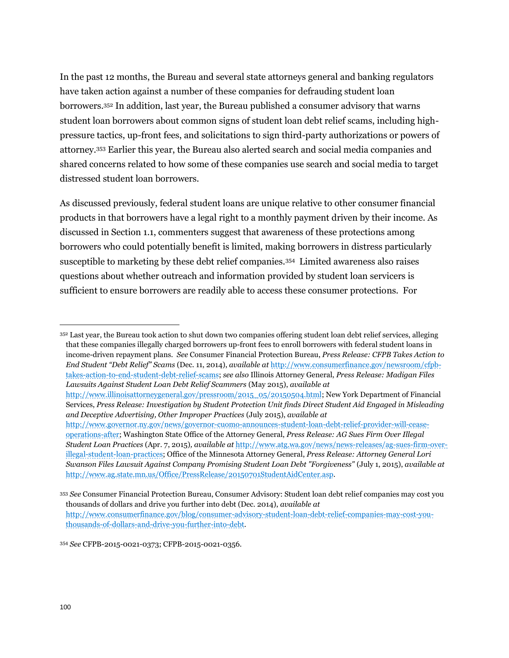In the past 12 months, the Bureau and several state attorneys general and banking regulators have taken action against a number of these companies for defrauding student loan borrowers.<sup>352</sup> In addition, last year, the Bureau published a consumer advisory that warns student loan borrowers about common signs of student loan debt relief scams, including highpressure tactics, up-front fees, and solicitations to sign third-party authorizations or powers of attorney.<sup>353</sup> Earlier this year, the Bureau also alerted search and social media companies and shared concerns related to how some of these companies use search and social media to target distressed student loan borrowers.

As discussed previously, federal student loans are unique relative to other consumer financial products in that borrowers have a legal right to a monthly payment driven by their income. As discussed in Section 1.1, commenters suggest that awareness of these protections among borrowers who could potentially benefit is limited, making borrowers in distress particularly susceptible to marketing by these debt relief companies.<sup>354</sup> Limited awareness also raises questions about whether outreach and information provided by student loan servicers is sufficient to ensure borrowers are readily able to access these consumer protections. For

<sup>352</sup> Last year, the Bureau took action to shut down two companies offering student loan debt relief services, alleging that these companies illegally charged borrowers up-front fees to enroll borrowers with federal student loans in income-driven repayment plans. *See* Consumer Financial Protection Bureau, *Press Release: CFPB Takes Action to End Student "Debt Relief" Scams* (Dec. 11, 2014), *available at* [http://www.consumerfinance.gov/newsroom/cfpb](http://www.consumerfinance.gov/newsroom/cfpb-takes-action-to-end-student-debt-relief-scams)[takes-action-to-end-student-debt-relief-scams;](http://www.consumerfinance.gov/newsroom/cfpb-takes-action-to-end-student-debt-relief-scams) *see also* Illinois Attorney General, *Press Release: Madigan Files Lawsuits Against Student Loan Debt Relief Scammers* (May 2015), *available at*

[http://www.illinoisattorneygeneral.gov/pressroom/2015\\_05/20150504.html;](http://www.illinoisattorneygeneral.gov/pressroom/2015_05/20150504.html) New York Department of Financial Services, *Press Release: Investigation by Student Protection Unit finds Direct Student Aid Engaged in Misleading and Deceptive Advertising, Other Improper Practices* (July 2015), *available at*

<sup>354</sup> *See* CFPB-2015-0021-0373; CFPB-2015-0021-0356.

[http://www.governor.ny.gov/news/governor-cuomo-announces-student-loan-debt-relief-provider-will-cease](http://www.governor.ny.gov/news/governor-cuomo-announces-student-loan-debt-relief-provider-will-cease-operations-after)[operations-after;](http://www.governor.ny.gov/news/governor-cuomo-announces-student-loan-debt-relief-provider-will-cease-operations-after) Washington State Office of the Attorney General, *Press Release: AG Sues Firm Over Illegal Student Loan Practices* (Apr. 7, 2015)*, available at* [http://www.atg.wa.gov/news/news-releases/ag-sues-firm-over](http://www.atg.wa.gov/news/news-releases/ag-sues-firm-over-illegal-student-loan-practices)[illegal-student-loan-practices;](http://www.atg.wa.gov/news/news-releases/ag-sues-firm-over-illegal-student-loan-practices) Office of the Minnesota Attorney General, *Press Release: Attorney General Lori Swanson Files Lawsuit Against Company Promising Student Loan Debt "Forgiveness"* (July 1, 2015), *available at* [http://www.ag.state.mn.us/Office/PressRelease/20150701StudentAidCenter.asp.](http://www.ag.state.mn.us/Office/PressRelease/20150701StudentAidCenter.asp) 

<sup>353</sup> *See* Consumer Financial Protection Bureau, Consumer Advisory: Student loan debt relief companies may cost you thousands of dollars and drive you further into debt (Dec. 2014), *available at*  [http://www.consumerfinance.gov/blog/consumer-advisory-student-loan-debt-relief-companies-may-cost-you](http://www.consumerfinance.gov/blog/consumer-advisory-student-loan-debt-relief-companies-may-cost-you-thousands-of-dollars-and-drive-you-further-into-debt)[thousands-of-dollars-and-drive-you-further-into-debt.](http://www.consumerfinance.gov/blog/consumer-advisory-student-loan-debt-relief-companies-may-cost-you-thousands-of-dollars-and-drive-you-further-into-debt)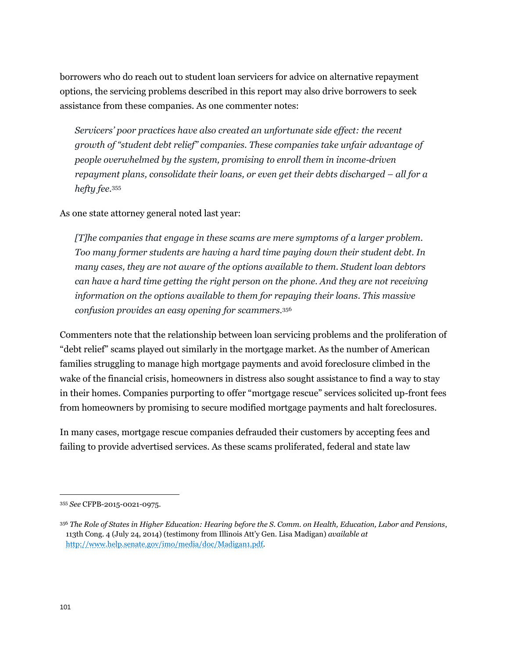borrowers who do reach out to student loan servicers for advice on alternative repayment options, the servicing problems described in this report may also drive borrowers to seek assistance from these companies. As one commenter notes:

*Servicers' poor practices have also created an unfortunate side effect: the recent growth of "student debt relief" companies. These companies take unfair advantage of people overwhelmed by the system, promising to enroll them in income-driven repayment plans, consolidate their loans, or even get their debts discharged – all for a hefty fee.*<sup>355</sup>

As one state attorney general noted last year:

*[T]he companies that engage in these scams are mere symptoms of a larger problem. Too many former students are having a hard time paying down their student debt. In many cases, they are not aware of the options available to them. Student loan debtors can have a hard time getting the right person on the phone. And they are not receiving information on the options available to them for repaying their loans. This massive confusion provides an easy opening for scammers.*<sup>356</sup>

Commenters note that the relationship between loan servicing problems and the proliferation of "debt relief" scams played out similarly in the mortgage market. As the number of American families struggling to manage high mortgage payments and avoid foreclosure climbed in the wake of the financial crisis, homeowners in distress also sought assistance to find a way to stay in their homes. Companies purporting to offer "mortgage rescue" services solicited up-front fees from homeowners by promising to secure modified mortgage payments and halt foreclosures.

In many cases, mortgage rescue companies defrauded their customers by accepting fees and failing to provide advertised services. As these scams proliferated, federal and state law

<sup>355</sup> *See* CFPB-2015-0021-0975.

<sup>356</sup> *The Role of States in Higher Education: Hearing before the S. Comm. on Health, Education, Labor and Pensions*, 113th Cong. 4 (July 24, 2014) (testimony from Illinois Att'y Gen. Lisa Madigan) *available at* [http://www.help.senate.gov/imo/media/doc/Madigan1.pdf.](http://www.help.senate.gov/imo/media/doc/Madigan1.pdf)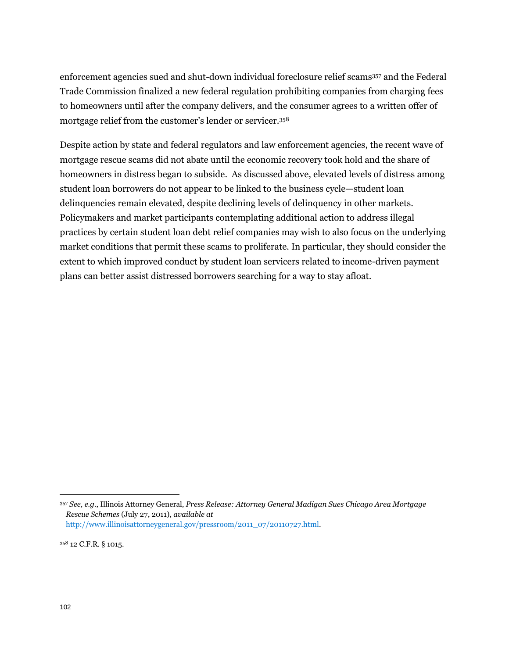enforcement agencies sued and shut-down individual foreclosure relief scams<sup>357</sup> and the Federal Trade Commission finalized a new federal regulation prohibiting companies from charging fees to homeowners until after the company delivers, and the consumer agrees to a written offer of mortgage relief from the customer's lender or servicer.<sup>358</sup>

Despite action by state and federal regulators and law enforcement agencies, the recent wave of mortgage rescue scams did not abate until the economic recovery took hold and the share of homeowners in distress began to subside. As discussed above, elevated levels of distress among student loan borrowers do not appear to be linked to the business cycle—student loan delinquencies remain elevated, despite declining levels of delinquency in other markets. Policymakers and market participants contemplating additional action to address illegal practices by certain student loan debt relief companies may wish to also focus on the underlying market conditions that permit these scams to proliferate. In particular, they should consider the extent to which improved conduct by student loan servicers related to income-driven payment plans can better assist distressed borrowers searching for a way to stay afloat.

<sup>357</sup> *See, e.g*., Illinois Attorney General, *Press Release: Attorney General Madigan Sues Chicago Area Mortgage Rescue Schemes* (July 27, 2011), *available at* [http://www.illinoisattorneygeneral.gov/pressroom/2011\\_07/20110727.html.](http://www.illinoisattorneygeneral.gov/pressroom/2011_07/20110727.html)

<sup>358</sup> 12 C.F.R. § 1015.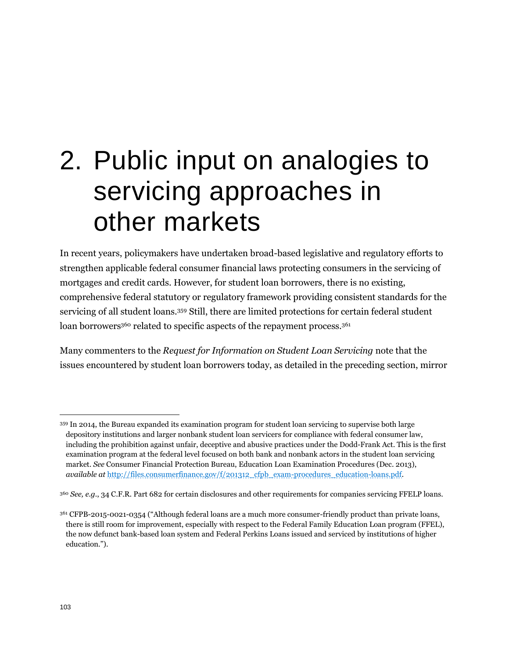# 2. Public input on analogies to servicing approaches in other markets

In recent years, policymakers have undertaken broad-based legislative and regulatory efforts to strengthen applicable federal consumer financial laws protecting consumers in the servicing of mortgages and credit cards. However, for student loan borrowers, there is no existing, comprehensive federal statutory or regulatory framework providing consistent standards for the servicing of all student loans.<sup>359</sup> Still, there are limited protections for certain federal student loan borrowers<sup>360</sup> related to specific aspects of the repayment process.<sup>361</sup>

Many commenters to the *Request for Information on Student Loan Servicing* note that the issues encountered by student loan borrowers today, as detailed in the preceding section, mirror

<sup>359</sup> In 2014, the Bureau expanded its examination program for student loan servicing to supervise both large depository institutions and larger nonbank student loan servicers for compliance with federal consumer law, including the prohibition against unfair, deceptive and abusive practices under the Dodd-Frank Act. This is the first examination program at the federal level focused on both bank and nonbank actors in the student loan servicing market. *See* Consumer Financial Protection Bureau, Education Loan Examination Procedures (Dec. 2013), *available at* [http://files.consumerfinance.gov/f/201312\\_cfpb\\_exam-procedures\\_education-loans.pdf.](http://files.consumerfinance.gov/f/201312_cfpb_exam-procedures_education-loans.pdf)

<sup>360</sup> *See, e.g.*, 34 C.F.R. Part 682 for certain disclosures and other requirements for companies servicing FFELP loans.

<sup>361</sup> CFPB-2015-0021-0354 ("Although federal loans are a much more consumer-friendly product than private loans, there is still room for improvement, especially with respect to the Federal Family Education Loan program (FFEL), the now defunct bank-based loan system and Federal Perkins Loans issued and serviced by institutions of higher education.").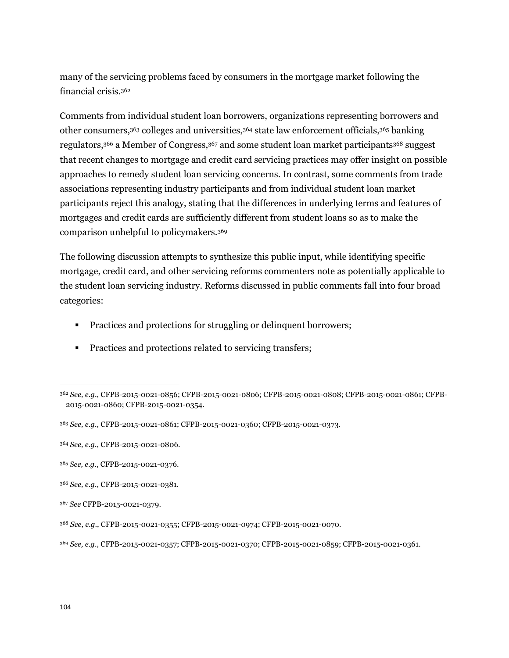many of the servicing problems faced by consumers in the mortgage market following the financial crisis.<sup>362</sup>

Comments from individual student loan borrowers, organizations representing borrowers and other consumers,<sup>363</sup> colleges and universities,<sup>364</sup> state law enforcement officials,<sup>365</sup> banking regulators,<sup>366</sup> a Member of Congress,<sup>367</sup> and some student loan market participants<sup>368</sup> suggest that recent changes to mortgage and credit card servicing practices may offer insight on possible approaches to remedy student loan servicing concerns. In contrast, some comments from trade associations representing industry participants and from individual student loan market participants reject this analogy, stating that the differences in underlying terms and features of mortgages and credit cards are sufficiently different from student loans so as to make the comparison unhelpful to policymakers.<sup>369</sup>

The following discussion attempts to synthesize this public input, while identifying specific mortgage, credit card, and other servicing reforms commenters note as potentially applicable to the student loan servicing industry. Reforms discussed in public comments fall into four broad categories:

- Practices and protections for struggling or delinquent borrowers;
- **Practices and protections related to servicing transfers;**

<sup>362</sup> *See, e.g*., CFPB-2015-0021-0856; CFPB-2015-0021-0806; CFPB-2015-0021-0808; CFPB-2015-0021-0861; CFPB-2015-0021-0860; CFPB-2015-0021-0354.

<sup>363</sup> *See, e.g.*, CFPB-2015-0021-0861; CFPB-2015-0021-0360; CFPB-2015-0021-0373.

<sup>364</sup> *See, e.g.*, CFPB-2015-0021-0806.

<sup>365</sup> *See, e.g.*, CFPB-2015-0021-0376.

<sup>366</sup> *See, e.g.*, CFPB-2015-0021-0381.

<sup>367</sup> *See* CFPB-2015-0021-0379.

<sup>368</sup> *See, e.g*., CFPB-2015-0021-0355; CFPB-2015-0021-0974; CFPB-2015-0021-0070.

<sup>369</sup> *See, e.g.*, CFPB-2015-0021-0357; CFPB-2015-0021-0370; CFPB-2015-0021-0859; CFPB-2015-0021-0361.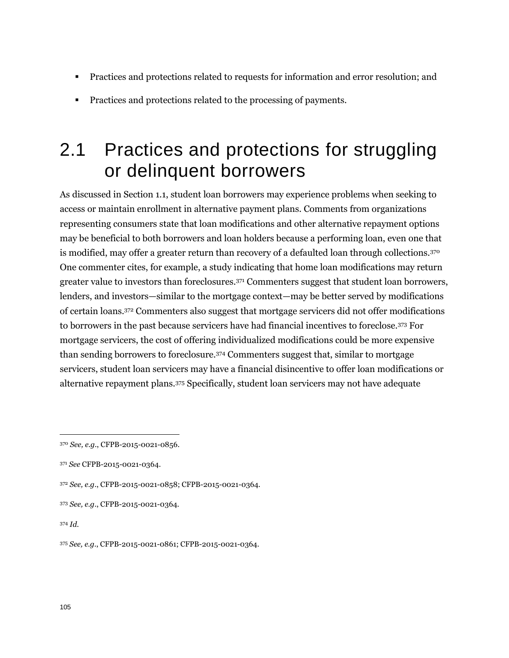- **Practices and protections related to requests for information and error resolution; and**
- Practices and protections related to the processing of payments.

# 2.1 Practices and protections for struggling or delinquent borrowers

As discussed in Section 1.1, student loan borrowers may experience problems when seeking to access or maintain enrollment in alternative payment plans. Comments from organizations representing consumers state that loan modifications and other alternative repayment options may be beneficial to both borrowers and loan holders because a performing loan, even one that is modified, may offer a greater return than recovery of a defaulted loan through collections.<sup>370</sup> One commenter cites, for example, a study indicating that home loan modifications may return greater value to investors than foreclosures.<sup>371</sup> Commenters suggest that student loan borrowers, lenders, and investors—similar to the mortgage context—may be better served by modifications of certain loans.<sup>372</sup> Commenters also suggest that mortgage servicers did not offer modifications to borrowers in the past because servicers have had financial incentives to foreclose.<sup>373</sup> For mortgage servicers, the cost of offering individualized modifications could be more expensive than sending borrowers to foreclosure.<sup>374</sup> Commenters suggest that, similar to mortgage servicers, student loan servicers may have a financial disincentive to offer loan modifications or alternative repayment plans.<sup>375</sup> Specifically, student loan servicers may not have adequate

<sup>370</sup> *See, e.g.*, CFPB-2015-0021-0856.

<sup>371</sup> *See* CFPB-2015-0021-0364.

<sup>372</sup> *See, e.g.*, CFPB-2015-0021-0858; CFPB-2015-0021-0364.

<sup>373</sup> *See, e.g.*, CFPB-2015-0021-0364.

<sup>374</sup> *Id.*

<sup>375</sup> *See, e.g.*, CFPB-2015-0021-0861; CFPB-2015-0021-0364.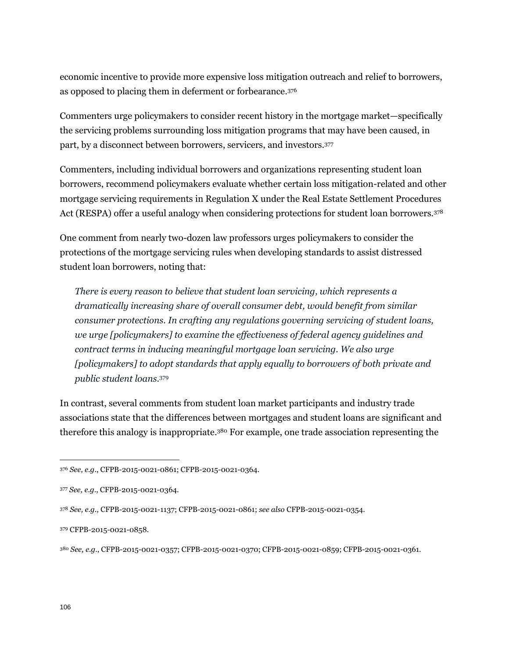economic incentive to provide more expensive loss mitigation outreach and relief to borrowers, as opposed to placing them in deferment or forbearance.<sup>376</sup>

Commenters urge policymakers to consider recent history in the mortgage market—specifically the servicing problems surrounding loss mitigation programs that may have been caused, in part, by a disconnect between borrowers, servicers, and investors.<sup>377</sup>

Commenters, including individual borrowers and organizations representing student loan borrowers, recommend policymakers evaluate whether certain loss mitigation-related and other mortgage servicing requirements in Regulation X under the Real Estate Settlement Procedures Act (RESPA) offer a useful analogy when considering protections for student loan borrowers.<sup>378</sup>

One comment from nearly two-dozen law professors urges policymakers to consider the protections of the mortgage servicing rules when developing standards to assist distressed student loan borrowers, noting that:

*There is every reason to believe that student loan servicing, which represents a dramatically increasing share of overall consumer debt, would benefit from similar consumer protections. In crafting any regulations governing servicing of student loans, we urge [policymakers] to examine the effectiveness of federal agency guidelines and contract terms in inducing meaningful mortgage loan servicing. We also urge [policymakers] to adopt standards that apply equally to borrowers of both private and public student loans.*<sup>379</sup>

In contrast, several comments from student loan market participants and industry trade associations state that the differences between mortgages and student loans are significant and therefore this analogy is inappropriate.<sup>380</sup> For example, one trade association representing the

<sup>376</sup> *See, e.g.*, CFPB-2015-0021-0861; CFPB-2015-0021-0364.

<sup>377</sup> *See, e.g*., CFPB-2015-0021-0364.

<sup>378</sup> *See, e.g.*, CFPB-2015-0021-1137; CFPB-2015-0021-0861; *see also* CFPB-2015-0021-0354.

<sup>379</sup> CFPB-2015-0021-0858.

<sup>380</sup> *See, e.g.*, CFPB-2015-0021-0357; CFPB-2015-0021-0370; CFPB-2015-0021-0859; CFPB-2015-0021-0361.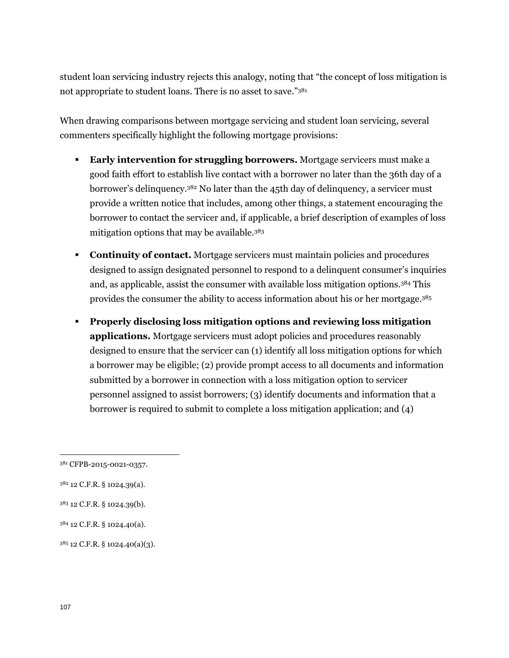student loan servicing industry rejects this analogy, noting that "the concept of loss mitigation is not appropriate to student loans. There is no asset to save."<sup>381</sup>

When drawing comparisons between mortgage servicing and student loan servicing, several commenters specifically highlight the following mortgage provisions:

- **Early intervention for struggling borrowers.** Mortgage servicers must make a good faith effort to establish live contact with a borrower no later than the 36th day of a borrower's delinquency.<sup>382</sup> No later than the 45th day of delinquency, a servicer must provide a written notice that includes, among other things, a statement encouraging the borrower to contact the servicer and, if applicable, a brief description of examples of loss mitigation options that may be available.<sup>383</sup>
- **Continuity of contact.** Mortgage servicers must maintain policies and procedures designed to assign designated personnel to respond to a delinquent consumer's inquiries and, as applicable, assist the consumer with available loss mitigation options.<sup>384</sup> This provides the consumer the ability to access information about his or her mortgage.<sup>385</sup>
- **Properly disclosing loss mitigation options and reviewing loss mitigation applications.** Mortgage servicers must adopt policies and procedures reasonably designed to ensure that the servicer can (1) identify all loss mitigation options for which a borrower may be eligible; (2) provide prompt access to all documents and information submitted by a borrower in connection with a loss mitigation option to servicer personnel assigned to assist borrowers; (3) identify documents and information that a borrower is required to submit to complete a loss mitigation application; and (4)

- <sup>383</sup> 12 C.F.R. § 1024.39(b).
- <sup>384</sup> 12 C.F.R. § 1024.40(a).

<sup>385</sup> 12 C.F.R. § 1024.40(a)(3).

<sup>381</sup> CFPB-2015-0021-0357.

<sup>382</sup> 12 C.F.R. § 1024.39(a).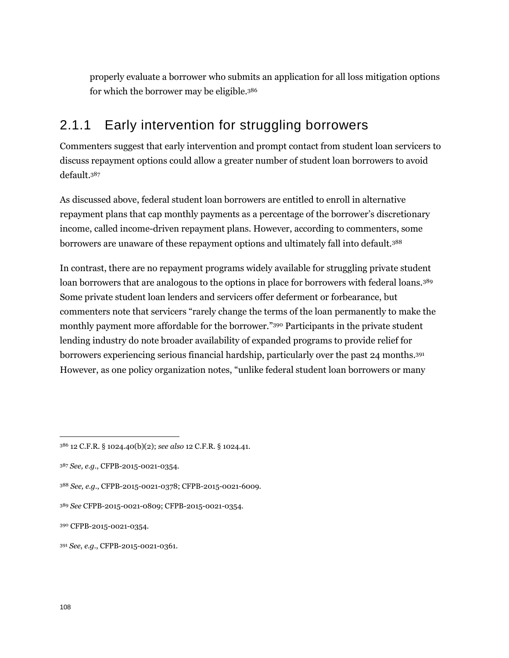properly evaluate a borrower who submits an application for all loss mitigation options for which the borrower may be eligible.<sup>386</sup>

### 2.1.1 Early intervention for struggling borrowers

Commenters suggest that early intervention and prompt contact from student loan servicers to discuss repayment options could allow a greater number of student loan borrowers to avoid default.<sup>387</sup>

As discussed above, federal student loan borrowers are entitled to enroll in alternative repayment plans that cap monthly payments as a percentage of the borrower's discretionary income, called income-driven repayment plans. However, according to commenters, some borrowers are unaware of these repayment options and ultimately fall into default.<sup>388</sup>

In contrast, there are no repayment programs widely available for struggling private student loan borrowers that are analogous to the options in place for borrowers with federal loans.<sup>389</sup> Some private student loan lenders and servicers offer deferment or forbearance, but commenters note that servicers "rarely change the terms of the loan permanently to make the monthly payment more affordable for the borrower."<sup>390</sup> Participants in the private student lending industry do note broader availability of expanded programs to provide relief for borrowers experiencing serious financial hardship, particularly over the past 24 months.<sup>391</sup> However, as one policy organization notes, "unlike federal student loan borrowers or many

<sup>386</sup> 12 C.F.R. § 1024.40(b)(2); *see also* 12 C.F.R. § 1024.41.

<sup>387</sup> *See, e.g.*, CFPB-2015-0021-0354.

<sup>388</sup> *See, e.g.*, CFPB-2015-0021-0378; CFPB-2015-0021-6009.

<sup>389</sup> *See* CFPB-2015-0021-0809; CFPB-2015-0021-0354.

<sup>390</sup> CFPB-2015-0021-0354.

<sup>391</sup> *See*, *e.g.*, CFPB-2015-0021-0361.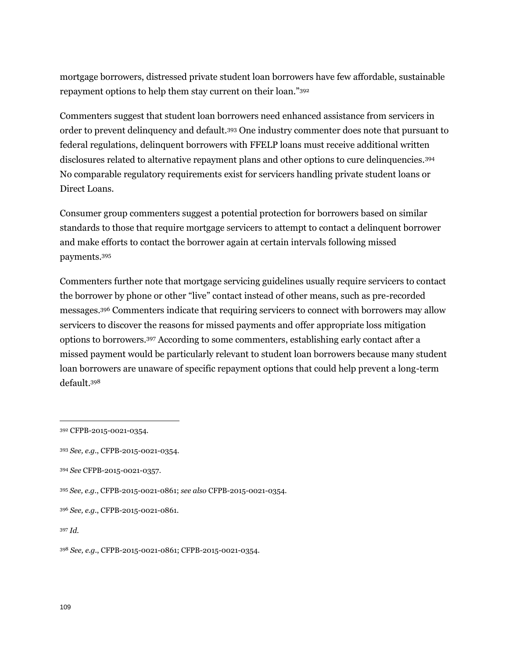mortgage borrowers, distressed private student loan borrowers have few affordable, sustainable repayment options to help them stay current on their loan."<sup>392</sup>

Commenters suggest that student loan borrowers need enhanced assistance from servicers in order to prevent delinquency and default.<sup>393</sup> One industry commenter does note that pursuant to federal regulations, delinquent borrowers with FFELP loans must receive additional written disclosures related to alternative repayment plans and other options to cure delinquencies.<sup>394</sup> No comparable regulatory requirements exist for servicers handling private student loans or Direct Loans.

Consumer group commenters suggest a potential protection for borrowers based on similar standards to those that require mortgage servicers to attempt to contact a delinquent borrower and make efforts to contact the borrower again at certain intervals following missed payments.<sup>395</sup>

Commenters further note that mortgage servicing guidelines usually require servicers to contact the borrower by phone or other "live" contact instead of other means, such as pre-recorded messages.<sup>396</sup> Commenters indicate that requiring servicers to connect with borrowers may allow servicers to discover the reasons for missed payments and offer appropriate loss mitigation options to borrowers.<sup>397</sup> According to some commenters, establishing early contact after a missed payment would be particularly relevant to student loan borrowers because many student loan borrowers are unaware of specific repayment options that could help prevent a long-term default.<sup>398</sup>

<sup>392</sup> CFPB-2015-0021-0354.

<sup>393</sup> *See, e.g.*, CFPB-2015-0021-0354.

<sup>394</sup> *See* CFPB-2015-0021-0357.

<sup>395</sup> *See, e.g.*, CFPB-2015-0021-0861; *see also* CFPB-2015-0021-0354.

<sup>396</sup> *See, e.g.*, CFPB-2015-0021-0861.

<sup>397</sup> *Id.*

<sup>398</sup> *See, e.g.*, CFPB-2015-0021-0861; CFPB-2015-0021-0354.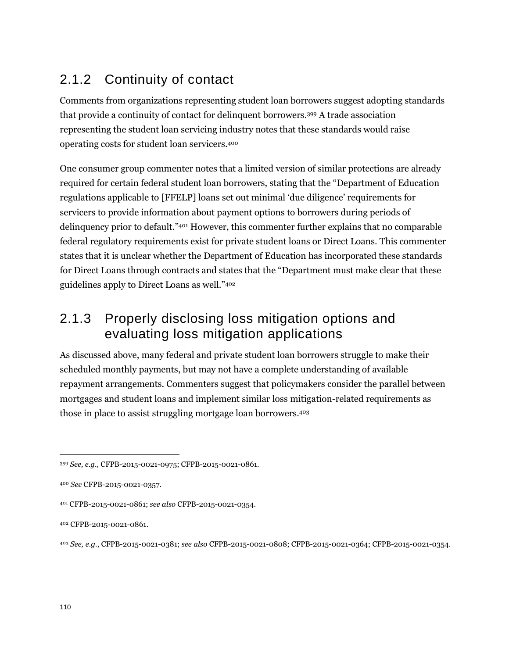## 2.1.2 Continuity of contact

Comments from organizations representing student loan borrowers suggest adopting standards that provide a continuity of contact for delinquent borrowers.<sup>399</sup> A trade association representing the student loan servicing industry notes that these standards would raise operating costs for student loan servicers.<sup>400</sup>

One consumer group commenter notes that a limited version of similar protections are already required for certain federal student loan borrowers, stating that the "Department of Education regulations applicable to [FFELP] loans set out minimal 'due diligence' requirements for servicers to provide information about payment options to borrowers during periods of delinquency prior to default*.*" <sup>401</sup> However, this commenter further explains that no comparable federal regulatory requirements exist for private student loans or Direct Loans. This commenter states that it is unclear whether the Department of Education has incorporated these standards for Direct Loans through contracts and states that the "Department must make clear that these guidelines apply to Direct Loans as well."<sup>402</sup>

### 2.1.3 Properly disclosing loss mitigation options and evaluating loss mitigation applications

As discussed above, many federal and private student loan borrowers struggle to make their scheduled monthly payments, but may not have a complete understanding of available repayment arrangements. Commenters suggest that policymakers consider the parallel between mortgages and student loans and implement similar loss mitigation-related requirements as those in place to assist struggling mortgage loan borrowers.<sup>403</sup>

<sup>399</sup> *See, e.g.*, CFPB-2015-0021-0975; CFPB-2015-0021-0861*.*

<sup>400</sup> *See* CFPB-2015-0021-0357.

<sup>401</sup> CFPB-2015-0021-0861; *see also* CFPB-2015-0021-0354.

<sup>402</sup> CFPB-2015-0021-0861.

<sup>403</sup> *See, e.g.*, CFPB-2015-0021-0381; *see also* CFPB-2015-0021-0808; CFPB-2015-0021-0364; CFPB-2015-0021-0354.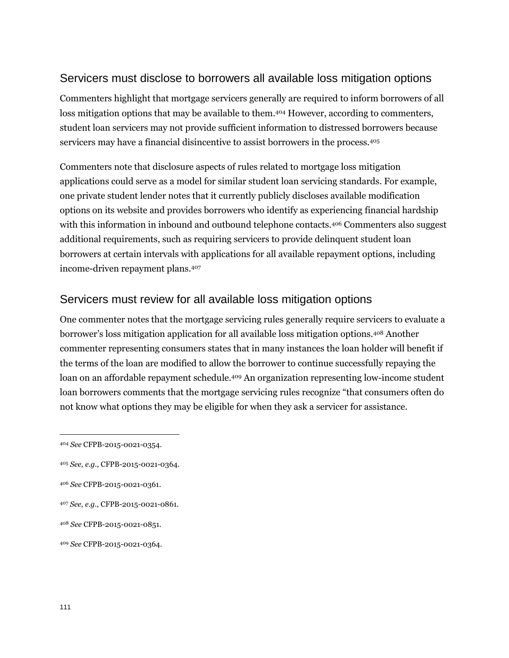#### Servicers must disclose to borrowers all available loss mitigation options

Commenters highlight that mortgage servicers generally are required to inform borrowers of all loss mitigation options that may be available to them.<sup>404</sup> However, according to commenters, student loan servicers may not provide sufficient information to distressed borrowers because servicers may have a financial disincentive to assist borrowers in the process.<sup>405</sup>

Commenters note that disclosure aspects of rules related to mortgage loss mitigation applications could serve as a model for similar student loan servicing standards. For example, one private student lender notes that it currently publicly discloses available modification options on its website and provides borrowers who identify as experiencing financial hardship with this information in inbound and outbound telephone contacts.<sup>406</sup> Commenters also suggest additional requirements, such as requiring servicers to provide delinquent student loan borrowers at certain intervals with applications for all available repayment options, including income-driven repayment plans.<sup>407</sup>

#### Servicers must review for all available loss mitigation options

One commenter notes that the mortgage servicing rules generally require servicers to evaluate a borrower's loss mitigation application for all available loss mitigation options.<sup>408</sup> Another commenter representing consumers states that in many instances the loan holder will benefit if the terms of the loan are modified to allow the borrower to continue successfully repaying the loan on an affordable repayment schedule.<sup>409</sup> An organization representing low-income student loan borrowers comments that the mortgage servicing rules recognize "that consumers often do not know what options they may be eligible for when they ask a servicer for assistance.

<sup>404</sup> *See* CFPB-2015-0021-0354.

<sup>405</sup> *See, e.g.*, CFPB-2015-0021-0364.

<sup>406</sup> *See* CFPB-2015-0021-0361.

<sup>407</sup> *See, e.g.*, CFPB-2015-0021-0861.

<sup>408</sup> *See* CFPB-2015-0021-0851.

<sup>409</sup> *See* CFPB-2015-0021-0364.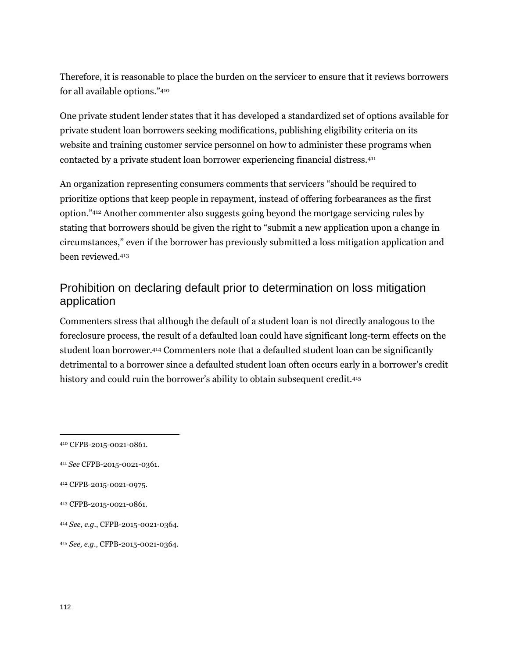Therefore, it is reasonable to place the burden on the servicer to ensure that it reviews borrowers for all available options."<sup>410</sup>

One private student lender states that it has developed a standardized set of options available for private student loan borrowers seeking modifications, publishing eligibility criteria on its website and training customer service personnel on how to administer these programs when contacted by a private student loan borrower experiencing financial distress.<sup>411</sup>

An organization representing consumers comments that servicers "should be required to prioritize options that keep people in repayment, instead of offering forbearances as the first option."<sup>412</sup> Another commenter also suggests going beyond the mortgage servicing rules by stating that borrowers should be given the right to "submit a new application upon a change in circumstances," even if the borrower has previously submitted a loss mitigation application and been reviewed.<sup>413</sup>

### Prohibition on declaring default prior to determination on loss mitigation application

Commenters stress that although the default of a student loan is not directly analogous to the foreclosure process, the result of a defaulted loan could have significant long-term effects on the student loan borrower.<sup>414</sup> Commenters note that a defaulted student loan can be significantly detrimental to a borrower since a defaulted student loan often occurs early in a borrower's credit history and could ruin the borrower's ability to obtain subsequent credit.<sup>415</sup>

- <sup>412</sup> CFPB-2015-0021-0975.
- <sup>413</sup> CFPB-2015-0021-0861.
- <sup>414</sup> *See, e.g.*, CFPB-2015-0021-0364.
- <sup>415</sup> *See, e.g.*, CFPB-2015-0021-0364.

<sup>410</sup> CFPB-2015-0021-0861.

<sup>411</sup> *See* CFPB-2015-0021-0361.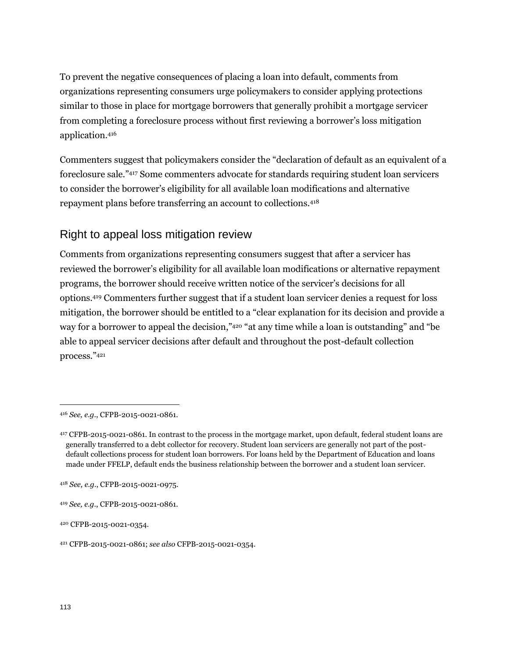To prevent the negative consequences of placing a loan into default, comments from organizations representing consumers urge policymakers to consider applying protections similar to those in place for mortgage borrowers that generally prohibit a mortgage servicer from completing a foreclosure process without first reviewing a borrower's loss mitigation application.<sup>416</sup>

Commenters suggest that policymakers consider the "declaration of default as an equivalent of a foreclosure sale."<sup>417</sup> Some commenters advocate for standards requiring student loan servicers to consider the borrower's eligibility for all available loan modifications and alternative repayment plans before transferring an account to collections.<sup>418</sup>

#### Right to appeal loss mitigation review

Comments from organizations representing consumers suggest that after a servicer has reviewed the borrower's eligibility for all available loan modifications or alternative repayment programs, the borrower should receive written notice of the servicer's decisions for all options.<sup>419</sup> Commenters further suggest that if a student loan servicer denies a request for loss mitigation, the borrower should be entitled to a "clear explanation for its decision and provide a way for a borrower to appeal the decision," <sup>420</sup> "at any time while a loan is outstanding" and "be able to appeal servicer decisions after default and throughout the post-default collection process."<sup>421</sup>

<sup>416</sup> *See, e.g.*, CFPB-2015-0021-0861.

<sup>417</sup> CFPB-2015-0021-0861. In contrast to the process in the mortgage market, upon default, federal student loans are generally transferred to a debt collector for recovery. Student loan servicers are generally not part of the postdefault collections process for student loan borrowers. For loans held by the Department of Education and loans made under FFELP, default ends the business relationship between the borrower and a student loan servicer.

<sup>418</sup> *See, e.g.*, CFPB-2015-0021-0975.

<sup>419</sup> *See, e.g.*, CFPB-2015-0021-0861.

<sup>420</sup> CFPB-2015-0021-0354.

<sup>421</sup> CFPB-2015-0021-0861; *see also* CFPB-2015-0021-0354.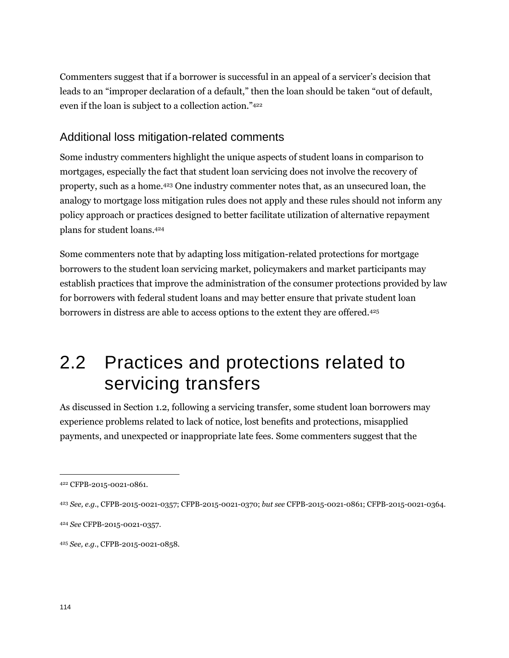Commenters suggest that if a borrower is successful in an appeal of a servicer's decision that leads to an "improper declaration of a default," then the loan should be taken "out of default, even if the loan is subject to a collection action."<sup>422</sup>

#### Additional loss mitigation-related comments

Some industry commenters highlight the unique aspects of student loans in comparison to mortgages, especially the fact that student loan servicing does not involve the recovery of property, such as a home.<sup>423</sup> One industry commenter notes that, as an unsecured loan, the analogy to mortgage loss mitigation rules does not apply and these rules should not inform any policy approach or practices designed to better facilitate utilization of alternative repayment plans for student loans.<sup>424</sup>

Some commenters note that by adapting loss mitigation-related protections for mortgage borrowers to the student loan servicing market, policymakers and market participants may establish practices that improve the administration of the consumer protections provided by law for borrowers with federal student loans and may better ensure that private student loan borrowers in distress are able to access options to the extent they are offered.<sup>425</sup>

# 2.2 Practices and protections related to servicing transfers

As discussed in Section 1.2, following a servicing transfer, some student loan borrowers may experience problems related to lack of notice, lost benefits and protections, misapplied payments, and unexpected or inappropriate late fees. Some commenters suggest that the

<sup>422</sup> CFPB-2015-0021-0861.

<sup>423</sup> *See, e.g.*, CFPB-2015-0021-0357; CFPB-2015-0021-0370; *but see* CFPB-2015-0021-0861; CFPB-2015-0021-0364.

<sup>424</sup> *See* CFPB-2015-0021-0357.

<sup>425</sup> *See, e.g.*, CFPB-2015-0021-0858.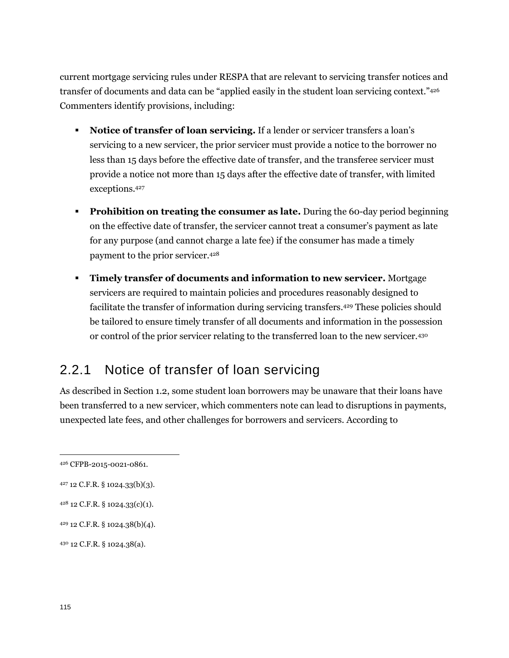current mortgage servicing rules under RESPA that are relevant to servicing transfer notices and transfer of documents and data can be "applied easily in the student loan servicing context."<sup>426</sup> Commenters identify provisions, including:

- **Notice of transfer of loan servicing.** If a lender or servicer transfers a loan's servicing to a new servicer, the prior servicer must provide a notice to the borrower no less than 15 days before the effective date of transfer, and the transferee servicer must provide a notice not more than 15 days after the effective date of transfer, with limited exceptions.<sup>427</sup>
- **Prohibition on treating the consumer as late.** During the 60-day period beginning on the effective date of transfer, the servicer cannot treat a consumer's payment as late for any purpose (and cannot charge a late fee) if the consumer has made a timely payment to the prior servicer.<sup>428</sup>
- **Timely transfer of documents and information to new servicer.** Mortgage servicers are required to maintain policies and procedures reasonably designed to facilitate the transfer of information during servicing transfers.<sup>429</sup> These policies should be tailored to ensure timely transfer of all documents and information in the possession or control of the prior servicer relating to the transferred loan to the new servicer.<sup>430</sup>

### 2.2.1 Notice of transfer of loan servicing

As described in Section 1.2, some student loan borrowers may be unaware that their loans have been transferred to a new servicer, which commenters note can lead to disruptions in payments, unexpected late fees, and other challenges for borrowers and servicers. According to

<sup>426</sup> CFPB-2015-0021-0861.

<sup>427</sup> 12 C.F.R. § 1024.33(b)(3).

<sup>428</sup> 12 C.F.R. § 1024.33(c)(1).

<sup>429</sup> 12 C.F.R. § 1024.38(b)(4).

<sup>430</sup> 12 C.F.R. § 1024.38(a).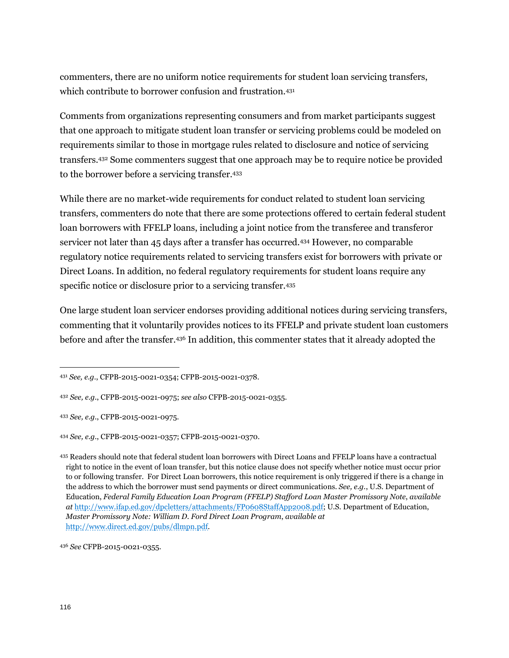commenters, there are no uniform notice requirements for student loan servicing transfers, which contribute to borrower confusion and frustration.<sup>431</sup>

Comments from organizations representing consumers and from market participants suggest that one approach to mitigate student loan transfer or servicing problems could be modeled on requirements similar to those in mortgage rules related to disclosure and notice of servicing transfers.<sup>432</sup> Some commenters suggest that one approach may be to require notice be provided to the borrower before a servicing transfer.<sup>433</sup>

While there are no market-wide requirements for conduct related to student loan servicing transfers, commenters do note that there are some protections offered to certain federal student loan borrowers with FFELP loans, including a joint notice from the transferee and transferor servicer not later than 45 days after a transfer has occurred.<sup>434</sup> However, no comparable regulatory notice requirements related to servicing transfers exist for borrowers with private or Direct Loans. In addition, no federal regulatory requirements for student loans require any specific notice or disclosure prior to a servicing transfer.<sup>435</sup>

One large student loan servicer endorses providing additional notices during servicing transfers, commenting that it voluntarily provides notices to its FFELP and private student loan customers before and after the transfer.<sup>436</sup> In addition, this commenter states that it already adopted the

<sup>431</sup> *See, e.g.*, CFPB-2015-0021-0354; CFPB-2015-0021-0378.

<sup>432</sup> *See, e.g.*, CFPB-2015-0021-0975; *see also* CFPB-2015-0021-0355.

<sup>433</sup> *See, e.g.*, CFPB-2015-0021-0975.

<sup>434</sup> *See, e.g.*, CFPB-2015-0021-0357; CFPB-2015-0021-0370.

<sup>435</sup> Readers should note that federal student loan borrowers with Direct Loans and FFELP loans have a contractual right to notice in the event of loan transfer, but this notice clause does not specify whether notice must occur prior to or following transfer. For Direct Loan borrowers, this notice requirement is only triggered if there is a change in the address to which the borrower must send payments or direct communications. *See, e.g.*, U.S. Department of Education, *Federal Family Education Loan Program (FFELP) Stafford Loan Master Promissory Note*, *available at* [http://www.ifap.ed.gov/dpcletters/attachments/FP0608StaffApp2008.pdf;](http://www.ifap.ed.gov/dpcletters/attachments/FP0608StaffApp2008.pdf) U.S. Department of Education, *Master Promissory Note: William D. Ford Direct Loan Program*, *available at* [http://www.direct.ed.gov/pubs/dlmpn.pdf.](http://www.direct.ed.gov/pubs/dlmpn.pdf)

<sup>436</sup> *See* CFPB-2015-0021-0355.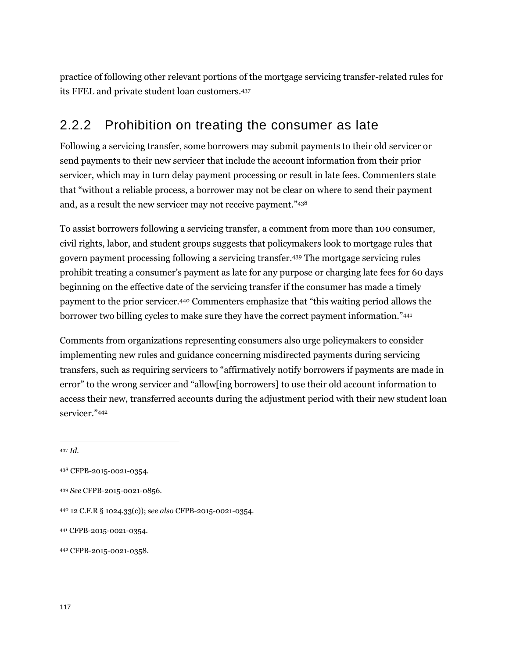practice of following other relevant portions of the mortgage servicing transfer-related rules for its FFEL and private student loan customers.<sup>437</sup>

### 2.2.2 Prohibition on treating the consumer as late

Following a servicing transfer, some borrowers may submit payments to their old servicer or send payments to their new servicer that include the account information from their prior servicer, which may in turn delay payment processing or result in late fees. Commenters state that "without a reliable process, a borrower may not be clear on where to send their payment and, as a result the new servicer may not receive payment."<sup>438</sup>

To assist borrowers following a servicing transfer, a comment from more than 100 consumer, civil rights, labor, and student groups suggests that policymakers look to mortgage rules that govern payment processing following a servicing transfer.<sup>439</sup> The mortgage servicing rules prohibit treating a consumer's payment as late for any purpose or charging late fees for 60 days beginning on the effective date of the servicing transfer if the consumer has made a timely payment to the prior servicer.<sup>440</sup> Commenters emphasize that "this waiting period allows the borrower two billing cycles to make sure they have the correct payment information."<sup>441</sup>

Comments from organizations representing consumers also urge policymakers to consider implementing new rules and guidance concerning misdirected payments during servicing transfers, such as requiring servicers to "affirmatively notify borrowers if payments are made in error" to the wrong servicer and "allow[ing borrowers] to use their old account information to access their new, transferred accounts during the adjustment period with their new student loan servicer."<sup>442</sup>

<sup>437</sup> *Id.* 

<sup>438</sup> CFPB-2015-0021-0354.

<sup>439</sup> *See* CFPB-2015-0021-0856.

<sup>440</sup> 12 C.F.R § 1024.33(c)); s*ee also* CFPB-2015-0021-0354.

<sup>441</sup> CFPB-2015-0021-0354.

<sup>442</sup> CFPB-2015-0021-0358.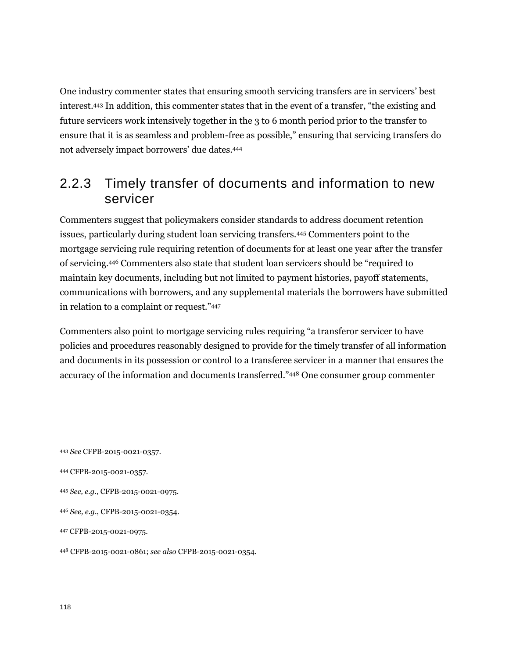One industry commenter states that ensuring smooth servicing transfers are in servicers' best interest.<sup>443</sup> In addition, this commenter states that in the event of a transfer, "the existing and future servicers work intensively together in the 3 to 6 month period prior to the transfer to ensure that it is as seamless and problem-free as possible," ensuring that servicing transfers do not adversely impact borrowers' due dates.<sup>444</sup>

### 2.2.3 Timely transfer of documents and information to new servicer

Commenters suggest that policymakers consider standards to address document retention issues, particularly during student loan servicing transfers.<sup>445</sup> Commenters point to the mortgage servicing rule requiring retention of documents for at least one year after the transfer of servicing. <sup>446</sup> Commenters also state that student loan servicers should be "required to maintain key documents, including but not limited to payment histories, payoff statements, communications with borrowers, and any supplemental materials the borrowers have submitted in relation to a complaint or request."<sup>447</sup>

Commenters also point to mortgage servicing rules requiring "a transferor servicer to have policies and procedures reasonably designed to provide for the timely transfer of all information and documents in its possession or control to a transferee servicer in a manner that ensures the accuracy of the information and documents transferred."<sup>448</sup> One consumer group commenter

<sup>443</sup> *See* CFPB-2015-0021-0357.

<sup>444</sup> CFPB-2015-0021-0357.

<sup>445</sup> *See, e.g.*, CFPB-2015-0021-0975.

<sup>446</sup> *See, e.g.*, CFPB-2015-0021-0354.

<sup>447</sup> CFPB-2015-0021-0975.

<sup>448</sup> CFPB-2015-0021-0861; *see also* CFPB-2015-0021-0354.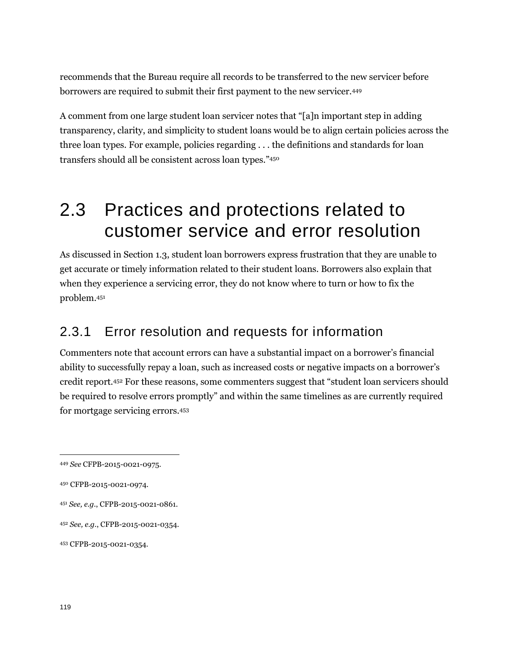recommends that the Bureau require all records to be transferred to the new servicer before borrowers are required to submit their first payment to the new servicer.<sup>449</sup>

A comment from one large student loan servicer notes that "[a]n important step in adding transparency, clarity, and simplicity to student loans would be to align certain policies across the three loan types. For example, policies regarding . . . the definitions and standards for loan transfers should all be consistent across loan types."<sup>450</sup>

# 2.3 Practices and protections related to customer service and error resolution

As discussed in Section 1.3, student loan borrowers express frustration that they are unable to get accurate or timely information related to their student loans. Borrowers also explain that when they experience a servicing error, they do not know where to turn or how to fix the problem.<sup>451</sup>

### 2.3.1 Error resolution and requests for information

Commenters note that account errors can have a substantial impact on a borrower's financial ability to successfully repay a loan, such as increased costs or negative impacts on a borrower's credit report.<sup>452</sup> For these reasons, some commenters suggest that "student loan servicers should be required to resolve errors promptly" and within the same timelines as are currently required for mortgage servicing errors.<sup>453</sup>

<sup>449</sup> *See* CFPB-2015-0021-0975.

<sup>450</sup> CFPB-2015-0021-0974.

<sup>451</sup> *See, e.g.*, CFPB-2015-0021-0861.

<sup>452</sup> *See, e.g.*, CFPB-2015-0021-0354.

<sup>453</sup> CFPB-2015-0021-0354.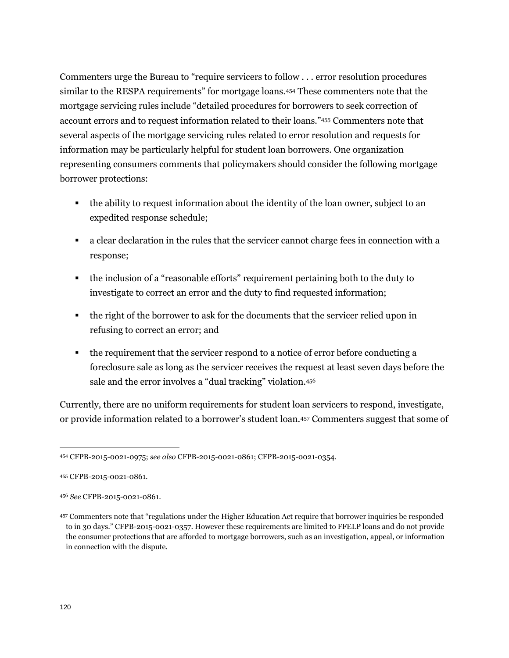Commenters urge the Bureau to "require servicers to follow . . . error resolution procedures similar to the RESPA requirements" for mortgage loans.<sup>454</sup> These commenters note that the mortgage servicing rules include "detailed procedures for borrowers to seek correction of account errors and to request information related to their loans."<sup>455</sup> Commenters note that several aspects of the mortgage servicing rules related to error resolution and requests for information may be particularly helpful for student loan borrowers. One organization representing consumers comments that policymakers should consider the following mortgage borrower protections:

- the ability to request information about the identity of the loan owner, subject to an expedited response schedule;
- a clear declaration in the rules that the servicer cannot charge fees in connection with a response;
- the inclusion of a "reasonable efforts" requirement pertaining both to the duty to investigate to correct an error and the duty to find requested information;
- the right of the borrower to ask for the documents that the servicer relied upon in refusing to correct an error; and
- the requirement that the servicer respond to a notice of error before conducting a foreclosure sale as long as the servicer receives the request at least seven days before the sale and the error involves a "dual tracking" violation.<sup>456</sup>

Currently, there are no uniform requirements for student loan servicers to respond, investigate, or provide information related to a borrower's student loan.<sup>457</sup> Commenters suggest that some of

<sup>454</sup> CFPB-2015-0021-0975; *see also* CFPB-2015-0021-0861; CFPB-2015-0021-0354.

<sup>455</sup> CFPB-2015-0021-0861.

<sup>456</sup> *See* CFPB-2015-0021-0861.

<sup>457</sup> Commenters note that "regulations under the Higher Education Act require that borrower inquiries be responded to in 30 days." CFPB-2015-0021-0357. However these requirements are limited to FFELP loans and do not provide the consumer protections that are afforded to mortgage borrowers, such as an investigation, appeal, or information in connection with the dispute.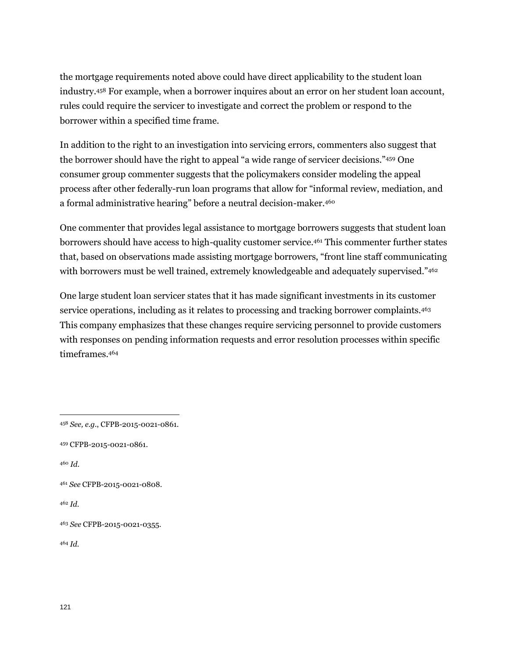the mortgage requirements noted above could have direct applicability to the student loan industry.<sup>458</sup> For example, when a borrower inquires about an error on her student loan account, rules could require the servicer to investigate and correct the problem or respond to the borrower within a specified time frame.

In addition to the right to an investigation into servicing errors, commenters also suggest that the borrower should have the right to appeal "a wide range of servicer decisions."<sup>459</sup> One consumer group commenter suggests that the policymakers consider modeling the appeal process after other federally-run loan programs that allow for "informal review, mediation, and a formal administrative hearing" before a neutral decision-maker.<sup>460</sup>

One commenter that provides legal assistance to mortgage borrowers suggests that student loan borrowers should have access to high-quality customer service.<sup>461</sup> This commenter further states that, based on observations made assisting mortgage borrowers, "front line staff communicating with borrowers must be well trained, extremely knowledgeable and adequately supervised."462

One large student loan servicer states that it has made significant investments in its customer service operations, including as it relates to processing and tracking borrower complaints.<sup>463</sup> This company emphasizes that these changes require servicing personnel to provide customers with responses on pending information requests and error resolution processes within specific timeframes.<sup>464</sup>

<sup>460</sup> *Id*.

 $\overline{a}$ 

<sup>462</sup> *Id*.

<sup>464</sup> *Id.*

<sup>458</sup> *See, e.g.*, CFPB-2015-0021-0861.

<sup>459</sup> CFPB-2015-0021-0861.

<sup>461</sup> *See* CFPB-2015-0021-0808.

<sup>463</sup> *See* CFPB-2015-0021-0355.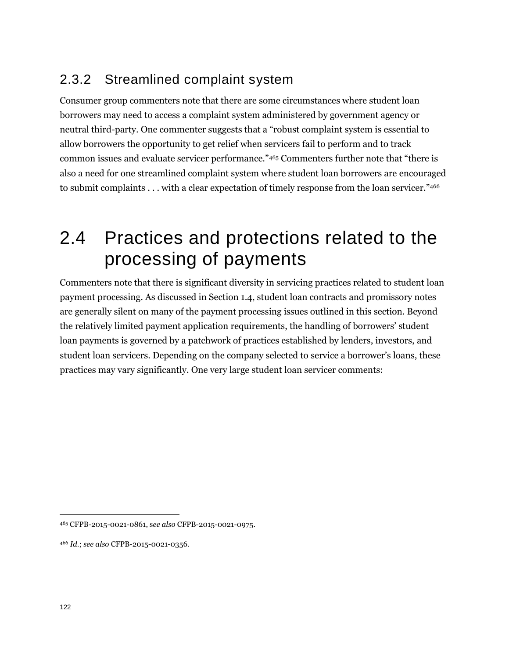### 2.3.2 Streamlined complaint system

Consumer group commenters note that there are some circumstances where student loan borrowers may need to access a complaint system administered by government agency or neutral third-party. One commenter suggests that a "robust complaint system is essential to allow borrowers the opportunity to get relief when servicers fail to perform and to track common issues and evaluate servicer performance."<sup>465</sup> Commenters further note that "there is also a need for one streamlined complaint system where student loan borrowers are encouraged to submit complaints . . . with a clear expectation of timely response from the loan servicer."466

# 2.4 Practices and protections related to the processing of payments

Commenters note that there is significant diversity in servicing practices related to student loan payment processing. As discussed in Section 1.4, student loan contracts and promissory notes are generally silent on many of the payment processing issues outlined in this section. Beyond the relatively limited payment application requirements, the handling of borrowers' student loan payments is governed by a patchwork of practices established by lenders, investors, and student loan servicers. Depending on the company selected to service a borrower's loans, these practices may vary significantly. One very large student loan servicer comments:

<sup>465</sup> CFPB-2015-0021-0861, s*ee also* CFPB-2015-0021-0975.

<sup>466</sup> *Id*.; *see also* CFPB-2015-0021-0356.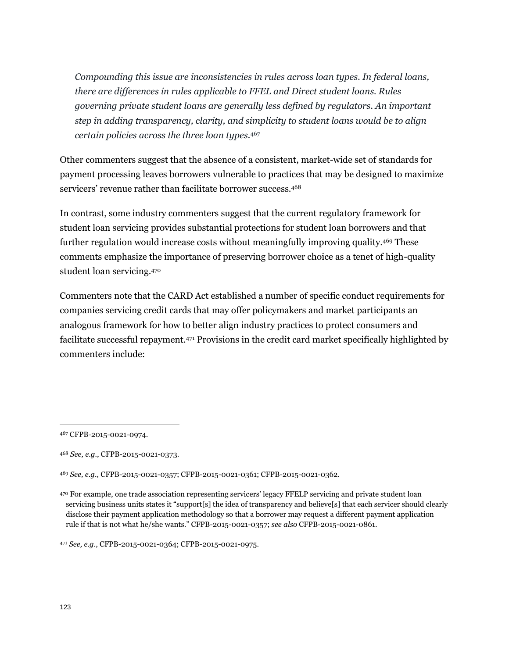*Compounding this issue are inconsistencies in rules across loan types. In federal loans, there are differences in rules applicable to FFEL and Direct student loans. Rules governing private student loans are generally less defined by regulators. An important step in adding transparency, clarity, and simplicity to student loans would be to align certain policies across the three loan types.*<sup>467</sup>

Other commenters suggest that the absence of a consistent, market-wide set of standards for payment processing leaves borrowers vulnerable to practices that may be designed to maximize servicers' revenue rather than facilitate borrower success.<sup>468</sup>

In contrast, some industry commenters suggest that the current regulatory framework for student loan servicing provides substantial protections for student loan borrowers and that further regulation would increase costs without meaningfully improving quality.<sup>469</sup> These comments emphasize the importance of preserving borrower choice as a tenet of high-quality student loan servicing.<sup>470</sup>

Commenters note that the CARD Act established a number of specific conduct requirements for companies servicing credit cards that may offer policymakers and market participants an analogous framework for how to better align industry practices to protect consumers and facilitate successful repayment.<sup>471</sup> Provisions in the credit card market specifically highlighted by commenters include:

<sup>471</sup> *See, e.g.*, CFPB-2015-0021-0364; CFPB-2015-0021-0975.

<sup>467</sup> CFPB-2015-0021-0974.

<sup>468</sup> *See, e.g.*, CFPB-2015-0021-0373.

<sup>469</sup> *See, e.g.*, CFPB-2015-0021-0357; CFPB-2015-0021-0361; CFPB-2015-0021-0362.

<sup>470</sup> For example, one trade association representing servicers' legacy FFELP servicing and private student loan servicing business units states it "support[s] the idea of transparency and believe[s] that each servicer should clearly disclose their payment application methodology so that a borrower may request a different payment application rule if that is not what he/she wants." CFPB-2015-0021-0357; *see also* CFPB-2015-0021-0861.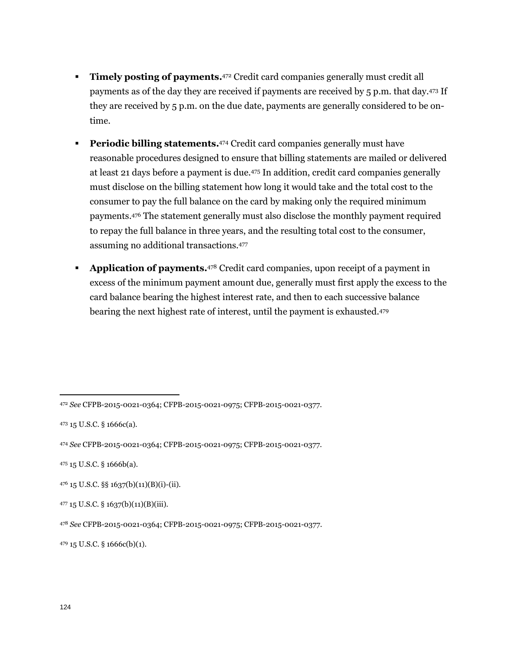- **Timely posting of payments.** 472 Credit card companies generally must credit all payments as of the day they are received if payments are received by 5 p.m. that day.<sup>473</sup> If they are received by 5 p.m. on the due date, payments are generally considered to be ontime.
- **Periodic billing statements.**<sup>474</sup> Credit card companies generally must have reasonable procedures designed to ensure that billing statements are mailed or delivered at least 21 days before a payment is due.<sup>475</sup> In addition, credit card companies generally must disclose on the billing statement how long it would take and the total cost to the consumer to pay the full balance on the card by making only the required minimum payments.<sup>476</sup> The statement generally must also disclose the monthly payment required to repay the full balance in three years, and the resulting total cost to the consumer, assuming no additional transactions.<sup>477</sup>
- **Application of payments.**<sup>478</sup> Credit card companies, upon receipt of a payment in excess of the minimum payment amount due, generally must first apply the excess to the card balance bearing the highest interest rate, and then to each successive balance bearing the next highest rate of interest, until the payment is exhausted.<sup>479</sup>

 $\overline{a}$ 

<sup>479</sup> 15 U.S.C. § 1666c(b)(1).

<sup>472</sup> *See* CFPB-2015-0021-0364; CFPB-2015-0021-0975; CFPB-2015-0021-0377.

<sup>473</sup> 15 U.S.C. § 1666c(a).

<sup>474</sup> *See* CFPB-2015-0021-0364; CFPB-2015-0021-0975; CFPB-2015-0021-0377.

<sup>475</sup> 15 U.S.C. § 1666b(a).

<sup>476</sup> 15 U.S.C. §§ 1637(b)(11)(B)(i)-(ii).

 $477$  15 U.S.C. § 1637(b)(11)(B)(iii).

<sup>478</sup> *See* CFPB-2015-0021-0364; CFPB-2015-0021-0975; CFPB-2015-0021-0377.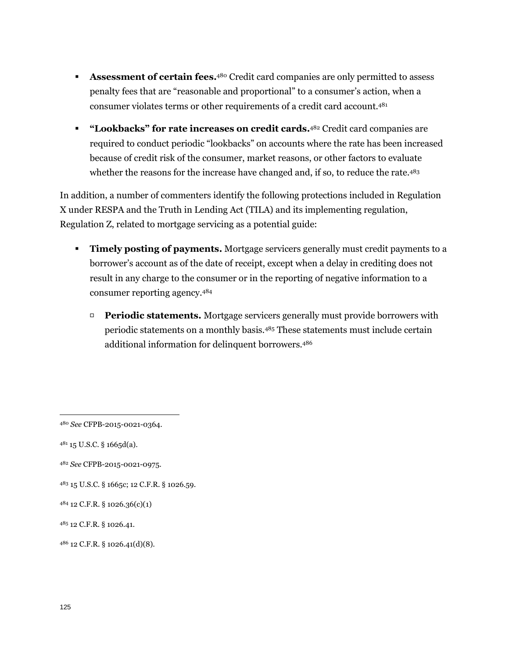- **Assessment of certain fees.**<sup>480</sup> Credit card companies are only permitted to assess penalty fees that are "reasonable and proportional" to a consumer's action, when a consumer violates terms or other requirements of a credit card account.<sup>481</sup>
- **"Lookbacks" for rate increases on credit cards.** <sup>482</sup> Credit card companies are required to conduct periodic "lookbacks" on accounts where the rate has been increased because of credit risk of the consumer, market reasons, or other factors to evaluate whether the reasons for the increase have changed and, if so, to reduce the rate.<sup>483</sup>

In addition, a number of commenters identify the following protections included in Regulation X under RESPA and the Truth in Lending Act (TILA) and its implementing regulation, Regulation Z, related to mortgage servicing as a potential guide:

- **Timely posting of payments.** Mortgage servicers generally must credit payments to a borrower's account as of the date of receipt, except when a delay in crediting does not result in any charge to the consumer or in the reporting of negative information to a consumer reporting agency.<sup>484</sup>
	- **Periodic statements.** Mortgage servicers generally must provide borrowers with periodic statements on a monthly basis.<sup>485</sup> These statements must include certain additional information for delinquent borrowers.<sup>486</sup>

<sup>480</sup> *See* CFPB-2015-0021-0364.

 $481$  15 U.S.C. § 1665d(a).

<sup>482</sup> *See* CFPB-2015-0021-0975.

<sup>483</sup> 15 U.S.C. § 1665c; 12 C.F.R. § 1026.59.

<sup>484</sup> 12 C.F.R. § 1026.36(c)(1)

<sup>485</sup> 12 C.F.R. § 1026.41.

<sup>486</sup> 12 C.F.R. § 1026.41(d)(8).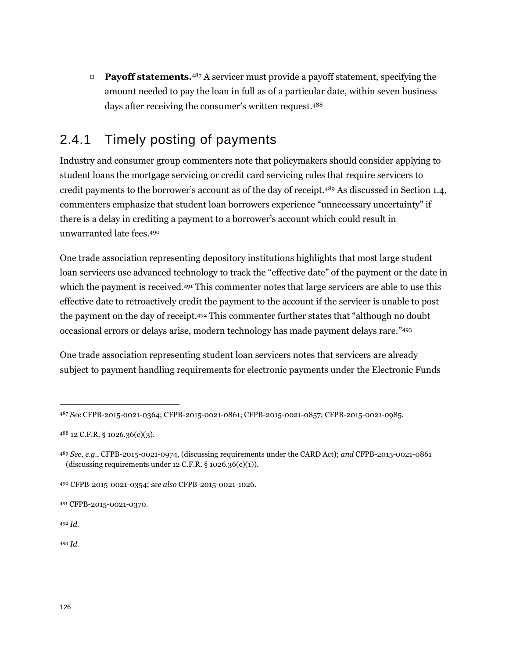□ **Payoff statements.** <sup>487</sup> A servicer must provide a payoff statement, specifying the amount needed to pay the loan in full as of a particular date, within seven business days after receiving the consumer's written request.<sup>488</sup>

### 2.4.1 Timely posting of payments

Industry and consumer group commenters note that policymakers should consider applying to student loans the mortgage servicing or credit card servicing rules that require servicers to credit payments to the borrower's account as of the day of receipt.<sup>489</sup> As discussed in Section 1.4, commenters emphasize that student loan borrowers experience "unnecessary uncertainty" if there is a delay in crediting a payment to a borrower's account which could result in unwarranted late fees.<sup>490</sup>

One trade association representing depository institutions highlights that most large student loan servicers use advanced technology to track the "effective date" of the payment or the date in which the payment is received.<sup>491</sup> This commenter notes that large servicers are able to use this effective date to retroactively credit the payment to the account if the servicer is unable to post the payment on the day of receipt.<sup>492</sup> This commenter further states that "although no doubt occasional errors or delays arise, modern technology has made payment delays rare." 493

One trade association representing student loan servicers notes that servicers are already subject to payment handling requirements for electronic payments under the Electronic Funds

<sup>492</sup> *Id.*

 $\overline{a}$ 

<sup>493</sup> *Id.*

<sup>487</sup> *See* CFPB-2015-0021-0364; CFPB-2015-0021-0861; CFPB-2015-0021-0857; CFPB-2015-0021-0985.

<sup>488</sup> 12 C.F.R. § 1026.36(c)(3).

<sup>489</sup> *See, e.g.*, CFPB-2015-0021-0974, (discussing requirements under the CARD Act); *and* CFPB-2015-0021-0861 (discussing requirements under 12 C.F.R.  $\S$  1026.36(c)(1)).

<sup>490</sup> CFPB-2015-0021-0354; *see also* CFPB-2015-0021-1026.

<sup>491</sup> CFPB-2015-0021-0370.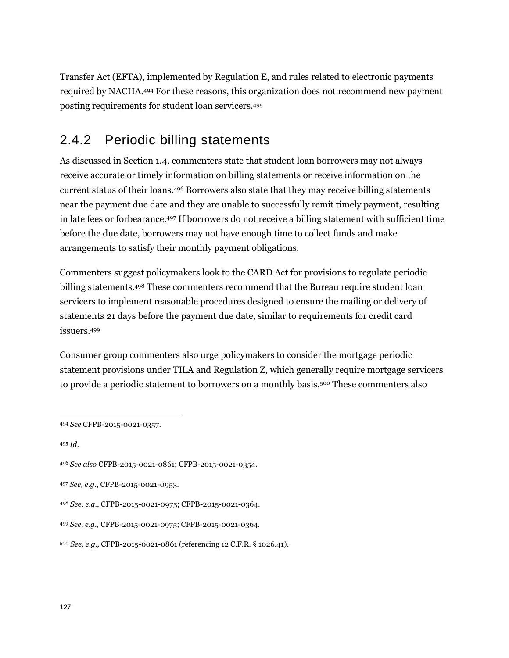Transfer Act (EFTA), implemented by Regulation E, and rules related to electronic payments required by NACHA.<sup>494</sup> For these reasons, this organization does not recommend new payment posting requirements for student loan servicers.<sup>495</sup>

### 2.4.2 Periodic billing statements

As discussed in Section 1.4, commenters state that student loan borrowers may not always receive accurate or timely information on billing statements or receive information on the current status of their loans.<sup>496</sup> Borrowers also state that they may receive billing statements near the payment due date and they are unable to successfully remit timely payment, resulting in late fees or forbearance.<sup>497</sup> If borrowers do not receive a billing statement with sufficient time before the due date, borrowers may not have enough time to collect funds and make arrangements to satisfy their monthly payment obligations.

Commenters suggest policymakers look to the CARD Act for provisions to regulate periodic billing statements.<sup>498</sup> These commenters recommend that the Bureau require student loan servicers to implement reasonable procedures designed to ensure the mailing or delivery of statements 21 days before the payment due date, similar to requirements for credit card issuers.<sup>499</sup>

Consumer group commenters also urge policymakers to consider the mortgage periodic statement provisions under TILA and Regulation Z, which generally require mortgage servicers to provide a periodic statement to borrowers on a monthly basis.<sup>500</sup> These commenters also

<sup>495</sup> *Id*.

<sup>494</sup> *See* CFPB-2015-0021-0357.

<sup>496</sup> *See also* CFPB-2015-0021-0861; CFPB-2015-0021-0354.

<sup>497</sup> *See, e.g.*, CFPB-2015-0021-0953.

<sup>498</sup> *See, e.g.*, CFPB-2015-0021-0975; CFPB-2015-0021-0364.

<sup>499</sup> *See, e.g.*, CFPB-2015-0021-0975; CFPB-2015-0021-0364.

<sup>500</sup> *See, e.g.,* CFPB-2015-0021-0861 (referencing 12 C.F.R. § 1026.41).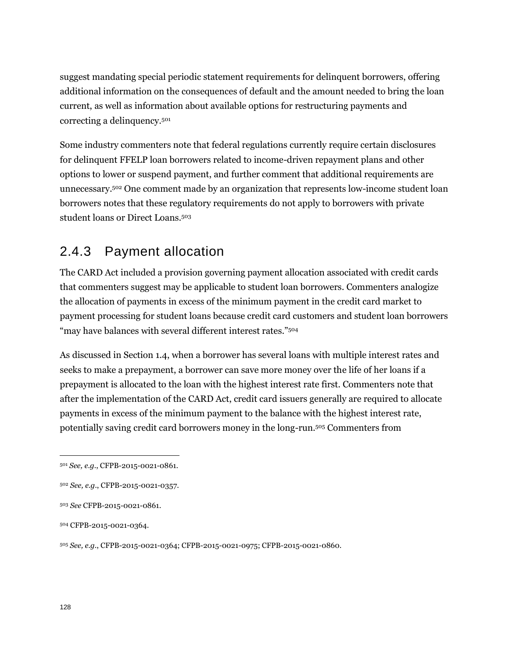suggest mandating special periodic statement requirements for delinquent borrowers, offering additional information on the consequences of default and the amount needed to bring the loan current, as well as information about available options for restructuring payments and correcting a delinquency.<sup>501</sup>

Some industry commenters note that federal regulations currently require certain disclosures for delinquent FFELP loan borrowers related to income-driven repayment plans and other options to lower or suspend payment, and further comment that additional requirements are unnecessary.<sup>502</sup> One comment made by an organization that represents low-income student loan borrowers notes that these regulatory requirements do not apply to borrowers with private student loans or Direct Loans.<sup>503</sup>

### 2.4.3 Payment allocation

The CARD Act included a provision governing payment allocation associated with credit cards that commenters suggest may be applicable to student loan borrowers. Commenters analogize the allocation of payments in excess of the minimum payment in the credit card market to payment processing for student loans because credit card customers and student loan borrowers "may have balances with several different interest rates."<sup>504</sup>

As discussed in Section 1.4, when a borrower has several loans with multiple interest rates and seeks to make a prepayment, a borrower can save more money over the life of her loans if a prepayment is allocated to the loan with the highest interest rate first. Commenters note that after the implementation of the CARD Act, credit card issuers generally are required to allocate payments in excess of the minimum payment to the balance with the highest interest rate, potentially saving credit card borrowers money in the long-run.<sup>505</sup> Commenters from

<sup>505</sup> *See, e.g.*, CFPB-2015-0021-0364; CFPB-2015-0021-0975; CFPB-2015-0021-0860.

<sup>501</sup> *See, e.g.*, CFPB-2015-0021-0861.

<sup>502</sup> *See, e.g*., CFPB-2015-0021-0357.

<sup>503</sup> *See* CFPB-2015-0021-0861.

<sup>504</sup> CFPB-2015-0021-0364.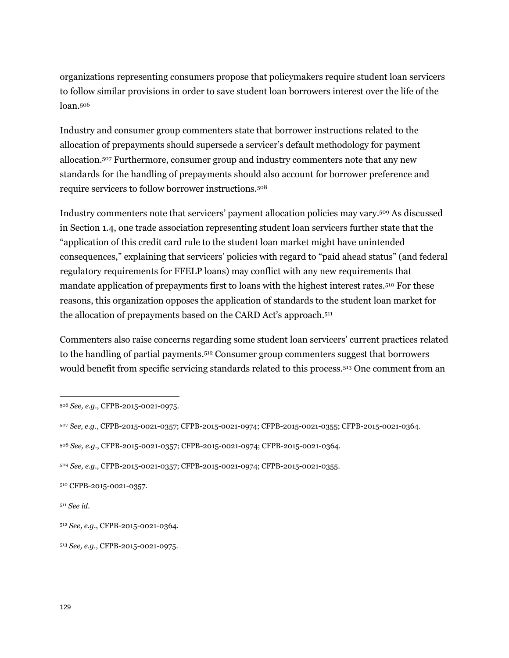organizations representing consumers propose that policymakers require student loan servicers to follow similar provisions in order to save student loan borrowers interest over the life of the loan.<sup>506</sup>

Industry and consumer group commenters state that borrower instructions related to the allocation of prepayments should supersede a servicer's default methodology for payment allocation.<sup>507</sup> Furthermore, consumer group and industry commenters note that any new standards for the handling of prepayments should also account for borrower preference and require servicers to follow borrower instructions.<sup>508</sup>

Industry commenters note that servicers' payment allocation policies may vary.<sup>509</sup> As discussed in Section 1.4, one trade association representing student loan servicers further state that the "application of this credit card rule to the student loan market might have unintended consequences," explaining that servicers' policies with regard to "paid ahead status" (and federal regulatory requirements for FFELP loans) may conflict with any new requirements that mandate application of prepayments first to loans with the highest interest rates.<sup>510</sup> For these reasons, this organization opposes the application of standards to the student loan market for the allocation of prepayments based on the CARD Act's approach.<sup>511</sup>

Commenters also raise concerns regarding some student loan servicers' current practices related to the handling of partial payments.<sup>512</sup> Consumer group commenters suggest that borrowers would benefit from specific servicing standards related to this process.<sup>513</sup> One comment from an

<sup>511</sup> *See id*.

<sup>506</sup> *See, e.g.*, CFPB-2015-0021-0975.

<sup>507</sup> *See, e.g.*, CFPB-2015-0021-0357; CFPB-2015-0021-0974; CFPB-2015-0021-0355; CFPB-2015-0021-0364.

<sup>508</sup> *See, e.g.*, CFPB-2015-0021-0357; CFPB-2015-0021-0974; CFPB-2015-0021-0364.

<sup>509</sup> *See, e.g.*, CFPB-2015-0021-0357; CFPB-2015-0021-0974; CFPB-2015-0021-0355.

<sup>510</sup> CFPB-2015-0021-0357.

<sup>512</sup> *See, e.g.*, CFPB-2015-0021-0364.

<sup>513</sup> *See, e.g.*, CFPB-2015-0021-0975.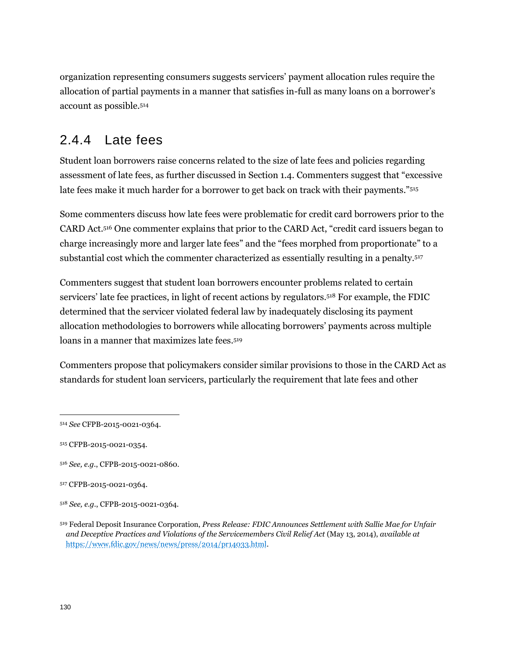organization representing consumers suggests servicers' payment allocation rules require the allocation of partial payments in a manner that satisfies in-full as many loans on a borrower's account as possible.<sup>514</sup>

### 2.4.4 Late fees

Student loan borrowers raise concerns related to the size of late fees and policies regarding assessment of late fees, as further discussed in Section 1.4. Commenters suggest that "excessive late fees make it much harder for a borrower to get back on track with their payments."<sup>515</sup>

Some commenters discuss how late fees were problematic for credit card borrowers prior to the CARD Act.<sup>516</sup> One commenter explains that prior to the CARD Act, "credit card issuers began to charge increasingly more and larger late fees" and the "fees morphed from proportionate" to a substantial cost which the commenter characterized as essentially resulting in a penalty.<sup>517</sup>

Commenters suggest that student loan borrowers encounter problems related to certain servicers' late fee practices, in light of recent actions by regulators.<sup>518</sup> For example, the FDIC determined that the servicer violated federal law by inadequately disclosing its payment allocation methodologies to borrowers while allocating borrowers' payments across multiple loans in a manner that maximizes late fees.<sup>519</sup>

Commenters propose that policymakers consider similar provisions to those in the CARD Act as standards for student loan servicers, particularly the requirement that late fees and other

<sup>514</sup> *See* CFPB-2015-0021-0364.

<sup>515</sup> CFPB-2015-0021-0354.

<sup>516</sup> *See, e.g.*, CFPB-2015-0021-0860.

<sup>517</sup> CFPB-2015-0021-0364.

<sup>518</sup> *See, e.g.*, CFPB-2015-0021-0364.

<sup>519</sup> Federal Deposit Insurance Corporation, *Press Release: FDIC Announces Settlement with Sallie Mae for Unfair and Deceptive Practices and Violations of the Servicemembers Civil Relief Act* (May 13, 2014), *available at*  [https://www.fdic.gov/news/news/press/2014/pr14033.html.](https://www.fdic.gov/news/news/press/2014/pr14033.html)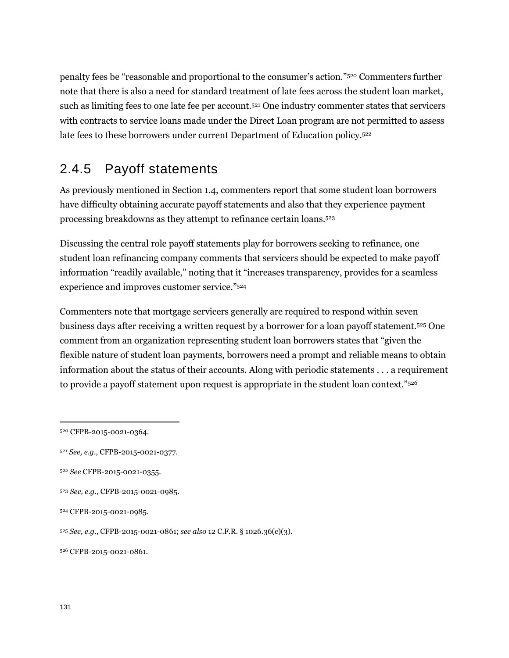penalty fees be "reasonable and proportional to the consumer's action."<sup>520</sup> Commenters further note that there is also a need for standard treatment of late fees across the student loan market, such as limiting fees to one late fee per account.<sup>521</sup> One industry commenter states that servicers with contracts to service loans made under the Direct Loan program are not permitted to assess late fees to these borrowers under current Department of Education policy.<sup>522</sup>

### 2.4.5 Payoff statements

As previously mentioned in Section 1.4, commenters report that some student loan borrowers have difficulty obtaining accurate payoff statements and also that they experience payment processing breakdowns as they attempt to refinance certain loans.<sup>523</sup>

Discussing the central role payoff statements play for borrowers seeking to refinance, one student loan refinancing company comments that servicers should be expected to make payoff information "readily available," noting that it "increases transparency, provides for a seamless experience and improves customer service."<sup>524</sup>

Commenters note that mortgage servicers generally are required to respond within seven business days after receiving a written request by a borrower for a loan payoff statement.<sup>525</sup> One comment from an organization representing student loan borrowers states that "given the flexible nature of student loan payments, borrowers need a prompt and reliable means to obtain information about the status of their accounts. Along with periodic statements . . . a requirement to provide a payoff statement upon request is appropriate in the student loan context."<sup>526</sup>

<sup>520</sup> CFPB-2015-0021-0364.

<sup>521</sup> *See, e.g.*, CFPB-2015-0021-0377.

<sup>522</sup> *See* CFPB-2015-0021-0355.

<sup>523</sup> *See, e.g.*, CFPB-2015-0021-0985.

<sup>524</sup> CFPB-2015-0021-0985.

<sup>525</sup> *See, e.g.*, CFPB-2015-0021-0861; *see also* 12 C.F.R. § 1026.36(c)(3).

<sup>526</sup> CFPB-2015-0021-0861.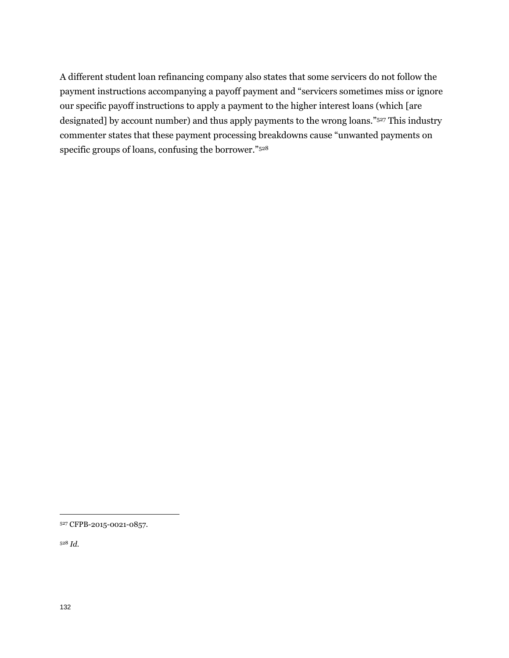A different student loan refinancing company also states that some servicers do not follow the payment instructions accompanying a payoff payment and "servicers sometimes miss or ignore our specific payoff instructions to apply a payment to the higher interest loans (which [are designated] by account number) and thus apply payments to the wrong loans."<sup>527</sup> This industry commenter states that these payment processing breakdowns cause "unwanted payments on specific groups of loans, confusing the borrower."<sup>528</sup>

<sup>528</sup> *Id.*

<sup>527</sup> CFPB-2015-0021-0857.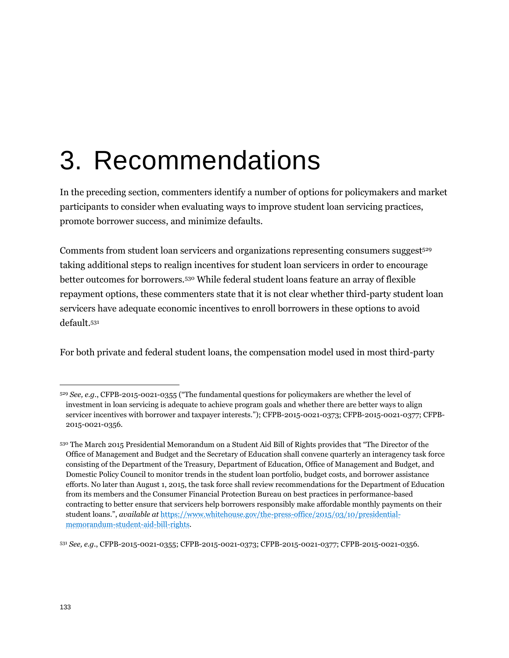# 3. Recommendations

In the preceding section, commenters identify a number of options for policymakers and market participants to consider when evaluating ways to improve student loan servicing practices, promote borrower success, and minimize defaults.

Comments from student loan servicers and organizations representing consumers suggest<sup>529</sup> taking additional steps to realign incentives for student loan servicers in order to encourage better outcomes for borrowers.<sup>530</sup> While federal student loans feature an array of flexible repayment options, these commenters state that it is not clear whether third-party student loan servicers have adequate economic incentives to enroll borrowers in these options to avoid default.<sup>531</sup>

For both private and federal student loans, the compensation model used in most third-party

<sup>529</sup> *See, e.g.*, CFPB-2015-0021-0355 ("The fundamental questions for policymakers are whether the level of investment in loan servicing is adequate to achieve program goals and whether there are better ways to align servicer incentives with borrower and taxpayer interests*.*"); CFPB-2015-0021-0373; CFPB-2015-0021-0377; CFPB-2015-0021-0356.

<sup>530</sup> The March 2015 Presidential Memorandum on a Student Aid Bill of Rights provides that "The Director of the Office of Management and Budget and the Secretary of Education shall convene quarterly an interagency task force consisting of the Department of the Treasury, Department of Education, Office of Management and Budget, and Domestic Policy Council to monitor trends in the student loan portfolio, budget costs, and borrower assistance efforts. No later than August 1, 2015, the task force shall review recommendations for the Department of Education from its members and the Consumer Financial Protection Bureau on best practices in performance-based contracting to better ensure that servicers help borrowers responsibly make affordable monthly payments on their student loans.", *available at* [https://www.whitehouse.gov/the-press-office/2015/03/10/presidential](https://www.whitehouse.gov/the-press-office/2015/03/10/presidential-memorandum-student-aid-bill-rights)[memorandum-student-aid-bill-rights.](https://www.whitehouse.gov/the-press-office/2015/03/10/presidential-memorandum-student-aid-bill-rights)

<sup>531</sup> *See, e.g.*, CFPB-2015-0021-0355; CFPB-2015-0021-0373; CFPB-2015-0021-0377; CFPB-2015-0021-0356.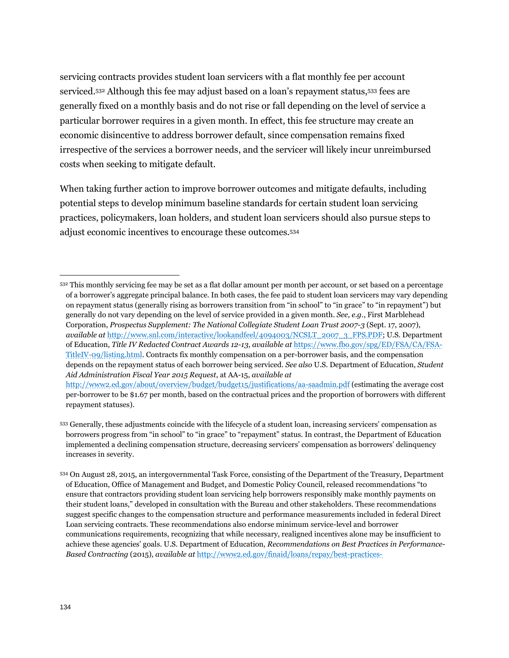servicing contracts provides student loan servicers with a flat monthly fee per account serviced.<sup>532</sup> Although this fee may adjust based on a loan's repayment status,<sup>533</sup> fees are generally fixed on a monthly basis and do not rise or fall depending on the level of service a particular borrower requires in a given month. In effect, this fee structure may create an economic disincentive to address borrower default, since compensation remains fixed irrespective of the services a borrower needs, and the servicer will likely incur unreimbursed costs when seeking to mitigate default.

When taking further action to improve borrower outcomes and mitigate defaults, including potential steps to develop minimum baseline standards for certain student loan servicing practices, policymakers, loan holders, and student loan servicers should also pursue steps to adjust economic incentives to encourage these outcomes.<sup>534</sup>

<sup>532</sup> This monthly servicing fee may be set as a flat dollar amount per month per account, or set based on a percentage of a borrower's aggregate principal balance. In both cases, the fee paid to student loan servicers may vary depending on repayment status (generally rising as borrowers transition from "in school" to "in grace" to "in repayment") but generally do not vary depending on the level of service provided in a given month. *See, e.g.*, First Marblehead Corporation, *Prospectus Supplement: The National Collegiate Student Loan Trust 2007-3* (Sept. 17, 2007)*, available at* [http://www.snl.com/interactive/lookandfeel/4094003/NCSLT\\_2007\\_3\\_FPS.PDF;](http://www.snl.com/interactive/lookandfeel/4094003/NCSLT_2007_3_FPS.PDF) U.S. Department of Education, *Title IV Redacted Contract Awards 12-13*, *available at* [https://www.fbo.gov/spg/ED/FSA/CA/FSA-](https://www.fbo.gov/spg/ED/FSA/CA/FSA-TitleIV-09/listing.html)[TitleIV-09/listing.html.](https://www.fbo.gov/spg/ED/FSA/CA/FSA-TitleIV-09/listing.html) Contracts fix monthly compensation on a per-borrower basis, and the compensation depends on the repayment status of each borrower being serviced. *See also* U.S. Department of Education, *Student Aid Administration Fiscal Year 2015 Request*, at AA-15, *available at*

<http://www2.ed.gov/about/overview/budget/budget15/justifications/aa-saadmin.pdf> (estimating the average cost per-borrower to be \$1.67 per month, based on the contractual prices and the proportion of borrowers with different repayment statuses).

<sup>533</sup> Generally, these adjustments coincide with the lifecycle of a student loan, increasing servicers' compensation as borrowers progress from "in school" to "in grace" to "repayment" status. In contrast, the Department of Education implemented a declining compensation structure, decreasing servicers' compensation as borrowers' delinquency increases in severity.

<sup>534</sup> On August 28, 2015, an intergovernmental Task Force, consisting of the Department of the Treasury, Department of Education, Office of Management and Budget, and Domestic Policy Council, released recommendations "to ensure that contractors providing student loan servicing help borrowers responsibly make monthly payments on their student loans," developed in consultation with the Bureau and other stakeholders. These recommendations suggest specific changes to the compensation structure and performance measurements included in federal Direct Loan servicing contracts. These recommendations also endorse minimum service-level and borrower communications requirements, recognizing that while necessary, realigned incentives alone may be insufficient to achieve these agencies' goals. U.S. Department of Education, *Recommendations on Best Practices in Performance-Based Contracting* (2015), *available at* [http://www2.ed.gov/finaid/loans/repay/best-practices-](http://www2.ed.gov/finaid/loans/repay/best-practices-recommendations.pdf)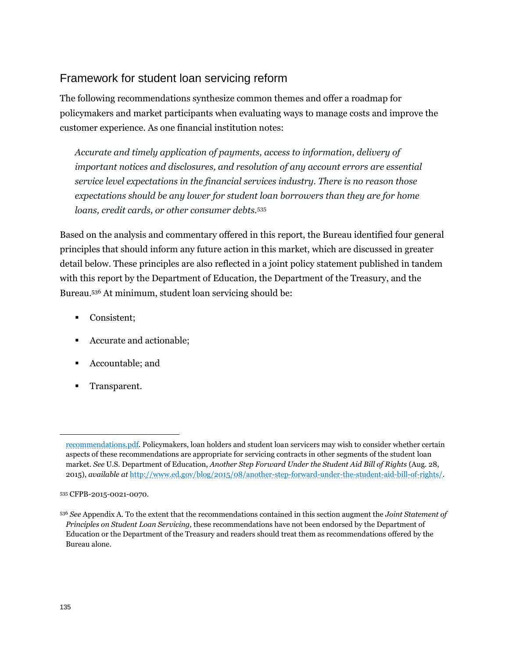#### Framework for student loan servicing reform

The following recommendations synthesize common themes and offer a roadmap for policymakers and market participants when evaluating ways to manage costs and improve the customer experience. As one financial institution notes:

*Accurate and timely application of payments, access to information, delivery of important notices and disclosures, and resolution of any account errors are essential service level expectations in the financial services industry. There is no reason those expectations should be any lower for student loan borrowers than they are for home loans, credit cards, or other consumer debts.*<sup>535</sup>

Based on the analysis and commentary offered in this report, the Bureau identified four general principles that should inform any future action in this market, which are discussed in greater detail below. These principles are also reflected in a joint policy statement published in tandem with this report by the Department of Education, the Department of the Treasury, and the Bureau.<sup>536</sup> At minimum, student loan servicing should be:

- Consistent;
- Accurate and actionable;
- Accountable; and
- Transparent.

[recommendations.pdf.](http://www2.ed.gov/finaid/loans/repay/best-practices-recommendations.pdf) Policymakers, loan holders and student loan servicers may wish to consider whether certain aspects of these recommendations are appropriate for servicing contracts in other segments of the student loan market. *See* U.S. Department of Education, *Another Step Forward Under the Student Aid Bill of Rights* (Aug. 28, 2015), *available at* [http://www.ed.gov/blog/2015/08/another-step-forward-under-the-student-aid-bill-of-rights/.](http://www.ed.gov/blog/2015/08/another-step-forward-under-the-student-aid-bill-of-rights/) 

<sup>535</sup> CFPB-2015-0021-0070.

<sup>536</sup> *See* Appendix A. To the extent that the recommendations contained in this section augment the *Joint Statement of Principles on Student Loan Servicing,* these recommendations have not been endorsed by the Department of Education or the Department of the Treasury and readers should treat them as recommendations offered by the Bureau alone.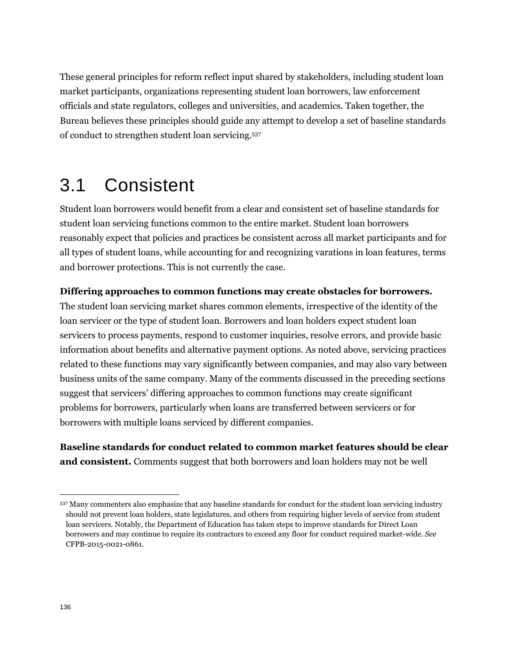These general principles for reform reflect input shared by stakeholders, including student loan market participants, organizations representing student loan borrowers, law enforcement officials and state regulators, colleges and universities, and academics. Taken together, the Bureau believes these principles should guide any attempt to develop a set of baseline standards of conduct to strengthen student loan servicing.<sup>537</sup>

# 3.1 Consistent

Student loan borrowers would benefit from a clear and consistent set of baseline standards for student loan servicing functions common to the entire market. Student loan borrowers reasonably expect that policies and practices be consistent across all market participants and for all types of student loans, while accounting for and recognizing varations in loan features, terms and borrower protections. This is not currently the case.

#### **Differing approaches to common functions may create obstacles for borrowers.**

The student loan servicing market shares common elements, irrespective of the identity of the loan servicer or the type of student loan. Borrowers and loan holders expect student loan servicers to process payments, respond to customer inquiries, resolve errors, and provide basic information about benefits and alternative payment options. As noted above, servicing practices related to these functions may vary significantly between companies, and may also vary between business units of the same company. Many of the comments discussed in the preceding sections suggest that servicers' differing approaches to common functions may create significant problems for borrowers, particularly when loans are transferred between servicers or for borrowers with multiple loans serviced by different companies.

**Baseline standards for conduct related to common market features should be clear and consistent.** Comments suggest that both borrowers and loan holders may not be well

<sup>537</sup> Many commenters also emphasize that any baseline standards for conduct for the student loan servicing industry should not prevent loan holders, state legislatures, and others from requiring higher levels of service from student loan servicers. Notably, the Department of Education has taken steps to improve standards for Direct Loan borrowers and may continue to require its contractors to exceed any floor for conduct required market-wide. *See*  CFPB-2015-0021-0861.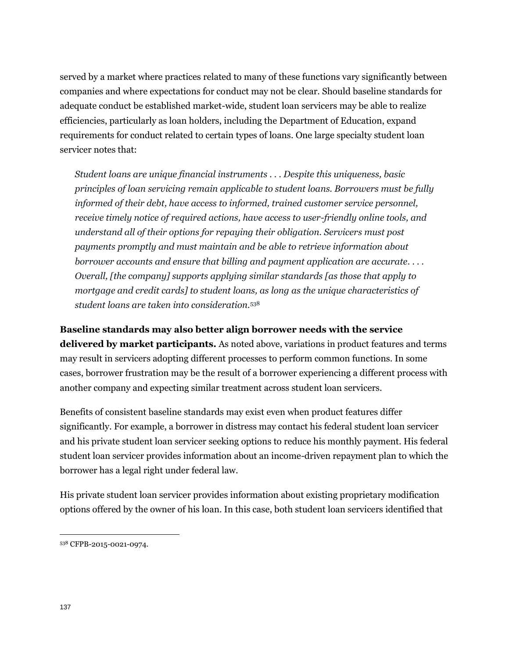served by a market where practices related to many of these functions vary significantly between companies and where expectations for conduct may not be clear. Should baseline standards for adequate conduct be established market-wide, student loan servicers may be able to realize efficiencies, particularly as loan holders, including the Department of Education, expand requirements for conduct related to certain types of loans. One large specialty student loan servicer notes that:

*Student loans are unique financial instruments . . . Despite this uniqueness, basic principles of loan servicing remain applicable to student loans. Borrowers must be fully informed of their debt, have access to informed, trained customer service personnel, receive timely notice of required actions, have access to user-friendly online tools, and understand all of their options for repaying their obligation. Servicers must post payments promptly and must maintain and be able to retrieve information about borrower accounts and ensure that billing and payment application are accurate. . . . Overall, [the company] supports applying similar standards [as those that apply to mortgage and credit cards] to student loans, as long as the unique characteristics of student loans are taken into consideration.*<sup>538</sup>

**Baseline standards may also better align borrower needs with the service delivered by market participants.** As noted above, variations in product features and terms may result in servicers adopting different processes to perform common functions. In some cases, borrower frustration may be the result of a borrower experiencing a different process with another company and expecting similar treatment across student loan servicers.

Benefits of consistent baseline standards may exist even when product features differ significantly. For example, a borrower in distress may contact his federal student loan servicer and his private student loan servicer seeking options to reduce his monthly payment. His federal student loan servicer provides information about an income-driven repayment plan to which the borrower has a legal right under federal law.

His private student loan servicer provides information about existing proprietary modification options offered by the owner of his loan. In this case, both student loan servicers identified that

<sup>538</sup> CFPB-2015-0021-0974.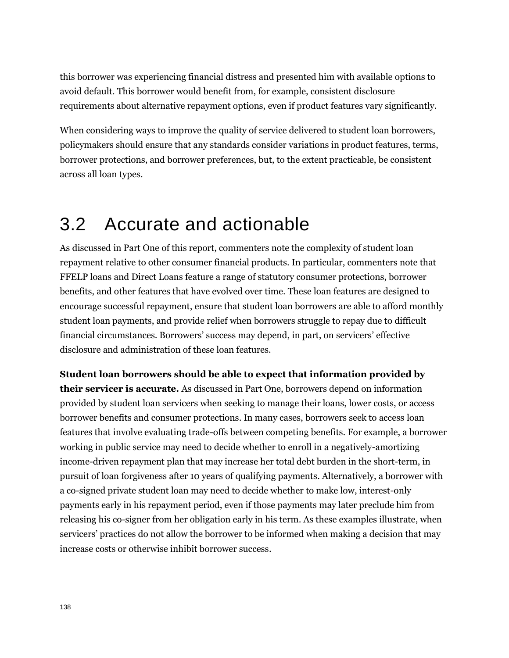this borrower was experiencing financial distress and presented him with available options to avoid default. This borrower would benefit from, for example, consistent disclosure requirements about alternative repayment options, even if product features vary significantly.

When considering ways to improve the quality of service delivered to student loan borrowers, policymakers should ensure that any standards consider variations in product features, terms, borrower protections, and borrower preferences, but, to the extent practicable, be consistent across all loan types.

# 3.2 Accurate and actionable

As discussed in Part One of this report, commenters note the complexity of student loan repayment relative to other consumer financial products. In particular, commenters note that FFELP loans and Direct Loans feature a range of statutory consumer protections, borrower benefits, and other features that have evolved over time. These loan features are designed to encourage successful repayment, ensure that student loan borrowers are able to afford monthly student loan payments, and provide relief when borrowers struggle to repay due to difficult financial circumstances. Borrowers' success may depend, in part, on servicers' effective disclosure and administration of these loan features.

**Student loan borrowers should be able to expect that information provided by their servicer is accurate.** As discussed in Part One, borrowers depend on information provided by student loan servicers when seeking to manage their loans, lower costs, or access borrower benefits and consumer protections. In many cases, borrowers seek to access loan features that involve evaluating trade-offs between competing benefits. For example, a borrower working in public service may need to decide whether to enroll in a negatively-amortizing income-driven repayment plan that may increase her total debt burden in the short-term, in pursuit of loan forgiveness after 10 years of qualifying payments. Alternatively, a borrower with a co-signed private student loan may need to decide whether to make low, interest-only payments early in his repayment period, even if those payments may later preclude him from releasing his co-signer from her obligation early in his term. As these examples illustrate, when servicers' practices do not allow the borrower to be informed when making a decision that may increase costs or otherwise inhibit borrower success.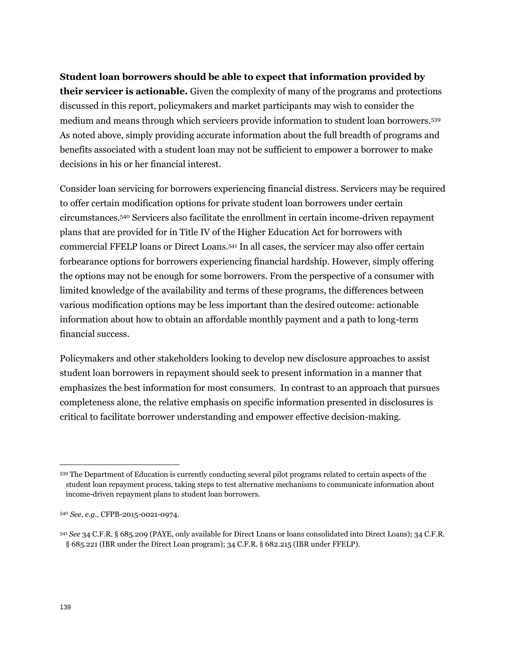**Student loan borrowers should be able to expect that information provided by their servicer is actionable.** Given the complexity of many of the programs and protections discussed in this report, policymakers and market participants may wish to consider the medium and means through which servicers provide information to student loan borrowers.<sup>539</sup> As noted above, simply providing accurate information about the full breadth of programs and benefits associated with a student loan may not be sufficient to empower a borrower to make decisions in his or her financial interest.

Consider loan servicing for borrowers experiencing financial distress. Servicers may be required to offer certain modification options for private student loan borrowers under certain circumstances.<sup>540</sup> Servicers also facilitate the enrollment in certain income-driven repayment plans that are provided for in Title IV of the Higher Education Act for borrowers with commercial FFELP loans or Direct Loans.<sup>541</sup> In all cases, the servicer may also offer certain forbearance options for borrowers experiencing financial hardship. However, simply offering the options may not be enough for some borrowers. From the perspective of a consumer with limited knowledge of the availability and terms of these programs, the differences between various modification options may be less important than the desired outcome: actionable information about how to obtain an affordable monthly payment and a path to long-term financial success.

Policymakers and other stakeholders looking to develop new disclosure approaches to assist student loan borrowers in repayment should seek to present information in a manner that emphasizes the best information for most consumers. In contrast to an approach that pursues completeness alone, the relative emphasis on specific information presented in disclosures is critical to facilitate borrower understanding and empower effective decision-making.

<sup>539</sup> The Department of Education is currently conducting several pilot programs related to certain aspects of the student loan repayment process, taking steps to test alternative mechanisms to communicate information about income-driven repayment plans to student loan borrowers.

<sup>540</sup> *See, e.g.,* CFPB-2015-0021-0974.

<sup>541</sup> *See* 34 C.F.R. § 685.209 (PAYE, only available for Direct Loans or loans consolidated into Direct Loans); 34 C.F.R. § 685.221 (IBR under the Direct Loan program); 34 C.F.R. § 682.215 (IBR under FFELP).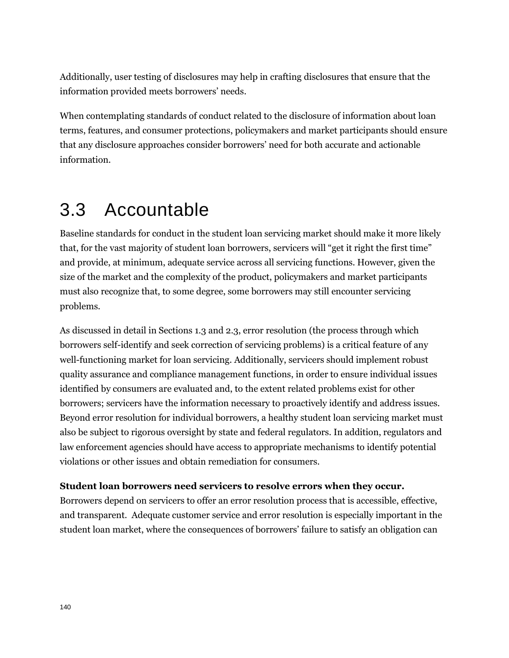Additionally, user testing of disclosures may help in crafting disclosures that ensure that the information provided meets borrowers' needs.

When contemplating standards of conduct related to the disclosure of information about loan terms, features, and consumer protections, policymakers and market participants should ensure that any disclosure approaches consider borrowers' need for both accurate and actionable information.

# 3.3 Accountable

Baseline standards for conduct in the student loan servicing market should make it more likely that, for the vast majority of student loan borrowers, servicers will "get it right the first time" and provide, at minimum, adequate service across all servicing functions. However, given the size of the market and the complexity of the product, policymakers and market participants must also recognize that, to some degree, some borrowers may still encounter servicing problems.

As discussed in detail in Sections 1.3 and 2.3, error resolution (the process through which borrowers self-identify and seek correction of servicing problems) is a critical feature of any well-functioning market for loan servicing. Additionally, servicers should implement robust quality assurance and compliance management functions, in order to ensure individual issues identified by consumers are evaluated and, to the extent related problems exist for other borrowers; servicers have the information necessary to proactively identify and address issues. Beyond error resolution for individual borrowers, a healthy student loan servicing market must also be subject to rigorous oversight by state and federal regulators. In addition, regulators and law enforcement agencies should have access to appropriate mechanisms to identify potential violations or other issues and obtain remediation for consumers.

#### **Student loan borrowers need servicers to resolve errors when they occur.**

Borrowers depend on servicers to offer an error resolution process that is accessible, effective, and transparent. Adequate customer service and error resolution is especially important in the student loan market, where the consequences of borrowers' failure to satisfy an obligation can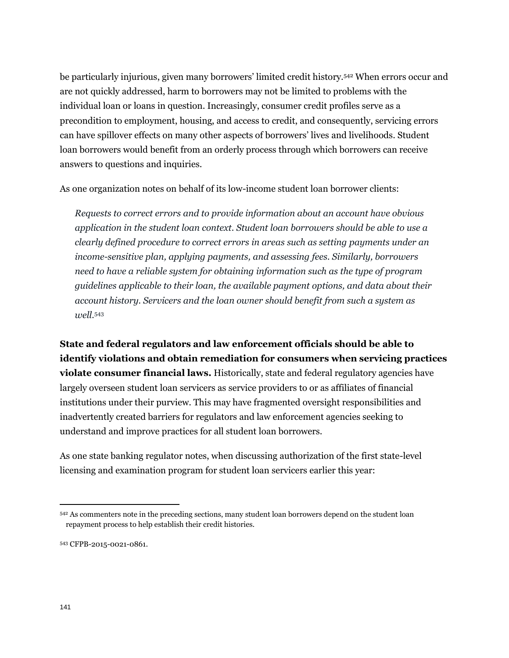be particularly injurious, given many borrowers' limited credit history.<sup>542</sup> When errors occur and are not quickly addressed, harm to borrowers may not be limited to problems with the individual loan or loans in question. Increasingly, consumer credit profiles serve as a precondition to employment, housing, and access to credit, and consequently, servicing errors can have spillover effects on many other aspects of borrowers' lives and livelihoods. Student loan borrowers would benefit from an orderly process through which borrowers can receive answers to questions and inquiries.

As one organization notes on behalf of its low-income student loan borrower clients:

*Requests to correct errors and to provide information about an account have obvious application in the student loan context. Student loan borrowers should be able to use a clearly defined procedure to correct errors in areas such as setting payments under an income-sensitive plan, applying payments, and assessing fees. Similarly, borrowers need to have a reliable system for obtaining information such as the type of program guidelines applicable to their loan, the available payment options, and data about their account history. Servicers and the loan owner should benefit from such a system as well.*<sup>543</sup>

**State and federal regulators and law enforcement officials should be able to identify violations and obtain remediation for consumers when servicing practices violate consumer financial laws.** Historically, state and federal regulatory agencies have largely overseen student loan servicers as service providers to or as affiliates of financial institutions under their purview. This may have fragmented oversight responsibilities and inadvertently created barriers for regulators and law enforcement agencies seeking to understand and improve practices for all student loan borrowers.

As one state banking regulator notes, when discussing authorization of the first state-level licensing and examination program for student loan servicers earlier this year:

<sup>542</sup> As commenters note in the preceding sections, many student loan borrowers depend on the student loan repayment process to help establish their credit histories.

<sup>543</sup> CFPB-2015-0021-0861.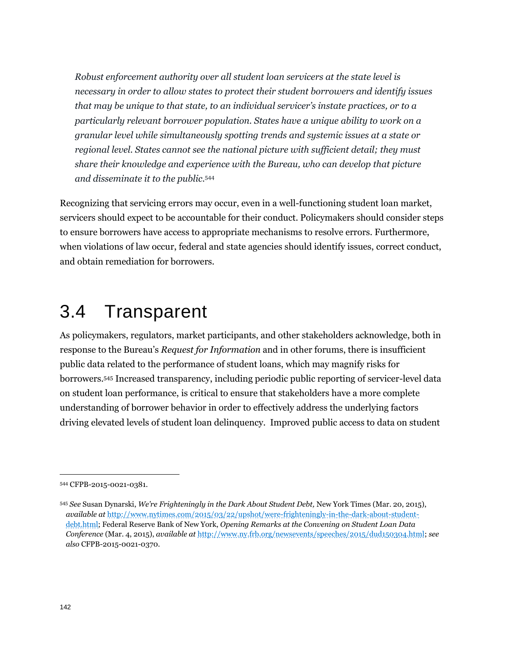*Robust enforcement authority over all student loan servicers at the state level is necessary in order to allow states to protect their student borrowers and identify issues that may be unique to that state, to an individual servicer's instate practices, or to a particularly relevant borrower population. States have a unique ability to work on a granular level while simultaneously spotting trends and systemic issues at a state or regional level. States cannot see the national picture with sufficient detail; they must share their knowledge and experience with the Bureau, who can develop that picture and disseminate it to the public.*<sup>544</sup>

Recognizing that servicing errors may occur, even in a well-functioning student loan market, servicers should expect to be accountable for their conduct. Policymakers should consider steps to ensure borrowers have access to appropriate mechanisms to resolve errors. Furthermore, when violations of law occur, federal and state agencies should identify issues, correct conduct, and obtain remediation for borrowers.

# 3.4 Transparent

As policymakers, regulators, market participants, and other stakeholders acknowledge, both in response to the Bureau's *Request for Information* and in other forums, there is insufficient public data related to the performance of student loans, which may magnify risks for borrowers.<sup>545</sup> Increased transparency, including periodic public reporting of servicer-level data on student loan performance, is critical to ensure that stakeholders have a more complete understanding of borrower behavior in order to effectively address the underlying factors driving elevated levels of student loan delinquency. Improved public access to data on student

<sup>544</sup> CFPB-2015-0021-0381.

<sup>545</sup> *See* Susan Dynarski, *We're Frighteningly in the Dark About Student Debt,* New York Times (Mar. 20, 2015), *available at* [http://www.nytimes.com/2015/03/22/upshot/were-frighteningly-in-the-dark-about-student](http://www.nytimes.com/2015/03/22/upshot/were-frighteningly-in-the-dark-about-student-debt.html)[debt.html;](http://www.nytimes.com/2015/03/22/upshot/were-frighteningly-in-the-dark-about-student-debt.html) Federal Reserve Bank of New York, *Opening Remarks at the Convening on Student Loan Data Conference* (Mar. 4, 2015), *available at* [http://www.ny.frb.org/newsevents/speeches/2015/dud150304.html;](http://www.ny.frb.org/newsevents/speeches/2015/dud150304.html) *see also* CFPB-2015-0021-0370.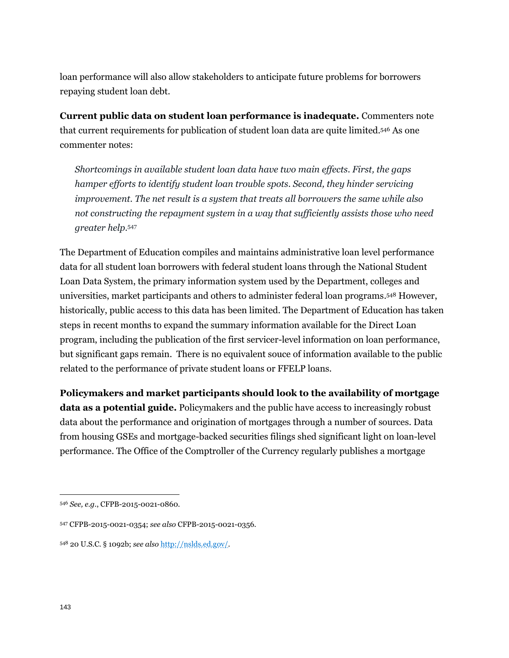loan performance will also allow stakeholders to anticipate future problems for borrowers repaying student loan debt.

**Current public data on student loan performance is inadequate.** Commenters note that current requirements for publication of student loan data are quite limited.<sup>546</sup> As one commenter notes:

*Shortcomings in available student loan data have two main effects. First, the gaps hamper efforts to identify student loan trouble spots. Second, they hinder servicing improvement. The net result is a system that treats all borrowers the same while also not constructing the repayment system in a way that sufficiently assists those who need greater help.*<sup>547</sup>

The Department of Education compiles and maintains administrative loan level performance data for all student loan borrowers with federal student loans through the National Student Loan Data System, the primary information system used by the Department, colleges and universities, market participants and others to administer federal loan programs. <sup>548</sup> However, historically, public access to this data has been limited. The Department of Education has taken steps in recent months to expand the summary information available for the Direct Loan program, including the publication of the first servicer-level information on loan performance, but significant gaps remain. There is no equivalent souce of information available to the public related to the performance of private student loans or FFELP loans.

**Policymakers and market participants should look to the availability of mortgage data as a potential guide.** Policymakers and the public have access to increasingly robust data about the performance and origination of mortgages through a number of sources. Data from housing GSEs and mortgage-backed securities filings shed significant light on loan-level performance. The Office of the Comptroller of the Currency regularly publishes a mortgage

<sup>546</sup> *See, e.g.*, CFPB-2015-0021-0860.

<sup>547</sup> CFPB-2015-0021-0354; *see also* CFPB-2015-0021-0356.

<sup>548</sup> 20 U.S.C. § 1092b; *see also* [http://nslds.ed.gov/.](http://nslds.ed.gov/)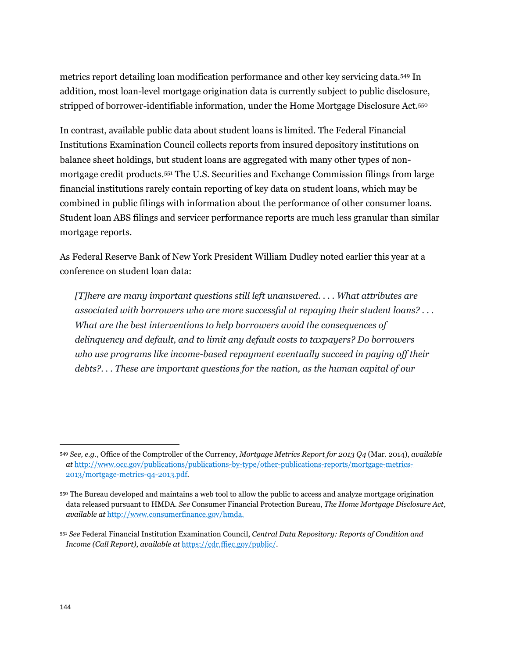metrics report detailing loan modification performance and other key servicing data.<sup>549</sup> In addition, most loan-level mortgage origination data is currently subject to public disclosure, stripped of borrower-identifiable information, under the Home Mortgage Disclosure Act.<sup>550</sup>

In contrast, available public data about student loans is limited. The Federal Financial Institutions Examination Council collects reports from insured depository institutions on balance sheet holdings, but student loans are aggregated with many other types of nonmortgage credit products.<sup>551</sup> The U.S. Securities and Exchange Commission filings from large financial institutions rarely contain reporting of key data on student loans, which may be combined in public filings with information about the performance of other consumer loans. Student loan ABS filings and servicer performance reports are much less granular than similar mortgage reports.

As Federal Reserve Bank of New York President William Dudley noted earlier this year at a conference on student loan data:

*[T]here are many important questions still left unanswered. . . . What attributes are associated with borrowers who are more successful at repaying their student loans? . . . What are the best interventions to help borrowers avoid the consequences of delinquency and default, and to limit any default costs to taxpayers? Do borrowers who use programs like income-based repayment eventually succeed in paying off their debts?. . . These are important questions for the nation, as the human capital of our* 

<sup>549</sup> *See, e.g.*, Office of the Comptroller of the Currency, *Mortgage Metrics Report for 2013 Q4* (Mar. 2014), *available at* [http://www.occ.gov/publications/publications-by-type/other-publications-reports/mortgage-metrics-](http://www.occ.gov/publications/publications-by-type/other-publications-reports/mortgage-metrics-2013/mortgage-metrics-q4-2013.pdf)[2013/mortgage-metrics-q4-2013.pdf.](http://www.occ.gov/publications/publications-by-type/other-publications-reports/mortgage-metrics-2013/mortgage-metrics-q4-2013.pdf)

<sup>550</sup> The Bureau developed and maintains a web tool to allow the public to access and analyze mortgage origination data released pursuant to HMDA. *See* Consumer Financial Protection Bureau, *The Home Mortgage Disclosure Act, available at* [http://www.consumerfinance.gov/hmda.](http://www.consumerfinance.gov/hmda)

<sup>551</sup> *See* Federal Financial Institution Examination Council, *Central Data Repository: Reports of Condition and Income (Call Report)*, *available at* [https://cdr.ffiec.gov/public/.](https://cdr.ffiec.gov/public/)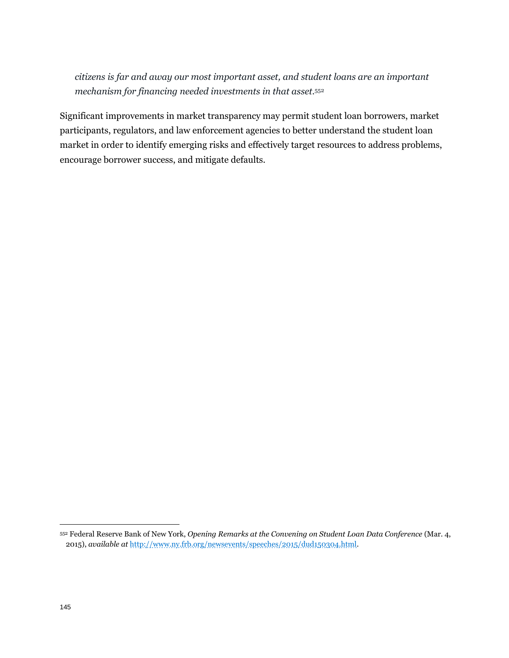*citizens is far and away our most important asset, and student loans are an important mechanism for financing needed investments in that asset.*<sup>552</sup>

Significant improvements in market transparency may permit student loan borrowers, market participants, regulators, and law enforcement agencies to better understand the student loan market in order to identify emerging risks and effectively target resources to address problems, encourage borrower success, and mitigate defaults.

<sup>552</sup> Federal Reserve Bank of New York, *Opening Remarks at the Convening on Student Loan Data Conference* (Mar. 4, 2015), *available at* [http://www.ny.frb.org/newsevents/speeches/2015/dud150304.html.](http://www.ny.frb.org/newsevents/speeches/2015/dud150304.html)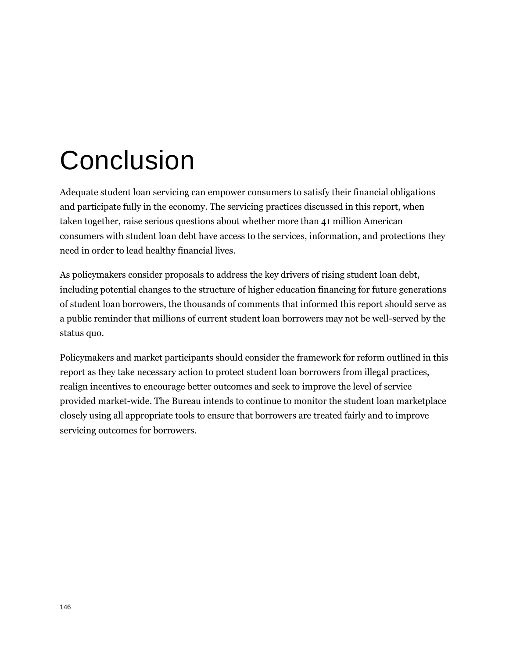# Conclusion

Adequate student loan servicing can empower consumers to satisfy their financial obligations and participate fully in the economy. The servicing practices discussed in this report, when taken together, raise serious questions about whether more than 41 million American consumers with student loan debt have access to the services, information, and protections they need in order to lead healthy financial lives.

As policymakers consider proposals to address the key drivers of rising student loan debt, including potential changes to the structure of higher education financing for future generations of student loan borrowers, the thousands of comments that informed this report should serve as a public reminder that millions of current student loan borrowers may not be well-served by the status quo.

Policymakers and market participants should consider the framework for reform outlined in this report as they take necessary action to protect student loan borrowers from illegal practices, realign incentives to encourage better outcomes and seek to improve the level of service provided market-wide. The Bureau intends to continue to monitor the student loan marketplace closely using all appropriate tools to ensure that borrowers are treated fairly and to improve servicing outcomes for borrowers.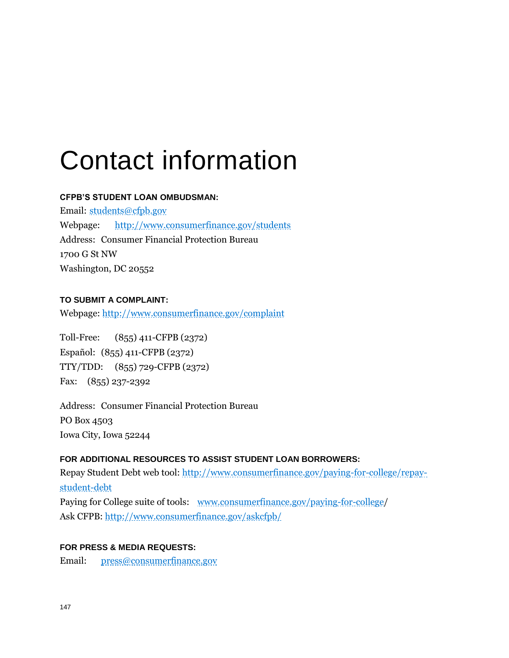## Contact information

#### **CFPB'S STUDENT LOAN OMBUDSMAN:**

Email: [students@cfpb.gov](mailto:students@cfpb.gov) Webpage: <http://www.consumerfinance.gov/students> Address: Consumer Financial Protection Bureau 1700 G St NW Washington, DC 20552

#### **TO SUBMIT A COMPLAINT:**

Webpage: http://www.consumerfinance.gov/complaint

Toll-Free: (855) 411-CFPB (2372) Español: (855) 411-CFPB (2372) TTY/TDD: (855) 729-CFPB (2372) Fax: (855) 237-2392

Address: Consumer Financial Protection Bureau PO Box 4503 Iowa City, Iowa 52244

#### **FOR ADDITIONAL RESOURCES TO ASSIST STUDENT LOAN BORROWERS:**

Repay Student Debt web tool: [http://www.consumerfinance.gov/paying-for-college/repay](http://www.consumerfinance.gov/paying-for-college/repay-student-debt)[student-debt](http://www.consumerfinance.gov/paying-for-college/repay-student-debt) Paying for College suite of tools: [www.consumerfinance.gov/paying-for-college/](http://www.consumerfinance.gov/paying-for-college) Ask CFPB:<http://www.consumerfinance.gov/askcfpb/>

#### **FOR PRESS & MEDIA REQUESTS:**

Email: [press@consumerfinance.gov](mailto:press@cfpb.gov)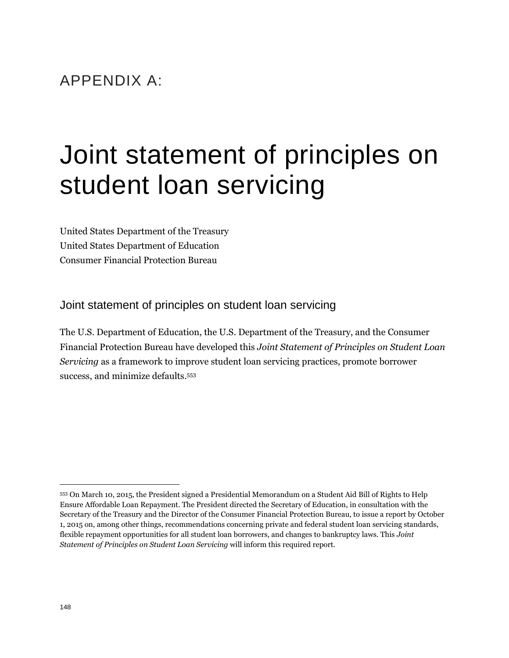### APPENDIX A:

### Joint statement of principles on student loan servicing

United States Department of the Treasury United States Department of Education Consumer Financial Protection Bureau

Joint statement of principles on student loan servicing

The U.S. Department of Education, the U.S. Department of the Treasury, and the Consumer Financial Protection Bureau have developed this *Joint Statement of Principles on Student Loan Servicing* as a framework to improve student loan servicing practices, promote borrower success, and minimize defaults.<sup>553</sup>

<sup>553</sup> On March 10, 2015, the President signed a Presidential Memorandum on a Student Aid Bill of Rights to Help Ensure Affordable Loan Repayment. The President directed the Secretary of Education, in consultation with the Secretary of the Treasury and the Director of the Consumer Financial Protection Bureau, to issue a report by October 1, 2015 on, among other things, recommendations concerning private and federal student loan servicing standards, flexible repayment opportunities for all student loan borrowers, and changes to bankruptcy laws. This *Joint Statement of Principles on Student Loan Servicing* will inform this required report.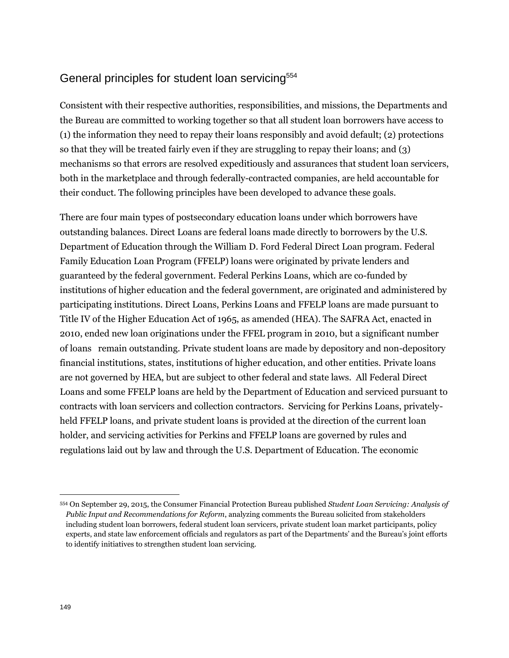### General principles for student loan servicing<sup>554</sup>

Consistent with their respective authorities, responsibilities, and missions, the Departments and the Bureau are committed to working together so that all student loan borrowers have access to (1) the information they need to repay their loans responsibly and avoid default; (2) protections so that they will be treated fairly even if they are struggling to repay their loans; and (3) mechanisms so that errors are resolved expeditiously and assurances that student loan servicers, both in the marketplace and through federally-contracted companies, are held accountable for their conduct. The following principles have been developed to advance these goals.

There are four main types of postsecondary education loans under which borrowers have outstanding balances. Direct Loans are federal loans made directly to borrowers by the U.S. Department of Education through the William D. Ford Federal Direct Loan program. Federal Family Education Loan Program (FFELP) loans were originated by private lenders and guaranteed by the federal government. Federal Perkins Loans, which are co-funded by institutions of higher education and the federal government, are originated and administered by participating institutions. Direct Loans, Perkins Loans and FFELP loans are made pursuant to Title IV of the Higher Education Act of 1965, as amended (HEA). The SAFRA Act, enacted in 2010, ended new loan originations under the FFEL program in 2010, but a significant number of loans remain outstanding. Private student loans are made by depository and non-depository financial institutions, states, institutions of higher education, and other entities. Private loans are not governed by HEA, but are subject to other federal and state laws. All Federal Direct Loans and some FFELP loans are held by the Department of Education and serviced pursuant to contracts with loan servicers and collection contractors. Servicing for Perkins Loans, privatelyheld FFELP loans, and private student loans is provided at the direction of the current loan holder, and servicing activities for Perkins and FFELP loans are governed by rules and regulations laid out by law and through the U.S. Department of Education. The economic

<sup>554</sup> On September 29, 2015, the Consumer Financial Protection Bureau published *Student Loan Servicing: Analysis of Public Input and Recommendations for Reform*, analyzing comments the Bureau solicited from stakeholders including student loan borrowers, federal student loan servicers, private student loan market participants, policy experts, and state law enforcement officials and regulators as part of the Departments' and the Bureau's joint efforts to identify initiatives to strengthen student loan servicing.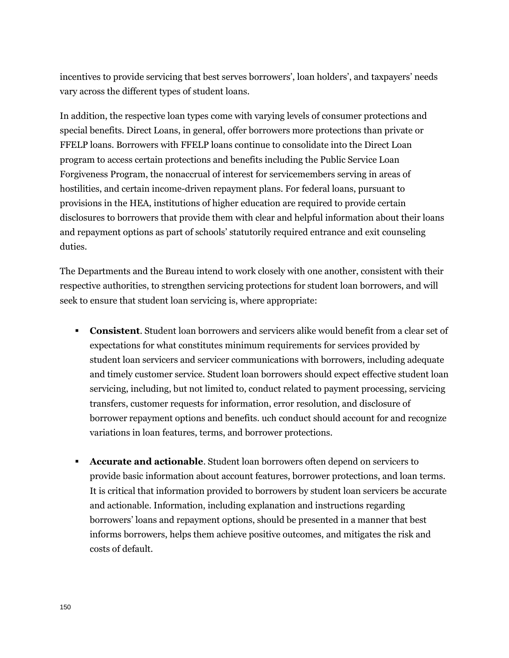incentives to provide servicing that best serves borrowers', loan holders', and taxpayers' needs vary across the different types of student loans.

In addition, the respective loan types come with varying levels of consumer protections and special benefits. Direct Loans, in general, offer borrowers more protections than private or FFELP loans. Borrowers with FFELP loans continue to consolidate into the Direct Loan program to access certain protections and benefits including the Public Service Loan Forgiveness Program, the nonaccrual of interest for servicemembers serving in areas of hostilities, and certain income-driven repayment plans. For federal loans, pursuant to provisions in the HEA, institutions of higher education are required to provide certain disclosures to borrowers that provide them with clear and helpful information about their loans and repayment options as part of schools' statutorily required entrance and exit counseling duties.

The Departments and the Bureau intend to work closely with one another, consistent with their respective authorities, to strengthen servicing protections for student loan borrowers, and will seek to ensure that student loan servicing is, where appropriate:

- **Consistent**. Student loan borrowers and servicers alike would benefit from a clear set of expectations for what constitutes minimum requirements for services provided by student loan servicers and servicer communications with borrowers, including adequate and timely customer service. Student loan borrowers should expect effective student loan servicing, including, but not limited to, conduct related to payment processing, servicing transfers, customer requests for information, error resolution, and disclosure of borrower repayment options and benefits. uch conduct should account for and recognize variations in loan features, terms, and borrower protections.
- **Accurate and actionable.** Student loan borrowers often depend on servicers to provide basic information about account features, borrower protections, and loan terms. It is critical that information provided to borrowers by student loan servicers be accurate and actionable. Information, including explanation and instructions regarding borrowers' loans and repayment options, should be presented in a manner that best informs borrowers, helps them achieve positive outcomes, and mitigates the risk and costs of default.